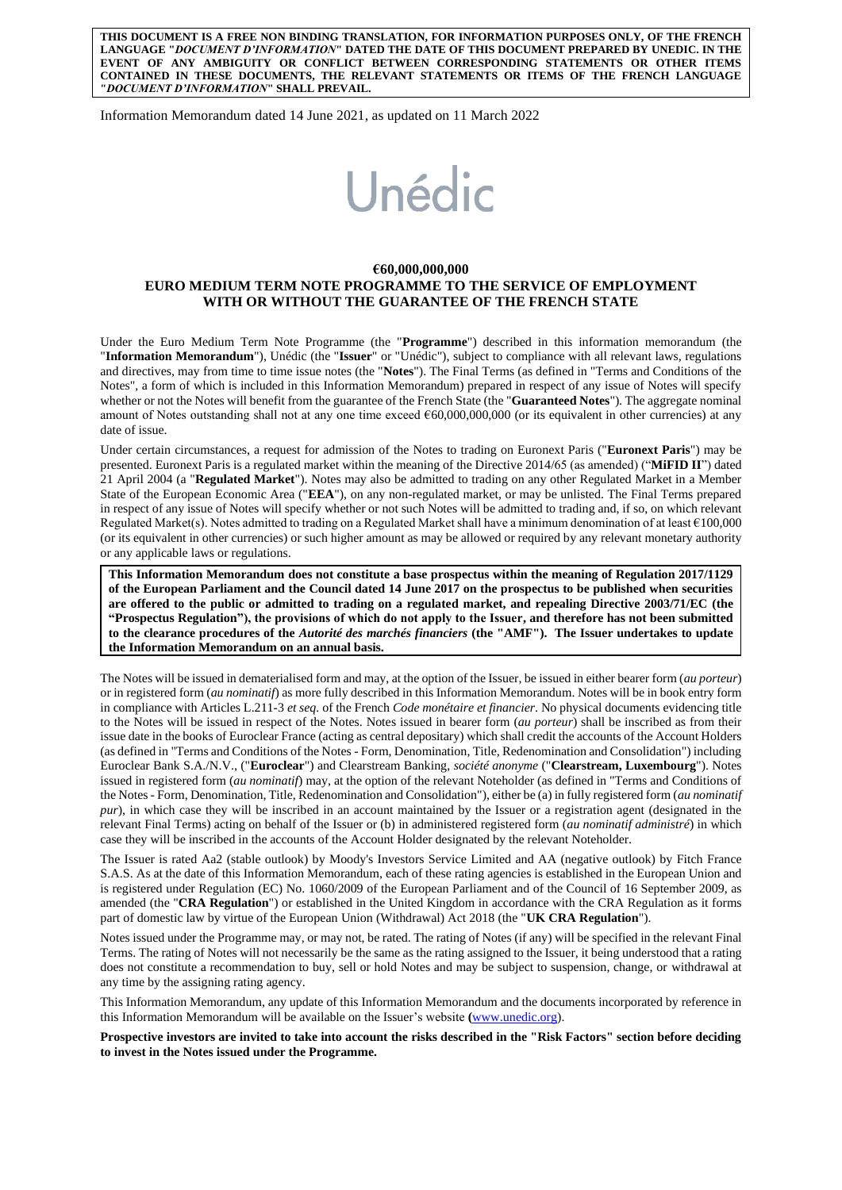**THIS DOCUMENT IS A FREE NON BINDING TRANSLATION, FOR INFORMATION PURPOSES ONLY, OF THE FRENCH LANGUAGE "***DOCUMENT D'INFORMATION***" DATED THE DATE OF THIS DOCUMENT PREPARED BY UNEDIC. IN THE EVENT OF ANY AMBIGUITY OR CONFLICT BETWEEN CORRESPONDING STATEMENTS OR OTHER ITEMS CONTAINED IN THESE DOCUMENTS, THE RELEVANT STATEMENTS OR ITEMS OF THE FRENCH LANGUAGE "***DOCUMENT D'INFORMATION***" SHALL PREVAIL.** 

Information Memorandum dated 14 June 2021, as updated on 11 March 2022

# Unédic

## **€60,000,000,000 EURO MEDIUM TERM NOTE PROGRAMME TO THE SERVICE OF EMPLOYMENT WITH OR WITHOUT THE GUARANTEE OF THE FRENCH STATE**

Under the Euro Medium Term Note Programme (the "**Programme**") described in this information memorandum (the "**Information Memorandum**"), Unédic (the "**Issuer**" or "Unédic"), subject to compliance with all relevant laws, regulations and directives, may from time to time issue notes (the "**Notes**"). The Final Terms (as defined in "Terms and Conditions of the Notes", a form of which is included in this Information Memorandum) prepared in respect of any issue of Notes will specify whether or not the Notes will benefit from the guarantee of the French State (the "**Guaranteed Notes**"). The aggregate nominal amount of Notes outstanding shall not at any one time exceed  $660,000,000,000$  (or its equivalent in other currencies) at any date of issue.

Under certain circumstances, a request for admission of the Notes to trading on Euronext Paris ("**Euronext Paris**") may be presented. Euronext Paris is a regulated market within the meaning of the Directive 2014/65 (as amended) ("**MiFID II**") dated 21 April 2004 (a "**Regulated Market**"). Notes may also be admitted to trading on any other Regulated Market in a Member State of the European Economic Area ("**EEA**"), on any non-regulated market, or may be unlisted. The Final Terms prepared in respect of any issue of Notes will specify whether or not such Notes will be admitted to trading and, if so, on which relevant Regulated Market(s). Notes admitted to trading on a Regulated Market shall have a minimum denomination of at least  $€100,000$ (or its equivalent in other currencies) or such higher amount as may be allowed or required by any relevant monetary authority or any applicable laws or regulations.

**This Information Memorandum does not constitute a base prospectus within the meaning of Regulation 2017/1129 of the European Parliament and the Council dated 14 June 2017 on the prospectus to be published when securities are offered to the public or admitted to trading on a regulated market, and repealing Directive 2003/71/EC (the "Prospectus Regulation"), the provisions of which do not apply to the Issuer, and therefore has not been submitted to the clearance procedures of the** *Autorité des marchés financiers* **(the "AMF"). The Issuer undertakes to update the Information Memorandum on an annual basis.** 

The Notes will be issued in dematerialised form and may, at the option of the Issuer, be issued in either bearer form (*au porteur*) or in registered form (*au nominatif*) as more fully described in this Information Memorandum. Notes will be in book entry form in compliance with Articles L.211-3 *et seq.* of the French *Code monétaire et financier*. No physical documents evidencing title to the Notes will be issued in respect of the Notes. Notes issued in bearer form (*au porteur*) shall be inscribed as from their issue date in the books of Euroclear France (acting as central depositary) which shall credit the accounts of the Account Holders (as defined in "Terms and Conditions of the Notes - Form, Denomination, Title, Redenomination and Consolidation") including Euroclear Bank S.A./N.V., ("**Euroclear**") and Clearstream Banking, *société anonyme* ("**Clearstream, Luxembourg**"). Notes issued in registered form (*au nominatif*) may, at the option of the relevant Noteholder (as defined in "Terms and Conditions of the Notes - Form, Denomination, Title, Redenomination and Consolidation"), either be (a) in fully registered form (*au nominatif pur*), in which case they will be inscribed in an account maintained by the Issuer or a registration agent (designated in the relevant Final Terms) acting on behalf of the Issuer or (b) in administered registered form (*au nominatif administré*) in which case they will be inscribed in the accounts of the Account Holder designated by the relevant Noteholder*.*

The Issuer is rated Aa2 (stable outlook) by Moody's Investors Service Limited and AA (negative outlook) by Fitch France S.A.S. As at the date of this Information Memorandum, each of these rating agencies is established in the European Union and is registered under Regulation (EC) No. 1060/2009 of the European Parliament and of the Council of 16 September 2009, as amended (the "**CRA Regulation**") or established in the United Kingdom in accordance with the CRA Regulation as it forms part of domestic law by virtue of the European Union (Withdrawal) Act 2018 (the "**UK CRA Regulation**").

Notes issued under the Programme may, or may not, be rated. The rating of Notes (if any) will be specified in the relevant Final Terms. The rating of Notes will not necessarily be the same as the rating assigned to the Issuer, it being understood that a rating does not constitute a recommendation to buy, sell or hold Notes and may be subject to suspension, change, or withdrawal at any time by the assigning rating agency.

This Information Memorandum, any update of this Information Memorandum and the documents incorporated by reference in this Information Memorandum will be available on the Issuer's website **(**[www.unedic.org\)](http://www.unedic.org/).

**Prospective investors are invited to take into account the risks described in the "Risk Factors" section before deciding to invest in the Notes issued under the Programme.**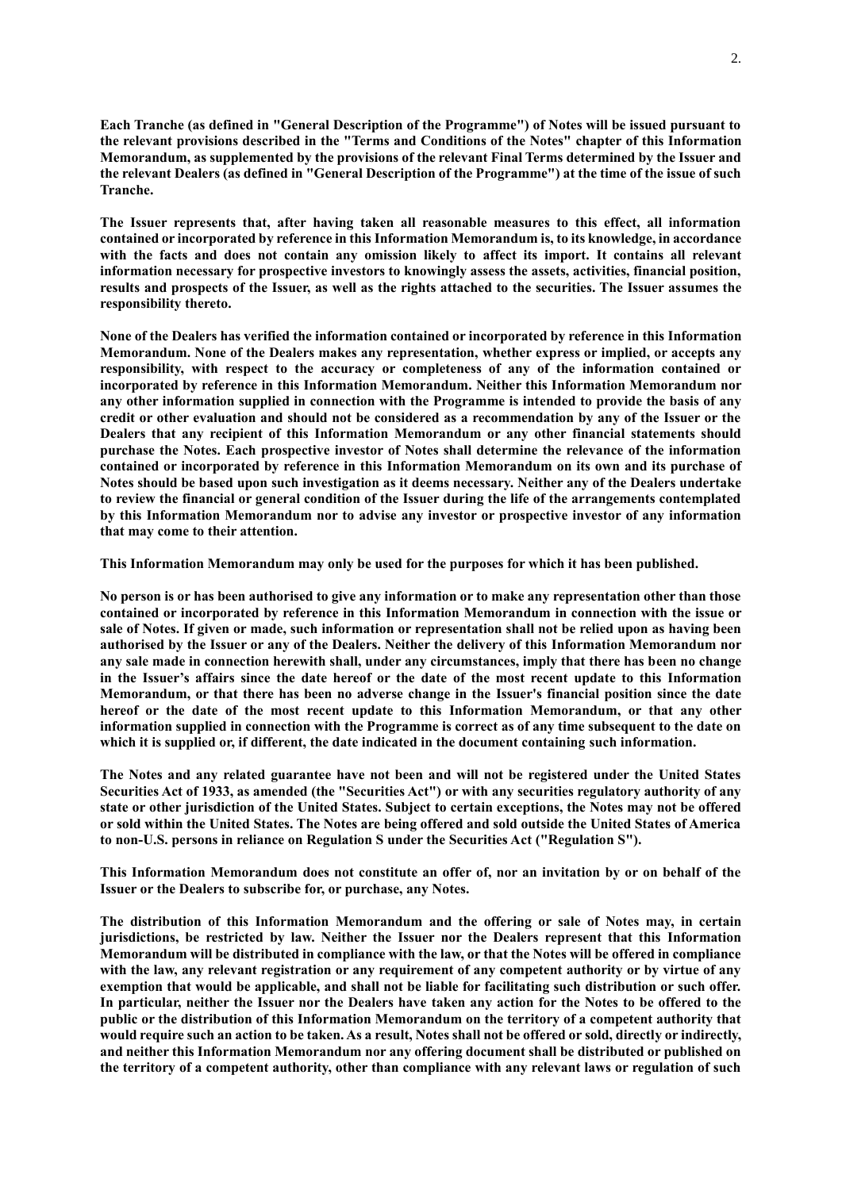**Each Tranche (as defined in "General Description of the Programme") of Notes will be issued pursuant to the relevant provisions described in the "Terms and Conditions of the Notes" chapter of this Information Memorandum, as supplemented by the provisions of the relevant Final Terms determined by the Issuer and the relevant Dealers (as defined in "General Description of the Programme") at the time of the issue of such Tranche.** 

**The Issuer represents that, after having taken all reasonable measures to this effect, all information contained or incorporated by reference in this Information Memorandum is, to its knowledge, in accordance with the facts and does not contain any omission likely to affect its import. It contains all relevant information necessary for prospective investors to knowingly assess the assets, activities, financial position, results and prospects of the Issuer, as well as the rights attached to the securities. The Issuer assumes the responsibility thereto.**

**None of the Dealers has verified the information contained or incorporated by reference in this Information Memorandum. None of the Dealers makes any representation, whether express or implied, or accepts any responsibility, with respect to the accuracy or completeness of any of the information contained or incorporated by reference in this Information Memorandum. Neither this Information Memorandum nor any other information supplied in connection with the Programme is intended to provide the basis of any credit or other evaluation and should not be considered as a recommendation by any of the Issuer or the Dealers that any recipient of this Information Memorandum or any other financial statements should purchase the Notes. Each prospective investor of Notes shall determine the relevance of the information contained or incorporated by reference in this Information Memorandum on its own and its purchase of Notes should be based upon such investigation as it deems necessary. Neither any of the Dealers undertake to review the financial or general condition of the Issuer during the life of the arrangements contemplated by this Information Memorandum nor to advise any investor or prospective investor of any information that may come to their attention.**

**This Information Memorandum may only be used for the purposes for which it has been published.**

**No person is or has been authorised to give any information or to make any representation other than those contained or incorporated by reference in this Information Memorandum in connection with the issue or sale of Notes. If given or made, such information or representation shall not be relied upon as having been authorised by the Issuer or any of the Dealers. Neither the delivery of this Information Memorandum nor any sale made in connection herewith shall, under any circumstances, imply that there has been no change in the Issuer's affairs since the date hereof or the date of the most recent update to this Information Memorandum, or that there has been no adverse change in the Issuer's financial position since the date hereof or the date of the most recent update to this Information Memorandum, or that any other information supplied in connection with the Programme is correct as of any time subsequent to the date on which it is supplied or, if different, the date indicated in the document containing such information.**

**The Notes and any related guarantee have not been and will not be registered under the United States Securities Act of 1933, as amended (the "Securities Act") or with any securities regulatory authority of any state or other jurisdiction of the United States. Subject to certain exceptions, the Notes may not be offered or sold within the United States. The Notes are being offered and sold outside the United States of America to non-U.S. persons in reliance on Regulation S under the Securities Act ("Regulation S").**

**This Information Memorandum does not constitute an offer of, nor an invitation by or on behalf of the Issuer or the Dealers to subscribe for, or purchase, any Notes.**

**The distribution of this Information Memorandum and the offering or sale of Notes may, in certain jurisdictions, be restricted by law. Neither the Issuer nor the Dealers represent that this Information Memorandum will be distributed in compliance with the law, or that the Notes will be offered in compliance with the law, any relevant registration or any requirement of any competent authority or by virtue of any exemption that would be applicable, and shall not be liable for facilitating such distribution or such offer. In particular, neither the Issuer nor the Dealers have taken any action for the Notes to be offered to the public or the distribution of this Information Memorandum on the territory of a competent authority that would require such an action to be taken. As a result, Notes shall not be offered or sold, directly or indirectly, and neither this Information Memorandum nor any offering document shall be distributed or published on the territory of a competent authority, other than compliance with any relevant laws or regulation of such**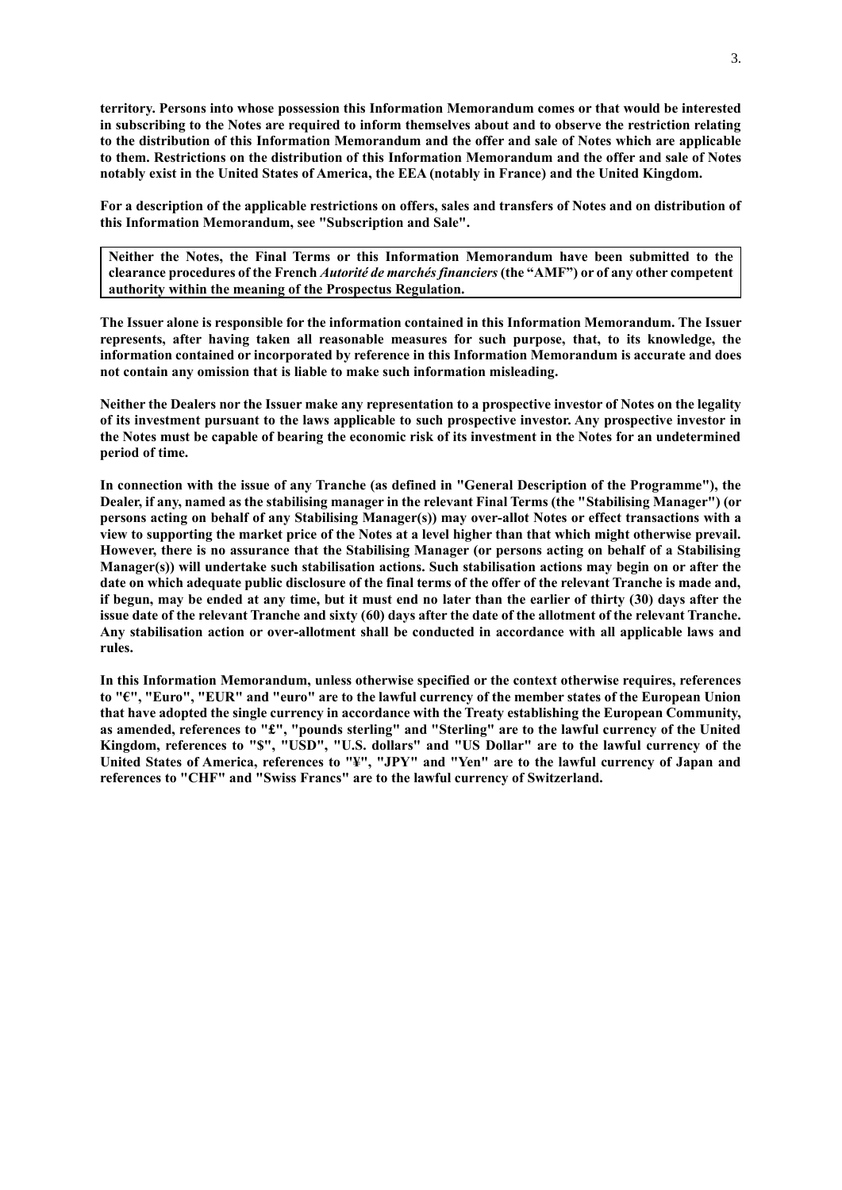**territory. Persons into whose possession this Information Memorandum comes or that would be interested in subscribing to the Notes are required to inform themselves about and to observe the restriction relating to the distribution of this Information Memorandum and the offer and sale of Notes which are applicable to them. Restrictions on the distribution of this Information Memorandum and the offer and sale of Notes notably exist in the United States of America, the EEA (notably in France) and the United Kingdom.**

**For a description of the applicable restrictions on offers, sales and transfers of Notes and on distribution of this Information Memorandum, see "Subscription and Sale".**

**Neither the Notes, the Final Terms or this Information Memorandum have been submitted to the clearance procedures of the French** *Autorité de marchés financiers* **(the "AMF") or of any other competent authority within the meaning of the Prospectus Regulation.** 

**The Issuer alone is responsible for the information contained in this Information Memorandum. The Issuer represents, after having taken all reasonable measures for such purpose, that, to its knowledge, the information contained or incorporated by reference in this Information Memorandum is accurate and does not contain any omission that is liable to make such information misleading.** 

**Neither the Dealers nor the Issuer make any representation to a prospective investor of Notes on the legality of its investment pursuant to the laws applicable to such prospective investor. Any prospective investor in the Notes must be capable of bearing the economic risk of its investment in the Notes for an undetermined period of time.**

**In connection with the issue of any Tranche (as defined in "General Description of the Programme"), the Dealer, if any, named as the stabilising manager in the relevant Final Terms (the "Stabilising Manager") (or persons acting on behalf of any Stabilising Manager(s)) may over-allot Notes or effect transactions with a view to supporting the market price of the Notes at a level higher than that which might otherwise prevail. However, there is no assurance that the Stabilising Manager (or persons acting on behalf of a Stabilising Manager(s)) will undertake such stabilisation actions. Such stabilisation actions may begin on or after the date on which adequate public disclosure of the final terms of the offer of the relevant Tranche is made and, if begun, may be ended at any time, but it must end no later than the earlier of thirty (30) days after the issue date of the relevant Tranche and sixty (60) days after the date of the allotment of the relevant Tranche. Any stabilisation action or over-allotment shall be conducted in accordance with all applicable laws and rules.**

**In this Information Memorandum, unless otherwise specified or the context otherwise requires, references to "€", "Euro", "EUR" and "euro" are to the lawful currency of the member states of the European Union that have adopted the single currency in accordance with the Treaty establishing the European Community, as amended, references to "£", "pounds sterling" and "Sterling" are to the lawful currency of the United Kingdom, references to "\$", "USD", "U.S. dollars" and "US Dollar" are to the lawful currency of the United States of America, references to "¥", "JPY" and "Yen" are to the lawful currency of Japan and references to "CHF" and "Swiss Francs" are to the lawful currency of Switzerland.**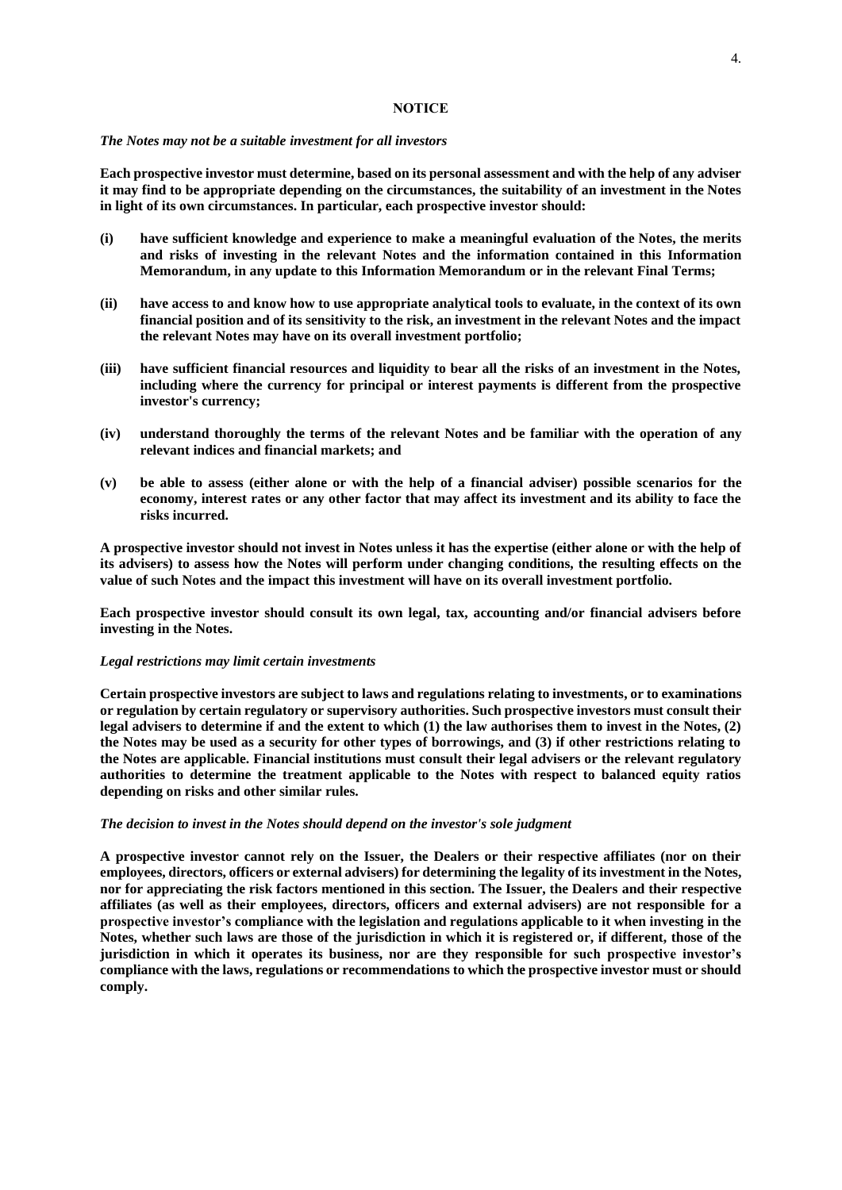## **NOTICE**

#### *The Notes may not be a suitable investment for all investors*

**Each prospective investor must determine, based on its personal assessment and with the help of any adviser it may find to be appropriate depending on the circumstances, the suitability of an investment in the Notes in light of its own circumstances. In particular, each prospective investor should:**

- **(i) have sufficient knowledge and experience to make a meaningful evaluation of the Notes, the merits and risks of investing in the relevant Notes and the information contained in this Information Memorandum, in any update to this Information Memorandum or in the relevant Final Terms;**
- **(ii) have access to and know how to use appropriate analytical tools to evaluate, in the context of its own financial position and of its sensitivity to the risk, an investment in the relevant Notes and the impact the relevant Notes may have on its overall investment portfolio;**
- **(iii) have sufficient financial resources and liquidity to bear all the risks of an investment in the Notes, including where the currency for principal or interest payments is different from the prospective investor's currency;**
- **(iv) understand thoroughly the terms of the relevant Notes and be familiar with the operation of any relevant indices and financial markets; and**
- **(v) be able to assess (either alone or with the help of a financial adviser) possible scenarios for the economy, interest rates or any other factor that may affect its investment and its ability to face the risks incurred.**

**A prospective investor should not invest in Notes unless it has the expertise (either alone or with the help of its advisers) to assess how the Notes will perform under changing conditions, the resulting effects on the value of such Notes and the impact this investment will have on its overall investment portfolio.**

**Each prospective investor should consult its own legal, tax, accounting and/or financial advisers before investing in the Notes.**

#### *Legal restrictions may limit certain investments*

**Certain prospective investors are subject to laws and regulations relating to investments, or to examinations or regulation by certain regulatory or supervisory authorities. Such prospective investors must consult their legal advisers to determine if and the extent to which (1) the law authorises them to invest in the Notes, (2) the Notes may be used as a security for other types of borrowings, and (3) if other restrictions relating to the Notes are applicable. Financial institutions must consult their legal advisers or the relevant regulatory authorities to determine the treatment applicable to the Notes with respect to balanced equity ratios depending on risks and other similar rules.**

#### *The decision to invest in the Notes should depend on the investor's sole judgment*

**A prospective investor cannot rely on the Issuer, the Dealers or their respective affiliates (nor on their employees, directors, officers or external advisers) for determining the legality of its investment in the Notes, nor for appreciating the risk factors mentioned in this section. The Issuer, the Dealers and their respective affiliates (as well as their employees, directors, officers and external advisers) are not responsible for a prospective investor's compliance with the legislation and regulations applicable to it when investing in the Notes, whether such laws are those of the jurisdiction in which it is registered or, if different, those of the jurisdiction in which it operates its business, nor are they responsible for such prospective investor's compliance with the laws, regulations or recommendations to which the prospective investor must or should comply.**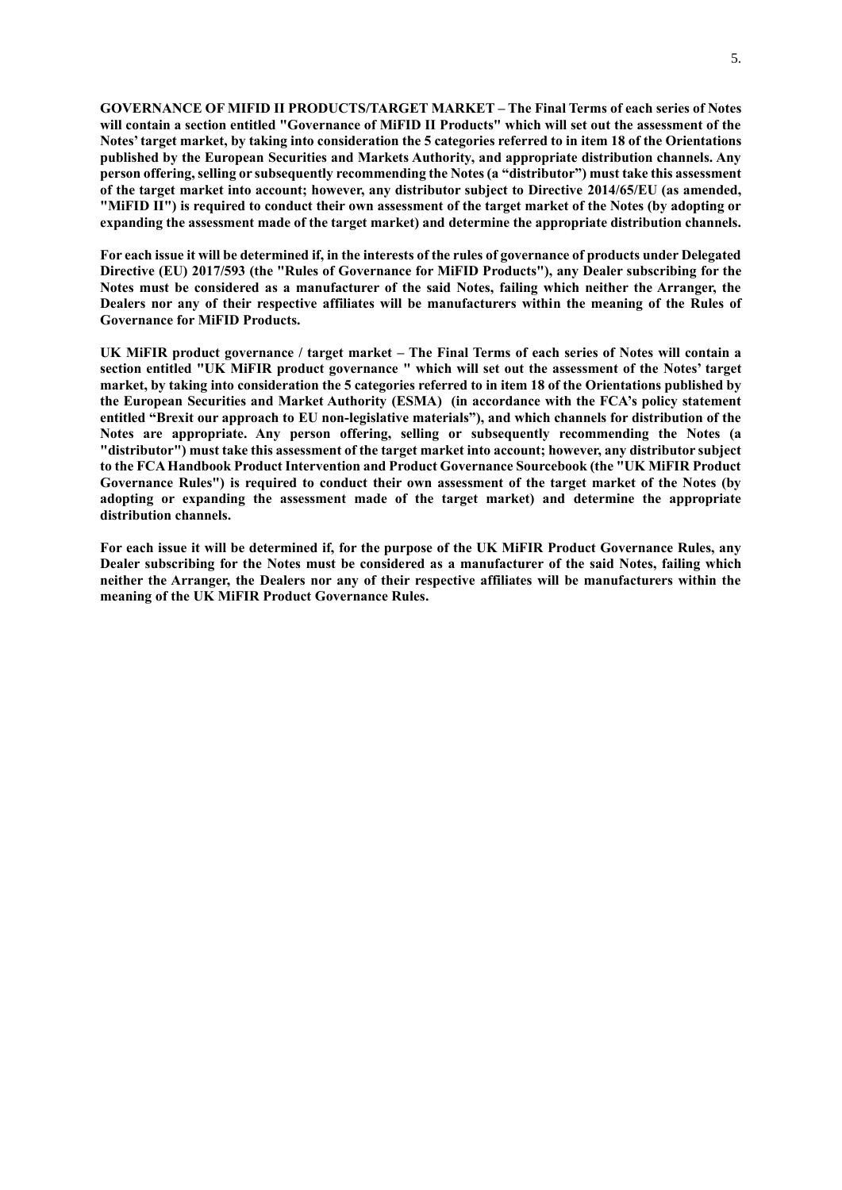**GOVERNANCE OF MIFID II PRODUCTS/TARGET MARKET – The Final Terms of each series of Notes will contain a section entitled "Governance of MiFID II Products" which will set out the assessment of the Notes' target market, by taking into consideration the 5 categories referred to in item 18 of the Orientations published by the European Securities and Markets Authority, and appropriate distribution channels. Any person offering, selling or subsequently recommending the Notes (a "distributor") must take this assessment of the target market into account; however, any distributor subject to Directive 2014/65/EU (as amended, "MiFID II") is required to conduct their own assessment of the target market of the Notes (by adopting or expanding the assessment made of the target market) and determine the appropriate distribution channels.** 

**For each issue it will be determined if, in the interests of the rules of governance of products under Delegated Directive (EU) 2017/593 (the "Rules of Governance for MiFID Products"), any Dealer subscribing for the Notes must be considered as a manufacturer of the said Notes, failing which neither the Arranger, the Dealers nor any of their respective affiliates will be manufacturers within the meaning of the Rules of Governance for MiFID Products.**

**UK MiFIR product governance / target market – The Final Terms of each series of Notes will contain a section entitled "UK MiFIR product governance " which will set out the assessment of the Notes' target market, by taking into consideration the 5 categories referred to in item 18 of the Orientations published by the European Securities and Market Authority (ESMA) (in accordance with the FCA's policy statement entitled "Brexit our approach to EU non-legislative materials"), and which channels for distribution of the Notes are appropriate. Any person offering, selling or subsequently recommending the Notes (a "distributor") must take this assessment of the target market into account; however, any distributor subject to the FCA Handbook Product Intervention and Product Governance Sourcebook (the "UK MiFIR Product Governance Rules") is required to conduct their own assessment of the target market of the Notes (by adopting or expanding the assessment made of the target market) and determine the appropriate distribution channels.**

**For each issue it will be determined if, for the purpose of the UK MiFIR Product Governance Rules, any Dealer subscribing for the Notes must be considered as a manufacturer of the said Notes, failing which neither the Arranger, the Dealers nor any of their respective affiliates will be manufacturers within the meaning of the UK MiFIR Product Governance Rules.**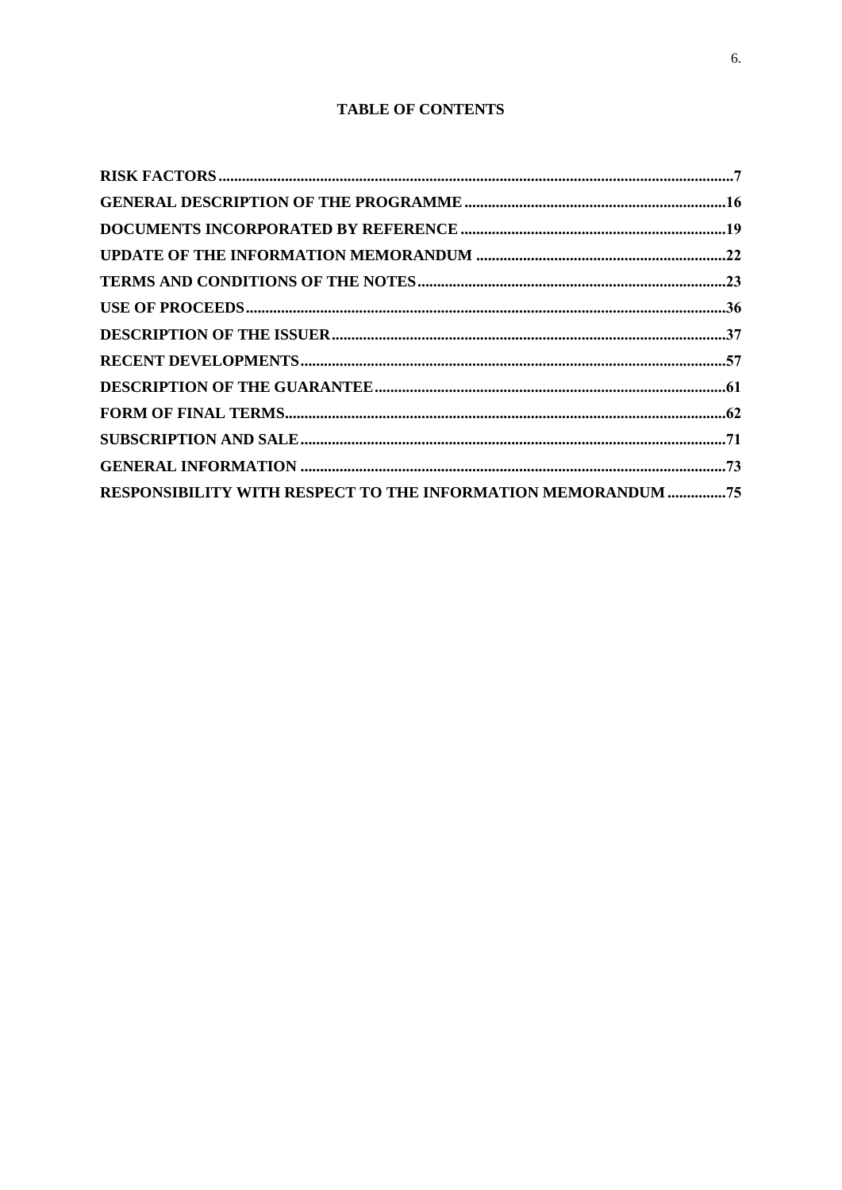# **TABLE OF CONTENTS**

| RESPONSIBILITY WITH RESPECT TO THE INFORMATION MEMORANDUM 75 |  |
|--------------------------------------------------------------|--|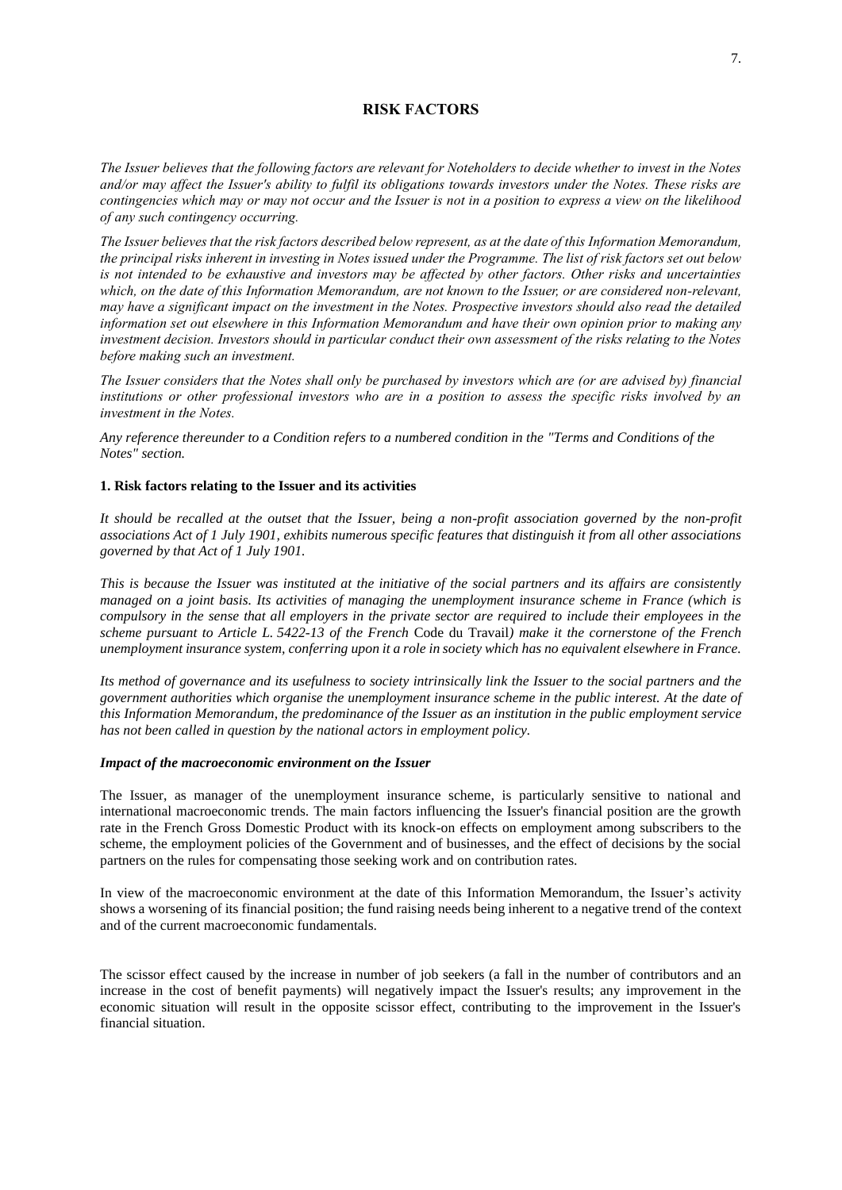# **RISK FACTORS**

<span id="page-6-0"></span>*The Issuer believes that the following factors are relevant for Noteholders to decide whether to invest in the Notes and/or may affect the Issuer's ability to fulfil its obligations towards investors under the Notes. These risks are contingencies which may or may not occur and the Issuer is not in a position to express a view on the likelihood of any such contingency occurring.*

*The Issuer believes that the risk factors described below represent, as at the date of this Information Memorandum, the principal risks inherent in investing in Notes issued under the Programme. The list of risk factors set out below is not intended to be exhaustive and investors may be affected by other factors. Other risks and uncertainties*  which, on the date of this Information Memorandum, are not known to the Issuer, or are considered non-relevant, *may have a significant impact on the investment in the Notes. Prospective investors should also read the detailed information set out elsewhere in this Information Memorandum and have their own opinion prior to making any investment decision. Investors should in particular conduct their own assessment of the risks relating to the Notes before making such an investment.*

*The Issuer considers that the Notes shall only be purchased by investors which are (or are advised by) financial institutions or other professional investors who are in a position to assess the specific risks involved by an investment in the Notes.*

*Any reference thereunder to a Condition refers to a numbered condition in the "Terms and Conditions of the Notes" section.*

## **1. Risk factors relating to the Issuer and its activities**

*It should be recalled at the outset that the Issuer, being a non-profit association governed by the non-profit associations Act of 1 July 1901, exhibits numerous specific features that distinguish it from all other associations governed by that Act of 1 July 1901.*

*This is because the Issuer was instituted at the initiative of the social partners and its affairs are consistently managed on a joint basis. Its activities of managing the unemployment insurance scheme in France (which is compulsory in the sense that all employers in the private sector are required to include their employees in the scheme pursuant to Article L. 5422-13 of the French* Code du Travail*) make it the cornerstone of the French unemployment insurance system, conferring upon it a role in society which has no equivalent elsewhere in France.*

*Its method of governance and its usefulness to society intrinsically link the Issuer to the social partners and the government authorities which organise the unemployment insurance scheme in the public interest. At the date of this Information Memorandum, the predominance of the Issuer as an institution in the public employment service has not been called in question by the national actors in employment policy.*

#### *Impact of the macroeconomic environment on the Issuer*

The Issuer, as manager of the unemployment insurance scheme, is particularly sensitive to national and international macroeconomic trends. The main factors influencing the Issuer's financial position are the growth rate in the French Gross Domestic Product with its knock-on effects on employment among subscribers to the scheme, the employment policies of the Government and of businesses, and the effect of decisions by the social partners on the rules for compensating those seeking work and on contribution rates.

In view of the macroeconomic environment at the date of this Information Memorandum, the Issuer's activity shows a worsening of its financial position; the fund raising needs being inherent to a negative trend of the context and of the current macroeconomic fundamentals.

The scissor effect caused by the increase in number of job seekers (a fall in the number of contributors and an increase in the cost of benefit payments) will negatively impact the Issuer's results; any improvement in the economic situation will result in the opposite scissor effect, contributing to the improvement in the Issuer's financial situation.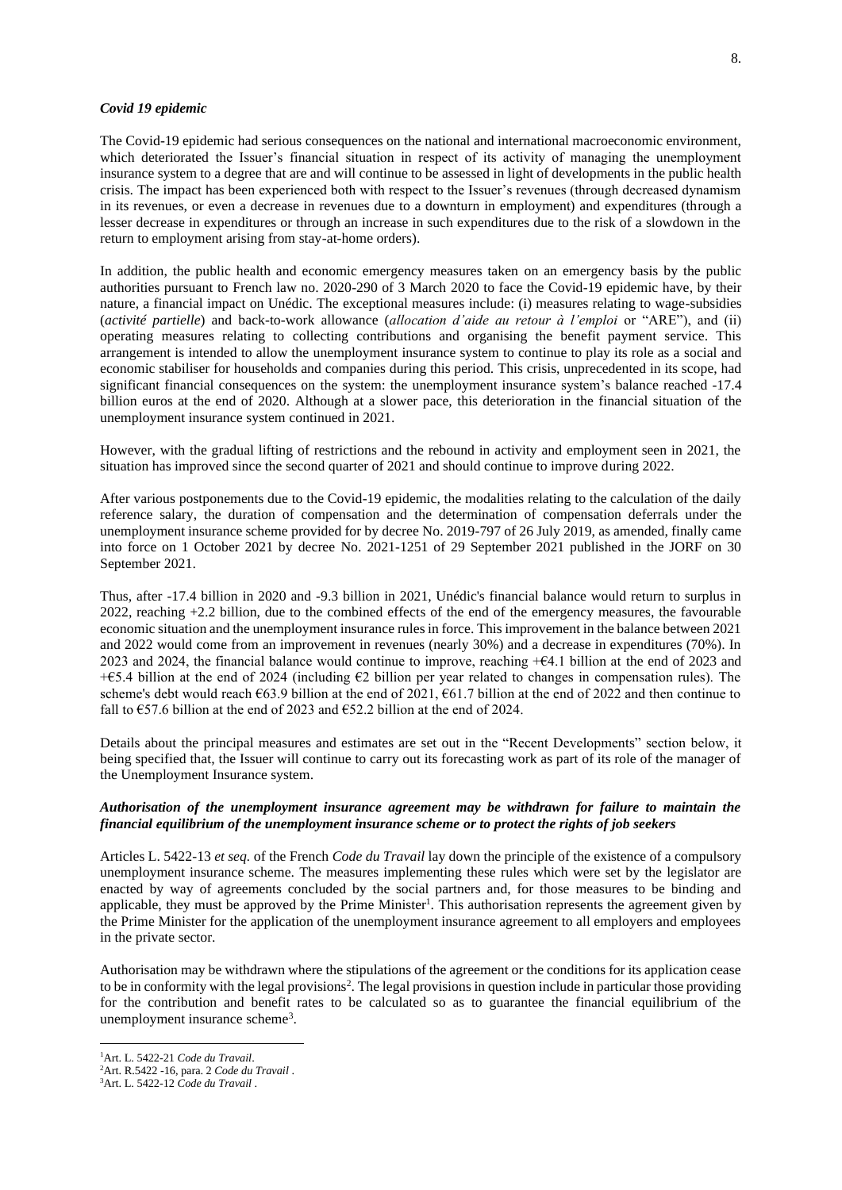#### *Covid 19 epidemic*

The Covid-19 epidemic had serious consequences on the national and international macroeconomic environment, which deteriorated the Issuer's financial situation in respect of its activity of managing the unemployment insurance system to a degree that are and will continue to be assessed in light of developments in the public health crisis. The impact has been experienced both with respect to the Issuer's revenues (through decreased dynamism in its revenues, or even a decrease in revenues due to a downturn in employment) and expenditures (through a lesser decrease in expenditures or through an increase in such expenditures due to the risk of a slowdown in the return to employment arising from stay-at-home orders).

In addition, the public health and economic emergency measures taken on an emergency basis by the public authorities pursuant to French law no. 2020-290 of 3 March 2020 to face the Covid-19 epidemic have, by their nature, a financial impact on Unédic. The exceptional measures include: (i) measures relating to wage-subsidies (*activité partielle*) and back-to-work allowance (*allocation d'aide au retour à l'emploi* or "ARE"), and (ii) operating measures relating to collecting contributions and organising the benefit payment service. This arrangement is intended to allow the unemployment insurance system to continue to play its role as a social and economic stabiliser for households and companies during this period. This crisis, unprecedented in its scope, had significant financial consequences on the system: the unemployment insurance system's balance reached -17.4 billion euros at the end of 2020. Although at a slower pace, this deterioration in the financial situation of the unemployment insurance system continued in 2021.

However, with the gradual lifting of restrictions and the rebound in activity and employment seen in 2021, the situation has improved since the second quarter of 2021 and should continue to improve during 2022.

After various postponements due to the Covid-19 epidemic, the modalities relating to the calculation of the daily reference salary, the duration of compensation and the determination of compensation deferrals under the unemployment insurance scheme provided for by decree No. 2019-797 of 26 July 2019, as amended, finally came into force on 1 October 2021 by decree No. 2021-1251 of 29 September 2021 published in the JORF on 30 September 2021.

Thus, after -17.4 billion in 2020 and -9.3 billion in 2021, Unédic's financial balance would return to surplus in 2022, reaching +2.2 billion, due to the combined effects of the end of the emergency measures, the favourable economic situation and the unemployment insurance rules in force. This improvement in the balance between 2021 and 2022 would come from an improvement in revenues (nearly 30%) and a decrease in expenditures (70%). In 2023 and 2024, the financial balance would continue to improve, reaching +€4.1 billion at the end of 2023 and + $\epsilon$ 5.4 billion at the end of 2024 (including  $\epsilon$ 2 billion per year related to changes in compensation rules). The scheme's debt would reach  $\epsilon$ 63.9 billion at the end of 2021,  $\epsilon$ 61.7 billion at the end of 2022 and then continue to fall to  $\epsilon$ 57.6 billion at the end of 2023 and  $\epsilon$ 52.2 billion at the end of 2024.

Details about the principal measures and estimates are set out in the "Recent Developments" section below, it being specified that, the Issuer will continue to carry out its forecasting work as part of its role of the manager of the Unemployment Insurance system.

## *Authorisation of the unemployment insurance agreement may be withdrawn for failure to maintain the financial equilibrium of the unemployment insurance scheme or to protect the rights of job seekers*

Articles L. 5422-13 *et seq.* of the French *Code du Travail* lay down the principle of the existence of a compulsory unemployment insurance scheme. The measures implementing these rules which were set by the legislator are enacted by way of agreements concluded by the social partners and, for those measures to be binding and applicable, they must be approved by the Prime Minister<sup>1</sup>. This authorisation represents the agreement given by the Prime Minister for the application of the unemployment insurance agreement to all employers and employees in the private sector.

Authorisation may be withdrawn where the stipulations of the agreement or the conditions for its application cease to be in conformity with the legal provisions<sup>2</sup>. The legal provisions in question include in particular those providing for the contribution and benefit rates to be calculated so as to guarantee the financial equilibrium of the unemployment insurance scheme<sup>3</sup>.

<sup>1</sup>Art. L. 5422-21 *Code du Travail*.

<sup>2</sup>Art. R.5422 -16, para. 2 *Code du Travail* .

<sup>3</sup>Art. L. 5422-12 *Code du Travail* .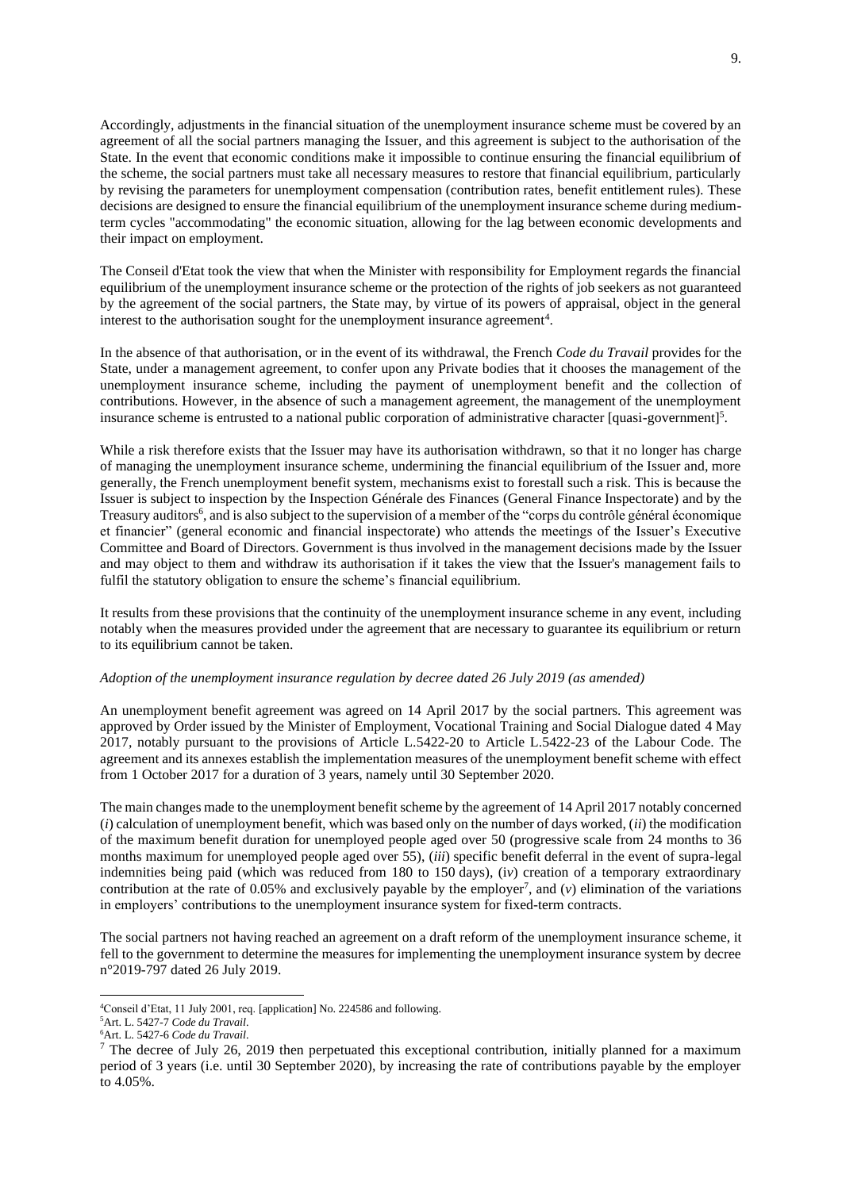Accordingly, adjustments in the financial situation of the unemployment insurance scheme must be covered by an agreement of all the social partners managing the Issuer, and this agreement is subject to the authorisation of the State. In the event that economic conditions make it impossible to continue ensuring the financial equilibrium of the scheme, the social partners must take all necessary measures to restore that financial equilibrium, particularly by revising the parameters for unemployment compensation (contribution rates, benefit entitlement rules). These decisions are designed to ensure the financial equilibrium of the unemployment insurance scheme during mediumterm cycles "accommodating" the economic situation, allowing for the lag between economic developments and their impact on employment.

The Conseil d'Etat took the view that when the Minister with responsibility for Employment regards the financial equilibrium of the unemployment insurance scheme or the protection of the rights of job seekers as not guaranteed by the agreement of the social partners, the State may, by virtue of its powers of appraisal, object in the general interest to the authorisation sought for the unemployment insurance agreement<sup>4</sup>.

In the absence of that authorisation, or in the event of its withdrawal, the French *Code du Travail* provides for the State, under a management agreement, to confer upon any Private bodies that it chooses the management of the unemployment insurance scheme, including the payment of unemployment benefit and the collection of contributions. However, in the absence of such a management agreement, the management of the unemployment insurance scheme is entrusted to a national public corporation of administrative character [quasi-government]<sup>5</sup>.

While a risk therefore exists that the Issuer may have its authorisation withdrawn, so that it no longer has charge of managing the unemployment insurance scheme, undermining the financial equilibrium of the Issuer and, more generally, the French unemployment benefit system, mechanisms exist to forestall such a risk. This is because the Issuer is subject to inspection by the Inspection Générale des Finances (General Finance Inspectorate) and by the Treasury auditors<sup>6</sup>, and is also subject to the supervision of a member of the "corps du contrôle général économique et financier" (general economic and financial inspectorate) who attends the meetings of the Issuer's Executive Committee and Board of Directors. Government is thus involved in the management decisions made by the Issuer and may object to them and withdraw its authorisation if it takes the view that the Issuer's management fails to fulfil the statutory obligation to ensure the scheme's financial equilibrium.

It results from these provisions that the continuity of the unemployment insurance scheme in any event, including notably when the measures provided under the agreement that are necessary to guarantee its equilibrium or return to its equilibrium cannot be taken.

#### *Adoption of the unemployment insurance regulation by decree dated 26 July 2019 (as amended)*

An unemployment benefit agreement was agreed on 14 April 2017 by the social partners. This agreement was approved by Order issued by the Minister of Employment, Vocational Training and Social Dialogue dated 4 May 2017, notably pursuant to the provisions of Article L.5422-20 to Article L.5422-23 of the Labour Code. The agreement and its annexes establish the implementation measures of the unemployment benefit scheme with effect from 1 October 2017 for a duration of 3 years, namely until 30 September 2020.

The main changes made to the unemployment benefit scheme by the agreement of 14 April 2017 notably concerned (*i*) calculation of unemployment benefit, which was based only on the number of days worked, (*ii*) the modification of the maximum benefit duration for unemployed people aged over 50 (progressive scale from 24 months to 36 months maximum for unemployed people aged over 55), (*iii*) specific benefit deferral in the event of supra-legal indemnities being paid (which was reduced from 180 to 150 days), (i*v*) creation of a temporary extraordinary contribution at the rate of  $0.05\%$  and exclusively payable by the employer<sup>7</sup>, and (*v*) elimination of the variations in employers' contributions to the unemployment insurance system for fixed-term contracts.

The social partners not having reached an agreement on a draft reform of the unemployment insurance scheme, it fell to the government to determine the measures for implementing the unemployment insurance system by decree n°2019-797 dated 26 July 2019.

<sup>4</sup>Conseil d'Etat, 11 July 2001, req. [application] No. 224586 and following.

<sup>5</sup>Art. L. 5427-7 *Code du Travail*.

<sup>6</sup>Art. L. 5427-6 *Code du Travail*.

<sup>&</sup>lt;sup>7</sup> The decree of July 26, 2019 then perpetuated this exceptional contribution, initially planned for a maximum period of 3 years (i.e. until 30 September 2020), by increasing the rate of contributions payable by the employer to 4.05%.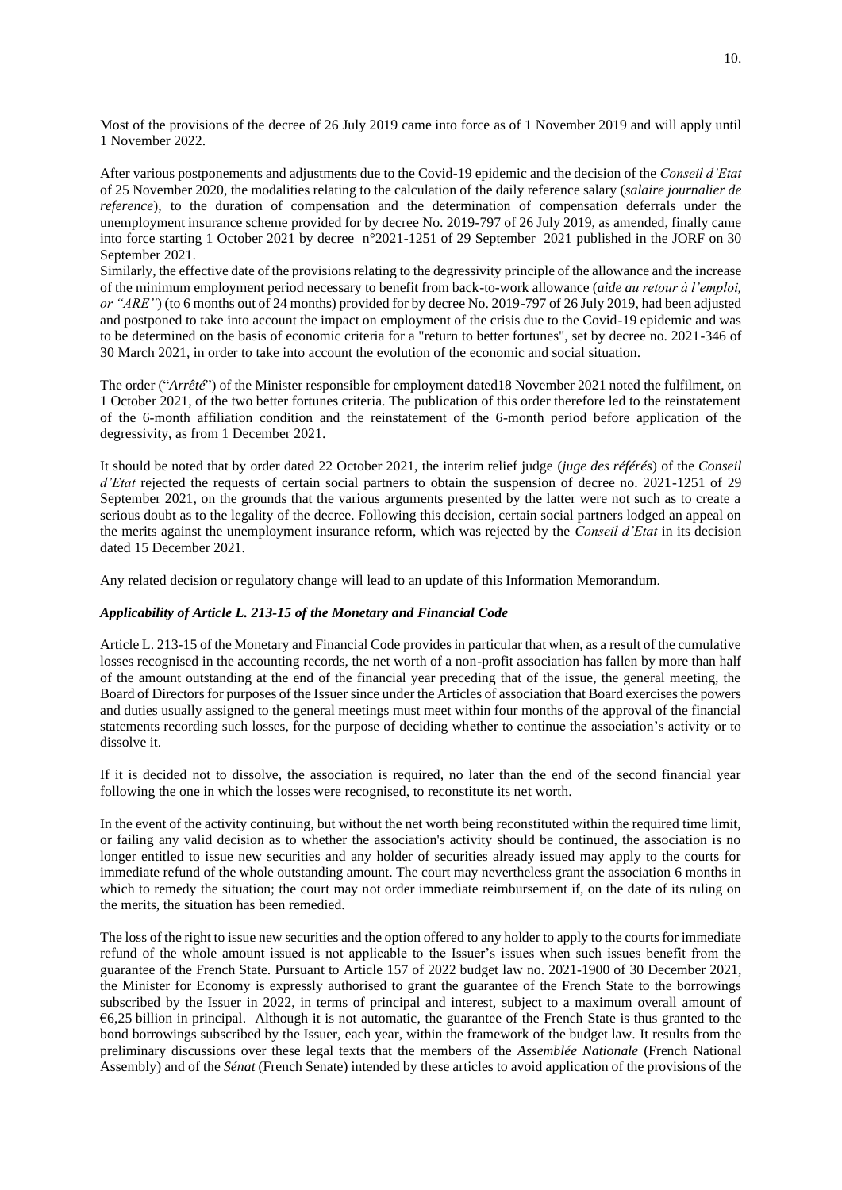Most of the provisions of the decree of 26 July 2019 came into force as of 1 November 2019 and will apply until 1 November 2022.

After various postponements and adjustments due to the Covid-19 epidemic and the decision of the *Conseil d'Etat* of 25 November 2020, the modalities relating to the calculation of the daily reference salary (*salaire journalier de reference*), to the duration of compensation and the determination of compensation deferrals under the unemployment insurance scheme provided for by decree No. 2019-797 of 26 July 2019, as amended, finally came into force starting 1 October 2021 by decree n°2021-1251 of 29 September 2021 published in the JORF on 30 September 2021.

Similarly, the effective date of the provisions relating to the degressivity principle of the allowance and the increase of the minimum employment period necessary to benefit from back-to-work allowance (*aide au retour à l'emploi, or "ARE"*) (to 6 months out of 24 months) provided for by decree No. 2019-797 of 26 July 2019, had been adjusted and postponed to take into account the impact on employment of the crisis due to the Covid-19 epidemic and was to be determined on the basis of economic criteria for a "return to better fortunes", set by decree no. 2021-346 of 30 March 2021, in order to take into account the evolution of the economic and social situation.

The order ("*Arrêté*") of the Minister responsible for employment dated18 November 2021 noted the fulfilment, on 1 October 2021, of the two better fortunes criteria. The publication of this order therefore led to the reinstatement of the 6-month affiliation condition and the reinstatement of the 6-month period before application of the degressivity, as from 1 December 2021.

It should be noted that by order dated 22 October 2021, the interim relief judge (*juge des référés*) of the *Conseil d'Etat* rejected the requests of certain social partners to obtain the suspension of decree no. 2021-1251 of 29 September 2021, on the grounds that the various arguments presented by the latter were not such as to create a serious doubt as to the legality of the decree. Following this decision, certain social partners lodged an appeal on the merits against the unemployment insurance reform, which was rejected by the *Conseil d'Etat* in its decision dated 15 December 2021.

Any related decision or regulatory change will lead to an update of this Information Memorandum.

## *Applicability of Article L. 213-15 of the Monetary and Financial Code*

Article L. 213-15 of the Monetary and Financial Code provides in particular that when, as a result of the cumulative losses recognised in the accounting records, the net worth of a non-profit association has fallen by more than half of the amount outstanding at the end of the financial year preceding that of the issue, the general meeting, the Board of Directors for purposes of the Issuer since under the Articles of association that Board exercises the powers and duties usually assigned to the general meetings must meet within four months of the approval of the financial statements recording such losses, for the purpose of deciding whether to continue the association's activity or to dissolve it.

If it is decided not to dissolve, the association is required, no later than the end of the second financial year following the one in which the losses were recognised, to reconstitute its net worth.

In the event of the activity continuing, but without the net worth being reconstituted within the required time limit, or failing any valid decision as to whether the association's activity should be continued, the association is no longer entitled to issue new securities and any holder of securities already issued may apply to the courts for immediate refund of the whole outstanding amount. The court may nevertheless grant the association 6 months in which to remedy the situation; the court may not order immediate reimbursement if, on the date of its ruling on the merits, the situation has been remedied.

The loss of the right to issue new securities and the option offered to any holder to apply to the courts for immediate refund of the whole amount issued is not applicable to the Issuer's issues when such issues benefit from the guarantee of the French State. Pursuant to Article 157 of 2022 budget law no. 2021-1900 of 30 December 2021, the Minister for Economy is expressly authorised to grant the guarantee of the French State to the borrowings subscribed by the Issuer in 2022, in terms of principal and interest, subject to a maximum overall amount of  $66,25$  billion in principal. Although it is not automatic, the guarantee of the French State is thus granted to the bond borrowings subscribed by the Issuer, each year, within the framework of the budget law. It results from the preliminary discussions over these legal texts that the members of the *Assemblée Nationale* (French National Assembly) and of the *Sénat* (French Senate) intended by these articles to avoid application of the provisions of the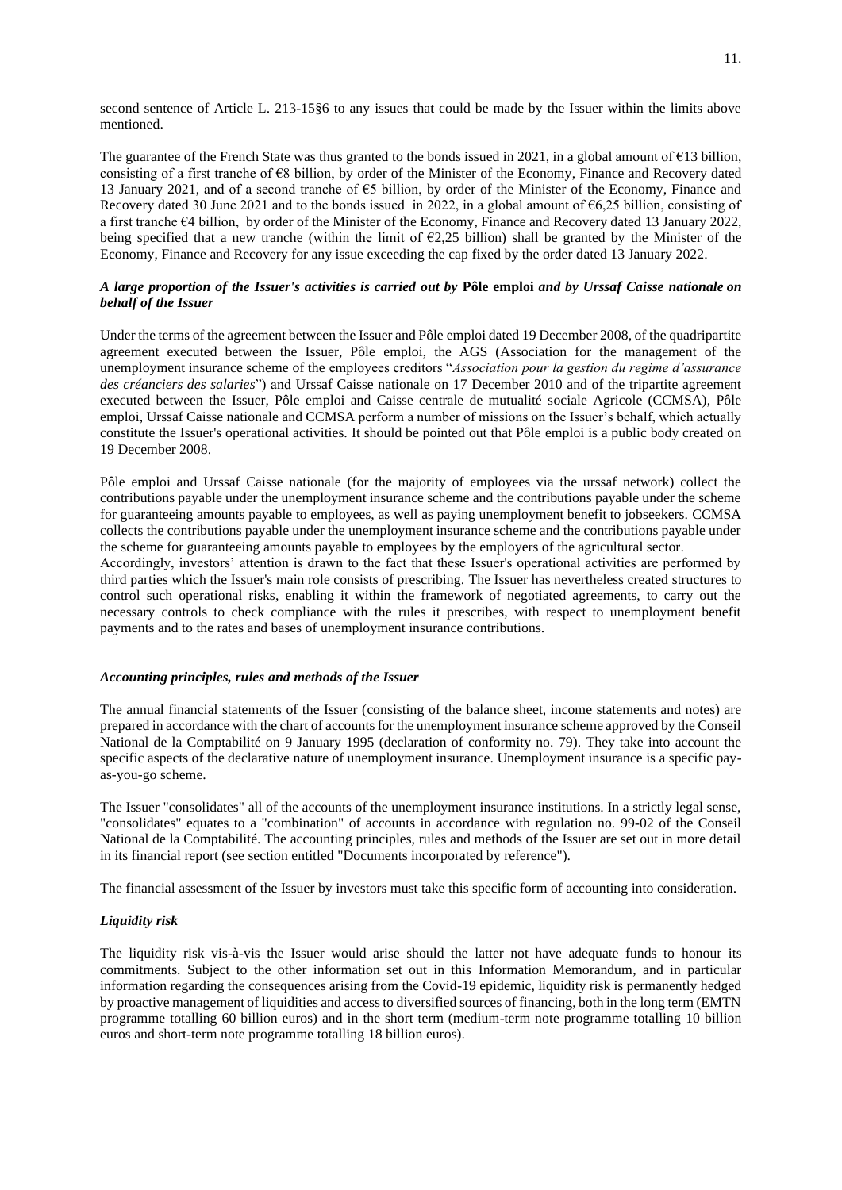second sentence of Article L. 213-15§6 to any issues that could be made by the Issuer within the limits above mentioned.

The guarantee of the French State was thus granted to the bonds issued in 2021, in a global amount of  $\epsilon$ 13 billion, consisting of a first tranche of €8 billion, by order of the Minister of the Economy, Finance and Recovery dated 13 January 2021, and of a second tranche of €5 billion, by order of the Minister of the Economy, Finance and Recovery dated 30 June 2021 and to the bonds issued in 2022, in a global amount of  $66,25$  billion, consisting of a first tranche  $64$  billion, by order of the Minister of the Economy, Finance and Recovery dated 13 January 2022, being specified that a new tranche (within the limit of  $\epsilon$ 2,25 billion) shall be granted by the Minister of the Economy, Finance and Recovery for any issue exceeding the cap fixed by the order dated 13 January 2022.

# *A large proportion of the Issuer's activities is carried out by* **Pôle emploi** *and by Urssaf Caisse nationale on behalf of the Issuer*

Under the terms of the agreement between the Issuer and Pôle emploi dated 19 December 2008, of the quadripartite agreement executed between the Issuer, Pôle emploi, the AGS (Association for the management of the unemployment insurance scheme of the employees creditors "*Association pour la gestion du regime d'assurance des créanciers des salaries*") and Urssaf Caisse nationale on 17 December 2010 and of the tripartite agreement executed between the Issuer, Pôle emploi and Caisse centrale de mutualité sociale Agricole (CCMSA), Pôle emploi, Urssaf Caisse nationale and CCMSA perform a number of missions on the Issuer's behalf, which actually constitute the Issuer's operational activities. It should be pointed out that Pôle emploi is a public body created on 19 December 2008.

Pôle emploi and Urssaf Caisse nationale (for the majority of employees via the urssaf network) collect the contributions payable under the unemployment insurance scheme and the contributions payable under the scheme for guaranteeing amounts payable to employees, as well as paying unemployment benefit to jobseekers. CCMSA collects the contributions payable under the unemployment insurance scheme and the contributions payable under the scheme for guaranteeing amounts payable to employees by the employers of the agricultural sector.

Accordingly, investors' attention is drawn to the fact that these Issuer's operational activities are performed by third parties which the Issuer's main role consists of prescribing. The Issuer has nevertheless created structures to control such operational risks, enabling it within the framework of negotiated agreements, to carry out the necessary controls to check compliance with the rules it prescribes, with respect to unemployment benefit payments and to the rates and bases of unemployment insurance contributions.

## *Accounting principles, rules and methods of the Issuer*

The annual financial statements of the Issuer (consisting of the balance sheet, income statements and notes) are prepared in accordance with the chart of accounts for the unemployment insurance scheme approved by the Conseil National de la Comptabilité on 9 January 1995 (declaration of conformity no. 79). They take into account the specific aspects of the declarative nature of unemployment insurance. Unemployment insurance is a specific payas-you-go scheme.

The Issuer "consolidates" all of the accounts of the unemployment insurance institutions. In a strictly legal sense, "consolidates" equates to a "combination" of accounts in accordance with regulation no. 99-02 of the Conseil National de la Comptabilité. The accounting principles, rules and methods of the Issuer are set out in more detail in its financial report (see section entitled "Documents incorporated by reference").

The financial assessment of the Issuer by investors must take this specific form of accounting into consideration.

## *Liquidity risk*

The liquidity risk vis-à-vis the Issuer would arise should the latter not have adequate funds to honour its commitments. Subject to the other information set out in this Information Memorandum, and in particular information regarding the consequences arising from the Covid-19 epidemic, liquidity risk is permanently hedged by proactive management of liquidities and access to diversified sources of financing, both in the long term (EMTN programme totalling 60 billion euros) and in the short term (medium-term note programme totalling 10 billion euros and short-term note programme totalling 18 billion euros).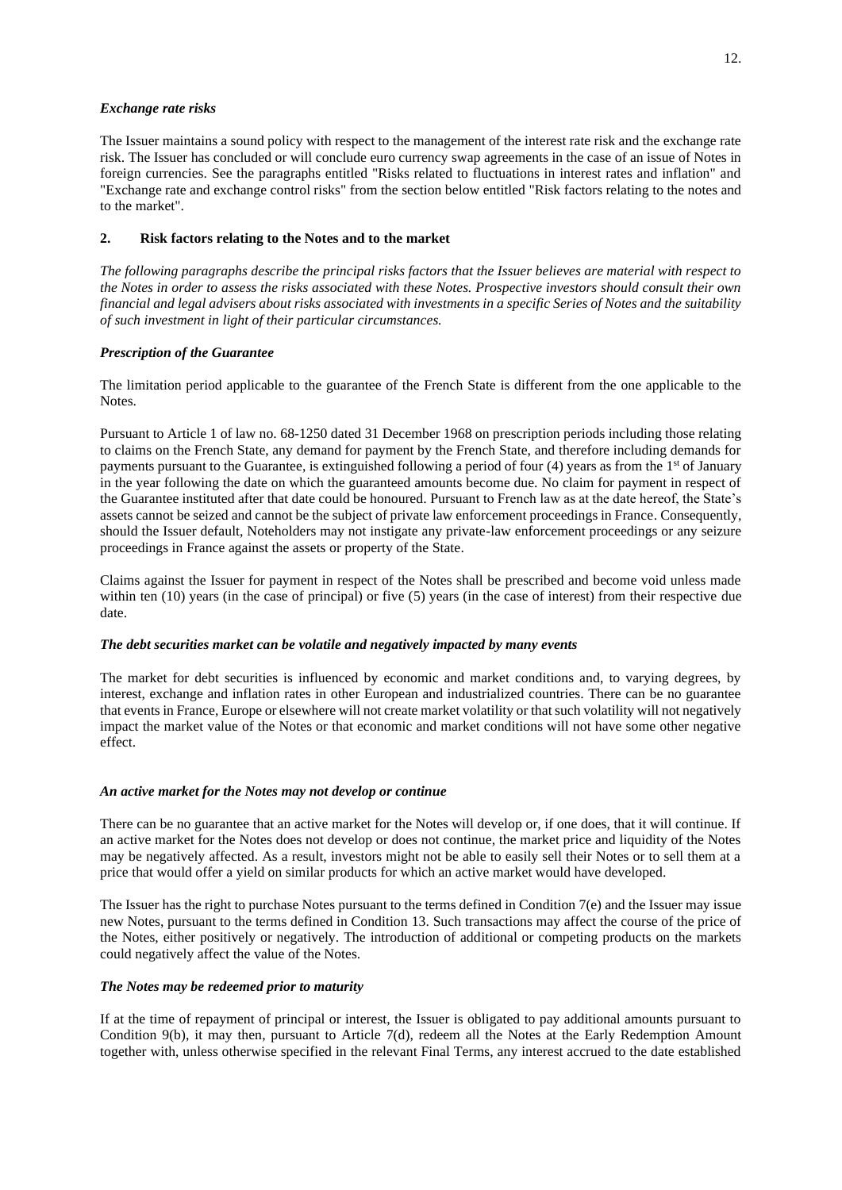## *Exchange rate risks*

The Issuer maintains a sound policy with respect to the management of the interest rate risk and the exchange rate risk. The Issuer has concluded or will conclude euro currency swap agreements in the case of an issue of Notes in foreign currencies. See the paragraphs entitled "Risks related to fluctuations in interest rates and inflation" and "Exchange rate and exchange control risks" from the section below entitled "Risk factors relating to the notes and to the market".

# **2. Risk factors relating to the Notes and to the market**

*The following paragraphs describe the principal risks factors that the Issuer believes are material with respect to the Notes in order to assess the risks associated with these Notes. Prospective investors should consult their own financial and legal advisers about risks associated with investments in a specific Series of Notes and the suitability of such investment in light of their particular circumstances.* 

## *Prescription of the Guarantee*

The limitation period applicable to the guarantee of the French State is different from the one applicable to the Notes.

Pursuant to Article 1 of law no. 68-1250 dated 31 December 1968 on prescription periods including those relating to claims on the French State, any demand for payment by the French State, and therefore including demands for payments pursuant to the Guarantee, is extinguished following a period of four (4) years as from the 1<sup>st</sup> of January in the year following the date on which the guaranteed amounts become due. No claim for payment in respect of the Guarantee instituted after that date could be honoured. Pursuant to French law as at the date hereof, the State's assets cannot be seized and cannot be the subject of private law enforcement proceedings in France. Consequently, should the Issuer default, Noteholders may not instigate any private-law enforcement proceedings or any seizure proceedings in France against the assets or property of the State.

Claims against the Issuer for payment in respect of the Notes shall be prescribed and become void unless made within ten (10) years (in the case of principal) or five (5) years (in the case of interest) from their respective due date.

## *The debt securities market can be volatile and negatively impacted by many events*

The market for debt securities is influenced by economic and market conditions and, to varying degrees, by interest, exchange and inflation rates in other European and industrialized countries. There can be no guarantee that events in France, Europe or elsewhere will not create market volatility or that such volatility will not negatively impact the market value of the Notes or that economic and market conditions will not have some other negative effect.

# *An active market for the Notes may not develop or continue*

There can be no guarantee that an active market for the Notes will develop or, if one does, that it will continue. If an active market for the Notes does not develop or does not continue, the market price and liquidity of the Notes may be negatively affected. As a result, investors might not be able to easily sell their Notes or to sell them at a price that would offer a yield on similar products for which an active market would have developed.

The Issuer has the right to purchase Notes pursuant to the terms defined in Condition  $7(e)$  and the Issuer may issue new Notes, pursuant to the terms defined in Condition 13. Such transactions may affect the course of the price of the Notes, either positively or negatively. The introduction of additional or competing products on the markets could negatively affect the value of the Notes.

# *The Notes may be redeemed prior to maturity*

If at the time of repayment of principal or interest, the Issuer is obligated to pay additional amounts pursuant to Condition 9(b), it may then, pursuant to Article 7(d), redeem all the Notes at the Early Redemption Amount together with, unless otherwise specified in the relevant Final Terms, any interest accrued to the date established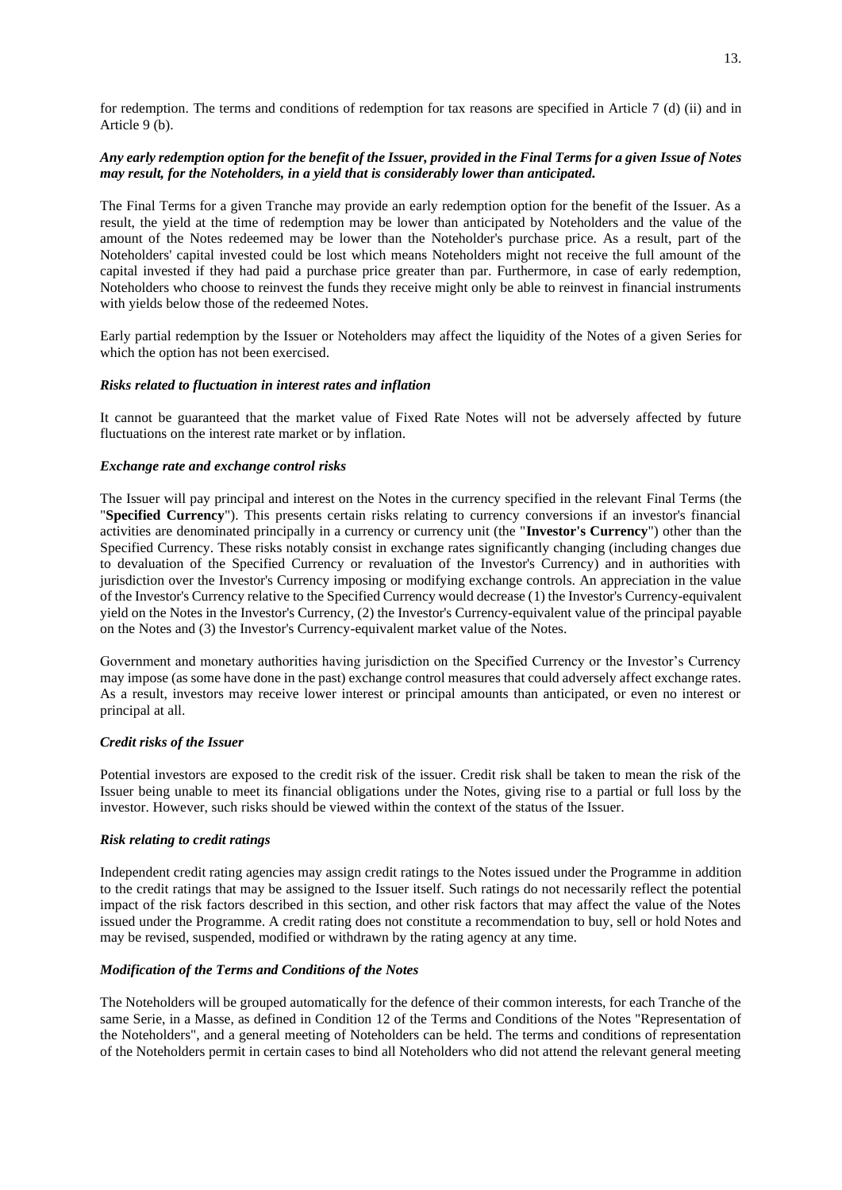for redemption. The terms and conditions of redemption for tax reasons are specified in Article 7 (d) (ii) and in Article 9 (b).

# *Any early redemption option for the benefit of the Issuer, provided in the Final Terms for a given Issue of Notes may result, for the Noteholders, in a yield that is considerably lower than anticipated.*

The Final Terms for a given Tranche may provide an early redemption option for the benefit of the Issuer. As a result, the yield at the time of redemption may be lower than anticipated by Noteholders and the value of the amount of the Notes redeemed may be lower than the Noteholder's purchase price. As a result, part of the Noteholders' capital invested could be lost which means Noteholders might not receive the full amount of the capital invested if they had paid a purchase price greater than par. Furthermore, in case of early redemption, Noteholders who choose to reinvest the funds they receive might only be able to reinvest in financial instruments with yields below those of the redeemed Notes.

Early partial redemption by the Issuer or Noteholders may affect the liquidity of the Notes of a given Series for which the option has not been exercised.

## *Risks related to fluctuation in interest rates and inflation*

It cannot be guaranteed that the market value of Fixed Rate Notes will not be adversely affected by future fluctuations on the interest rate market or by inflation.

## *Exchange rate and exchange control risks*

The Issuer will pay principal and interest on the Notes in the currency specified in the relevant Final Terms (the "**Specified Currency**"). This presents certain risks relating to currency conversions if an investor's financial activities are denominated principally in a currency or currency unit (the "**Investor's Currency**") other than the Specified Currency. These risks notably consist in exchange rates significantly changing (including changes due to devaluation of the Specified Currency or revaluation of the Investor's Currency) and in authorities with jurisdiction over the Investor's Currency imposing or modifying exchange controls. An appreciation in the value of the Investor's Currency relative to the Specified Currency would decrease (1) the Investor's Currency-equivalent yield on the Notes in the Investor's Currency, (2) the Investor's Currency-equivalent value of the principal payable on the Notes and (3) the Investor's Currency-equivalent market value of the Notes.

Government and monetary authorities having jurisdiction on the Specified Currency or the Investor's Currency may impose (as some have done in the past) exchange control measures that could adversely affect exchange rates. As a result, investors may receive lower interest or principal amounts than anticipated, or even no interest or principal at all.

## *Credit risks of the Issuer*

Potential investors are exposed to the credit risk of the issuer. Credit risk shall be taken to mean the risk of the Issuer being unable to meet its financial obligations under the Notes, giving rise to a partial or full loss by the investor. However, such risks should be viewed within the context of the status of the Issuer.

## *Risk relating to credit ratings*

Independent credit rating agencies may assign credit ratings to the Notes issued under the Programme in addition to the credit ratings that may be assigned to the Issuer itself. Such ratings do not necessarily reflect the potential impact of the risk factors described in this section, and other risk factors that may affect the value of the Notes issued under the Programme. A credit rating does not constitute a recommendation to buy, sell or hold Notes and may be revised, suspended, modified or withdrawn by the rating agency at any time.

## *Modification of the Terms and Conditions of the Notes*

The Noteholders will be grouped automatically for the defence of their common interests, for each Tranche of the same Serie, in a Masse, as defined in Condition 12 of the Terms and Conditions of the Notes "Representation of the Noteholders", and a general meeting of Noteholders can be held. The terms and conditions of representation of the Noteholders permit in certain cases to bind all Noteholders who did not attend the relevant general meeting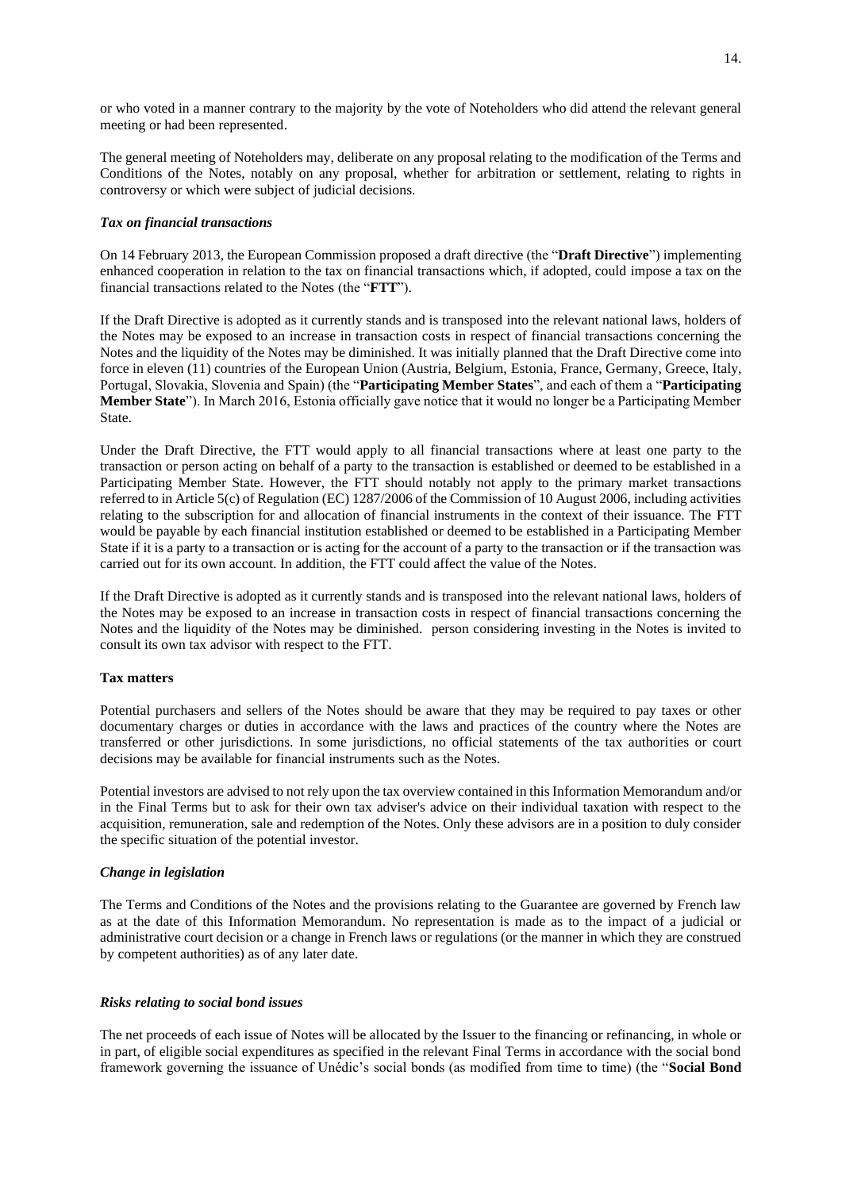or who voted in a manner contrary to the majority by the vote of Noteholders who did attend the relevant general meeting or had been represented.

The general meeting of Noteholders may, deliberate on any proposal relating to the modification of the Terms and Conditions of the Notes, notably on any proposal, whether for arbitration or settlement, relating to rights in controversy or which were subject of judicial decisions.

## *Tax on financial transactions*

On 14 February 2013, the European Commission proposed a draft directive (the "**Draft Directive**") implementing enhanced cooperation in relation to the tax on financial transactions which, if adopted, could impose a tax on the financial transactions related to the Notes (the "**FTT**").

If the Draft Directive is adopted as it currently stands and is transposed into the relevant national laws, holders of the Notes may be exposed to an increase in transaction costs in respect of financial transactions concerning the Notes and the liquidity of the Notes may be diminished. It was initially planned that the Draft Directive come into force in eleven (11) countries of the European Union (Austria, Belgium, Estonia, France, Germany, Greece, Italy, Portugal, Slovakia, Slovenia and Spain) (the "**Participating Member States**", and each of them a "**Participating Member State**"). In March 2016, Estonia officially gave notice that it would no longer be a Participating Member State.

Under the Draft Directive, the FTT would apply to all financial transactions where at least one party to the transaction or person acting on behalf of a party to the transaction is established or deemed to be established in a Participating Member State. However, the FTT should notably not apply to the primary market transactions referred to in Article 5(c) of Regulation (EC) 1287/2006 of the Commission of 10 August 2006, including activities relating to the subscription for and allocation of financial instruments in the context of their issuance. The FTT would be payable by each financial institution established or deemed to be established in a Participating Member State if it is a party to a transaction or is acting for the account of a party to the transaction or if the transaction was carried out for its own account. In addition, the FTT could affect the value of the Notes.

If the Draft Directive is adopted as it currently stands and is transposed into the relevant national laws, holders of the Notes may be exposed to an increase in transaction costs in respect of financial transactions concerning the Notes and the liquidity of the Notes may be diminished. person considering investing in the Notes is invited to consult its own tax advisor with respect to the FTT.

## **Tax matters**

Potential purchasers and sellers of the Notes should be aware that they may be required to pay taxes or other documentary charges or duties in accordance with the laws and practices of the country where the Notes are transferred or other jurisdictions. In some jurisdictions, no official statements of the tax authorities or court decisions may be available for financial instruments such as the Notes.

Potential investors are advised to not rely upon the tax overview contained in this Information Memorandum and/or in the Final Terms but to ask for their own tax adviser's advice on their individual taxation with respect to the acquisition, remuneration, sale and redemption of the Notes. Only these advisors are in a position to duly consider the specific situation of the potential investor.

# *Change in legislation*

The Terms and Conditions of the Notes and the provisions relating to the Guarantee are governed by French law as at the date of this Information Memorandum. No representation is made as to the impact of a judicial or administrative court decision or a change in French laws or regulations (or the manner in which they are construed by competent authorities) as of any later date.

## *Risks relating to social bond issues*

The net proceeds of each issue of Notes will be allocated by the Issuer to the financing or refinancing, in whole or in part, of eligible social expenditures as specified in the relevant Final Terms in accordance with the social bond framework governing the issuance of Unédic's social bonds (as modified from time to time) (the "**Social Bond**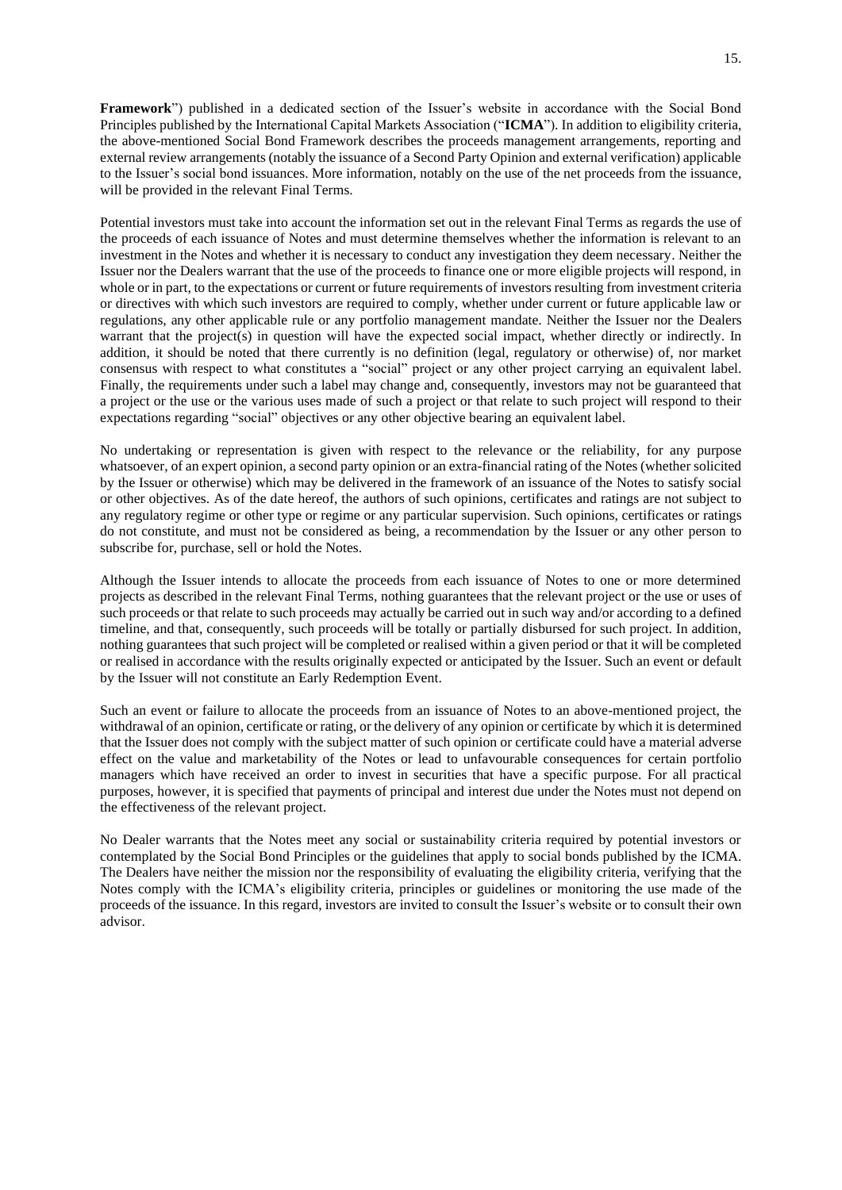**Framework**") published in a dedicated section of the Issuer's website in accordance with the Social Bond Principles published by the International Capital Markets Association ("**ICMA**"). In addition to eligibility criteria, the above-mentioned Social Bond Framework describes the proceeds management arrangements, reporting and external review arrangements (notably the issuance of a Second Party Opinion and external verification) applicable to the Issuer's social bond issuances. More information, notably on the use of the net proceeds from the issuance, will be provided in the relevant Final Terms.

Potential investors must take into account the information set out in the relevant Final Terms as regards the use of the proceeds of each issuance of Notes and must determine themselves whether the information is relevant to an investment in the Notes and whether it is necessary to conduct any investigation they deem necessary. Neither the Issuer nor the Dealers warrant that the use of the proceeds to finance one or more eligible projects will respond, in whole or in part, to the expectations or current or future requirements of investors resulting from investment criteria or directives with which such investors are required to comply, whether under current or future applicable law or regulations, any other applicable rule or any portfolio management mandate. Neither the Issuer nor the Dealers warrant that the project(s) in question will have the expected social impact, whether directly or indirectly. In addition, it should be noted that there currently is no definition (legal, regulatory or otherwise) of, nor market consensus with respect to what constitutes a "social" project or any other project carrying an equivalent label. Finally, the requirements under such a label may change and, consequently, investors may not be guaranteed that a project or the use or the various uses made of such a project or that relate to such project will respond to their expectations regarding "social" objectives or any other objective bearing an equivalent label.

No undertaking or representation is given with respect to the relevance or the reliability, for any purpose whatsoever, of an expert opinion, a second party opinion or an extra-financial rating of the Notes (whether solicited by the Issuer or otherwise) which may be delivered in the framework of an issuance of the Notes to satisfy social or other objectives. As of the date hereof, the authors of such opinions, certificates and ratings are not subject to any regulatory regime or other type or regime or any particular supervision. Such opinions, certificates or ratings do not constitute, and must not be considered as being, a recommendation by the Issuer or any other person to subscribe for, purchase, sell or hold the Notes.

Although the Issuer intends to allocate the proceeds from each issuance of Notes to one or more determined projects as described in the relevant Final Terms, nothing guarantees that the relevant project or the use or uses of such proceeds or that relate to such proceeds may actually be carried out in such way and/or according to a defined timeline, and that, consequently, such proceeds will be totally or partially disbursed for such project. In addition, nothing guarantees that such project will be completed or realised within a given period or that it will be completed or realised in accordance with the results originally expected or anticipated by the Issuer. Such an event or default by the Issuer will not constitute an Early Redemption Event.

Such an event or failure to allocate the proceeds from an issuance of Notes to an above-mentioned project, the withdrawal of an opinion, certificate or rating, or the delivery of any opinion or certificate by which it is determined that the Issuer does not comply with the subject matter of such opinion or certificate could have a material adverse effect on the value and marketability of the Notes or lead to unfavourable consequences for certain portfolio managers which have received an order to invest in securities that have a specific purpose. For all practical purposes, however, it is specified that payments of principal and interest due under the Notes must not depend on the effectiveness of the relevant project.

No Dealer warrants that the Notes meet any social or sustainability criteria required by potential investors or contemplated by the Social Bond Principles or the guidelines that apply to social bonds published by the ICMA. The Dealers have neither the mission nor the responsibility of evaluating the eligibility criteria, verifying that the Notes comply with the ICMA's eligibility criteria, principles or guidelines or monitoring the use made of the proceeds of the issuance. In this regard, investors are invited to consult the Issuer's website or to consult their own advisor.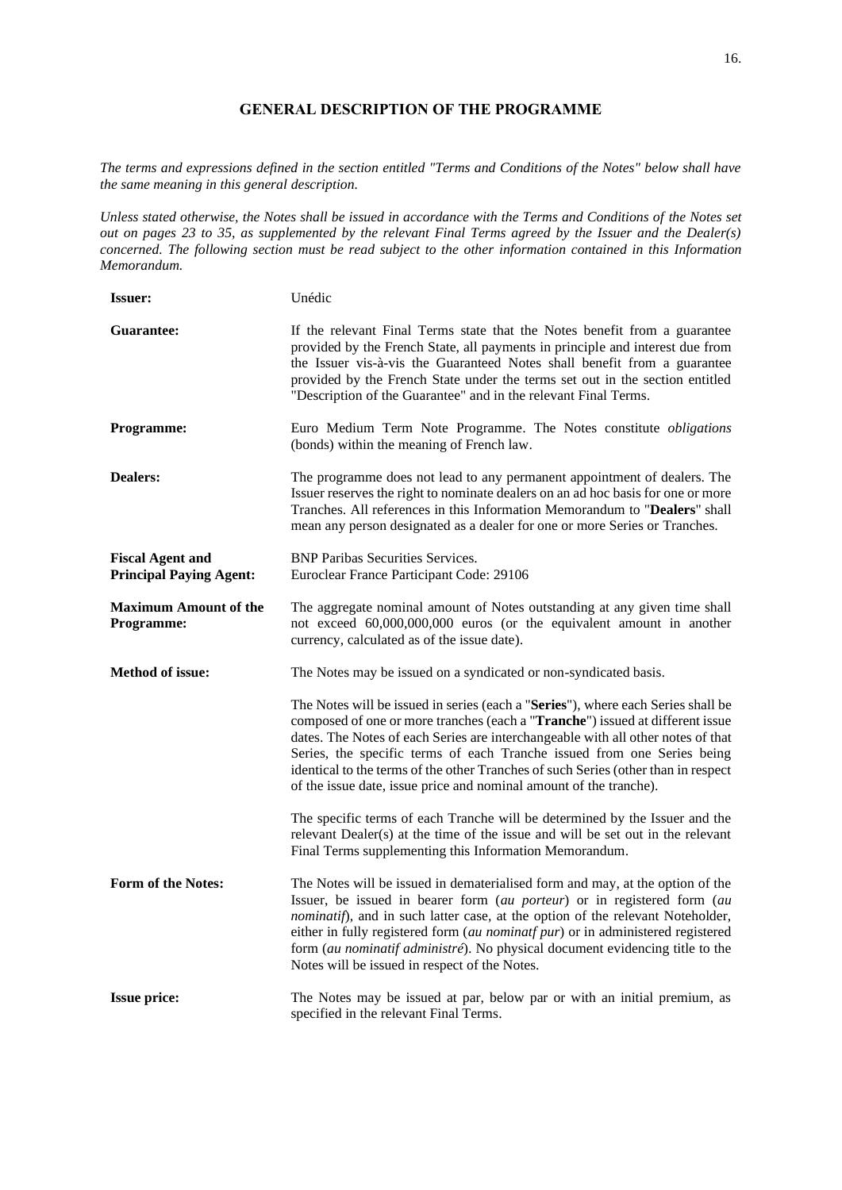# **GENERAL DESCRIPTION OF THE PROGRAMME**

<span id="page-15-0"></span>*The terms and expressions defined in the section entitled "Terms and Conditions of the Notes" below shall have the same meaning in this general description.* 

*Unless stated otherwise, the Notes shall be issued in accordance with the Terms and Conditions of the Notes set out on pages 23 to 35, as supplemented by the relevant Final Terms agreed by the Issuer and the Dealer(s) concerned. The following section must be read subject to the other information contained in this Information Memorandum.*

| <b>Issuer:</b>                                            | Unédic                                                                                                                                                                                                                                                                                                                                                                                                                                                                                       |
|-----------------------------------------------------------|----------------------------------------------------------------------------------------------------------------------------------------------------------------------------------------------------------------------------------------------------------------------------------------------------------------------------------------------------------------------------------------------------------------------------------------------------------------------------------------------|
| Guarantee:                                                | If the relevant Final Terms state that the Notes benefit from a guarantee<br>provided by the French State, all payments in principle and interest due from<br>the Issuer vis-à-vis the Guaranteed Notes shall benefit from a guarantee<br>provided by the French State under the terms set out in the section entitled<br>"Description of the Guarantee" and in the relevant Final Terms.                                                                                                    |
| Programme:                                                | Euro Medium Term Note Programme. The Notes constitute obligations<br>(bonds) within the meaning of French law.                                                                                                                                                                                                                                                                                                                                                                               |
| <b>Dealers:</b>                                           | The programme does not lead to any permanent appointment of dealers. The<br>Issuer reserves the right to nominate dealers on an ad hoc basis for one or more<br>Tranches. All references in this Information Memorandum to "Dealers" shall<br>mean any person designated as a dealer for one or more Series or Tranches.                                                                                                                                                                     |
| <b>Fiscal Agent and</b><br><b>Principal Paying Agent:</b> | <b>BNP Paribas Securities Services.</b><br>Euroclear France Participant Code: 29106                                                                                                                                                                                                                                                                                                                                                                                                          |
| <b>Maximum Amount of the</b><br>Programme:                | The aggregate nominal amount of Notes outstanding at any given time shall<br>not exceed 60,000,000,000 euros (or the equivalent amount in another<br>currency, calculated as of the issue date).                                                                                                                                                                                                                                                                                             |
| <b>Method of issue:</b>                                   | The Notes may be issued on a syndicated or non-syndicated basis.                                                                                                                                                                                                                                                                                                                                                                                                                             |
|                                                           | The Notes will be issued in series (each a "Series"), where each Series shall be<br>composed of one or more tranches (each a "Tranche") issued at different issue<br>dates. The Notes of each Series are interchangeable with all other notes of that<br>Series, the specific terms of each Tranche issued from one Series being<br>identical to the terms of the other Tranches of such Series (other than in respect<br>of the issue date, issue price and nominal amount of the tranche). |
|                                                           | The specific terms of each Tranche will be determined by the Issuer and the<br>relevant Dealer(s) at the time of the issue and will be set out in the relevant<br>Final Terms supplementing this Information Memorandum.                                                                                                                                                                                                                                                                     |
| Form of the Notes:                                        | The Notes will be issued in dematerialised form and may, at the option of the<br>Issuer, be issued in bearer form (au porteur) or in registered form (au<br>nominatif), and in such latter case, at the option of the relevant Noteholder,<br>either in fully registered form (au nominatf pur) or in administered registered<br>form (au nominatif administré). No physical document evidencing title to the<br>Notes will be issued in respect of the Notes.                               |
| <b>Issue price:</b>                                       | The Notes may be issued at par, below par or with an initial premium, as<br>specified in the relevant Final Terms.                                                                                                                                                                                                                                                                                                                                                                           |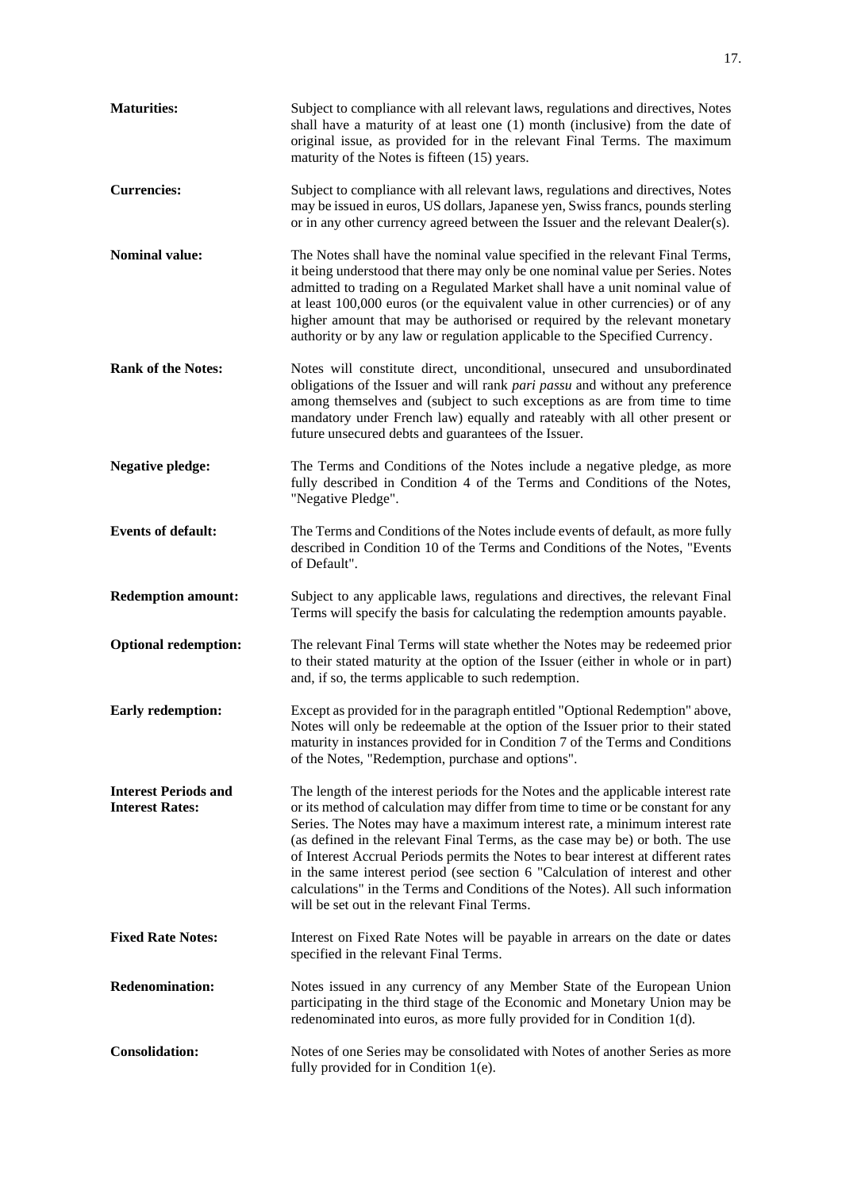| <b>Maturities:</b>                                    | Subject to compliance with all relevant laws, regulations and directives, Notes<br>shall have a maturity of at least one (1) month (inclusive) from the date of<br>original issue, as provided for in the relevant Final Terms. The maximum<br>maturity of the Notes is fifteen (15) years.                                                                                                                                                                                                                                                                                                                                                  |
|-------------------------------------------------------|----------------------------------------------------------------------------------------------------------------------------------------------------------------------------------------------------------------------------------------------------------------------------------------------------------------------------------------------------------------------------------------------------------------------------------------------------------------------------------------------------------------------------------------------------------------------------------------------------------------------------------------------|
| <b>Currencies:</b>                                    | Subject to compliance with all relevant laws, regulations and directives, Notes<br>may be issued in euros, US dollars, Japanese yen, Swiss francs, pounds sterling<br>or in any other currency agreed between the Issuer and the relevant Dealer(s).                                                                                                                                                                                                                                                                                                                                                                                         |
| <b>Nominal value:</b>                                 | The Notes shall have the nominal value specified in the relevant Final Terms,<br>it being understood that there may only be one nominal value per Series. Notes<br>admitted to trading on a Regulated Market shall have a unit nominal value of<br>at least 100,000 euros (or the equivalent value in other currencies) or of any<br>higher amount that may be authorised or required by the relevant monetary<br>authority or by any law or regulation applicable to the Specified Currency.                                                                                                                                                |
| <b>Rank of the Notes:</b>                             | Notes will constitute direct, unconditional, unsecured and unsubordinated<br>obligations of the Issuer and will rank pari passu and without any preference<br>among themselves and (subject to such exceptions as are from time to time<br>mandatory under French law) equally and rateably with all other present or<br>future unsecured debts and guarantees of the Issuer.                                                                                                                                                                                                                                                                |
| <b>Negative pledge:</b>                               | The Terms and Conditions of the Notes include a negative pledge, as more<br>fully described in Condition 4 of the Terms and Conditions of the Notes,<br>"Negative Pledge".                                                                                                                                                                                                                                                                                                                                                                                                                                                                   |
| <b>Events of default:</b>                             | The Terms and Conditions of the Notes include events of default, as more fully<br>described in Condition 10 of the Terms and Conditions of the Notes, "Events<br>of Default".                                                                                                                                                                                                                                                                                                                                                                                                                                                                |
| <b>Redemption amount:</b>                             | Subject to any applicable laws, regulations and directives, the relevant Final<br>Terms will specify the basis for calculating the redemption amounts payable.                                                                                                                                                                                                                                                                                                                                                                                                                                                                               |
| <b>Optional redemption:</b>                           | The relevant Final Terms will state whether the Notes may be redeemed prior<br>to their stated maturity at the option of the Issuer (either in whole or in part)<br>and, if so, the terms applicable to such redemption.                                                                                                                                                                                                                                                                                                                                                                                                                     |
| <b>Early redemption:</b>                              | Except as provided for in the paragraph entitled "Optional Redemption" above,<br>Notes will only be redeemable at the option of the Issuer prior to their stated<br>maturity in instances provided for in Condition 7 of the Terms and Conditions<br>of the Notes, "Redemption, purchase and options".                                                                                                                                                                                                                                                                                                                                       |
| <b>Interest Periods and</b><br><b>Interest Rates:</b> | The length of the interest periods for the Notes and the applicable interest rate<br>or its method of calculation may differ from time to time or be constant for any<br>Series. The Notes may have a maximum interest rate, a minimum interest rate<br>(as defined in the relevant Final Terms, as the case may be) or both. The use<br>of Interest Accrual Periods permits the Notes to bear interest at different rates<br>in the same interest period (see section 6 "Calculation of interest and other<br>calculations" in the Terms and Conditions of the Notes). All such information<br>will be set out in the relevant Final Terms. |
| <b>Fixed Rate Notes:</b>                              | Interest on Fixed Rate Notes will be payable in arrears on the date or dates<br>specified in the relevant Final Terms.                                                                                                                                                                                                                                                                                                                                                                                                                                                                                                                       |
| <b>Redenomination:</b>                                | Notes issued in any currency of any Member State of the European Union<br>participating in the third stage of the Economic and Monetary Union may be<br>redenominated into euros, as more fully provided for in Condition 1(d).                                                                                                                                                                                                                                                                                                                                                                                                              |
| <b>Consolidation:</b>                                 | Notes of one Series may be consolidated with Notes of another Series as more<br>fully provided for in Condition $1(e)$ .                                                                                                                                                                                                                                                                                                                                                                                                                                                                                                                     |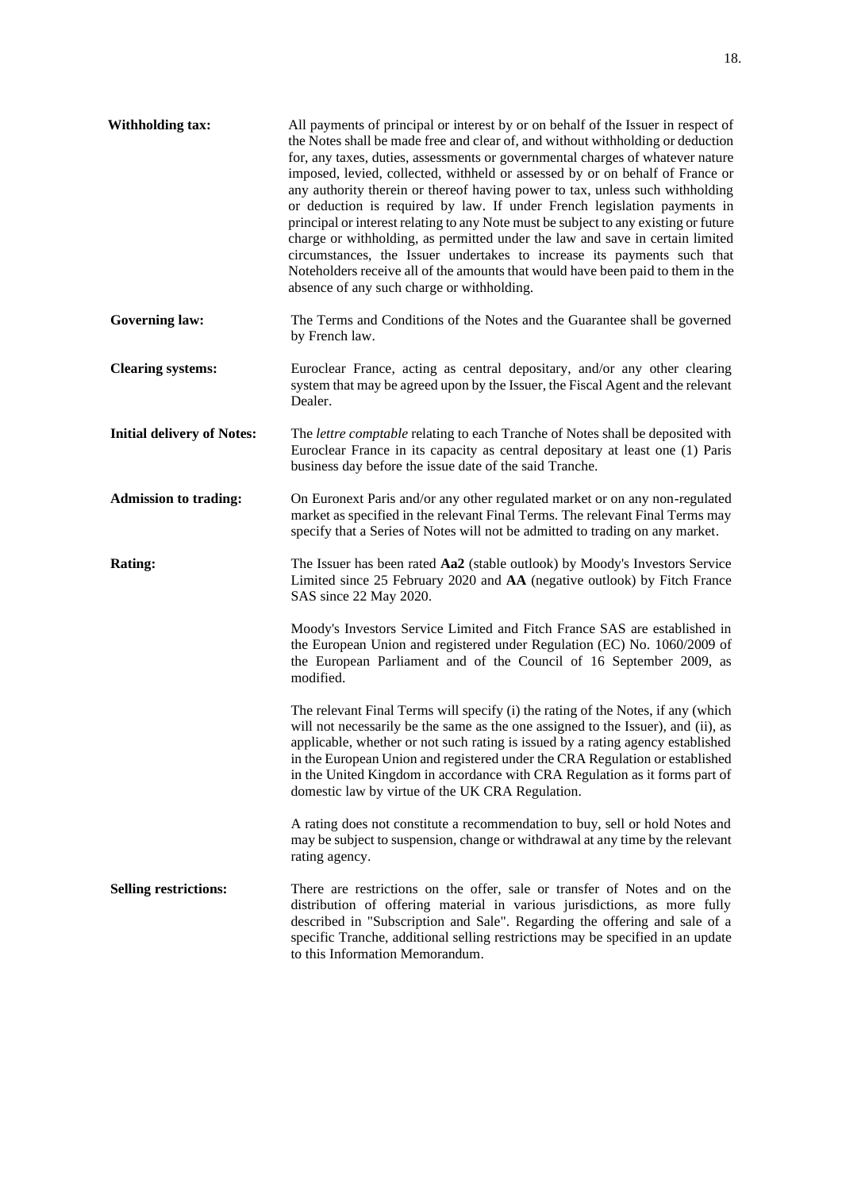| <b>Withholding tax:</b>           | All payments of principal or interest by or on behalf of the Issuer in respect of<br>the Notes shall be made free and clear of, and without withholding or deduction<br>for, any taxes, duties, assessments or governmental charges of whatever nature<br>imposed, levied, collected, withheld or assessed by or on behalf of France or<br>any authority therein or thereof having power to tax, unless such withholding<br>or deduction is required by law. If under French legislation payments in<br>principal or interest relating to any Note must be subject to any existing or future<br>charge or withholding, as permitted under the law and save in certain limited<br>circumstances, the Issuer undertakes to increase its payments such that<br>Noteholders receive all of the amounts that would have been paid to them in the<br>absence of any such charge or withholding. |
|-----------------------------------|-------------------------------------------------------------------------------------------------------------------------------------------------------------------------------------------------------------------------------------------------------------------------------------------------------------------------------------------------------------------------------------------------------------------------------------------------------------------------------------------------------------------------------------------------------------------------------------------------------------------------------------------------------------------------------------------------------------------------------------------------------------------------------------------------------------------------------------------------------------------------------------------|
| <b>Governing law:</b>             | The Terms and Conditions of the Notes and the Guarantee shall be governed<br>by French law.                                                                                                                                                                                                                                                                                                                                                                                                                                                                                                                                                                                                                                                                                                                                                                                               |
| <b>Clearing systems:</b>          | Euroclear France, acting as central depositary, and/or any other clearing<br>system that may be agreed upon by the Issuer, the Fiscal Agent and the relevant<br>Dealer.                                                                                                                                                                                                                                                                                                                                                                                                                                                                                                                                                                                                                                                                                                                   |
| <b>Initial delivery of Notes:</b> | The lettre comptable relating to each Tranche of Notes shall be deposited with<br>Euroclear France in its capacity as central depositary at least one (1) Paris<br>business day before the issue date of the said Tranche.                                                                                                                                                                                                                                                                                                                                                                                                                                                                                                                                                                                                                                                                |
| <b>Admission to trading:</b>      | On Euronext Paris and/or any other regulated market or on any non-regulated<br>market as specified in the relevant Final Terms. The relevant Final Terms may<br>specify that a Series of Notes will not be admitted to trading on any market.                                                                                                                                                                                                                                                                                                                                                                                                                                                                                                                                                                                                                                             |
| Rating:                           | The Issuer has been rated Aa2 (stable outlook) by Moody's Investors Service<br>Limited since 25 February 2020 and AA (negative outlook) by Fitch France<br>SAS since 22 May 2020.                                                                                                                                                                                                                                                                                                                                                                                                                                                                                                                                                                                                                                                                                                         |
|                                   | Moody's Investors Service Limited and Fitch France SAS are established in<br>the European Union and registered under Regulation (EC) No. 1060/2009 of<br>the European Parliament and of the Council of 16 September 2009, as<br>modified.                                                                                                                                                                                                                                                                                                                                                                                                                                                                                                                                                                                                                                                 |
|                                   | The relevant Final Terms will specify (i) the rating of the Notes, if any (which<br>will not necessarily be the same as the one assigned to the Issuer), and (ii), as<br>applicable, whether or not such rating is issued by a rating agency established<br>in the European Union and registered under the CRA Regulation or established<br>in the United Kingdom in accordance with CRA Regulation as it forms part of<br>domestic law by virtue of the UK CRA Regulation.                                                                                                                                                                                                                                                                                                                                                                                                               |
|                                   | A rating does not constitute a recommendation to buy, sell or hold Notes and<br>may be subject to suspension, change or withdrawal at any time by the relevant<br>rating agency.                                                                                                                                                                                                                                                                                                                                                                                                                                                                                                                                                                                                                                                                                                          |
| <b>Selling restrictions:</b>      | There are restrictions on the offer, sale or transfer of Notes and on the<br>distribution of offering material in various jurisdictions, as more fully<br>described in "Subscription and Sale". Regarding the offering and sale of a<br>specific Tranche, additional selling restrictions may be specified in an update<br>to this Information Memorandum.                                                                                                                                                                                                                                                                                                                                                                                                                                                                                                                                |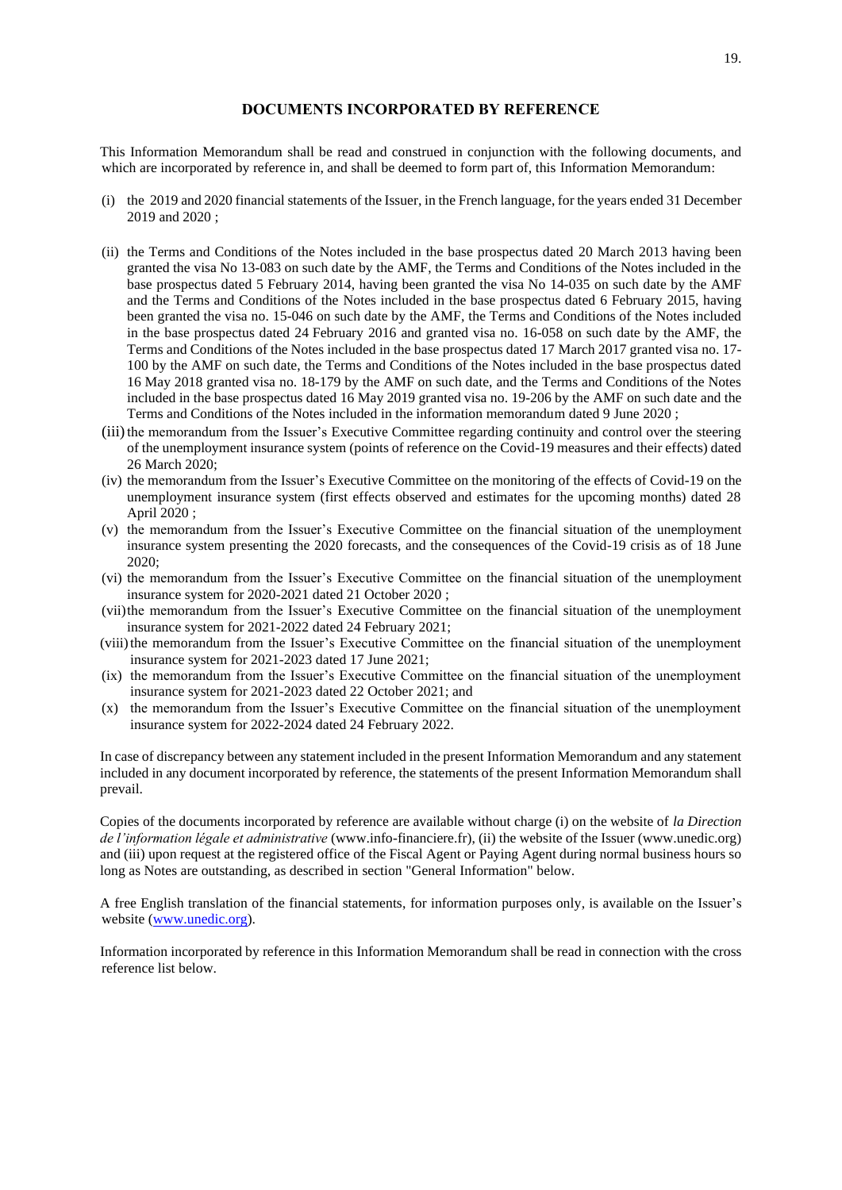# **DOCUMENTS INCORPORATED BY REFERENCE**

<span id="page-18-0"></span>This Information Memorandum shall be read and construed in conjunction with the following documents, and which are incorporated by reference in, and shall be deemed to form part of, this Information Memorandum:

- (i) the 2019 and 2020 financial statements of the Issuer, in the French language, for the years ended 31 December 2019 and 2020 ;
- (ii) the Terms and Conditions of the Notes included in the base prospectus dated 20 March 2013 having been granted the visa No 13-083 on such date by the AMF, the Terms and Conditions of the Notes included in the base prospectus dated 5 February 2014, having been granted the visa No 14-035 on such date by the AMF and the Terms and Conditions of the Notes included in the base prospectus dated 6 February 2015, having been granted the visa no. 15-046 on such date by the AMF, the Terms and Conditions of the Notes included in the base prospectus dated 24 February 2016 and granted visa no. 16-058 on such date by the AMF, the Terms and Conditions of the Notes included in the base prospectus dated 17 March 2017 granted visa no. 17- 100 by the AMF on such date, the Terms and Conditions of the Notes included in the base prospectus dated 16 May 2018 granted visa no. 18-179 by the AMF on such date, and the Terms and Conditions of the Notes included in the base prospectus dated 16 May 2019 granted visa no. 19-206 by the AMF on such date and the Terms and Conditions of the Notes included in the information memorandum dated 9 June 2020 ;
- (iii) the memorandum from the Issuer's Executive Committee regarding continuity and control over the steering of the unemployment insurance system (points of reference on the Covid-19 measures and their effects) dated 26 March 2020;
- (iv) the memorandum from the Issuer's Executive Committee on the monitoring of the effects of Covid-19 on the unemployment insurance system (first effects observed and estimates for the upcoming months) dated 28 April 2020 ;
- (v) the memorandum from the Issuer's Executive Committee on the financial situation of the unemployment insurance system presenting the 2020 forecasts, and the consequences of the Covid-19 crisis as of 18 June 2020;
- (vi) the memorandum from the Issuer's Executive Committee on the financial situation of the unemployment insurance system for 2020-2021 dated 21 October 2020 ;
- (vii)the memorandum from the Issuer's Executive Committee on the financial situation of the unemployment insurance system for 2021-2022 dated 24 February 2021;
- (viii)the memorandum from the Issuer's Executive Committee on the financial situation of the unemployment insurance system for 2021-2023 dated 17 June 2021;
- (ix) the memorandum from the Issuer's Executive Committee on the financial situation of the unemployment insurance system for 2021-2023 dated 22 October 2021; and
- (x) the memorandum from the Issuer's Executive Committee on the financial situation of the unemployment insurance system for 2022-2024 dated 24 February 2022.

In case of discrepancy between any statement included in the present Information Memorandum and any statement included in any document incorporated by reference, the statements of the present Information Memorandum shall prevail.

Copies of the documents incorporated by reference are available without charge (i) on the website of *la Direction de l'information légale et administrative* (www.info-financiere.fr), (ii) the website of the Issuer (www.unedic.org) and (iii) upon request at the registered office of the Fiscal Agent or Paying Agent during normal business hours so long as Notes are outstanding, as described in section "General Information" below.

A free English translation of the financial statements, for information purposes only, is available on the Issuer's website [\(www.unedic.org\)](http://www.unedic.org/).

Information incorporated by reference in this Information Memorandum shall be read in connection with the cross reference list below.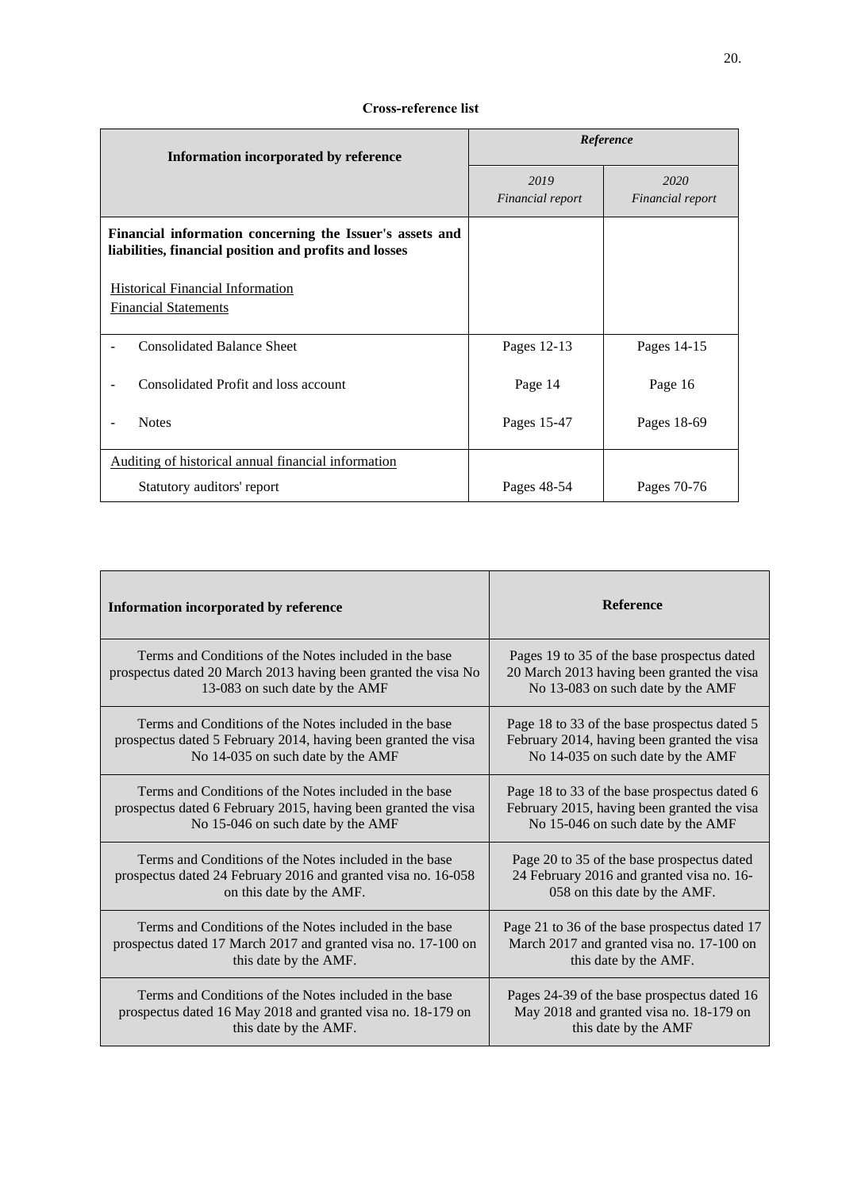# **Cross-reference list**

| Information incorporated by reference                                                                              | Reference                |                          |
|--------------------------------------------------------------------------------------------------------------------|--------------------------|--------------------------|
|                                                                                                                    | 2019<br>Financial report | 2020<br>Financial report |
| Financial information concerning the Issuer's assets and<br>liabilities, financial position and profits and losses |                          |                          |
| <b>Historical Financial Information</b><br><b>Financial Statements</b>                                             |                          |                          |
| <b>Consolidated Balance Sheet</b>                                                                                  | Pages 12-13              | Pages 14-15              |
| Consolidated Profit and loss account                                                                               | Page 14                  | Page 16                  |
| <b>Notes</b>                                                                                                       | Pages 15-47              | Pages 18-69              |
| Auditing of historical annual financial information                                                                |                          |                          |
| Statutory auditors' report                                                                                         | Pages 48-54              | Pages 70-76              |

| Information incorporated by reference                          | <b>Reference</b>                              |
|----------------------------------------------------------------|-----------------------------------------------|
| Terms and Conditions of the Notes included in the base         | Pages 19 to 35 of the base prospectus dated   |
| prospectus dated 20 March 2013 having been granted the visa No | 20 March 2013 having been granted the visa    |
| 13-083 on such date by the AMF                                 | No 13-083 on such date by the AMF             |
| Terms and Conditions of the Notes included in the base         | Page 18 to 33 of the base prospectus dated 5  |
| prospectus dated 5 February 2014, having been granted the visa | February 2014, having been granted the visa   |
| No 14-035 on such date by the AMF                              | No 14-035 on such date by the AMF             |
| Terms and Conditions of the Notes included in the base         | Page 18 to 33 of the base prospectus dated 6  |
| prospectus dated 6 February 2015, having been granted the visa | February 2015, having been granted the visa   |
| No 15-046 on such date by the AMF                              | No 15-046 on such date by the AMF             |
| Terms and Conditions of the Notes included in the base         | Page 20 to 35 of the base prospectus dated    |
| prospectus dated 24 February 2016 and granted visa no. 16-058  | 24 February 2016 and granted visa no. 16-     |
| on this date by the AMF.                                       | 058 on this date by the AMF.                  |
| Terms and Conditions of the Notes included in the base         | Page 21 to 36 of the base prospectus dated 17 |
| prospectus dated 17 March 2017 and granted visa no. 17-100 on  | March 2017 and granted visa no. 17-100 on     |
| this date by the AMF.                                          | this date by the AMF.                         |
| Terms and Conditions of the Notes included in the base         | Pages 24-39 of the base prospectus dated 16   |
| prospectus dated 16 May 2018 and granted visa no. 18-179 on    | May 2018 and granted visa no. 18-179 on       |
| this date by the AMF.                                          | this date by the AMF                          |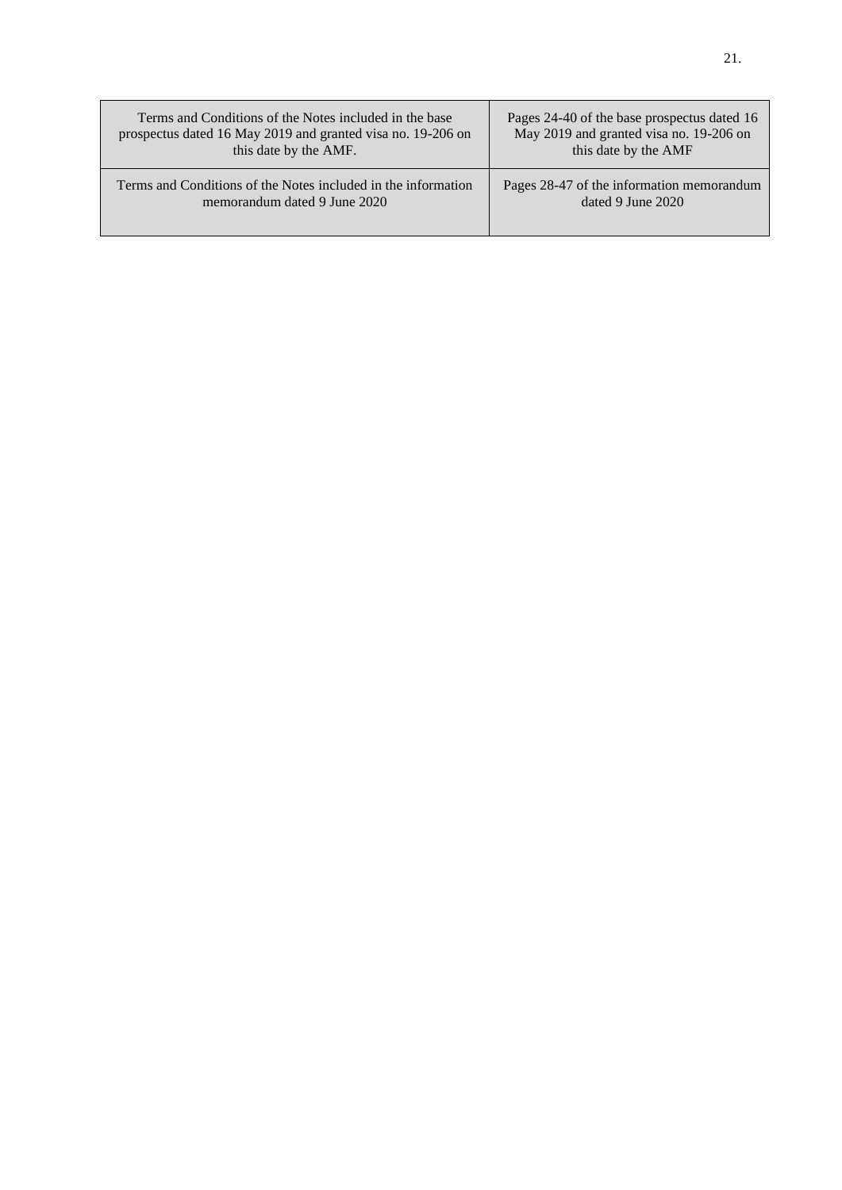| Terms and Conditions of the Notes included in the base        | Pages 24-40 of the base prospectus dated 16 |
|---------------------------------------------------------------|---------------------------------------------|
| prospectus dated 16 May 2019 and granted visa no. 19-206 on   | May 2019 and granted visa no. 19-206 on     |
| this date by the AMF.                                         | this date by the AMF                        |
| Terms and Conditions of the Notes included in the information | Pages 28-47 of the information memorandum   |
| memorandum dated 9 June 2020                                  | dated 9 June 2020                           |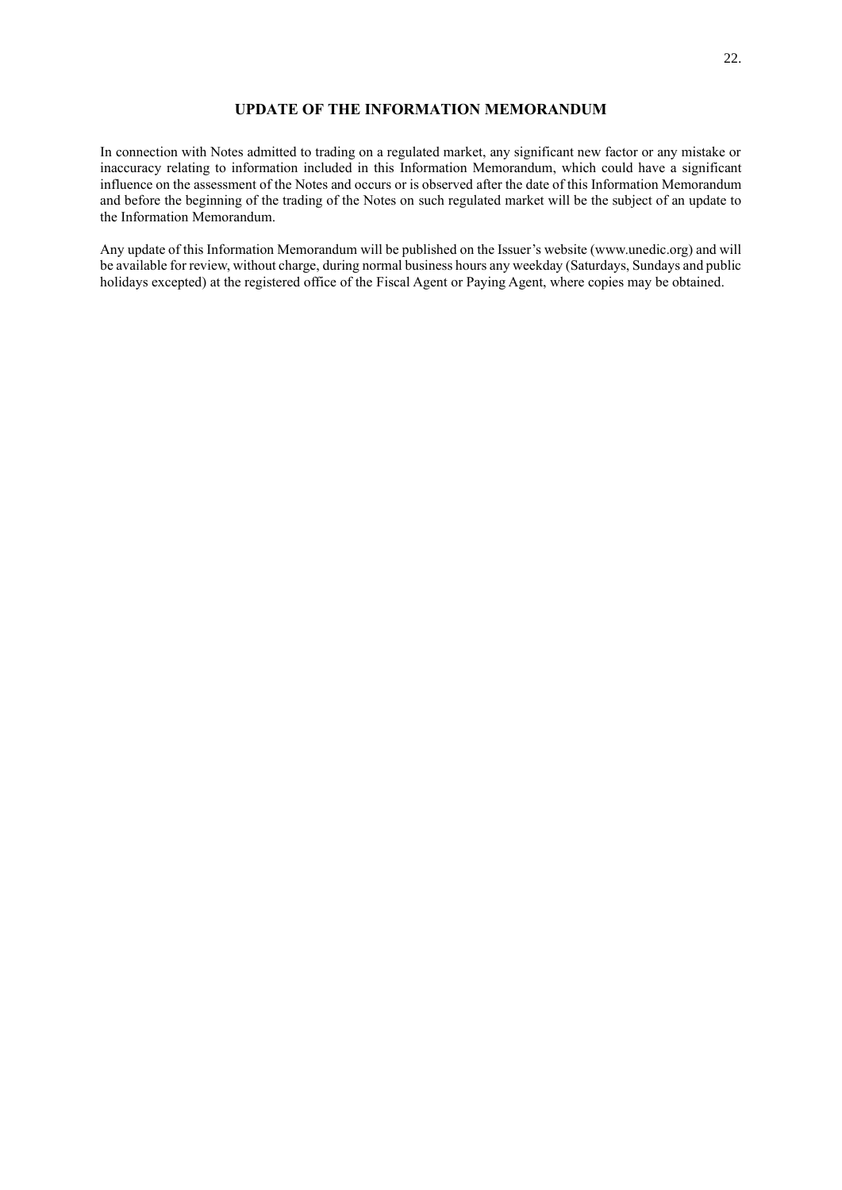# **UPDATE OF THE INFORMATION MEMORANDUM**

<span id="page-21-0"></span>In connection with Notes admitted to trading on a regulated market, any significant new factor or any mistake or inaccuracy relating to information included in this Information Memorandum, which could have a significant influence on the assessment of the Notes and occurs or is observed after the date of this Information Memorandum and before the beginning of the trading of the Notes on such regulated market will be the subject of an update to the Information Memorandum.

Any update of this Information Memorandum will be published on the Issuer's website (www.unedic.org) and will be available for review, without charge, during normal business hours any weekday (Saturdays, Sundays and public holidays excepted) at the registered office of the Fiscal Agent or Paying Agent, where copies may be obtained.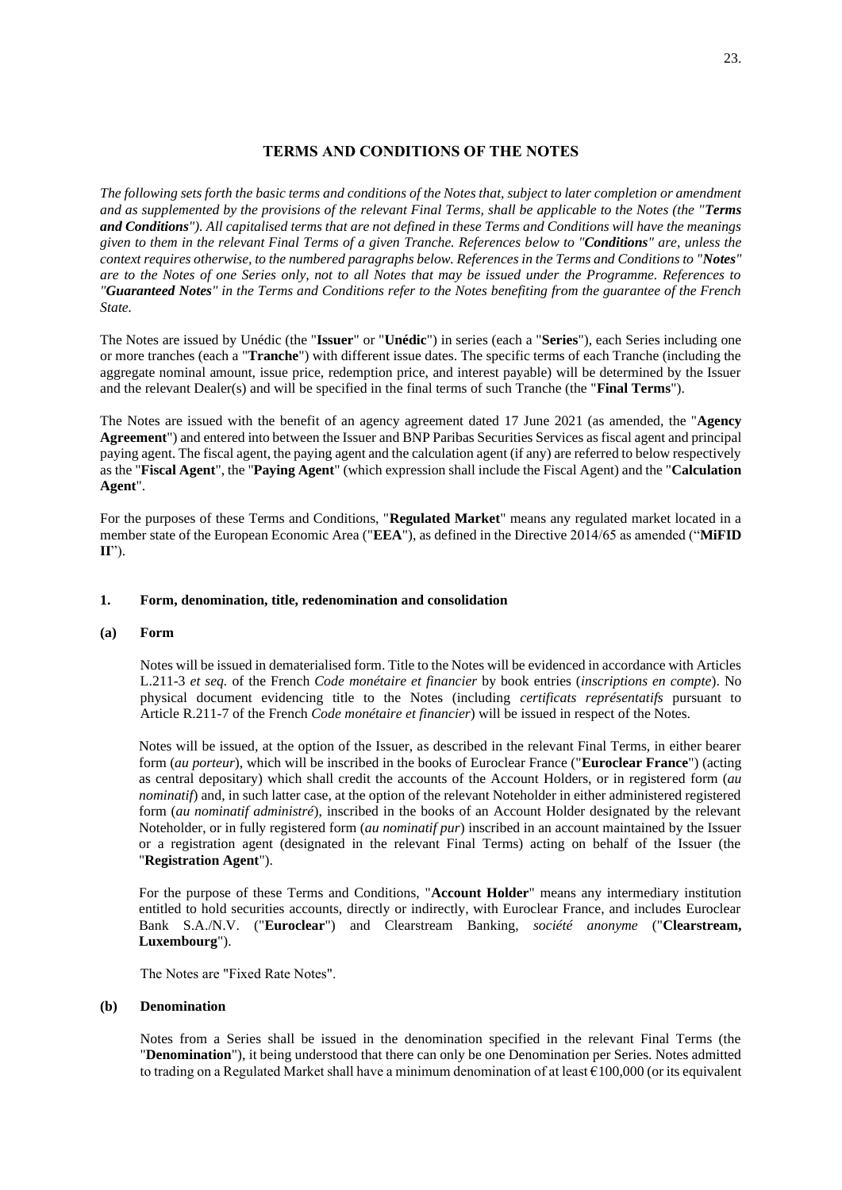# **TERMS AND CONDITIONS OF THE NOTES**

<span id="page-22-0"></span>*The following sets forth the basic terms and conditions of the Notes that, subject to later completion or amendment and as supplemented by the provisions of the relevant Final Terms, shall be applicable to the Notes (the "Terms and Conditions"). All capitalised terms that are not defined in these Terms and Conditions will have the meanings given to them in the relevant Final Terms of a given Tranche. References below to "Conditions" are, unless the context requires otherwise, to the numbered paragraphs below. References in the Terms and Conditions to "Notes" are to the Notes of one Series only, not to all Notes that may be issued under the Programme. References to "Guaranteed Notes" in the Terms and Conditions refer to the Notes benefiting from the guarantee of the French State.*

The Notes are issued by Unédic (the "**Issuer**" or "**Unédic**") in series (each a "**Series**"), each Series including one or more tranches (each a "**Tranche**") with different issue dates. The specific terms of each Tranche (including the aggregate nominal amount, issue price, redemption price, and interest payable) will be determined by the Issuer and the relevant Dealer(s) and will be specified in the final terms of such Tranche (the "**Final Terms**").

The Notes are issued with the benefit of an agency agreement dated 17 June 2021 (as amended, the "**Agency Agreement**") and entered into between the Issuer and BNP Paribas Securities Services as fiscal agent and principal paying agent. The fiscal agent, the paying agent and the calculation agent (if any) are referred to below respectively as the "**Fiscal Agent**", the "**Paying Agent**" (which expression shall include the Fiscal Agent) and the "**Calculation Agent**".

For the purposes of these Terms and Conditions, "**Regulated Market**" means any regulated market located in a member state of the European Economic Area ("**EEA**"), as defined in the Directive 2014/65 as amended ("**MiFID II**").

# **1. Form, denomination, title, redenomination and consolidation**

## **(a) Form**

Notes will be issued in dematerialised form. Title to the Notes will be evidenced in accordance with Articles L.211-3 *et seq.* of the French *Code monétaire et financier* by book entries (*inscriptions en compte*). No physical document evidencing title to the Notes (including *certificats représentatifs* pursuant to Article R.211-7 of the French *Code monétaire et financier*) will be issued in respect of the Notes.

Notes will be issued, at the option of the Issuer, as described in the relevant Final Terms, in either bearer form (*au porteur*), which will be inscribed in the books of Euroclear France ("**Euroclear France**") (acting as central depositary) which shall credit the accounts of the Account Holders, or in registered form (*au nominatif*) and, in such latter case, at the option of the relevant Noteholder in either administered registered form (*au nominatif administré*), inscribed in the books of an Account Holder designated by the relevant Noteholder, or in fully registered form (*au nominatif pur*) inscribed in an account maintained by the Issuer or a registration agent (designated in the relevant Final Terms) acting on behalf of the Issuer (the "**Registration Agent**").

For the purpose of these Terms and Conditions, "**Account Holder**" means any intermediary institution entitled to hold securities accounts, directly or indirectly, with Euroclear France, and includes Euroclear Bank S.A./N.V. ("**Euroclear**") and Clearstream Banking, *société anonyme* ("**Clearstream, Luxembourg**").

The Notes are "Fixed Rate Notes".

## **(b) Denomination**

Notes from a Series shall be issued in the denomination specified in the relevant Final Terms (the "**Denomination**"), it being understood that there can only be one Denomination per Series. Notes admitted to trading on a Regulated Market shall have a minimum denomination of at least  $\epsilon$ 100,000 (or its equivalent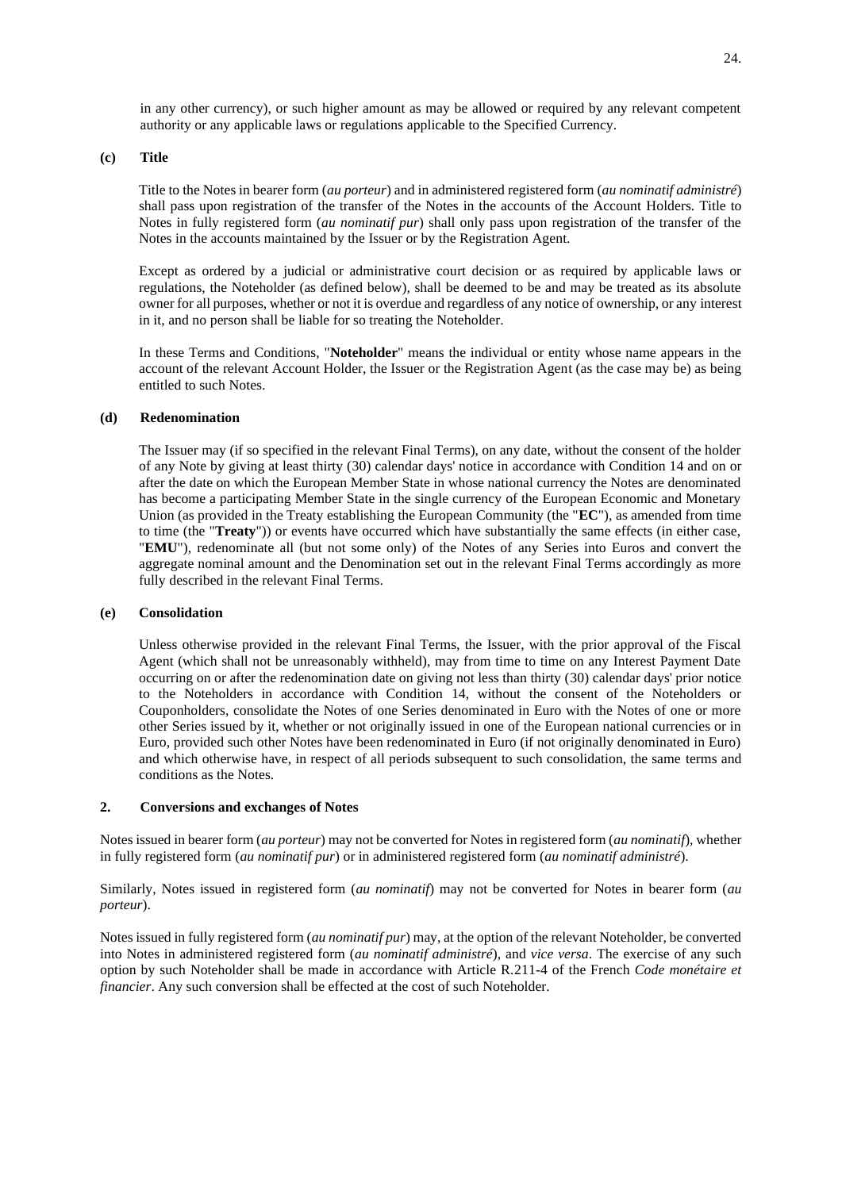in any other currency), or such higher amount as may be allowed or required by any relevant competent authority or any applicable laws or regulations applicable to the Specified Currency.

## **(c) Title**

Title to the Notes in bearer form (*au porteur*) and in administered registered form (*au nominatif administré*) shall pass upon registration of the transfer of the Notes in the accounts of the Account Holders. Title to Notes in fully registered form (*au nominatif pur*) shall only pass upon registration of the transfer of the Notes in the accounts maintained by the Issuer or by the Registration Agent.

Except as ordered by a judicial or administrative court decision or as required by applicable laws or regulations, the Noteholder (as defined below), shall be deemed to be and may be treated as its absolute owner for all purposes, whether or not it is overdue and regardless of any notice of ownership, or any interest in it, and no person shall be liable for so treating the Noteholder.

In these Terms and Conditions, "**Noteholder**" means the individual or entity whose name appears in the account of the relevant Account Holder, the Issuer or the Registration Agent (as the case may be) as being entitled to such Notes.

## **(d) Redenomination**

The Issuer may (if so specified in the relevant Final Terms), on any date, without the consent of the holder of any Note by giving at least thirty (30) calendar days' notice in accordance with Condition 14 and on or after the date on which the European Member State in whose national currency the Notes are denominated has become a participating Member State in the single currency of the European Economic and Monetary Union (as provided in the Treaty establishing the European Community (the "**EC**"), as amended from time to time (the "**Treaty**")) or events have occurred which have substantially the same effects (in either case, "**EMU**"), redenominate all (but not some only) of the Notes of any Series into Euros and convert the aggregate nominal amount and the Denomination set out in the relevant Final Terms accordingly as more fully described in the relevant Final Terms.

## **(e) Consolidation**

Unless otherwise provided in the relevant Final Terms, the Issuer, with the prior approval of the Fiscal Agent (which shall not be unreasonably withheld), may from time to time on any Interest Payment Date occurring on or after the redenomination date on giving not less than thirty (30) calendar days' prior notice to the Noteholders in accordance with Condition 14, without the consent of the Noteholders or Couponholders, consolidate the Notes of one Series denominated in Euro with the Notes of one or more other Series issued by it, whether or not originally issued in one of the European national currencies or in Euro, provided such other Notes have been redenominated in Euro (if not originally denominated in Euro) and which otherwise have, in respect of all periods subsequent to such consolidation, the same terms and conditions as the Notes.

#### **2. Conversions and exchanges of Notes**

Notes issued in bearer form (*au porteur*) may not be converted for Notes in registered form (*au nominatif*), whether in fully registered form (*au nominatif pur*) or in administered registered form (*au nominatif administré*).

Similarly, Notes issued in registered form (*au nominatif*) may not be converted for Notes in bearer form (*au porteur*).

Notes issued in fully registered form (*au nominatif pur*) may, at the option of the relevant Noteholder, be converted into Notes in administered registered form (*au nominatif administré*), and *vice versa*. The exercise of any such option by such Noteholder shall be made in accordance with Article R.211-4 of the French *Code monétaire et financier*. Any such conversion shall be effected at the cost of such Noteholder.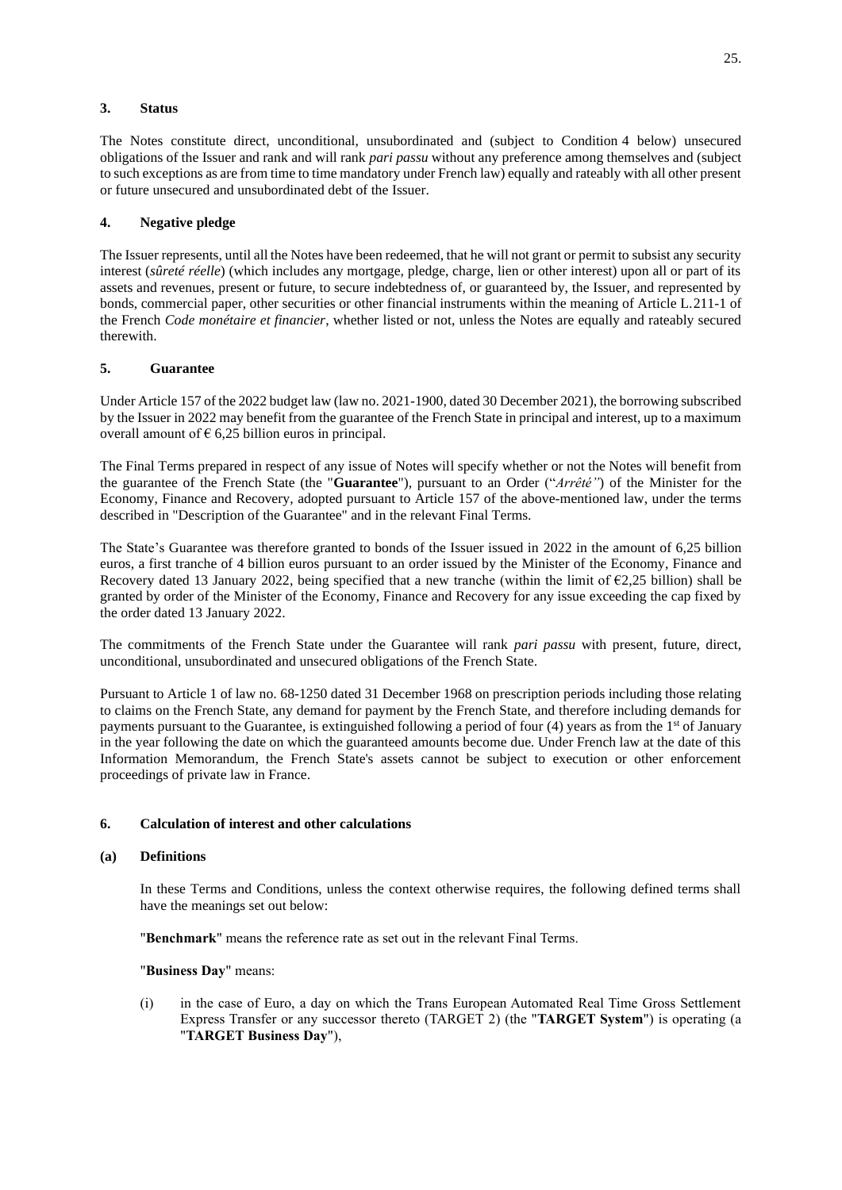# **3. Status**

The Notes constitute direct, unconditional, unsubordinated and (subject to Condition 4 below) unsecured obligations of the Issuer and rank and will rank *pari passu* without any preference among themselves and (subject to such exceptions as are from time to time mandatory under French law) equally and rateably with all other present or future unsecured and unsubordinated debt of the Issuer.

# **4. Negative pledge**

The Issuer represents, until all the Notes have been redeemed, that he will not grant or permit to subsist any security interest (*sûreté réelle*) (which includes any mortgage, pledge, charge, lien or other interest) upon all or part of its assets and revenues, present or future, to secure indebtedness of, or guaranteed by, the Issuer, and represented by bonds, commercial paper, other securities or other financial instruments within the meaning of Article L.211-1 of the French *Code monétaire et financier*, whether listed or not, unless the Notes are equally and rateably secured therewith.

# **5. Guarantee**

Under Article 157 of the 2022 budget law (law no. 2021-1900, dated 30 December 2021), the borrowing subscribed by the Issuer in 2022 may benefit from the guarantee of the French State in principal and interest, up to a maximum overall amount of  $\epsilon$  6,25 billion euros in principal.

The Final Terms prepared in respect of any issue of Notes will specify whether or not the Notes will benefit from the guarantee of the French State (the "**Guarantee**"), pursuant to an Order ("*Arrêté"*) of the Minister for the Economy, Finance and Recovery, adopted pursuant to Article 157 of the above-mentioned law, under the terms described in "Description of the Guarantee" and in the relevant Final Terms.

The State's Guarantee was therefore granted to bonds of the Issuer issued in 2022 in the amount of 6,25 billion euros, a first tranche of 4 billion euros pursuant to an order issued by the Minister of the Economy, Finance and Recovery dated 13 January 2022, being specified that a new tranche (within the limit of  $\epsilon$ 2,25 billion) shall be granted by order of the Minister of the Economy, Finance and Recovery for any issue exceeding the cap fixed by the order dated 13 January 2022.

The commitments of the French State under the Guarantee will rank *pari passu* with present, future, direct, unconditional, unsubordinated and unsecured obligations of the French State.

Pursuant to Article 1 of law no. 68-1250 dated 31 December 1968 on prescription periods including those relating to claims on the French State, any demand for payment by the French State, and therefore including demands for payments pursuant to the Guarantee, is extinguished following a period of four (4) years as from the 1<sup>st</sup> of January in the year following the date on which the guaranteed amounts become due. Under French law at the date of this Information Memorandum, the French State's assets cannot be subject to execution or other enforcement proceedings of private law in France.

# **6. Calculation of interest and other calculations**

# **(a) Definitions**

In these Terms and Conditions, unless the context otherwise requires, the following defined terms shall have the meanings set out below:

"**Benchmark**" means the reference rate as set out in the relevant Final Terms.

"**Business Day**" means:

(i) in the case of Euro, a day on which the Trans European Automated Real Time Gross Settlement Express Transfer or any successor thereto (TARGET 2) (the "**TARGET System**") is operating (a "**TARGET Business Day**"),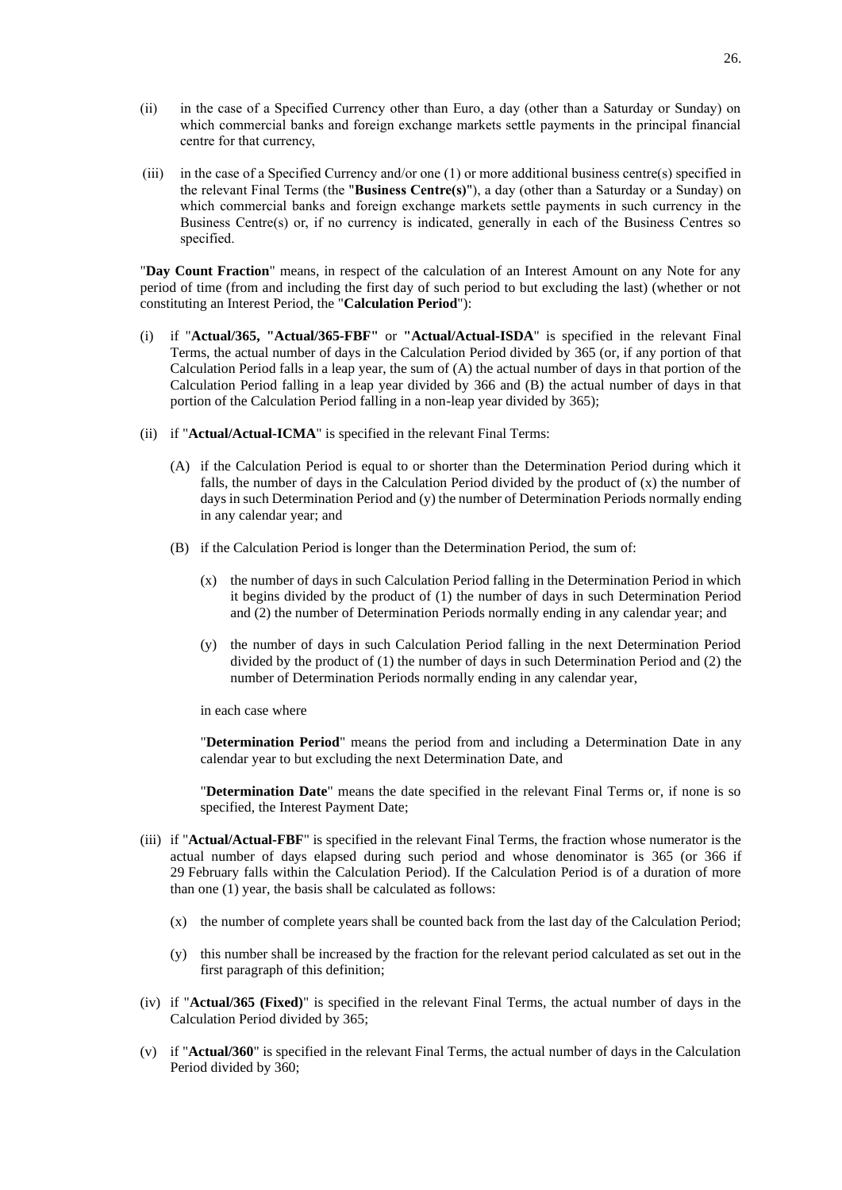- (ii) in the case of a Specified Currency other than Euro, a day (other than a Saturday or Sunday) on which commercial banks and foreign exchange markets settle payments in the principal financial centre for that currency,
- (iii) in the case of a Specified Currency and/or one  $(1)$  or more additional business centre(s) specified in the relevant Final Terms (the "**Business Centre(s)**"), a day (other than a Saturday or a Sunday) on which commercial banks and foreign exchange markets settle payments in such currency in the Business Centre(s) or, if no currency is indicated, generally in each of the Business Centres so specified.

"**Day Count Fraction**" means, in respect of the calculation of an Interest Amount on any Note for any period of time (from and including the first day of such period to but excluding the last) (whether or not constituting an Interest Period, the "**Calculation Period**"):

- (i) if "**Actual/365, "Actual/365-FBF"** or **"Actual/Actual-ISDA**" is specified in the relevant Final Terms, the actual number of days in the Calculation Period divided by 365 (or, if any portion of that Calculation Period falls in a leap year, the sum of (A) the actual number of days in that portion of the Calculation Period falling in a leap year divided by 366 and (B) the actual number of days in that portion of the Calculation Period falling in a non-leap year divided by 365);
- (ii) if "**Actual/Actual-ICMA**" is specified in the relevant Final Terms:
	- (A) if the Calculation Period is equal to or shorter than the Determination Period during which it falls, the number of days in the Calculation Period divided by the product of  $(x)$  the number of days in such Determination Period and (y) the number of Determination Periods normally ending in any calendar year; and
	- (B) if the Calculation Period is longer than the Determination Period, the sum of:
		- (x) the number of days in such Calculation Period falling in the Determination Period in which it begins divided by the product of (1) the number of days in such Determination Period and (2) the number of Determination Periods normally ending in any calendar year; and
		- (y) the number of days in such Calculation Period falling in the next Determination Period divided by the product of (1) the number of days in such Determination Period and (2) the number of Determination Periods normally ending in any calendar year,

in each case where

"**Determination Period**" means the period from and including a Determination Date in any calendar year to but excluding the next Determination Date, and

"**Determination Date**" means the date specified in the relevant Final Terms or, if none is so specified, the Interest Payment Date;

- (iii) if "**Actual/Actual-FBF**" is specified in the relevant Final Terms, the fraction whose numerator is the actual number of days elapsed during such period and whose denominator is 365 (or 366 if 29 February falls within the Calculation Period). If the Calculation Period is of a duration of more than one (1) year, the basis shall be calculated as follows:
	- (x) the number of complete years shall be counted back from the last day of the Calculation Period;
	- (y) this number shall be increased by the fraction for the relevant period calculated as set out in the first paragraph of this definition;
- (iv) if "**Actual/365 (Fixed)**" is specified in the relevant Final Terms, the actual number of days in the Calculation Period divided by 365;
- (v) if "**Actual/360**" is specified in the relevant Final Terms, the actual number of days in the Calculation Period divided by 360;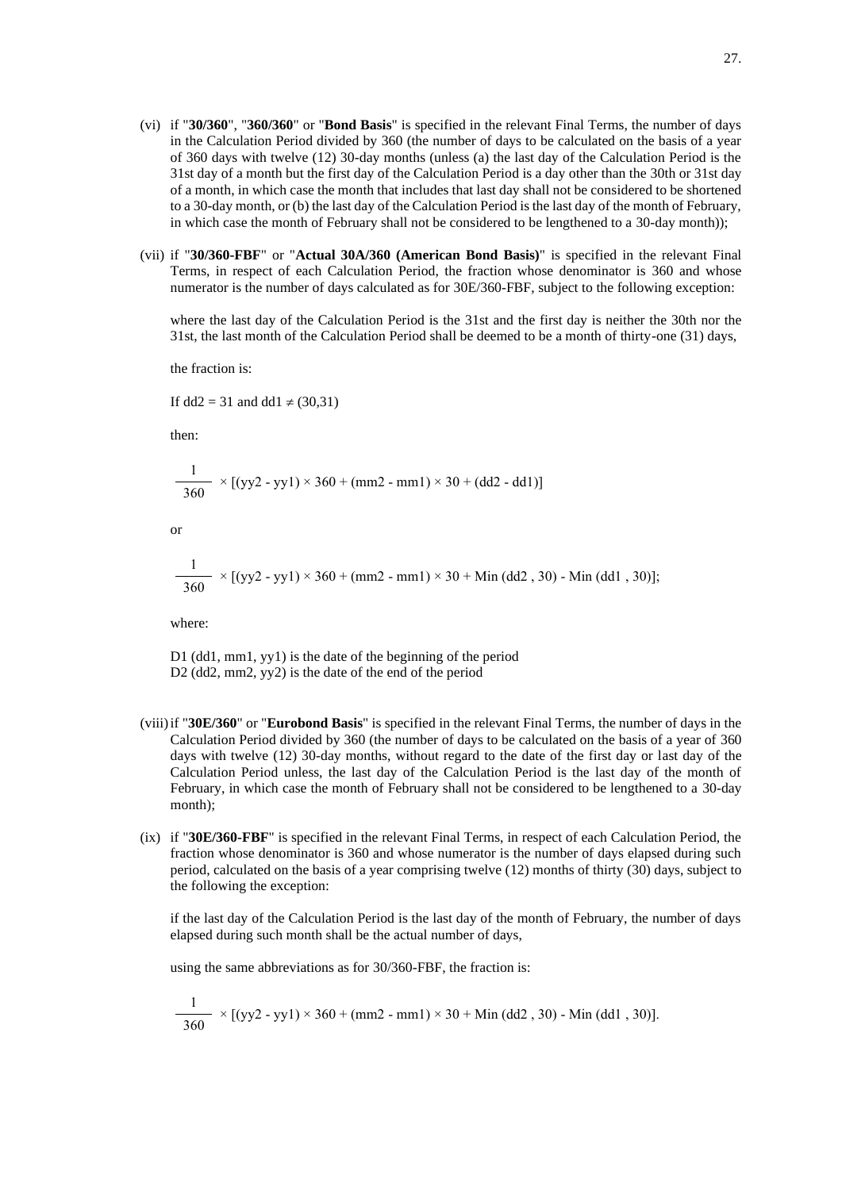- (vi) if "**30/360**", "**360/360**" or "**Bond Basis**" is specified in the relevant Final Terms, the number of days in the Calculation Period divided by 360 (the number of days to be calculated on the basis of a year of 360 days with twelve (12) 30-day months (unless (a) the last day of the Calculation Period is the 31st day of a month but the first day of the Calculation Period is a day other than the 30th or 31st day of a month, in which case the month that includes that last day shall not be considered to be shortened to a 30-day month, or (b) the last day of the Calculation Period is the last day of the month of February, in which case the month of February shall not be considered to be lengthened to a 30-day month));
- (vii) if "**30/360-FBF**" or "**Actual 30A/360 (American Bond Basis)**" is specified in the relevant Final Terms, in respect of each Calculation Period, the fraction whose denominator is 360 and whose numerator is the number of days calculated as for 30E/360-FBF, subject to the following exception:

where the last day of the Calculation Period is the 31st and the first day is neither the 30th nor the 31st, the last month of the Calculation Period shall be deemed to be a month of thirty-one (31) days,

the fraction is:

If  $dd2 = 31$  and  $dd1 \neq (30,31)$ 

then:

$$
\frac{1}{360} \times [(yy2 - yy1) \times 360 + (mm2 - mm1) \times 30 + (dd2 - dd1)]
$$

or

$$
\frac{1}{360} \times [(yy2 - yy1) \times 360 + (mm2 - mm1) \times 30 + Min (dd2, 30) - Min (dd1, 30)];
$$

where:

D1 (dd1, mm1, yy1) is the date of the beginning of the period D<sub>2</sub> (dd<sub>2</sub>, mm<sub>2</sub>, yy<sub>2</sub>) is the date of the end of the period

- (viii)if "**30E/360**" or "**Eurobond Basis**" is specified in the relevant Final Terms, the number of days in the Calculation Period divided by 360 (the number of days to be calculated on the basis of a year of 360 days with twelve (12) 30-day months, without regard to the date of the first day or last day of the Calculation Period unless, the last day of the Calculation Period is the last day of the month of February, in which case the month of February shall not be considered to be lengthened to a 30-day month);
- (ix) if "**30E/360-FBF**" is specified in the relevant Final Terms, in respect of each Calculation Period, the fraction whose denominator is 360 and whose numerator is the number of days elapsed during such period, calculated on the basis of a year comprising twelve (12) months of thirty (30) days, subject to the following the exception:

if the last day of the Calculation Period is the last day of the month of February, the number of days elapsed during such month shall be the actual number of days,

using the same abbreviations as for 30/360-FBF, the fraction is:

$$
\frac{1}{360} \times [(yy2 - yy1) \times 360 + (mm2 - mm1) \times 30 + Min (dd2, 30) - Min (dd1, 30)].
$$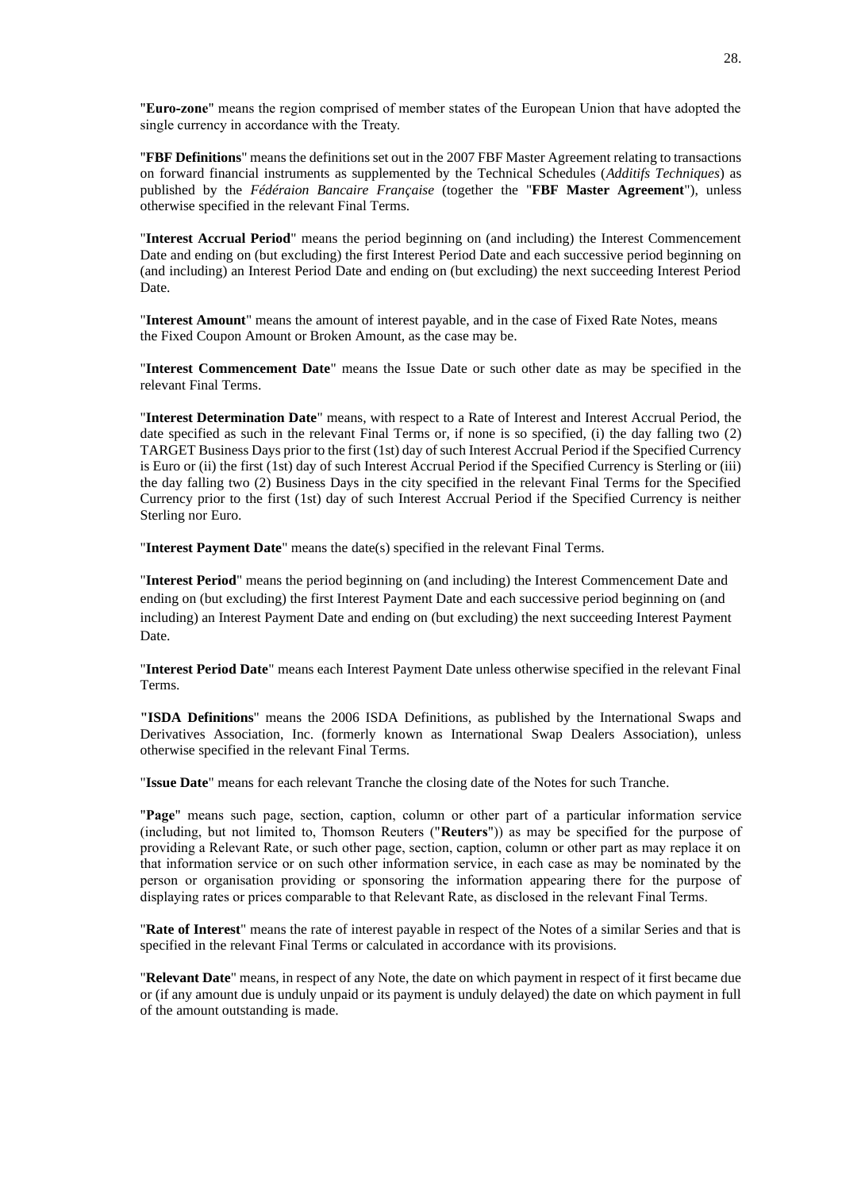"**Euro-zone**" means the region comprised of member states of the European Union that have adopted the single currency in accordance with the Treaty.

"**FBF Definitions**" means the definitions set out in the 2007 FBF Master Agreement relating to transactions on forward financial instruments as supplemented by the Technical Schedules (*Additifs Techniques*) as published by the *Fédéraion Bancaire Française* (together the "**FBF Master Agreement**"), unless otherwise specified in the relevant Final Terms.

"**Interest Accrual Period**" means the period beginning on (and including) the Interest Commencement Date and ending on (but excluding) the first Interest Period Date and each successive period beginning on (and including) an Interest Period Date and ending on (but excluding) the next succeeding Interest Period Date.

"**Interest Amount**" means the amount of interest payable, and in the case of Fixed Rate Notes, means the Fixed Coupon Amount or Broken Amount, as the case may be.

"**Interest Commencement Date**" means the Issue Date or such other date as may be specified in the relevant Final Terms.

"**Interest Determination Date**" means, with respect to a Rate of Interest and Interest Accrual Period, the date specified as such in the relevant Final Terms or, if none is so specified, (i) the day falling two (2) TARGET Business Days prior to the first (1st) day of such Interest Accrual Period if the Specified Currency is Euro or (ii) the first (1st) day of such Interest Accrual Period if the Specified Currency is Sterling or (iii) the day falling two (2) Business Days in the city specified in the relevant Final Terms for the Specified Currency prior to the first (1st) day of such Interest Accrual Period if the Specified Currency is neither Sterling nor Euro.

"**Interest Payment Date**" means the date(s) specified in the relevant Final Terms.

"**Interest Period**" means the period beginning on (and including) the Interest Commencement Date and ending on (but excluding) the first Interest Payment Date and each successive period beginning on (and including) an Interest Payment Date and ending on (but excluding) the next succeeding Interest Payment Date.

"**Interest Period Date**" means each Interest Payment Date unless otherwise specified in the relevant Final Terms.

**"ISDA Definitions**" means the 2006 ISDA Definitions, as published by the International Swaps and Derivatives Association, Inc. (formerly known as International Swap Dealers Association), unless otherwise specified in the relevant Final Terms.

"**Issue Date**" means for each relevant Tranche the closing date of the Notes for such Tranche.

"**Page**" means such page, section, caption, column or other part of a particular information service (including, but not limited to, Thomson Reuters ("**Reuters**")) as may be specified for the purpose of providing a Relevant Rate, or such other page, section, caption, column or other part as may replace it on that information service or on such other information service, in each case as may be nominated by the person or organisation providing or sponsoring the information appearing there for the purpose of displaying rates or prices comparable to that Relevant Rate, as disclosed in the relevant Final Terms.

"**Rate of Interest**" means the rate of interest payable in respect of the Notes of a similar Series and that is specified in the relevant Final Terms or calculated in accordance with its provisions.

"**Relevant Date**" means, in respect of any Note, the date on which payment in respect of it first became due or (if any amount due is unduly unpaid or its payment is unduly delayed) the date on which payment in full of the amount outstanding is made.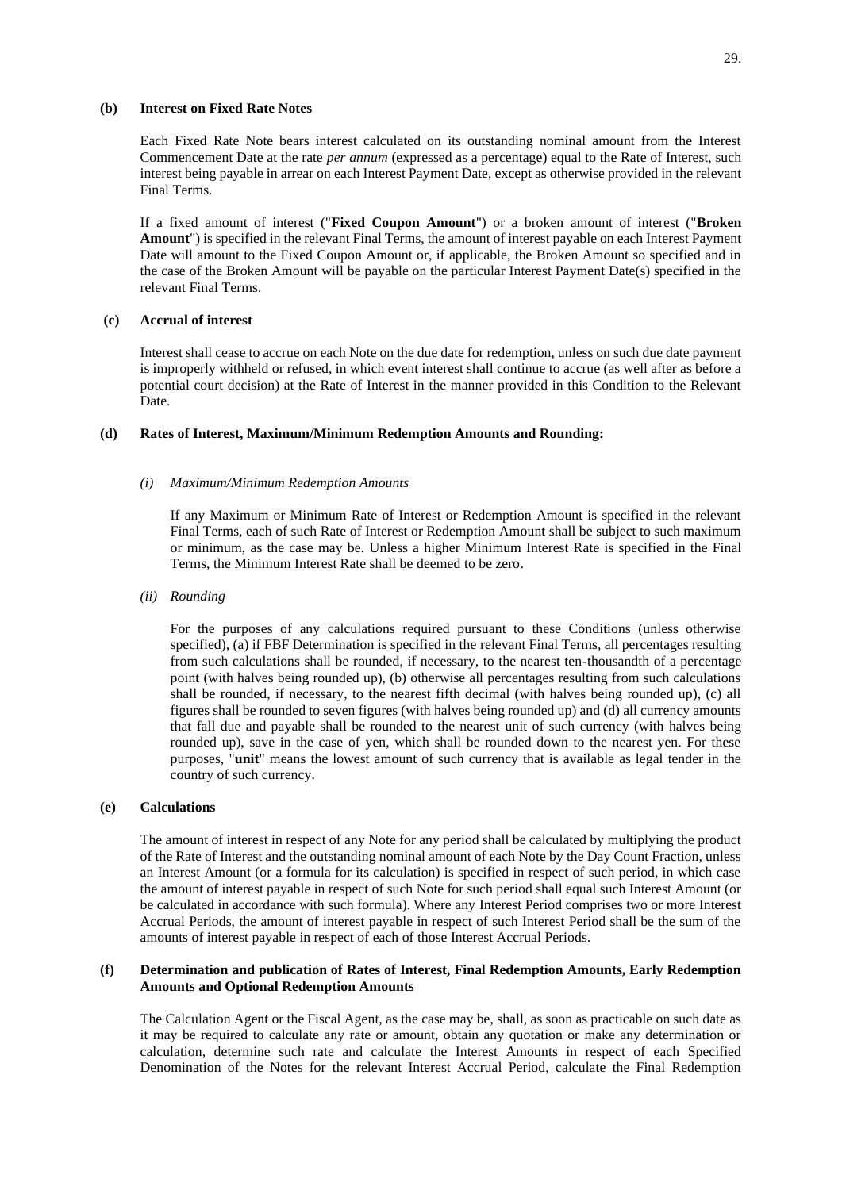## **(b) Interest on Fixed Rate Notes**

Each Fixed Rate Note bears interest calculated on its outstanding nominal amount from the Interest Commencement Date at the rate *per annum* (expressed as a percentage) equal to the Rate of Interest, such interest being payable in arrear on each Interest Payment Date, except as otherwise provided in the relevant Final Terms.

If a fixed amount of interest ("**Fixed Coupon Amount**") or a broken amount of interest ("**Broken Amount**") is specified in the relevant Final Terms, the amount of interest payable on each Interest Payment Date will amount to the Fixed Coupon Amount or, if applicable, the Broken Amount so specified and in the case of the Broken Amount will be payable on the particular Interest Payment Date(s) specified in the relevant Final Terms.

# **(c) Accrual of interest**

Interest shall cease to accrue on each Note on the due date for redemption, unless on such due date payment is improperly withheld or refused, in which event interest shall continue to accrue (as well after as before a potential court decision) at the Rate of Interest in the manner provided in this Condition to the Relevant Date.

#### **(d) Rates of Interest, Maximum/Minimum Redemption Amounts and Rounding:**

#### *(i) Maximum/Minimum Redemption Amounts*

If any Maximum or Minimum Rate of Interest or Redemption Amount is specified in the relevant Final Terms, each of such Rate of Interest or Redemption Amount shall be subject to such maximum or minimum, as the case may be. Unless a higher Minimum Interest Rate is specified in the Final Terms, the Minimum Interest Rate shall be deemed to be zero.

*(ii) Rounding*

For the purposes of any calculations required pursuant to these Conditions (unless otherwise specified), (a) if FBF Determination is specified in the relevant Final Terms, all percentages resulting from such calculations shall be rounded, if necessary, to the nearest ten-thousandth of a percentage point (with halves being rounded up), (b) otherwise all percentages resulting from such calculations shall be rounded, if necessary, to the nearest fifth decimal (with halves being rounded up), (c) all figures shall be rounded to seven figures (with halves being rounded up) and (d) all currency amounts that fall due and payable shall be rounded to the nearest unit of such currency (with halves being rounded up), save in the case of yen, which shall be rounded down to the nearest yen. For these purposes, "**unit**" means the lowest amount of such currency that is available as legal tender in the country of such currency.

## **(e) Calculations**

The amount of interest in respect of any Note for any period shall be calculated by multiplying the product of the Rate of Interest and the outstanding nominal amount of each Note by the Day Count Fraction, unless an Interest Amount (or a formula for its calculation) is specified in respect of such period, in which case the amount of interest payable in respect of such Note for such period shall equal such Interest Amount (or be calculated in accordance with such formula). Where any Interest Period comprises two or more Interest Accrual Periods, the amount of interest payable in respect of such Interest Period shall be the sum of the amounts of interest payable in respect of each of those Interest Accrual Periods.

## **(f) Determination and publication of Rates of Interest, Final Redemption Amounts, Early Redemption Amounts and Optional Redemption Amounts**

The Calculation Agent or the Fiscal Agent, as the case may be, shall, as soon as practicable on such date as it may be required to calculate any rate or amount, obtain any quotation or make any determination or calculation, determine such rate and calculate the Interest Amounts in respect of each Specified Denomination of the Notes for the relevant Interest Accrual Period, calculate the Final Redemption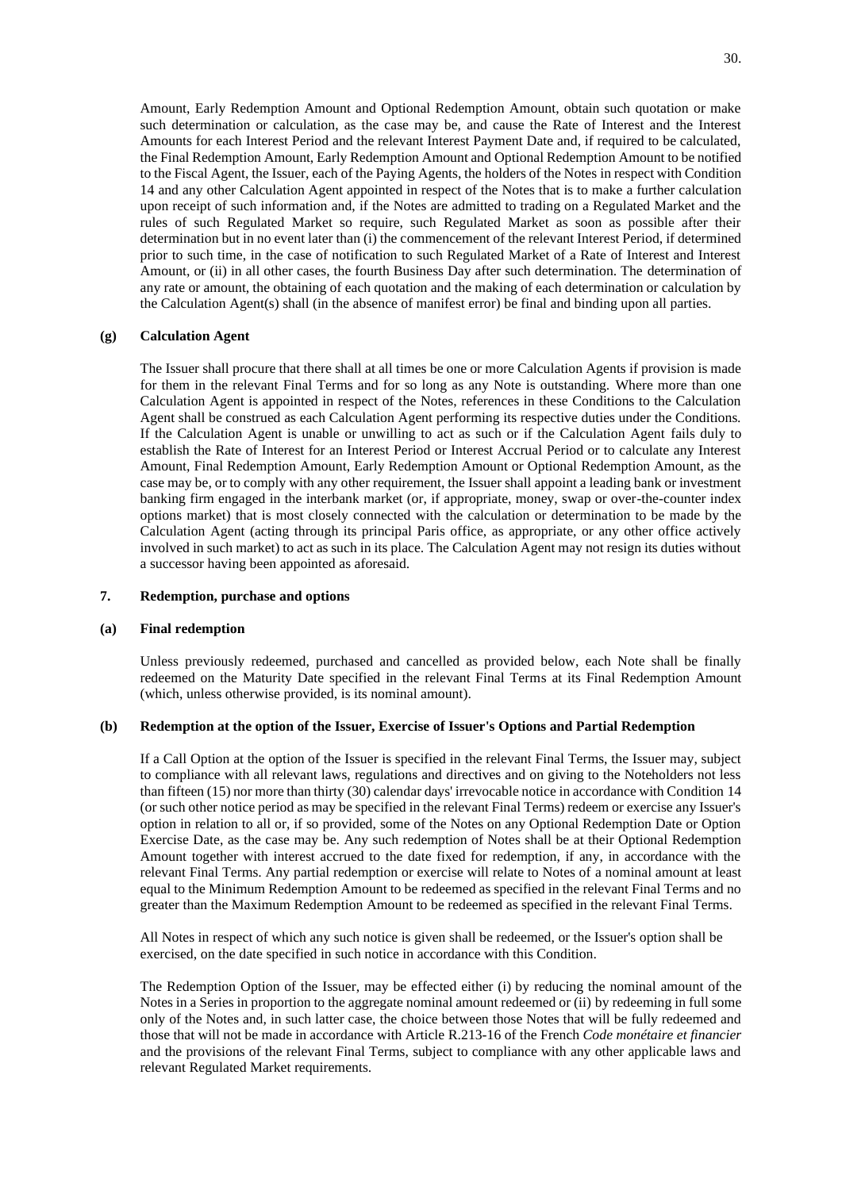Amount, Early Redemption Amount and Optional Redemption Amount, obtain such quotation or make such determination or calculation, as the case may be, and cause the Rate of Interest and the Interest Amounts for each Interest Period and the relevant Interest Payment Date and, if required to be calculated, the Final Redemption Amount, Early Redemption Amount and Optional Redemption Amount to be notified to the Fiscal Agent, the Issuer, each of the Paying Agents, the holders of the Notes in respect with Condition 14 and any other Calculation Agent appointed in respect of the Notes that is to make a further calculation upon receipt of such information and, if the Notes are admitted to trading on a Regulated Market and the rules of such Regulated Market so require, such Regulated Market as soon as possible after their determination but in no event later than (i) the commencement of the relevant Interest Period, if determined prior to such time, in the case of notification to such Regulated Market of a Rate of Interest and Interest Amount, or (ii) in all other cases, the fourth Business Day after such determination. The determination of any rate or amount, the obtaining of each quotation and the making of each determination or calculation by the Calculation Agent(s) shall (in the absence of manifest error) be final and binding upon all parties.

#### **(g) Calculation Agent**

The Issuer shall procure that there shall at all times be one or more Calculation Agents if provision is made for them in the relevant Final Terms and for so long as any Note is outstanding. Where more than one Calculation Agent is appointed in respect of the Notes, references in these Conditions to the Calculation Agent shall be construed as each Calculation Agent performing its respective duties under the Conditions. If the Calculation Agent is unable or unwilling to act as such or if the Calculation Agent fails duly to establish the Rate of Interest for an Interest Period or Interest Accrual Period or to calculate any Interest Amount, Final Redemption Amount, Early Redemption Amount or Optional Redemption Amount, as the case may be, or to comply with any other requirement, the Issuer shall appoint a leading bank or investment banking firm engaged in the interbank market (or, if appropriate, money, swap or over-the-counter index options market) that is most closely connected with the calculation or determination to be made by the Calculation Agent (acting through its principal Paris office, as appropriate, or any other office actively involved in such market) to act as such in its place. The Calculation Agent may not resign its duties without a successor having been appointed as aforesaid.

## **7. Redemption, purchase and options**

#### **(a) Final redemption**

Unless previously redeemed, purchased and cancelled as provided below, each Note shall be finally redeemed on the Maturity Date specified in the relevant Final Terms at its Final Redemption Amount (which, unless otherwise provided, is its nominal amount).

## **(b) Redemption at the option of the Issuer, Exercise of Issuer's Options and Partial Redemption**

If a Call Option at the option of the Issuer is specified in the relevant Final Terms, the Issuer may, subject to compliance with all relevant laws, regulations and directives and on giving to the Noteholders not less than fifteen (15) nor more than thirty (30) calendar days' irrevocable notice in accordance with Condition 14 (or such other notice period as may be specified in the relevant Final Terms) redeem or exercise any Issuer's option in relation to all or, if so provided, some of the Notes on any Optional Redemption Date or Option Exercise Date, as the case may be. Any such redemption of Notes shall be at their Optional Redemption Amount together with interest accrued to the date fixed for redemption, if any, in accordance with the relevant Final Terms. Any partial redemption or exercise will relate to Notes of a nominal amount at least equal to the Minimum Redemption Amount to be redeemed as specified in the relevant Final Terms and no greater than the Maximum Redemption Amount to be redeemed as specified in the relevant Final Terms.

All Notes in respect of which any such notice is given shall be redeemed, or the Issuer's option shall be exercised, on the date specified in such notice in accordance with this Condition.

The Redemption Option of the Issuer, may be effected either (i) by reducing the nominal amount of the Notes in a Series in proportion to the aggregate nominal amount redeemed or (ii) by redeeming in full some only of the Notes and, in such latter case, the choice between those Notes that will be fully redeemed and those that will not be made in accordance with Article R.213-16 of the French *Code monétaire et financier* and the provisions of the relevant Final Terms, subject to compliance with any other applicable laws and relevant Regulated Market requirements.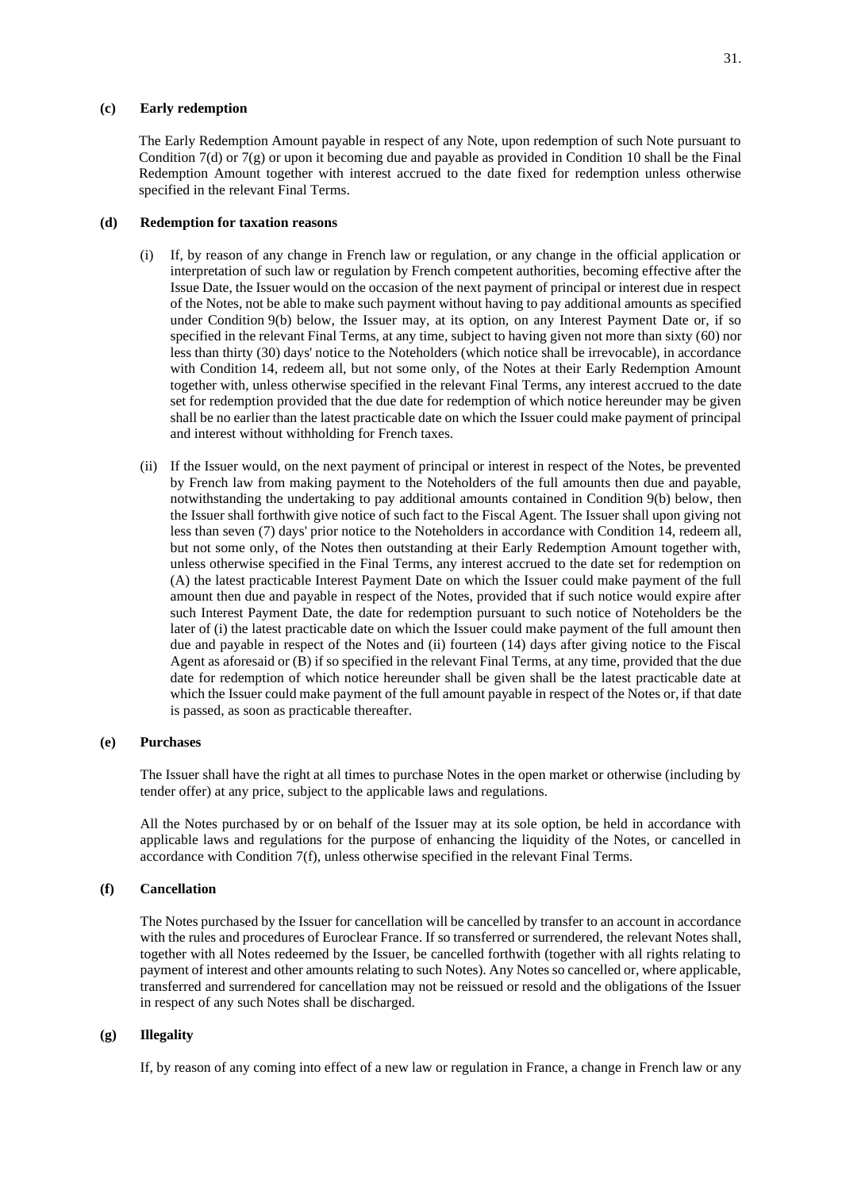#### **(c) Early redemption**

The Early Redemption Amount payable in respect of any Note, upon redemption of such Note pursuant to Condition 7(d) or 7(g) or upon it becoming due and payable as provided in Condition 10 shall be the Final Redemption Amount together with interest accrued to the date fixed for redemption unless otherwise specified in the relevant Final Terms.

## **(d) Redemption for taxation reasons**

- (i) If, by reason of any change in French law or regulation, or any change in the official application or interpretation of such law or regulation by French competent authorities, becoming effective after the Issue Date, the Issuer would on the occasion of the next payment of principal or interest due in respect of the Notes, not be able to make such payment without having to pay additional amounts as specified under Condition 9(b) below, the Issuer may, at its option, on any Interest Payment Date or, if so specified in the relevant Final Terms, at any time, subject to having given not more than sixty (60) nor less than thirty (30) days' notice to the Noteholders (which notice shall be irrevocable), in accordance with Condition 14, redeem all, but not some only, of the Notes at their Early Redemption Amount together with, unless otherwise specified in the relevant Final Terms, any interest accrued to the date set for redemption provided that the due date for redemption of which notice hereunder may be given shall be no earlier than the latest practicable date on which the Issuer could make payment of principal and interest without withholding for French taxes.
- (ii) If the Issuer would, on the next payment of principal or interest in respect of the Notes, be prevented by French law from making payment to the Noteholders of the full amounts then due and payable, notwithstanding the undertaking to pay additional amounts contained in Condition 9(b) below, then the Issuer shall forthwith give notice of such fact to the Fiscal Agent. The Issuer shall upon giving not less than seven (7) days' prior notice to the Noteholders in accordance with Condition 14, redeem all, but not some only, of the Notes then outstanding at their Early Redemption Amount together with, unless otherwise specified in the Final Terms, any interest accrued to the date set for redemption on (A) the latest practicable Interest Payment Date on which the Issuer could make payment of the full amount then due and payable in respect of the Notes, provided that if such notice would expire after such Interest Payment Date, the date for redemption pursuant to such notice of Noteholders be the later of (i) the latest practicable date on which the Issuer could make payment of the full amount then due and payable in respect of the Notes and (ii) fourteen (14) days after giving notice to the Fiscal Agent as aforesaid or (B) if so specified in the relevant Final Terms, at any time, provided that the due date for redemption of which notice hereunder shall be given shall be the latest practicable date at which the Issuer could make payment of the full amount payable in respect of the Notes or, if that date is passed, as soon as practicable thereafter.

## **(e) Purchases**

The Issuer shall have the right at all times to purchase Notes in the open market or otherwise (including by tender offer) at any price, subject to the applicable laws and regulations.

All the Notes purchased by or on behalf of the Issuer may at its sole option, be held in accordance with applicable laws and regulations for the purpose of enhancing the liquidity of the Notes, or cancelled in accordance with Condition 7(f), unless otherwise specified in the relevant Final Terms.

# **(f) Cancellation**

The Notes purchased by the Issuer for cancellation will be cancelled by transfer to an account in accordance with the rules and procedures of Euroclear France. If so transferred or surrendered, the relevant Notes shall, together with all Notes redeemed by the Issuer, be cancelled forthwith (together with all rights relating to payment of interest and other amounts relating to such Notes). Any Notes so cancelled or, where applicable, transferred and surrendered for cancellation may not be reissued or resold and the obligations of the Issuer in respect of any such Notes shall be discharged.

## **(g) Illegality**

If, by reason of any coming into effect of a new law or regulation in France, a change in French law or any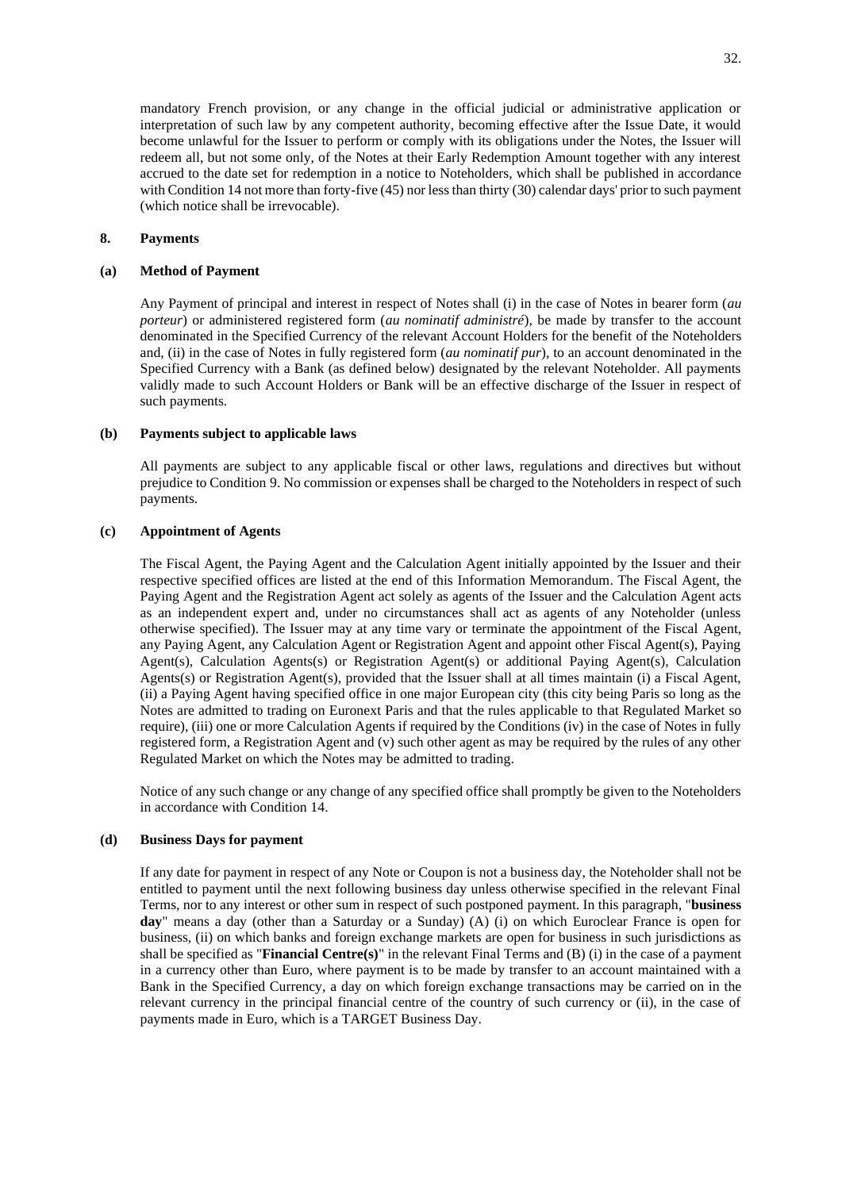mandatory French provision, or any change in the official judicial or administrative application or interpretation of such law by any competent authority, becoming effective after the Issue Date, it would become unlawful for the Issuer to perform or comply with its obligations under the Notes, the Issuer will redeem all, but not some only, of the Notes at their Early Redemption Amount together with any interest accrued to the date set for redemption in a notice to Noteholders, which shall be published in accordance with Condition 14 not more than forty-five (45) nor less than thirty (30) calendar days' prior to such payment (which notice shall be irrevocable).

## **8. Payments**

# **(a) Method of Payment**

Any Payment of principal and interest in respect of Notes shall (i) in the case of Notes in bearer form (*au porteur*) or administered registered form (*au nominatif administré*), be made by transfer to the account denominated in the Specified Currency of the relevant Account Holders for the benefit of the Noteholders and, (ii) in the case of Notes in fully registered form (*au nominatif pur*), to an account denominated in the Specified Currency with a Bank (as defined below) designated by the relevant Noteholder. All payments validly made to such Account Holders or Bank will be an effective discharge of the Issuer in respect of such payments.

## **(b) Payments subject to applicable laws**

All payments are subject to any applicable fiscal or other laws, regulations and directives but without prejudice to Condition 9. No commission or expenses shall be charged to the Noteholders in respect of such payments.

# **(c) Appointment of Agents**

The Fiscal Agent, the Paying Agent and the Calculation Agent initially appointed by the Issuer and their respective specified offices are listed at the end of this Information Memorandum. The Fiscal Agent, the Paying Agent and the Registration Agent act solely as agents of the Issuer and the Calculation Agent acts as an independent expert and, under no circumstances shall act as agents of any Noteholder (unless otherwise specified). The Issuer may at any time vary or terminate the appointment of the Fiscal Agent, any Paying Agent, any Calculation Agent or Registration Agent and appoint other Fiscal Agent(s), Paying Agent(s), Calculation Agents(s) or Registration Agent(s) or additional Paying Agent(s), Calculation Agents(s) or Registration Agent(s), provided that the Issuer shall at all times maintain (i) a Fiscal Agent, (ii) a Paying Agent having specified office in one major European city (this city being Paris so long as the Notes are admitted to trading on Euronext Paris and that the rules applicable to that Regulated Market so require), (iii) one or more Calculation Agents if required by the Conditions (iv) in the case of Notes in fully registered form, a Registration Agent and (v) such other agent as may be required by the rules of any other Regulated Market on which the Notes may be admitted to trading.

Notice of any such change or any change of any specified office shall promptly be given to the Noteholders in accordance with Condition 14.

#### **(d) Business Days for payment**

If any date for payment in respect of any Note or Coupon is not a business day, the Noteholder shall not be entitled to payment until the next following business day unless otherwise specified in the relevant Final Terms, nor to any interest or other sum in respect of such postponed payment. In this paragraph, "**business day**" means a day (other than a Saturday or a Sunday) (A) (i) on which Euroclear France is open for business, (ii) on which banks and foreign exchange markets are open for business in such jurisdictions as shall be specified as "**Financial Centre(s)**" in the relevant Final Terms and (B) (i) in the case of a payment in a currency other than Euro, where payment is to be made by transfer to an account maintained with a Bank in the Specified Currency, a day on which foreign exchange transactions may be carried on in the relevant currency in the principal financial centre of the country of such currency or (ii), in the case of payments made in Euro, which is a TARGET Business Day.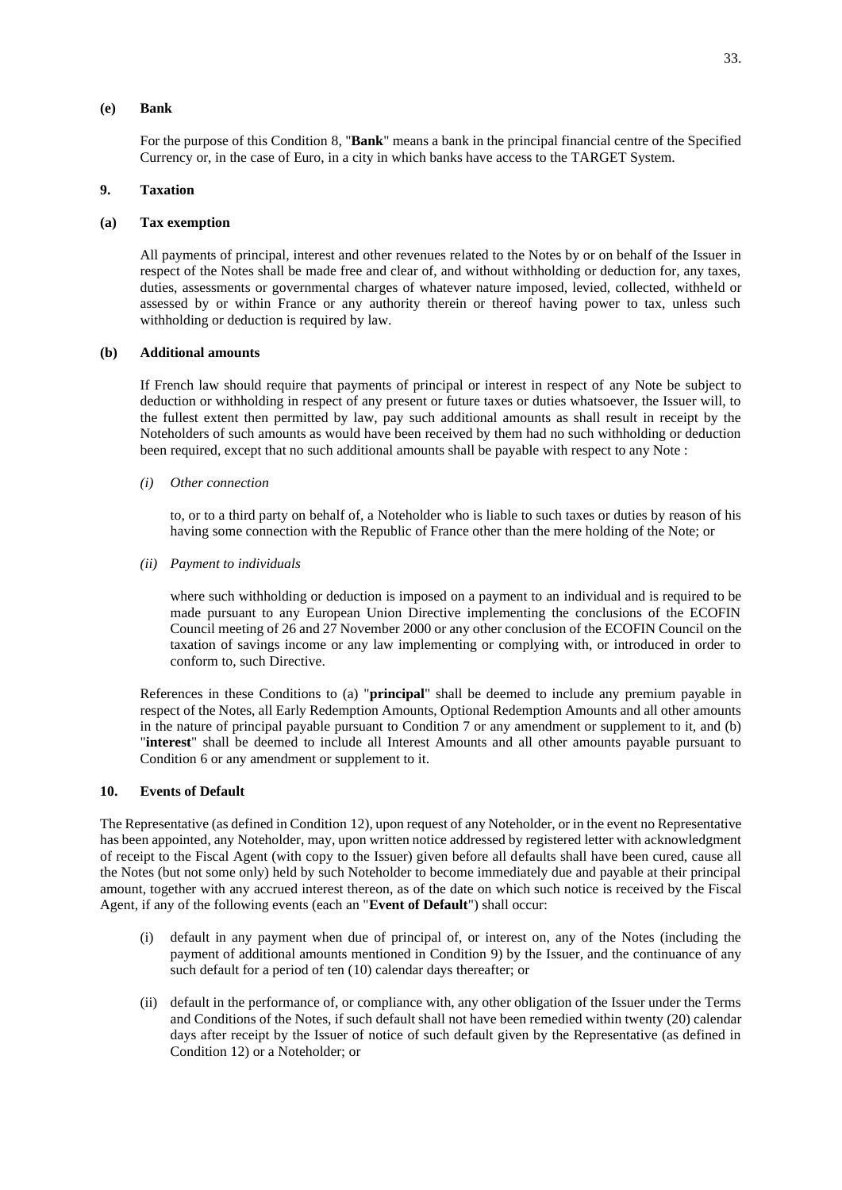#### **(e) Bank**

For the purpose of this Condition 8, "**Bank**" means a bank in the principal financial centre of the Specified Currency or, in the case of Euro, in a city in which banks have access to the TARGET System.

## **9. Taxation**

#### **(a) Tax exemption**

All payments of principal, interest and other revenues related to the Notes by or on behalf of the Issuer in respect of the Notes shall be made free and clear of, and without withholding or deduction for, any taxes, duties, assessments or governmental charges of whatever nature imposed, levied, collected, withheld or assessed by or within France or any authority therein or thereof having power to tax, unless such withholding or deduction is required by law.

## **(b) Additional amounts**

If French law should require that payments of principal or interest in respect of any Note be subject to deduction or withholding in respect of any present or future taxes or duties whatsoever, the Issuer will, to the fullest extent then permitted by law, pay such additional amounts as shall result in receipt by the Noteholders of such amounts as would have been received by them had no such withholding or deduction been required, except that no such additional amounts shall be payable with respect to any Note :

*(i) Other connection*

to, or to a third party on behalf of, a Noteholder who is liable to such taxes or duties by reason of his having some connection with the Republic of France other than the mere holding of the Note; or

*(ii) Payment to individuals*

where such withholding or deduction is imposed on a payment to an individual and is required to be made pursuant to any European Union Directive implementing the conclusions of the ECOFIN Council meeting of 26 and 27 November 2000 or any other conclusion of the ECOFIN Council on the taxation of savings income or any law implementing or complying with, or introduced in order to conform to, such Directive.

References in these Conditions to (a) "**principal**" shall be deemed to include any premium payable in respect of the Notes, all Early Redemption Amounts, Optional Redemption Amounts and all other amounts in the nature of principal payable pursuant to Condition 7 or any amendment or supplement to it, and (b) "**interest**" shall be deemed to include all Interest Amounts and all other amounts payable pursuant to Condition 6 or any amendment or supplement to it.

# **10. Events of Default**

The Representative (as defined in Condition 12), upon request of any Noteholder, or in the event no Representative has been appointed, any Noteholder, may, upon written notice addressed by registered letter with acknowledgment of receipt to the Fiscal Agent (with copy to the Issuer) given before all defaults shall have been cured, cause all the Notes (but not some only) held by such Noteholder to become immediately due and payable at their principal amount, together with any accrued interest thereon, as of the date on which such notice is received by the Fiscal Agent, if any of the following events (each an "**Event of Default**") shall occur:

- (i) default in any payment when due of principal of, or interest on, any of the Notes (including the payment of additional amounts mentioned in Condition 9) by the Issuer, and the continuance of any such default for a period of ten (10) calendar days thereafter; or
- (ii) default in the performance of, or compliance with, any other obligation of the Issuer under the Terms and Conditions of the Notes, if such default shall not have been remedied within twenty (20) calendar days after receipt by the Issuer of notice of such default given by the Representative (as defined in Condition 12) or a Noteholder; or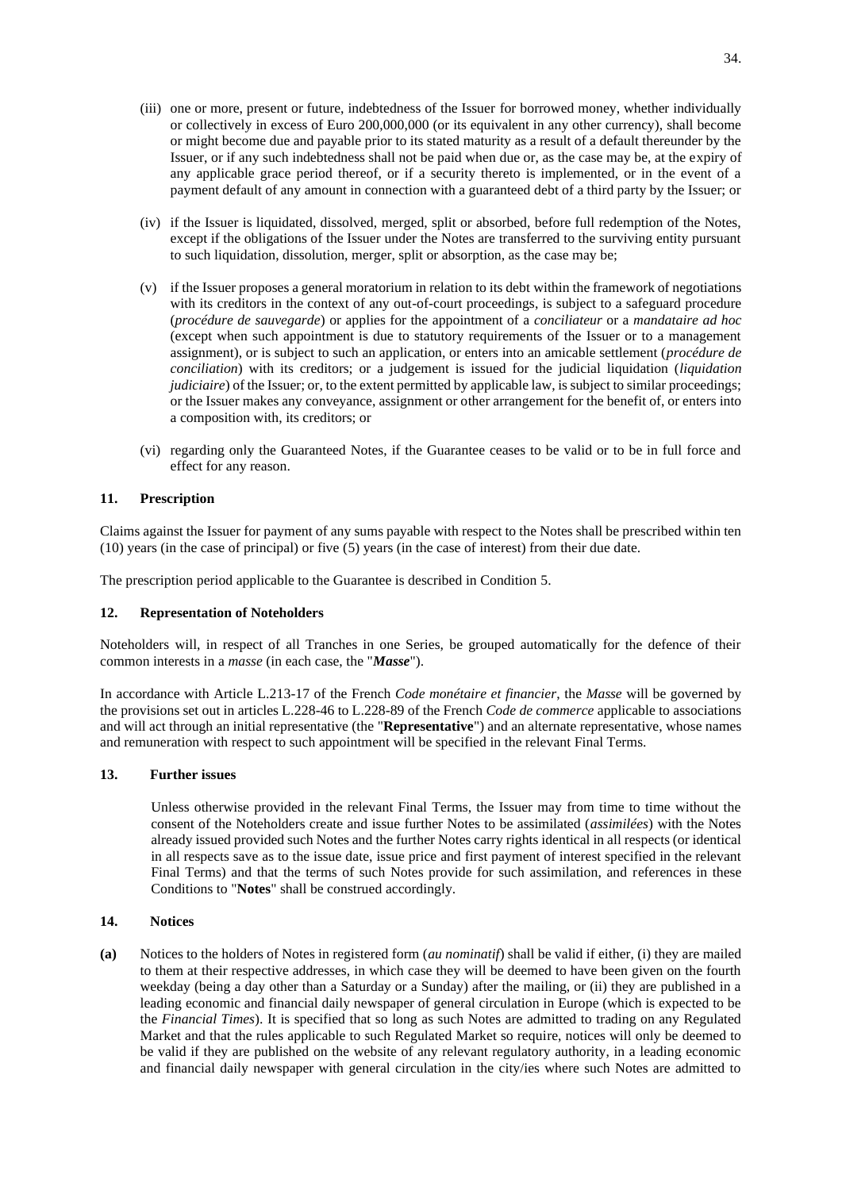- (iii) one or more, present or future, indebtedness of the Issuer for borrowed money, whether individually or collectively in excess of Euro 200,000,000 (or its equivalent in any other currency), shall become or might become due and payable prior to its stated maturity as a result of a default thereunder by the Issuer, or if any such indebtedness shall not be paid when due or, as the case may be, at the expiry of any applicable grace period thereof, or if a security thereto is implemented, or in the event of a payment default of any amount in connection with a guaranteed debt of a third party by the Issuer; or
- (iv) if the Issuer is liquidated, dissolved, merged, split or absorbed, before full redemption of the Notes, except if the obligations of the Issuer under the Notes are transferred to the surviving entity pursuant to such liquidation, dissolution, merger, split or absorption, as the case may be;
- (v) if the Issuer proposes a general moratorium in relation to its debt within the framework of negotiations with its creditors in the context of any out-of-court proceedings, is subject to a safeguard procedure (*procédure de sauvegarde*) or applies for the appointment of a *conciliateur* or a *mandataire ad hoc*  (except when such appointment is due to statutory requirements of the Issuer or to a management assignment), or is subject to such an application, or enters into an amicable settlement (*procédure de conciliation*) with its creditors; or a judgement is issued for the judicial liquidation (*liquidation judiciaire*) of the Issuer; or, to the extent permitted by applicable law, is subject to similar proceedings; or the Issuer makes any conveyance, assignment or other arrangement for the benefit of, or enters into a composition with, its creditors; or
- (vi) regarding only the Guaranteed Notes, if the Guarantee ceases to be valid or to be in full force and effect for any reason.

# **11. Prescription**

Claims against the Issuer for payment of any sums payable with respect to the Notes shall be prescribed within ten (10) years (in the case of principal) or five (5) years (in the case of interest) from their due date.

The prescription period applicable to the Guarantee is described in Condition 5.

# **12. Representation of Noteholders**

Noteholders will, in respect of all Tranches in one Series, be grouped automatically for the defence of their common interests in a *masse* (in each case, the "*Masse*").

In accordance with Article L.213-17 of the French *Code monétaire et financier*, the *Masse* will be governed by the provisions set out in articles L.228-46 to L.228-89 of the French *Code de commerce* applicable to associations and will act through an initial representative (the "**Representative**") and an alternate representative, whose names and remuneration with respect to such appointment will be specified in the relevant Final Terms.

# **13. Further issues**

Unless otherwise provided in the relevant Final Terms, the Issuer may from time to time without the consent of the Noteholders create and issue further Notes to be assimilated (*assimilées*) with the Notes already issued provided such Notes and the further Notes carry rights identical in all respects (or identical in all respects save as to the issue date, issue price and first payment of interest specified in the relevant Final Terms) and that the terms of such Notes provide for such assimilation, and references in these Conditions to "**Notes**" shall be construed accordingly.

## **14. Notices**

**(a)** Notices to the holders of Notes in registered form (*au nominatif*) shall be valid if either, (i) they are mailed to them at their respective addresses, in which case they will be deemed to have been given on the fourth weekday (being a day other than a Saturday or a Sunday) after the mailing, or (ii) they are published in a leading economic and financial daily newspaper of general circulation in Europe (which is expected to be the *Financial Times*). It is specified that so long as such Notes are admitted to trading on any Regulated Market and that the rules applicable to such Regulated Market so require, notices will only be deemed to be valid if they are published on the website of any relevant regulatory authority, in a leading economic and financial daily newspaper with general circulation in the city/ies where such Notes are admitted to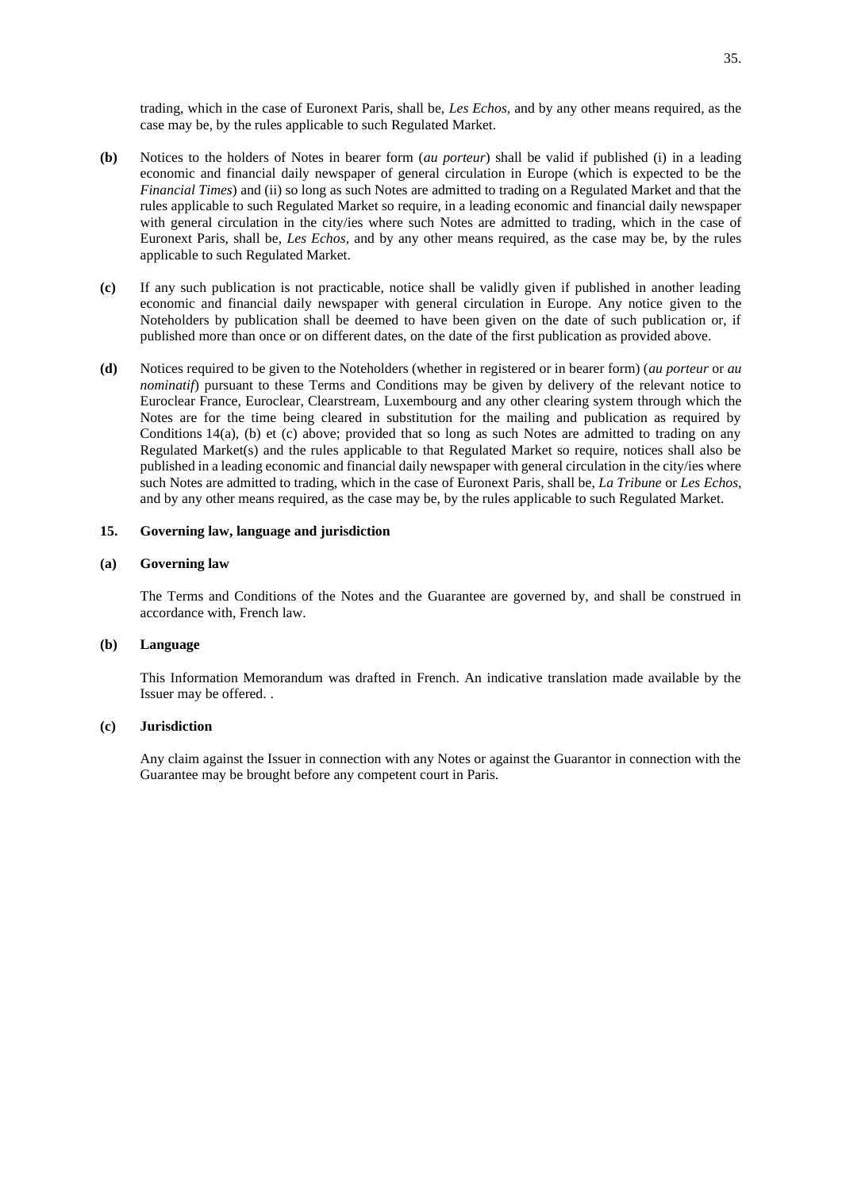trading, which in the case of Euronext Paris, shall be, *Les Echos*, and by any other means required, as the case may be, by the rules applicable to such Regulated Market.

- **(b)** Notices to the holders of Notes in bearer form (*au porteur*) shall be valid if published (i) in a leading economic and financial daily newspaper of general circulation in Europe (which is expected to be the *Financial Times*) and (ii) so long as such Notes are admitted to trading on a Regulated Market and that the rules applicable to such Regulated Market so require, in a leading economic and financial daily newspaper with general circulation in the city/ies where such Notes are admitted to trading, which in the case of Euronext Paris, shall be, *Les Echos*, and by any other means required, as the case may be, by the rules applicable to such Regulated Market.
- **(c)** If any such publication is not practicable, notice shall be validly given if published in another leading economic and financial daily newspaper with general circulation in Europe. Any notice given to the Noteholders by publication shall be deemed to have been given on the date of such publication or, if published more than once or on different dates, on the date of the first publication as provided above.
- **(d)** Notices required to be given to the Noteholders (whether in registered or in bearer form) (*au porteur* or *au nominatif*) pursuant to these Terms and Conditions may be given by delivery of the relevant notice to Euroclear France, Euroclear, Clearstream, Luxembourg and any other clearing system through which the Notes are for the time being cleared in substitution for the mailing and publication as required by Conditions 14(a), (b) et (c) above; provided that so long as such Notes are admitted to trading on any Regulated Market(s) and the rules applicable to that Regulated Market so require, notices shall also be published in a leading economic and financial daily newspaper with general circulation in the city/ies where such Notes are admitted to trading, which in the case of Euronext Paris, shall be, *La Tribune* or *Les Echos*, and by any other means required, as the case may be, by the rules applicable to such Regulated Market.

## **15. Governing law, language and jurisdiction**

#### **(a) Governing law**

The Terms and Conditions of the Notes and the Guarantee are governed by, and shall be construed in accordance with, French law.

## **(b) Language**

This Information Memorandum was drafted in French. An indicative translation made available by the Issuer may be offered. .

# **(c) Jurisdiction**

Any claim against the Issuer in connection with any Notes or against the Guarantor in connection with the Guarantee may be brought before any competent court in Paris.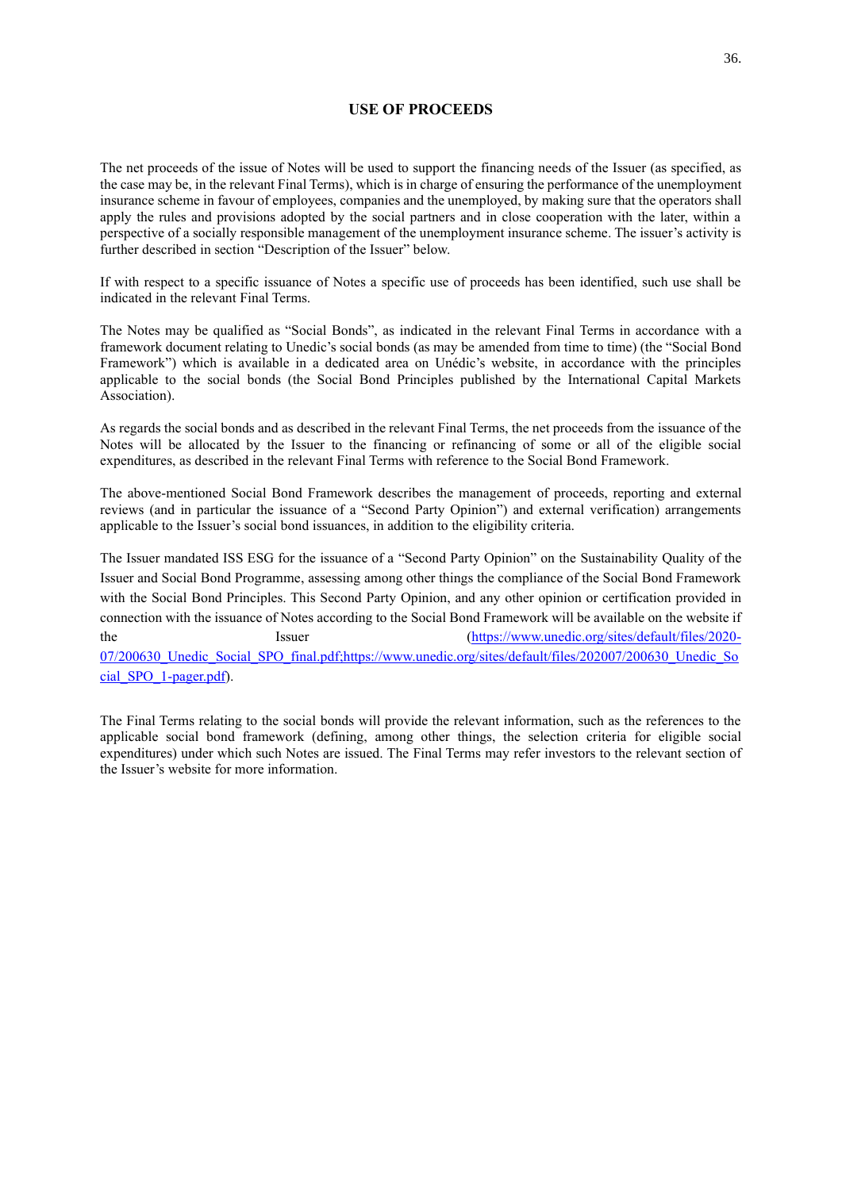# **USE OF PROCEEDS**

<span id="page-35-0"></span>The net proceeds of the issue of Notes will be used to support the financing needs of the Issuer (as specified, as the case may be, in the relevant Final Terms), which is in charge of ensuring the performance of the unemployment insurance scheme in favour of employees, companies and the unemployed, by making sure that the operators shall apply the rules and provisions adopted by the social partners and in close cooperation with the later, within a perspective of a socially responsible management of the unemployment insurance scheme. The issuer's activity is further described in section "Description of the Issuer" below.

If with respect to a specific issuance of Notes a specific use of proceeds has been identified, such use shall be indicated in the relevant Final Terms.

The Notes may be qualified as "Social Bonds", as indicated in the relevant Final Terms in accordance with a framework document relating to Unedic's social bonds (as may be amended from time to time) (the "Social Bond Framework") which is available in a dedicated area on Unédic's website, in accordance with the principles applicable to the social bonds (the Social Bond Principles published by the International Capital Markets Association).

As regards the social bonds and as described in the relevant Final Terms, the net proceeds from the issuance of the Notes will be allocated by the Issuer to the financing or refinancing of some or all of the eligible social expenditures, as described in the relevant Final Terms with reference to the Social Bond Framework.

The above-mentioned Social Bond Framework describes the management of proceeds, reporting and external reviews (and in particular the issuance of a "Second Party Opinion") and external verification) arrangements applicable to the Issuer's social bond issuances, in addition to the eligibility criteria.

The Issuer mandated ISS ESG for the issuance of a "Second Party Opinion" on the Sustainability Quality of the Issuer and Social Bond Programme, assessing among other things the compliance of the Social Bond Framework with the Social Bond Principles. This Second Party Opinion, and any other opinion or certification provided in connection with the issuance of Notes according to the Social Bond Framework will be available on the website if the Issuer Issuer [\(https://www.unedic.org/sites/default/files/2020-](https://www.unedic.org/sites/default/files/2020-07/200630_Unedic_Social_SPO_final.pdf;https:/www.unedic.org/sites/default/files/202007/200630_Unedic_Social_SPO_1-pager.pdf) [07/200630\\_Unedic\\_Social\\_SPO\\_final.pdf;https://www.unedic.org/sites/default/files/202007/200630\\_Unedic\\_So](https://www.unedic.org/sites/default/files/2020-07/200630_Unedic_Social_SPO_final.pdf;https:/www.unedic.org/sites/default/files/202007/200630_Unedic_Social_SPO_1-pager.pdf) [cial\\_SPO\\_1-pager.pdf\)](https://www.unedic.org/sites/default/files/2020-07/200630_Unedic_Social_SPO_final.pdf;https:/www.unedic.org/sites/default/files/202007/200630_Unedic_Social_SPO_1-pager.pdf).

The Final Terms relating to the social bonds will provide the relevant information, such as the references to the applicable social bond framework (defining, among other things, the selection criteria for eligible social expenditures) under which such Notes are issued. The Final Terms may refer investors to the relevant section of the Issuer's website for more information.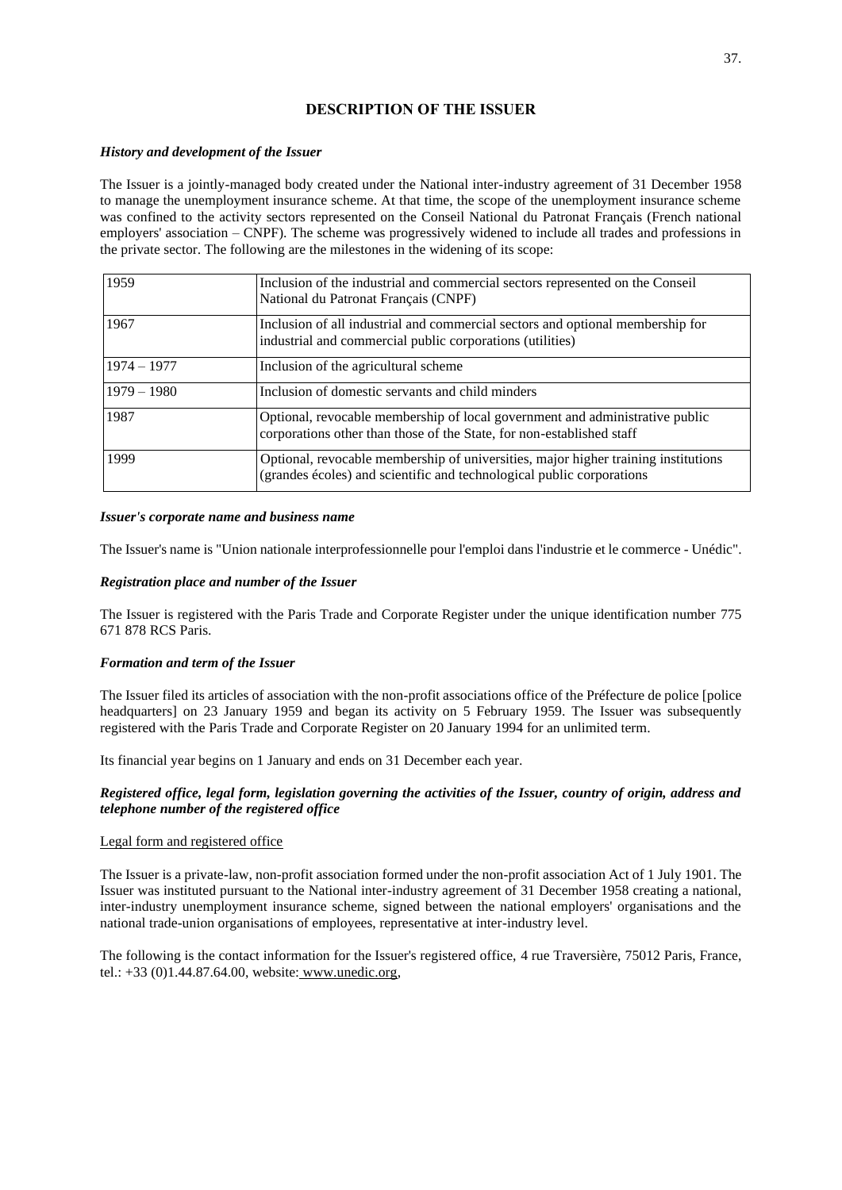# **DESCRIPTION OF THE ISSUER**

# *History and development of the Issuer*

The Issuer is a jointly-managed body created under the National inter-industry agreement of 31 December 1958 to manage the unemployment insurance scheme. At that time, the scope of the unemployment insurance scheme was confined to the activity sectors represented on the Conseil National du Patronat Français (French national employers' association – CNPF). The scheme was progressively widened to include all trades and professions in the private sector. The following are the milestones in the widening of its scope:

| 1959          | Inclusion of the industrial and commercial sectors represented on the Conseil<br>National du Patronat Français (CNPF)                                       |
|---------------|-------------------------------------------------------------------------------------------------------------------------------------------------------------|
| 1967          | Inclusion of all industrial and commercial sectors and optional membership for<br>industrial and commercial public corporations (utilities)                 |
| $1974 - 1977$ | Inclusion of the agricultural scheme                                                                                                                        |
| $1979 - 1980$ | Inclusion of domestic servants and child minders                                                                                                            |
| 1987          | Optional, revocable membership of local government and administrative public<br>corporations other than those of the State, for non-established staff       |
| 1999          | Optional, revocable membership of universities, major higher training institutions<br>(grandes écoles) and scientific and technological public corporations |

# *Issuer's corporate name and business name*

The Issuer's name is "Union nationale interprofessionnelle pour l'emploi dans l'industrie et le commerce - Unédic".

# *Registration place and number of the Issuer*

The Issuer is registered with the Paris Trade and Corporate Register under the unique identification number 775 671 878 RCS Paris.

# *Formation and term of the Issuer*

The Issuer filed its articles of association with the non-profit associations office of the Préfecture de police [police headquarters] on 23 January 1959 and began its activity on 5 February 1959. The Issuer was subsequently registered with the Paris Trade and Corporate Register on 20 January 1994 for an unlimited term.

Its financial year begins on 1 January and ends on 31 December each year.

# *Registered office, legal form, legislation governing the activities of the Issuer, country of origin, address and telephone number of the registered office*

## Legal form and registered office

The Issuer is a private-law, non-profit association formed under the non-profit association Act of 1 July 1901. The Issuer was instituted pursuant to the National inter-industry agreement of 31 December 1958 creating a national, inter-industry unemployment insurance scheme, signed between the national employers' organisations and the national trade-union organisations of employees, representative at inter-industry level.

The following is the contact information for the Issuer's registered office, 4 rue Traversière, 75012 Paris, France, tel.: +33 (0)1.44.87.64.00, website: www.unedic.org,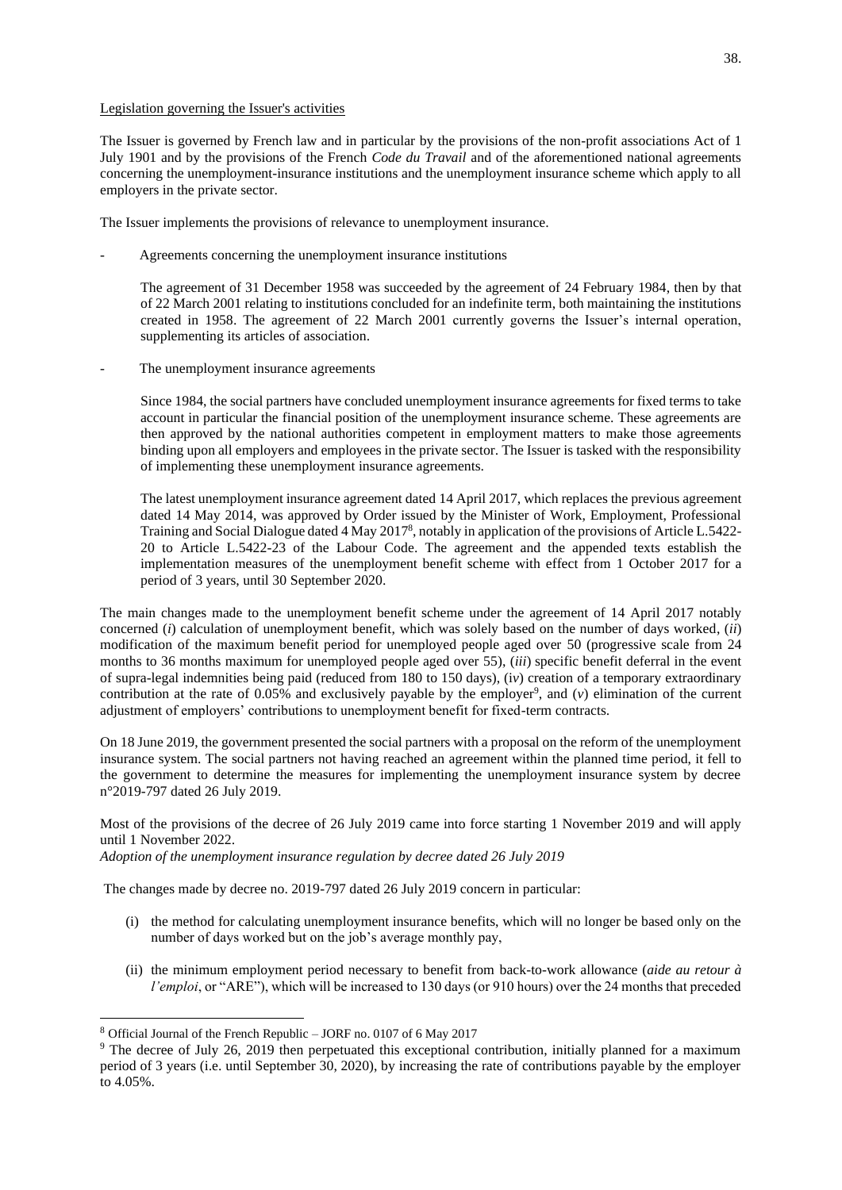## Legislation governing the Issuer's activities

The Issuer is governed by French law and in particular by the provisions of the non-profit associations Act of 1 July 1901 and by the provisions of the French *Code du Travail* and of the aforementioned national agreements concerning the unemployment-insurance institutions and the unemployment insurance scheme which apply to all employers in the private sector.

The Issuer implements the provisions of relevance to unemployment insurance.

- Agreements concerning the unemployment insurance institutions

The agreement of 31 December 1958 was succeeded by the agreement of 24 February 1984, then by that of 22 March 2001 relating to institutions concluded for an indefinite term, both maintaining the institutions created in 1958. The agreement of 22 March 2001 currently governs the Issuer's internal operation, supplementing its articles of association.

The unemployment insurance agreements

Since 1984, the social partners have concluded unemployment insurance agreements for fixed terms to take account in particular the financial position of the unemployment insurance scheme. These agreements are then approved by the national authorities competent in employment matters to make those agreements binding upon all employers and employees in the private sector. The Issuer is tasked with the responsibility of implementing these unemployment insurance agreements.

The latest unemployment insurance agreement dated 14 April 2017, which replaces the previous agreement dated 14 May 2014, was approved by Order issued by the Minister of Work, Employment, Professional Training and Social Dialogue dated 4 May 2017<sup>8</sup>, notably in application of the provisions of Article L.5422-20 to Article L.5422-23 of the Labour Code. The agreement and the appended texts establish the implementation measures of the unemployment benefit scheme with effect from 1 October 2017 for a period of 3 years, until 30 September 2020.

The main changes made to the unemployment benefit scheme under the agreement of 14 April 2017 notably concerned (*i*) calculation of unemployment benefit, which was solely based on the number of days worked, (*ii*) modification of the maximum benefit period for unemployed people aged over 50 (progressive scale from 24 months to 36 months maximum for unemployed people aged over 55), (*iii*) specific benefit deferral in the event of supra-legal indemnities being paid (reduced from 180 to 150 days), (i*v*) creation of a temporary extraordinary contribution at the rate of  $0.05\%$  and exclusively payable by the employer<sup>9</sup>, and ( $v$ ) elimination of the current adjustment of employers' contributions to unemployment benefit for fixed-term contracts.

On 18 June 2019, the government presented the social partners with a proposal on the reform of the unemployment insurance system. The social partners not having reached an agreement within the planned time period, it fell to the government to determine the measures for implementing the unemployment insurance system by decree n°2019-797 dated 26 July 2019.

Most of the provisions of the decree of 26 July 2019 came into force starting 1 November 2019 and will apply until 1 November 2022.

*Adoption of the unemployment insurance regulation by decree dated 26 July 2019*

The changes made by decree no. 2019-797 dated 26 July 2019 concern in particular:

- (i) the method for calculating unemployment insurance benefits, which will no longer be based only on the number of days worked but on the job's average monthly pay,
- (ii) the minimum employment period necessary to benefit from back-to-work allowance (*aide au retour à l'emploi*, or "ARE"), which will be increased to 130 days (or 910 hours) over the 24 months that preceded

<sup>8</sup> Official Journal of the French Republic – JORF no. 0107 of 6 May 2017

<sup>&</sup>lt;sup>9</sup> The decree of July 26, 2019 then perpetuated this exceptional contribution, initially planned for a maximum period of 3 years (i.e. until September 30, 2020), by increasing the rate of contributions payable by the employer to 4.05%.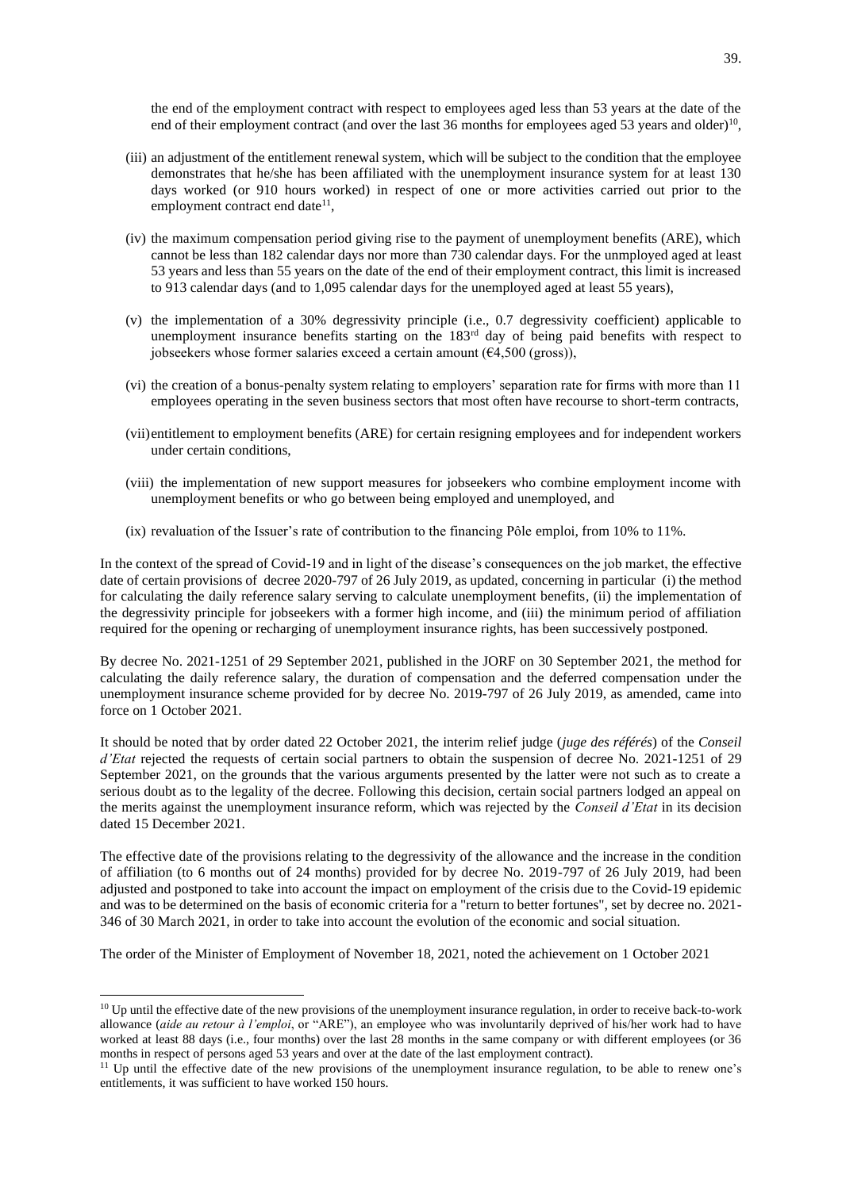the end of the employment contract with respect to employees aged less than 53 years at the date of the end of their employment contract (and over the last 36 months for employees aged 53 years and older)<sup>10</sup>,

- (iii) an adjustment of the entitlement renewal system, which will be subject to the condition that the employee demonstrates that he/she has been affiliated with the unemployment insurance system for at least 130 days worked (or 910 hours worked) in respect of one or more activities carried out prior to the employment contract end date<sup>11</sup>,
- (iv) the maximum compensation period giving rise to the payment of unemployment benefits (ARE), which cannot be less than 182 calendar days nor more than 730 calendar days. For the unmployed aged at least 53 years and less than 55 years on the date of the end of their employment contract, this limit is increased to 913 calendar days (and to 1,095 calendar days for the unemployed aged at least 55 years),
- (v) the implementation of a 30% degressivity principle (i.e., 0.7 degressivity coefficient) applicable to unemployment insurance benefits starting on the 183rd day of being paid benefits with respect to jobseekers whose former salaries exceed a certain amount  $(64,500 \text{ (gross)}),$
- (vi) the creation of a bonus-penalty system relating to employers' separation rate for firms with more than 11 employees operating in the seven business sectors that most often have recourse to short-term contracts,
- (vii)entitlement to employment benefits (ARE) for certain resigning employees and for independent workers under certain conditions,
- (viii) the implementation of new support measures for jobseekers who combine employment income with unemployment benefits or who go between being employed and unemployed, and
- (ix) revaluation of the Issuer's rate of contribution to the financing Pôle emploi, from 10% to 11%.

In the context of the spread of Covid-19 and in light of the disease's consequences on the job market, the effective date of certain provisions of decree 2020-797 of 26 July 2019, as updated, concerning in particular (i) the method for calculating the daily reference salary serving to calculate unemployment benefits, (ii) the implementation of the degressivity principle for jobseekers with a former high income, and (iii) the minimum period of affiliation required for the opening or recharging of unemployment insurance rights, has been successively postponed.

By decree No. 2021-1251 of 29 September 2021, published in the JORF on 30 September 2021, the method for calculating the daily reference salary, the duration of compensation and the deferred compensation under the unemployment insurance scheme provided for by decree No. 2019-797 of 26 July 2019, as amended, came into force on 1 October 2021.

It should be noted that by order dated 22 October 2021, the interim relief judge (*juge des référés*) of the *Conseil d'Etat* rejected the requests of certain social partners to obtain the suspension of decree No. 2021-1251 of 29 September 2021, on the grounds that the various arguments presented by the latter were not such as to create a serious doubt as to the legality of the decree. Following this decision, certain social partners lodged an appeal on the merits against the unemployment insurance reform, which was rejected by the *Conseil d'Etat* in its decision dated 15 December 2021.

The effective date of the provisions relating to the degressivity of the allowance and the increase in the condition of affiliation (to 6 months out of 24 months) provided for by decree No. 2019-797 of 26 July 2019, had been adjusted and postponed to take into account the impact on employment of the crisis due to the Covid-19 epidemic and was to be determined on the basis of economic criteria for a "return to better fortunes", set by decree no. 2021- 346 of 30 March 2021, in order to take into account the evolution of the economic and social situation.

The order of the Minister of Employment of November 18, 2021, noted the achievement on 1 October 2021

<sup>&</sup>lt;sup>10</sup> Up until the effective date of the new provisions of the unemployment insurance regulation, in order to receive back-to-work allowance (*aide au retour à l'emploi*, or "ARE"), an employee who was involuntarily deprived of his/her work had to have worked at least 88 days (i.e., four months) over the last 28 months in the same company or with different employees (or 36 months in respect of persons aged 53 years and over at the date of the last employment contract).

<sup>&</sup>lt;sup>11</sup> Up until the effective date of the new provisions of the unemployment insurance regulation, to be able to renew one's entitlements, it was sufficient to have worked 150 hours.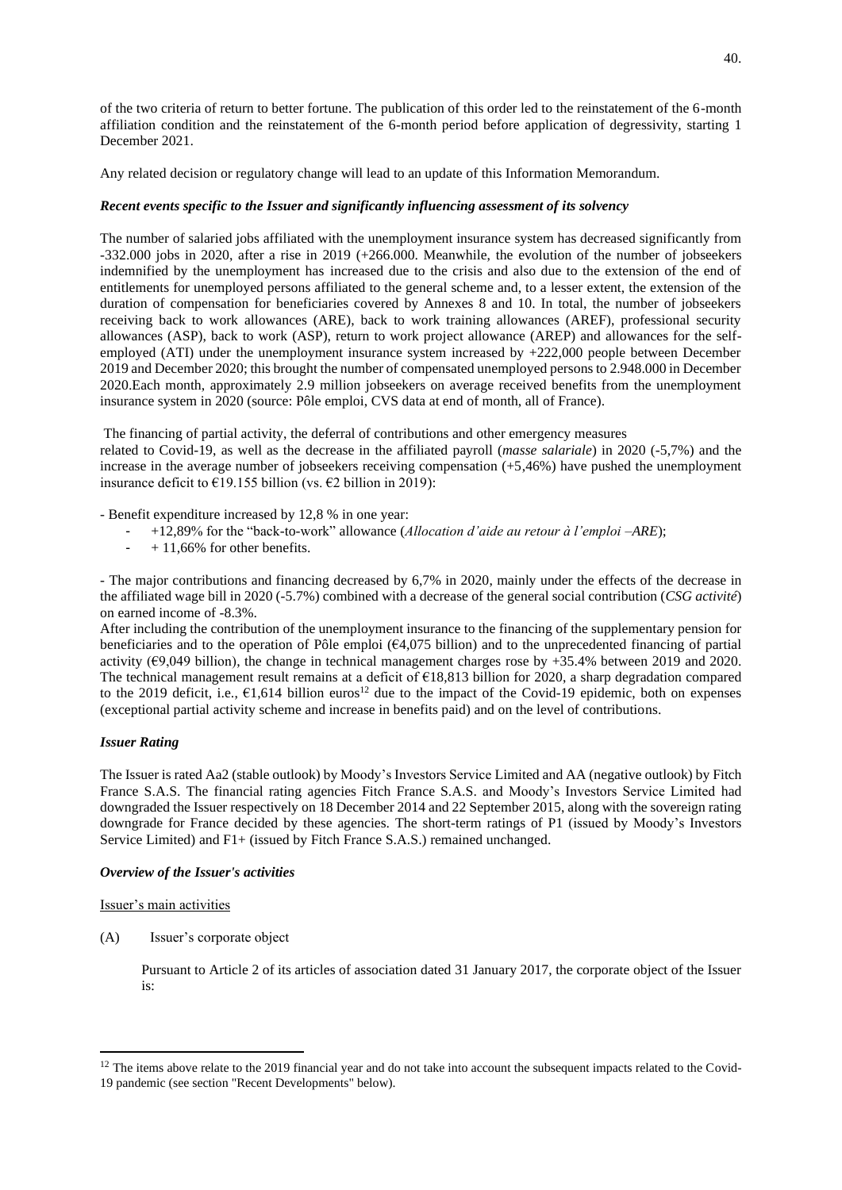of the two criteria of return to better fortune. The publication of this order led to the reinstatement of the 6-month affiliation condition and the reinstatement of the 6-month period before application of degressivity, starting 1 December 2021.

Any related decision or regulatory change will lead to an update of this Information Memorandum.

# *Recent events specific to the Issuer and significantly influencing assessment of its solvency*

The number of salaried jobs affiliated with the unemployment insurance system has decreased significantly from -332.000 jobs in 2020, after a rise in 2019 (+266.000. Meanwhile, the evolution of the number of jobseekers indemnified by the unemployment has increased due to the crisis and also due to the extension of the end of entitlements for unemployed persons affiliated to the general scheme and, to a lesser extent, the extension of the duration of compensation for beneficiaries covered by Annexes 8 and 10. In total, the number of jobseekers receiving back to work allowances (ARE), back to work training allowances (AREF), professional security allowances (ASP), back to work (ASP), return to work project allowance (AREP) and allowances for the selfemployed (ATI) under the unemployment insurance system increased by +222,000 people between December 2019 and December 2020; this brought the number of compensated unemployed persons to 2.948.000 in December 2020.Each month, approximately 2.9 million jobseekers on average received benefits from the unemployment insurance system in 2020 (source: Pôle emploi, CVS data at end of month, all of France).

The financing of partial activity, the deferral of contributions and other emergency measures related to Covid-19, as well as the decrease in the affiliated payroll (*masse salariale*) in 2020 (-5,7%) and the increase in the average number of jobseekers receiving compensation (+5,46%) have pushed the unemployment insurance deficit to  $\epsilon$ 19.155 billion (vs.  $\epsilon$ 2 billion in 2019):

- Benefit expenditure increased by 12,8 % in one year:

- +12,89% for the "back-to-work" allowance (*Allocation d'aide au retour à l'emploi –ARE*);
- $-$  + 11,66% for other benefits.

- The major contributions and financing decreased by 6,7% in 2020, mainly under the effects of the decrease in the affiliated wage bill in 2020 (-5.7%) combined with a decrease of the general social contribution (*CSG activité*) on earned income of -8.3%.

After including the contribution of the unemployment insurance to the financing of the supplementary pension for beneficiaries and to the operation of Pôle emploi  $(64,075)$  billion) and to the unprecedented financing of partial activity ( $\epsilon$ 9,049 billion), the change in technical management charges rose by +35.4% between 2019 and 2020. The technical management result remains at a deficit of €18,813 billion for 2020, a sharp degradation compared to the 2019 deficit, i.e.,  $61,614$  billion euros<sup>12</sup> due to the impact of the Covid-19 epidemic, both on expenses (exceptional partial activity scheme and increase in benefits paid) and on the level of contributions.

## *Issuer Rating*

The Issuer is rated Aa2 (stable outlook) by Moody's Investors Service Limited and AA (negative outlook) by Fitch France S.A.S. The financial rating agencies Fitch France S.A.S. and Moody's Investors Service Limited had downgraded the Issuer respectively on 18 December 2014 and 22 September 2015, along with the sovereign rating downgrade for France decided by these agencies. The short-term ratings of P1 (issued by Moody's Investors Service Limited) and F1+ (issued by Fitch France S.A.S.) remained unchanged.

# *Overview of the Issuer's activities*

Issuer's main activities

(A) Issuer's corporate object

Pursuant to Article 2 of its articles of association dated 31 January 2017, the corporate object of the Issuer is:

 $12$  The items above relate to the 2019 financial year and do not take into account the subsequent impacts related to the Covid-19 pandemic (see section "Recent Developments" below).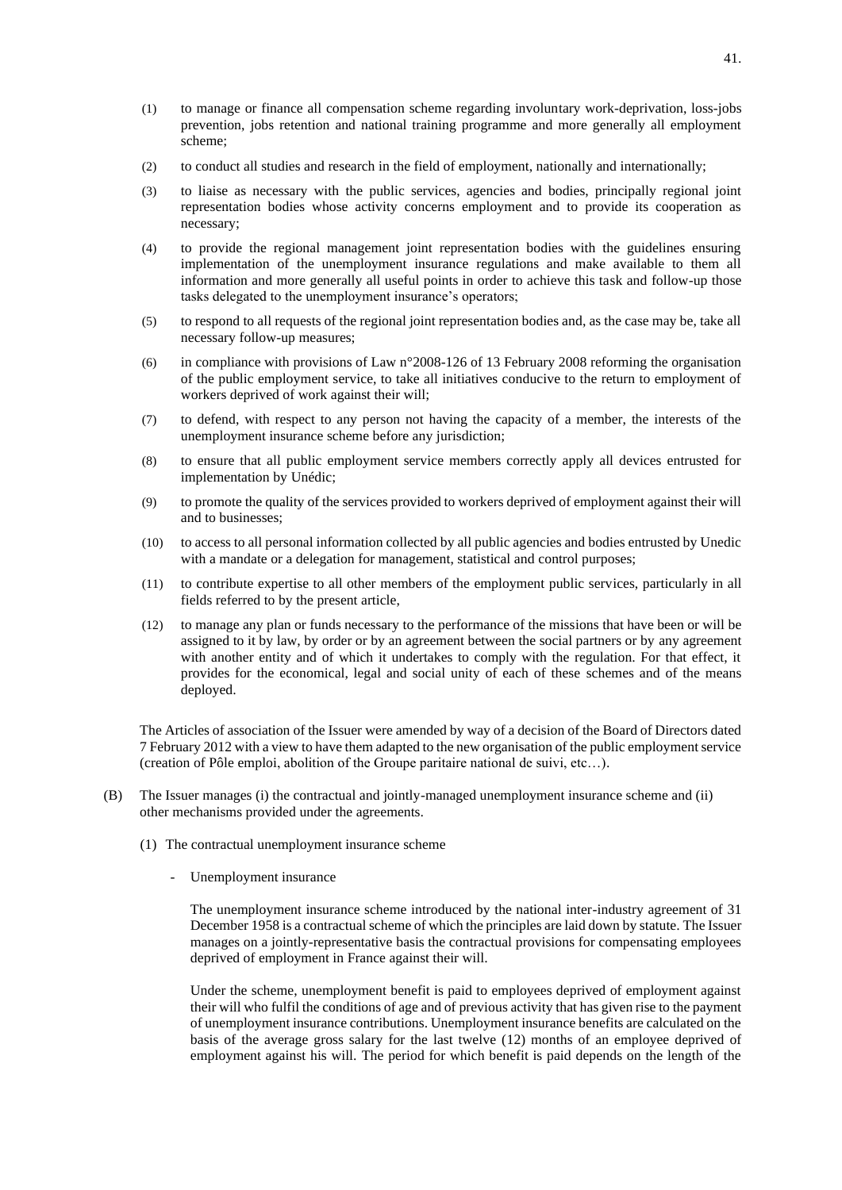- (1) to manage or finance all compensation scheme regarding involuntary work-deprivation, loss-jobs prevention, jobs retention and national training programme and more generally all employment scheme;
- (2) to conduct all studies and research in the field of employment, nationally and internationally;
- (3) to liaise as necessary with the public services, agencies and bodies, principally regional joint representation bodies whose activity concerns employment and to provide its cooperation as necessary;
- (4) to provide the regional management joint representation bodies with the guidelines ensuring implementation of the unemployment insurance regulations and make available to them all information and more generally all useful points in order to achieve this task and follow-up those tasks delegated to the unemployment insurance's operators;
- (5) to respond to all requests of the regional joint representation bodies and, as the case may be, take all necessary follow-up measures;
- (6) in compliance with provisions of Law n°2008-126 of 13 February 2008 reforming the organisation of the public employment service, to take all initiatives conducive to the return to employment of workers deprived of work against their will;
- (7) to defend, with respect to any person not having the capacity of a member, the interests of the unemployment insurance scheme before any jurisdiction;
- (8) to ensure that all public employment service members correctly apply all devices entrusted for implementation by Unédic;
- (9) to promote the quality of the services provided to workers deprived of employment against their will and to businesses;
- (10) to access to all personal information collected by all public agencies and bodies entrusted by Unedic with a mandate or a delegation for management, statistical and control purposes;
- (11) to contribute expertise to all other members of the employment public services, particularly in all fields referred to by the present article,
- (12) to manage any plan or funds necessary to the performance of the missions that have been or will be assigned to it by law, by order or by an agreement between the social partners or by any agreement with another entity and of which it undertakes to comply with the regulation. For that effect, it provides for the economical, legal and social unity of each of these schemes and of the means deployed.

The Articles of association of the Issuer were amended by way of a decision of the Board of Directors dated 7 February 2012 with a view to have them adapted to the new organisation of the public employment service (creation of Pôle emploi, abolition of the Groupe paritaire national de suivi, etc…).

- (B) The Issuer manages (i) the contractual and jointly-managed unemployment insurance scheme and (ii) other mechanisms provided under the agreements.
	- (1) The contractual unemployment insurance scheme
		- Unemployment insurance

The unemployment insurance scheme introduced by the national inter-industry agreement of 31 December 1958 is a contractual scheme of which the principles are laid down by statute. The Issuer manages on a jointly-representative basis the contractual provisions for compensating employees deprived of employment in France against their will.

Under the scheme, unemployment benefit is paid to employees deprived of employment against their will who fulfil the conditions of age and of previous activity that has given rise to the payment of unemployment insurance contributions. Unemployment insurance benefits are calculated on the basis of the average gross salary for the last twelve (12) months of an employee deprived of employment against his will. The period for which benefit is paid depends on the length of the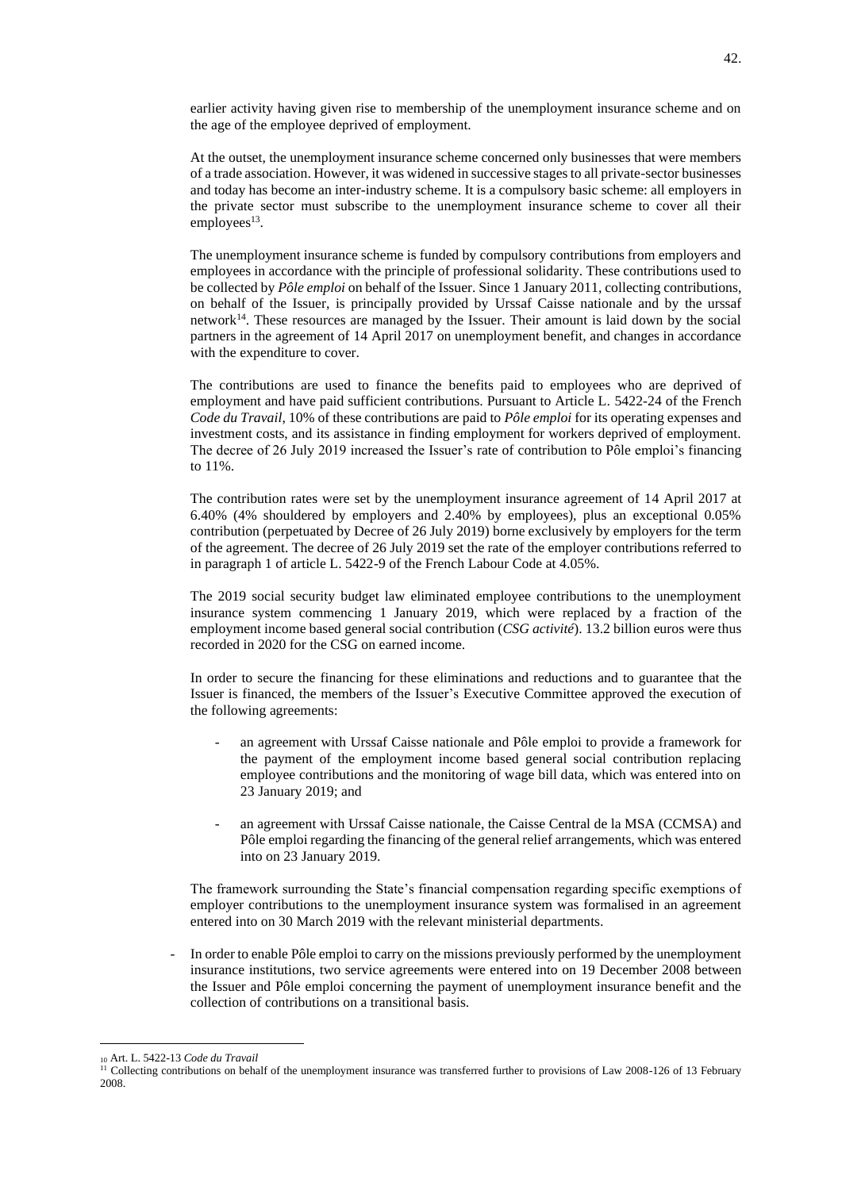earlier activity having given rise to membership of the unemployment insurance scheme and on the age of the employee deprived of employment.

At the outset, the unemployment insurance scheme concerned only businesses that were members of a trade association. However, it was widened in successive stages to all private-sector businesses and today has become an inter-industry scheme. It is a compulsory basic scheme: all employers in the private sector must subscribe to the unemployment insurance scheme to cover all their  $employees<sup>13</sup>$ .

The unemployment insurance scheme is funded by compulsory contributions from employers and employees in accordance with the principle of professional solidarity. These contributions used to be collected by *Pôle emploi* on behalf of the Issuer. Since 1 January 2011, collecting contributions, on behalf of the Issuer, is principally provided by Urssaf Caisse nationale and by the urssaf network<sup>14</sup>. These resources are managed by the Issuer. Their amount is laid down by the social partners in the agreement of 14 April 2017 on unemployment benefit, and changes in accordance with the expenditure to cover.

The contributions are used to finance the benefits paid to employees who are deprived of employment and have paid sufficient contributions. Pursuant to Article L. 5422-24 of the French *Code du Travail*, 10% of these contributions are paid to *Pôle emploi* for its operating expenses and investment costs, and its assistance in finding employment for workers deprived of employment. The decree of 26 July 2019 increased the Issuer's rate of contribution to Pôle emploi's financing to 11%.

The contribution rates were set by the unemployment insurance agreement of 14 April 2017 at 6.40% (4% shouldered by employers and 2.40% by employees), plus an exceptional 0.05% contribution (perpetuated by Decree of 26 July 2019) borne exclusively by employers for the term of the agreement. The decree of 26 July 2019 set the rate of the employer contributions referred to in paragraph 1 of article L. 5422-9 of the French Labour Code at 4.05%.

The 2019 social security budget law eliminated employee contributions to the unemployment insurance system commencing 1 January 2019, which were replaced by a fraction of the employment income based general social contribution (*CSG activité*). 13.2 billion euros were thus recorded in 2020 for the CSG on earned income.

In order to secure the financing for these eliminations and reductions and to guarantee that the Issuer is financed, the members of the Issuer's Executive Committee approved the execution of the following agreements:

- an agreement with Urssaf Caisse nationale and Pôle emploi to provide a framework for the payment of the employment income based general social contribution replacing employee contributions and the monitoring of wage bill data, which was entered into on 23 January 2019; and
- an agreement with Urssaf Caisse nationale, the Caisse Central de la MSA (CCMSA) and Pôle emploi regarding the financing of the general relief arrangements, which was entered into on 23 January 2019.

The framework surrounding the State's financial compensation regarding specific exemptions of employer contributions to the unemployment insurance system was formalised in an agreement entered into on 30 March 2019 with the relevant ministerial departments.

- In order to enable Pôle emploi to carry on the missions previously performed by the unemployment insurance institutions, two service agreements were entered into on 19 December 2008 between the Issuer and Pôle emploi concerning the payment of unemployment insurance benefit and the collection of contributions on a transitional basis.

<sup>10</sup> Art. L. 5422-13 *Code du Travail*

<sup>&</sup>lt;sup>11</sup> Collecting contributions on behalf of the unemployment insurance was transferred further to provisions of Law 2008-126 of 13 February 2008.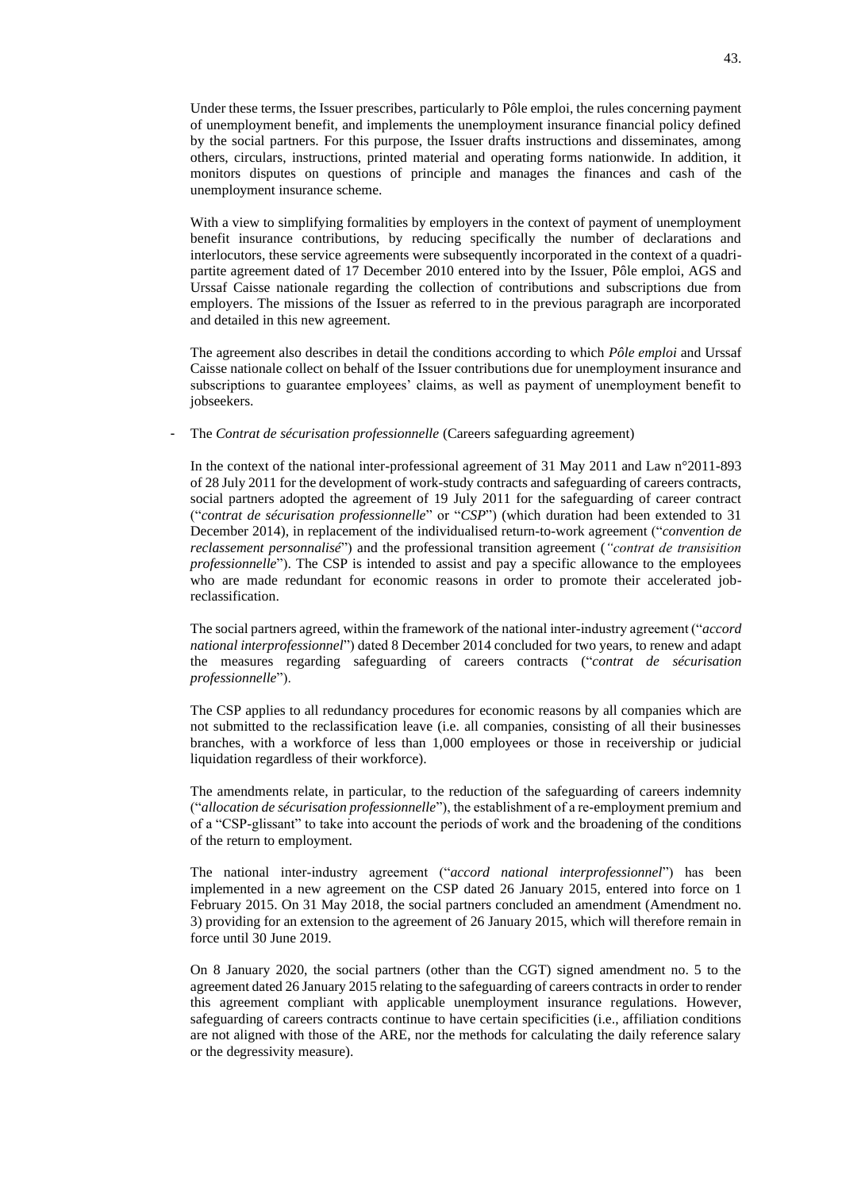Under these terms, the Issuer prescribes, particularly to Pôle emploi, the rules concerning payment of unemployment benefit, and implements the unemployment insurance financial policy defined by the social partners. For this purpose, the Issuer drafts instructions and disseminates, among others, circulars, instructions, printed material and operating forms nationwide. In addition, it monitors disputes on questions of principle and manages the finances and cash of the unemployment insurance scheme.

With a view to simplifying formalities by employers in the context of payment of unemployment benefit insurance contributions, by reducing specifically the number of declarations and interlocutors, these service agreements were subsequently incorporated in the context of a quadripartite agreement dated of 17 December 2010 entered into by the Issuer, Pôle emploi, AGS and Urssaf Caisse nationale regarding the collection of contributions and subscriptions due from employers. The missions of the Issuer as referred to in the previous paragraph are incorporated and detailed in this new agreement.

The agreement also describes in detail the conditions according to which *Pôle emploi* and Urssaf Caisse nationale collect on behalf of the Issuer contributions due for unemployment insurance and subscriptions to guarantee employees' claims, as well as payment of unemployment benefit to jobseekers.

The *Contrat de sécurisation professionnelle* (Careers safeguarding agreement)

In the context of the national inter-professional agreement of 31 May 2011 and Law n°2011-893 of 28 July 2011 for the development of work-study contracts and safeguarding of careers contracts, social partners adopted the agreement of 19 July 2011 for the safeguarding of career contract ("*contrat de sécurisation professionnelle*" or "*CSP*") (which duration had been extended to 31 December 2014), in replacement of the individualised return-to-work agreement ("*convention de reclassement personnalisé*") and the professional transition agreement (*"contrat de transisition professionnelle*"). The CSP is intended to assist and pay a specific allowance to the employees who are made redundant for economic reasons in order to promote their accelerated jobreclassification.

The social partners agreed, within the framework of the national inter-industry agreement ("*accord national interprofessionnel*") dated 8 December 2014 concluded for two years, to renew and adapt the measures regarding safeguarding of careers contracts ("*contrat de sécurisation professionnelle*").

The CSP applies to all redundancy procedures for economic reasons by all companies which are not submitted to the reclassification leave (i.e. all companies, consisting of all their businesses branches, with a workforce of less than 1,000 employees or those in receivership or judicial liquidation regardless of their workforce).

The amendments relate, in particular, to the reduction of the safeguarding of careers indemnity ("*allocation de sécurisation professionnelle*"), the establishment of a re-employment premium and of a "CSP-glissant" to take into account the periods of work and the broadening of the conditions of the return to employment.

The national inter-industry agreement ("*accord national interprofessionnel*") has been implemented in a new agreement on the CSP dated 26 January 2015, entered into force on 1 February 2015. On 31 May 2018, the social partners concluded an amendment (Amendment no. 3) providing for an extension to the agreement of 26 January 2015, which will therefore remain in force until 30 June 2019.

On 8 January 2020, the social partners (other than the CGT) signed amendment no. 5 to the agreement dated 26 January 2015 relating to the safeguarding of careers contracts in order to render this agreement compliant with applicable unemployment insurance regulations. However, safeguarding of careers contracts continue to have certain specificities (i.e., affiliation conditions are not aligned with those of the ARE, nor the methods for calculating the daily reference salary or the degressivity measure).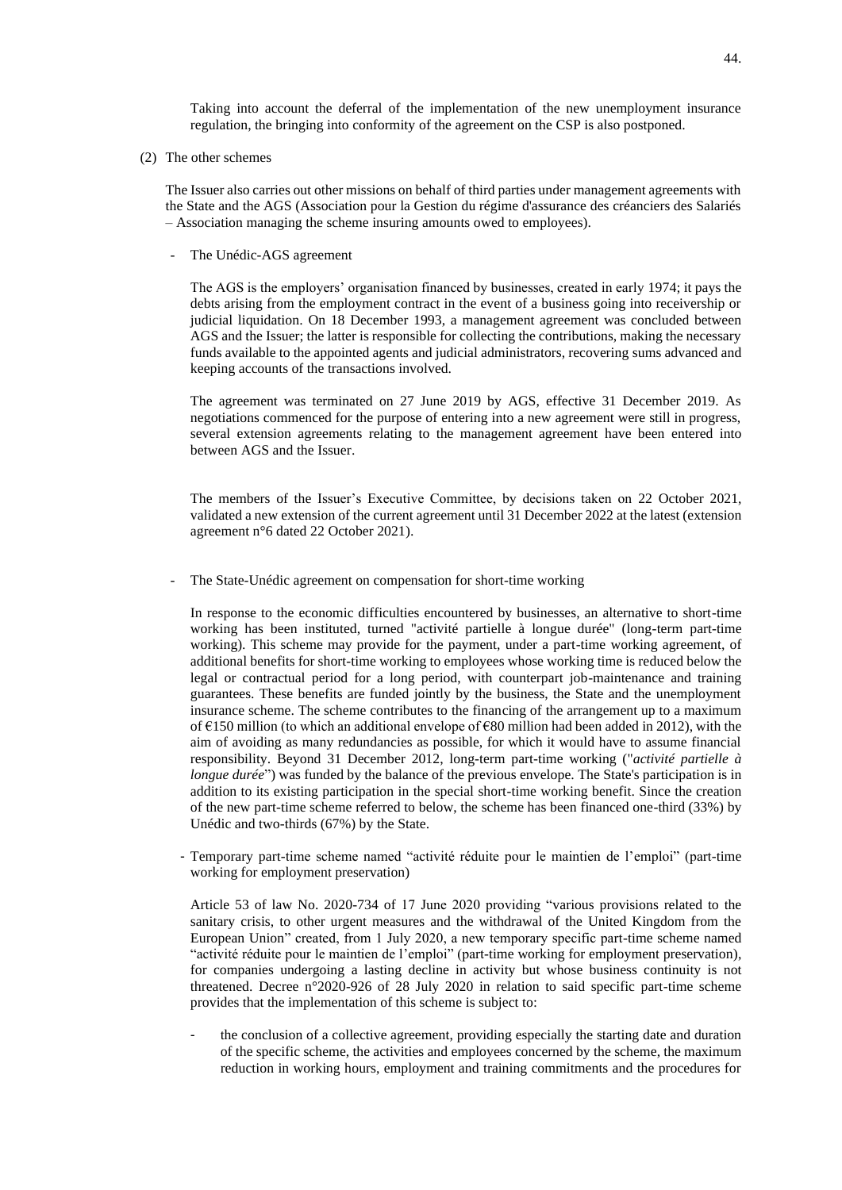Taking into account the deferral of the implementation of the new unemployment insurance regulation, the bringing into conformity of the agreement on the CSP is also postponed.

(2) The other schemes

The Issuer also carries out other missions on behalf of third parties under management agreements with the State and the AGS (Association pour la Gestion du régime d'assurance des créanciers des Salariés – Association managing the scheme insuring amounts owed to employees).

- The Unédic-AGS agreement

The AGS is the employers' organisation financed by businesses, created in early 1974; it pays the debts arising from the employment contract in the event of a business going into receivership or judicial liquidation. On 18 December 1993, a management agreement was concluded between AGS and the Issuer; the latter is responsible for collecting the contributions, making the necessary funds available to the appointed agents and judicial administrators, recovering sums advanced and keeping accounts of the transactions involved.

The agreement was terminated on 27 June 2019 by AGS, effective 31 December 2019. As negotiations commenced for the purpose of entering into a new agreement were still in progress, several extension agreements relating to the management agreement have been entered into between AGS and the Issuer.

The members of the Issuer's Executive Committee, by decisions taken on 22 October 2021, validated a new extension of the current agreement until 31 December 2022 at the latest (extension agreement n°6 dated 22 October 2021).

The State-Unédic agreement on compensation for short-time working

In response to the economic difficulties encountered by businesses, an alternative to short-time working has been instituted, turned "activité partielle à longue durée" (long-term part-time working). This scheme may provide for the payment, under a part-time working agreement, of additional benefits for short-time working to employees whose working time is reduced below the legal or contractual period for a long period, with counterpart job-maintenance and training guarantees. These benefits are funded jointly by the business, the State and the unemployment insurance scheme. The scheme contributes to the financing of the arrangement up to a maximum of  $\epsilon$ 150 million (to which an additional envelope of  $\epsilon$ 80 million had been added in 2012), with the aim of avoiding as many redundancies as possible, for which it would have to assume financial responsibility. Beyond 31 December 2012, long-term part-time working ("*activité partielle à longue durée*") was funded by the balance of the previous envelope. The State's participation is in addition to its existing participation in the special short-time working benefit. Since the creation of the new part-time scheme referred to below, the scheme has been financed one-third (33%) by Unédic and two-thirds (67%) by the State.

- Temporary part-time scheme named "activité réduite pour le maintien de l'emploi" (part-time working for employment preservation)

Article 53 of law No. 2020-734 of 17 June 2020 providing "various provisions related to the sanitary crisis, to other urgent measures and the withdrawal of the United Kingdom from the European Union" created, from 1 July 2020, a new temporary specific part-time scheme named "activité réduite pour le maintien de l'emploi" (part-time working for employment preservation), for companies undergoing a lasting decline in activity but whose business continuity is not threatened. Decree n°2020-926 of 28 July 2020 in relation to said specific part-time scheme provides that the implementation of this scheme is subject to:

- the conclusion of a collective agreement, providing especially the starting date and duration of the specific scheme, the activities and employees concerned by the scheme, the maximum reduction in working hours, employment and training commitments and the procedures for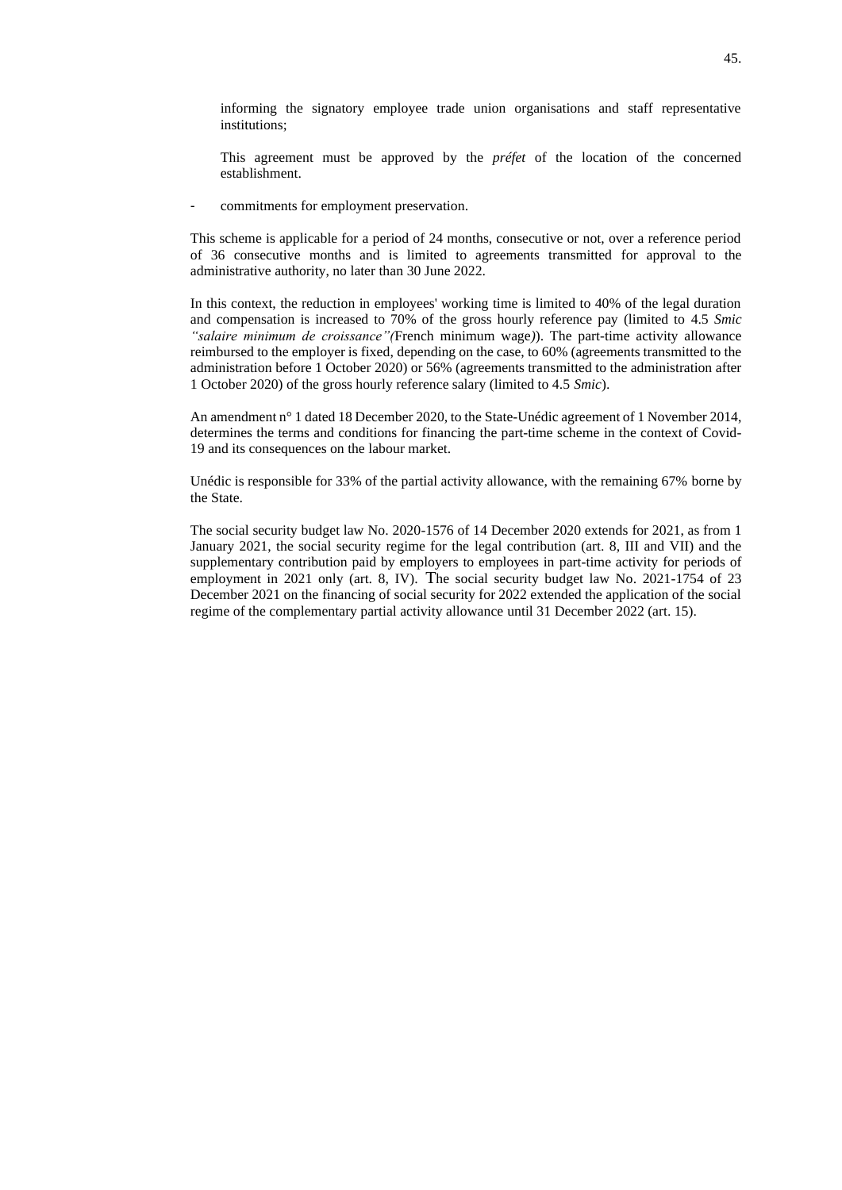informing the signatory employee trade union organisations and staff representative institutions;

This agreement must be approved by the *préfet* of the location of the concerned establishment.

commitments for employment preservation.

This scheme is applicable for a period of 24 months, consecutive or not, over a reference period of 36 consecutive months and is limited to agreements transmitted for approval to the administrative authority, no later than 30 June 2022.

In this context, the reduction in employees' working time is limited to 40% of the legal duration and compensation is increased to 70% of the gross hourly reference pay (limited to 4.5 *Smic "salaire minimum de croissance"(*French minimum wage*)*). The part-time activity allowance reimbursed to the employer is fixed, depending on the case, to 60% (agreements transmitted to the administration before 1 October 2020) or 56% (agreements transmitted to the administration after 1 October 2020) of the gross hourly reference salary (limited to 4.5 *Smic*).

An amendment n° 1 dated 18 December 2020, to the State-Unédic agreement of 1 November 2014, determines the terms and conditions for financing the part-time scheme in the context of Covid-19 and its consequences on the labour market.

Unédic is responsible for 33% of the partial activity allowance, with the remaining 67% borne by the State.

The social security budget law No. 2020-1576 of 14 December 2020 extends for 2021, as from 1 January 2021, the social security regime for the legal contribution (art. 8, III and VII) and the supplementary contribution paid by employers to employees in part-time activity for periods of employment in 2021 only (art. 8, IV). The social security budget law No. 2021-1754 of 23 December 2021 on the financing of social security for 2022 extended the application of the social regime of the complementary partial activity allowance until 31 December 2022 (art. 15).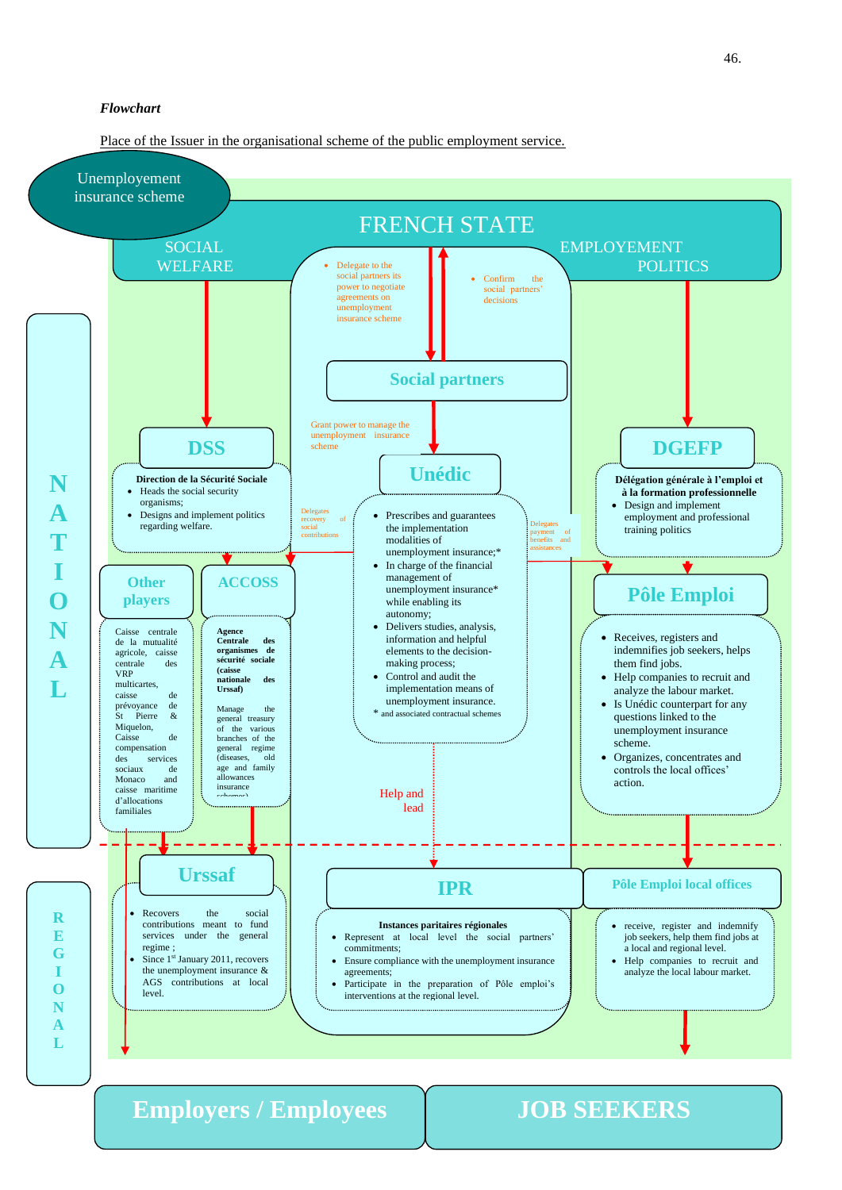Place of the Issuer in the organisational scheme of the public employment service.



**Employers / Employees JOB SEEKERS**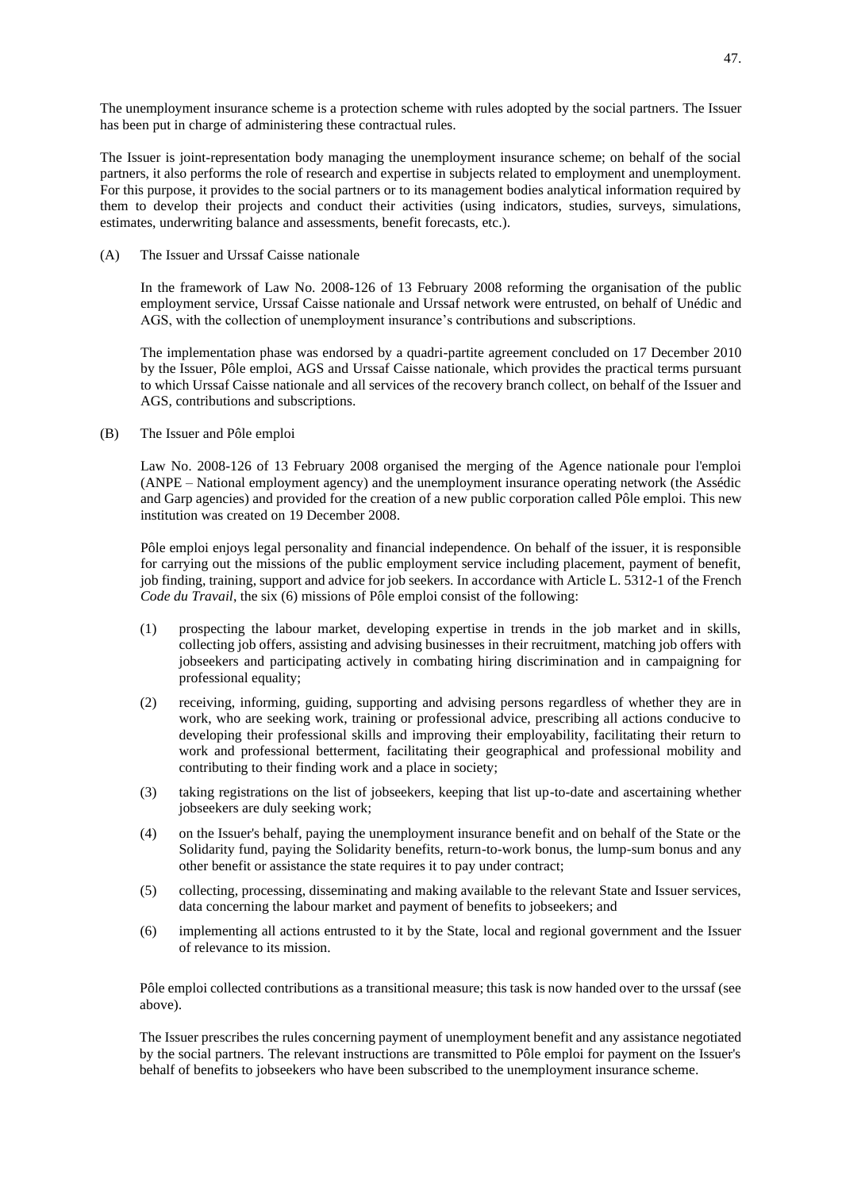The unemployment insurance scheme is a protection scheme with rules adopted by the social partners. The Issuer has been put in charge of administering these contractual rules.

The Issuer is joint-representation body managing the unemployment insurance scheme; on behalf of the social partners, it also performs the role of research and expertise in subjects related to employment and unemployment. For this purpose, it provides to the social partners or to its management bodies analytical information required by them to develop their projects and conduct their activities (using indicators, studies, surveys, simulations, estimates, underwriting balance and assessments, benefit forecasts, etc.).

(A) The Issuer and Urssaf Caisse nationale

In the framework of Law No. 2008-126 of 13 February 2008 reforming the organisation of the public employment service, Urssaf Caisse nationale and Urssaf network were entrusted, on behalf of Unédic and AGS, with the collection of unemployment insurance's contributions and subscriptions.

The implementation phase was endorsed by a quadri-partite agreement concluded on 17 December 2010 by the Issuer, Pôle emploi, AGS and Urssaf Caisse nationale, which provides the practical terms pursuant to which Urssaf Caisse nationale and all services of the recovery branch collect, on behalf of the Issuer and AGS, contributions and subscriptions.

(B) The Issuer and Pôle emploi

Law No. 2008-126 of 13 February 2008 organised the merging of the Agence nationale pour l'emploi (ANPE – National employment agency) and the unemployment insurance operating network (the Assédic and Garp agencies) and provided for the creation of a new public corporation called Pôle emploi. This new institution was created on 19 December 2008.

Pôle emploi enjoys legal personality and financial independence. On behalf of the issuer, it is responsible for carrying out the missions of the public employment service including placement, payment of benefit, job finding, training, support and advice for job seekers. In accordance with Article L. 5312-1 of the French *Code du Travail*, the six (6) missions of Pôle emploi consist of the following:

- (1) prospecting the labour market, developing expertise in trends in the job market and in skills, collecting job offers, assisting and advising businesses in their recruitment, matching job offers with jobseekers and participating actively in combating hiring discrimination and in campaigning for professional equality;
- (2) receiving, informing, guiding, supporting and advising persons regardless of whether they are in work, who are seeking work, training or professional advice, prescribing all actions conducive to developing their professional skills and improving their employability, facilitating their return to work and professional betterment, facilitating their geographical and professional mobility and contributing to their finding work and a place in society;
- (3) taking registrations on the list of jobseekers, keeping that list up-to-date and ascertaining whether jobseekers are duly seeking work;
- (4) on the Issuer's behalf, paying the unemployment insurance benefit and on behalf of the State or the Solidarity fund, paying the Solidarity benefits, return-to-work bonus, the lump-sum bonus and any other benefit or assistance the state requires it to pay under contract;
- (5) collecting, processing, disseminating and making available to the relevant State and Issuer services, data concerning the labour market and payment of benefits to jobseekers; and
- (6) implementing all actions entrusted to it by the State, local and regional government and the Issuer of relevance to its mission.

Pôle emploi collected contributions as a transitional measure; this task is now handed over to the urssaf (see above).

The Issuer prescribes the rules concerning payment of unemployment benefit and any assistance negotiated by the social partners. The relevant instructions are transmitted to Pôle emploi for payment on the Issuer's behalf of benefits to jobseekers who have been subscribed to the unemployment insurance scheme.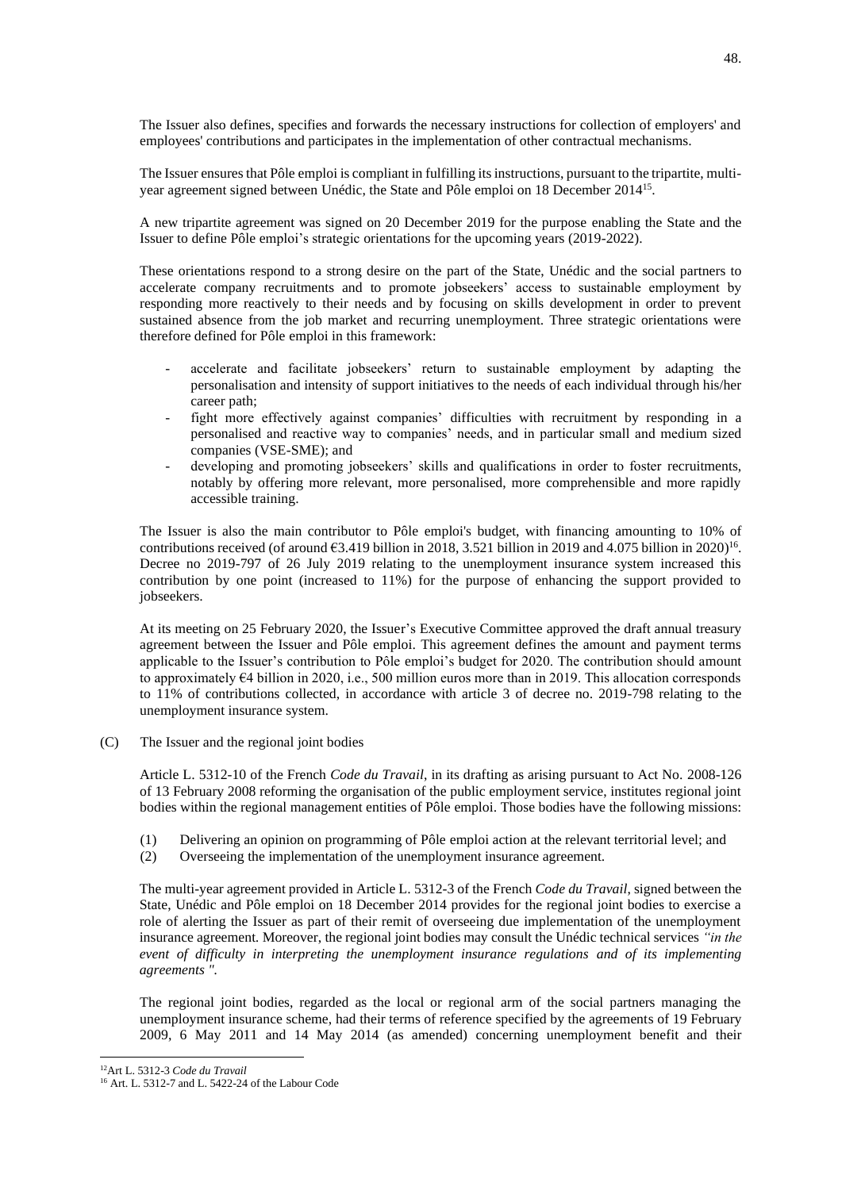The Issuer also defines, specifies and forwards the necessary instructions for collection of employers' and employees' contributions and participates in the implementation of other contractual mechanisms.

The Issuer ensures that Pôle emploi is compliant in fulfilling its instructions, pursuant to the tripartite, multiyear agreement signed between Unédic, the State and Pôle emploi on 18 December 2014<sup>15</sup>.

A new tripartite agreement was signed on 20 December 2019 for the purpose enabling the State and the Issuer to define Pôle emploi's strategic orientations for the upcoming years (2019-2022).

These orientations respond to a strong desire on the part of the State, Unédic and the social partners to accelerate company recruitments and to promote jobseekers' access to sustainable employment by responding more reactively to their needs and by focusing on skills development in order to prevent sustained absence from the job market and recurring unemployment. Three strategic orientations were therefore defined for Pôle emploi in this framework:

- accelerate and facilitate jobseekers' return to sustainable employment by adapting the personalisation and intensity of support initiatives to the needs of each individual through his/her career path;
- fight more effectively against companies' difficulties with recruitment by responding in a personalised and reactive way to companies' needs, and in particular small and medium sized companies (VSE-SME); and
- developing and promoting jobseekers' skills and qualifications in order to foster recruitments, notably by offering more relevant, more personalised, more comprehensible and more rapidly accessible training.

The Issuer is also the main contributor to Pôle emploi's budget, with financing amounting to 10% of contributions received (of around  $63.419$  billion in 2018, 3.521 billion in 2019 and 4.075 billion in 2020)<sup>16</sup>. Decree no 2019-797 of 26 July 2019 relating to the unemployment insurance system increased this contribution by one point (increased to 11%) for the purpose of enhancing the support provided to jobseekers.

At its meeting on 25 February 2020, the Issuer's Executive Committee approved the draft annual treasury agreement between the Issuer and Pôle emploi. This agreement defines the amount and payment terms applicable to the Issuer's contribution to Pôle emploi's budget for 2020. The contribution should amount to approximately €4 billion in 2020, i.e., 500 million euros more than in 2019. This allocation corresponds to 11% of contributions collected, in accordance with article 3 of decree no. 2019-798 relating to the unemployment insurance system.

(C) The Issuer and the regional joint bodies

Article L. 5312-10 of the French *Code du Travail*, in its drafting as arising pursuant to Act No. 2008-126 of 13 February 2008 reforming the organisation of the public employment service, institutes regional joint bodies within the regional management entities of Pôle emploi. Those bodies have the following missions:

- (1) Delivering an opinion on programming of Pôle emploi action at the relevant territorial level; and
- (2) Overseeing the implementation of the unemployment insurance agreement.

The multi-year agreement provided in Article L. 5312-3 of the French *Code du Travail*, signed between the State, Unédic and Pôle emploi on 18 December 2014 provides for the regional joint bodies to exercise a role of alerting the Issuer as part of their remit of overseeing due implementation of the unemployment insurance agreement*.* Moreover, the regional joint bodies may consult the Unédic technical services *"in the event of difficulty in interpreting the unemployment insurance regulations and of its implementing agreements ".*

The regional joint bodies, regarded as the local or regional arm of the social partners managing the unemployment insurance scheme, had their terms of reference specified by the agreements of 19 February 2009, 6 May 2011 and 14 May 2014 (as amended) concerning unemployment benefit and their

<sup>12</sup>Art L. 5312-3 *Code du Travail*

<sup>&</sup>lt;sup>16</sup> Art. L. 5312-7 and L. 5422-24 of the Labour Code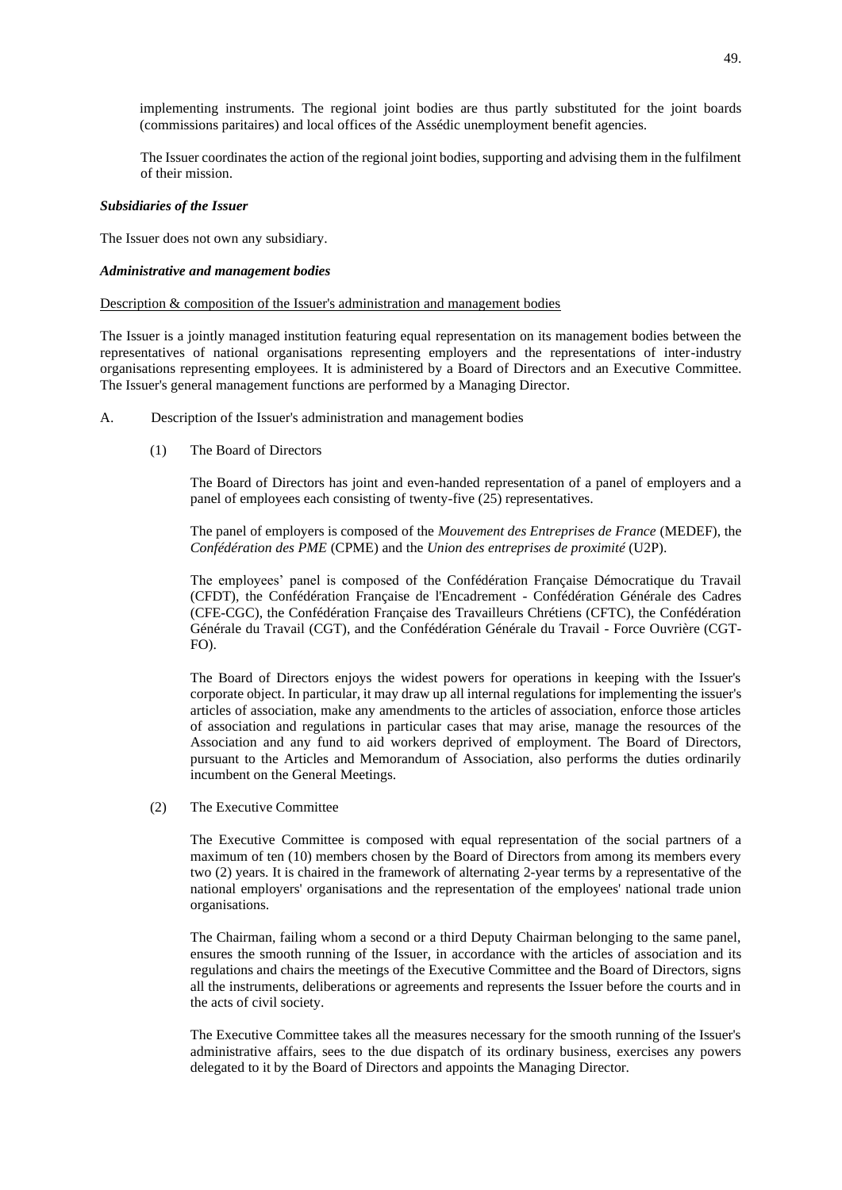implementing instruments. The regional joint bodies are thus partly substituted for the joint boards (commissions paritaires) and local offices of the Assédic unemployment benefit agencies.

The Issuer coordinates the action of the regional joint bodies, supporting and advising them in the fulfilment of their mission.

### *Subsidiaries of the Issuer*

The Issuer does not own any subsidiary.

# *Administrative and management bodies*

## Description & composition of the Issuer's administration and management bodies

The Issuer is a jointly managed institution featuring equal representation on its management bodies between the representatives of national organisations representing employers and the representations of inter-industry organisations representing employees. It is administered by a Board of Directors and an Executive Committee. The Issuer's general management functions are performed by a Managing Director.

- A. Description of the Issuer's administration and management bodies
	- (1) The Board of Directors

The Board of Directors has joint and even-handed representation of a panel of employers and a panel of employees each consisting of twenty-five (25) representatives.

The panel of employers is composed of the *Mouvement des Entreprises de France* (MEDEF), the *Confédération des PME* (CPME) and the *Union des entreprises de proximité* (U2P).

The employees' panel is composed of the Confédération Française Démocratique du Travail (CFDT), the Confédération Française de l'Encadrement - Confédération Générale des Cadres (CFE-CGC), the Confédération Française des Travailleurs Chrétiens (CFTC), the Confédération Générale du Travail (CGT), and the Confédération Générale du Travail - Force Ouvrière (CGT-FO).

The Board of Directors enjoys the widest powers for operations in keeping with the Issuer's corporate object. In particular, it may draw up all internal regulations for implementing the issuer's articles of association, make any amendments to the articles of association, enforce those articles of association and regulations in particular cases that may arise, manage the resources of the Association and any fund to aid workers deprived of employment. The Board of Directors, pursuant to the Articles and Memorandum of Association, also performs the duties ordinarily incumbent on the General Meetings.

(2) The Executive Committee

The Executive Committee is composed with equal representation of the social partners of a maximum of ten (10) members chosen by the Board of Directors from among its members every two (2) years. It is chaired in the framework of alternating 2-year terms by a representative of the national employers' organisations and the representation of the employees' national trade union organisations.

The Chairman, failing whom a second or a third Deputy Chairman belonging to the same panel, ensures the smooth running of the Issuer, in accordance with the articles of association and its regulations and chairs the meetings of the Executive Committee and the Board of Directors, signs all the instruments, deliberations or agreements and represents the Issuer before the courts and in the acts of civil society.

The Executive Committee takes all the measures necessary for the smooth running of the Issuer's administrative affairs, sees to the due dispatch of its ordinary business, exercises any powers delegated to it by the Board of Directors and appoints the Managing Director.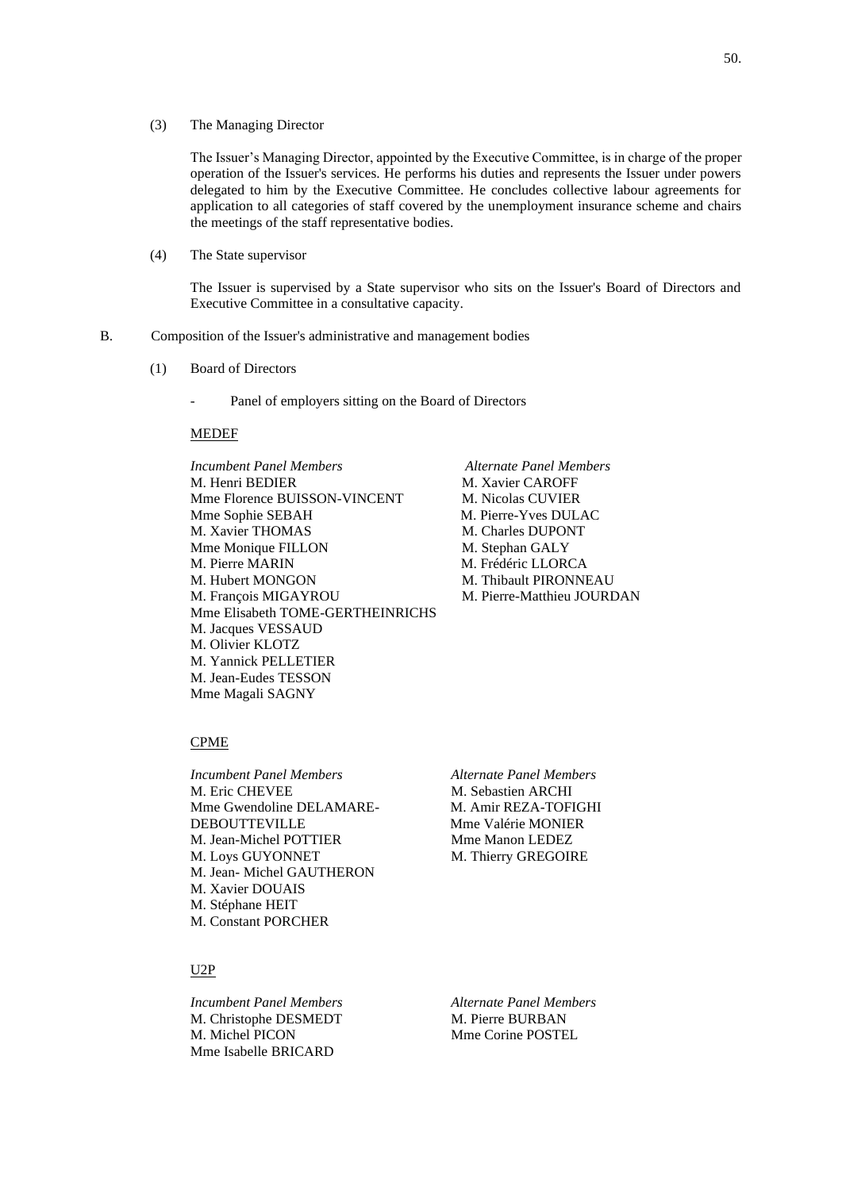(3) The Managing Director

The Issuer's Managing Director, appointed by the Executive Committee, is in charge of the proper operation of the Issuer's services. He performs his duties and represents the Issuer under powers delegated to him by the Executive Committee. He concludes collective labour agreements for application to all categories of staff covered by the unemployment insurance scheme and chairs the meetings of the staff representative bodies.

(4) The State supervisor

The Issuer is supervised by a State supervisor who sits on the Issuer's Board of Directors and Executive Committee in a consultative capacity.

- B. Composition of the Issuer's administrative and management bodies
	- (1) Board of Directors
		- Panel of employers sitting on the Board of Directors

### MEDEF

*Incumbent Panel Members Alternate Panel Members* M. Henri BEDIER M. Xavier CAROFF Mme Florence BUISSON-VINCENT M. Nicolas CUVIER Mme Sophie SEBAH M. Pierre-Yves DULAC M. Xavier THOMAS M. Charles DUPONT Mme Monique FILLON M. Stephan GALY M. Pierre MARIN M. Frédéric LLORCA M. Hubert MONGON M. Thibault PIRONNEAU M. François MIGAYROU M. Pierre-Matthieu JOURDAN Mme Elisabeth TOME-GERTHEINRICHS M. Jacques VESSAUD M. Olivier KLOTZ M. Yannick PELLETIER M. Jean-Eudes TESSON Mme Magali SAGNY

## CPME

*Incumbent Panel Members Alternate Panel Members* M. Eric CHEVEE M. Sebastien ARCHI Mme Gwendoline DELAMARE- M. Amir REZA-TOFIGHI DEBOUTTEVILLE MMme Valérie MONIER M. Jean-Michel POTTIER Mme Manon LEDEZ M. Loys GUYONNET M. Thierry GREGOIRE M. Jean- Michel GAUTHERON M. Xavier DOUAIS M. Stéphane HEIT M. Constant PORCHER

## U2P

*Incumbent Panel Members Alternate Panel Members* M. Christophe DESMEDT M. Pierre BURBAN M. Michel PICON Mme Corine POSTEL Mme Isabelle BRICARD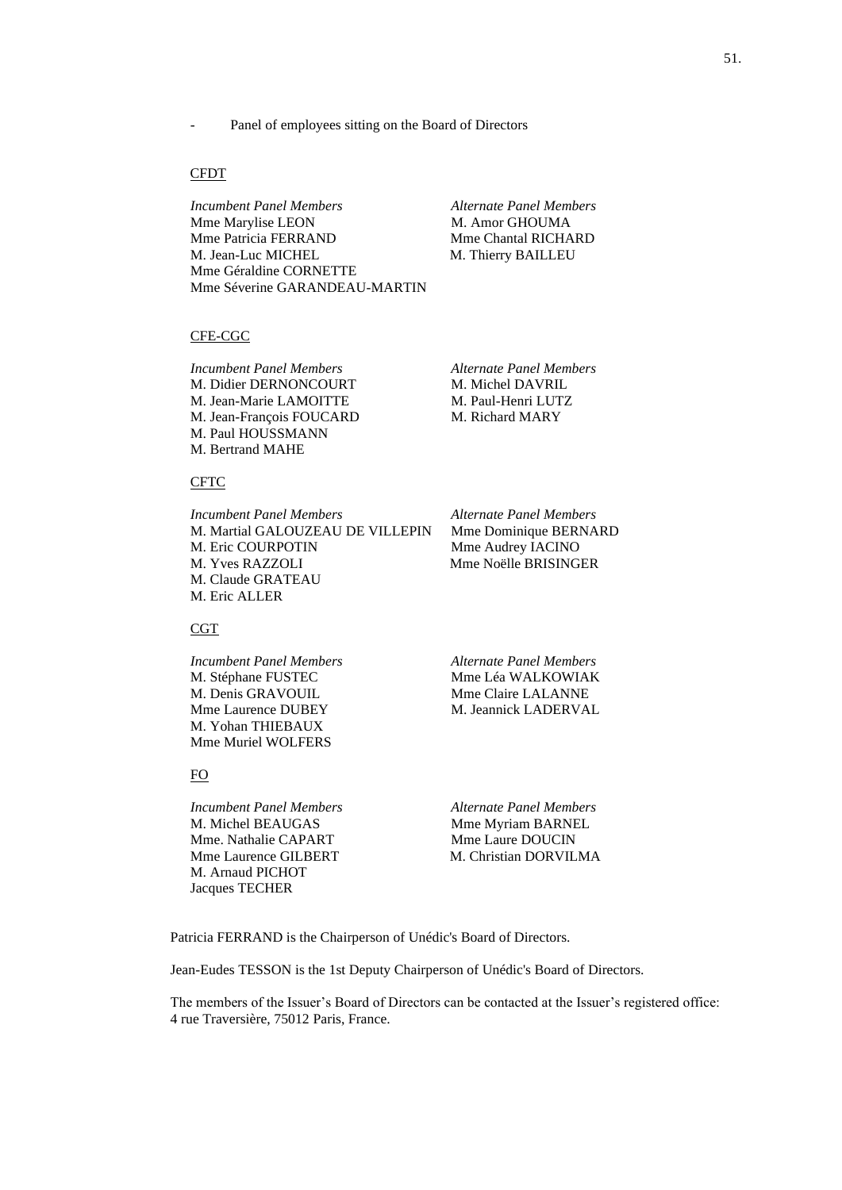## CFDT

*Incumbent Panel Members Alternate Panel Members* Mme Marylise LEON M. Amor GHOUMA Mme Patricia FERRAND Mme Chantal RICHARD M. Jean-Luc MICHEL M. Thierry BAILLEU Mme Géraldine CORNETTE Mme Séverine GARANDEAU-MARTIN

## CFE-CGC

*Incumbent Panel Members Alternate Panel Members* M. Didier DERNONCOURT M. Michel DAVRIL M. Jean-Marie LAMOITTE M. Paul-Henri LUTZ M. Jean-François FOUCARD M. Richard MARY M. Paul HOUSSMANN M. Bertrand MAHE

## CFTC

*Incumbent Panel Members Alternate Panel Members* M. Martial GALOUZEAU DE VILLEPIN Mme Dominique BERNARD M. Eric COURPOTIN Mme Audrey IACINO M. Yves RAZZOLI Mme Noëlle BRISINGER M. Claude GRATEAU M. Eric ALLER

## CGT

M. Stéphane FUSTEC Mme Léa WALKOWIAK M. Denis GRAVOUIL Mme Claire LALANNE Mme Laurence DUBEY M. Jeannick LADERVAL M. Yohan THIEBAUX Mme Muriel WOLFERS

## FO

*Incumbent Panel Members Alternate Panel Members* M. Michel BEAUGAS Mme Myriam BARNEL Mme. Nathalie CAPART Mme Laure DOUCIN Mme Laurence GILBERT M. Christian DORVILMA M. Arnaud PICHOT Jacques TECHER

*Incumbent Panel Members Alternate Panel Members*

Patricia FERRAND is the Chairperson of Unédic's Board of Directors.

Jean-Eudes TESSON is the 1st Deputy Chairperson of Unédic's Board of Directors.

The members of the Issuer's Board of Directors can be contacted at the Issuer's registered office: 4 rue Traversière, 75012 Paris, France.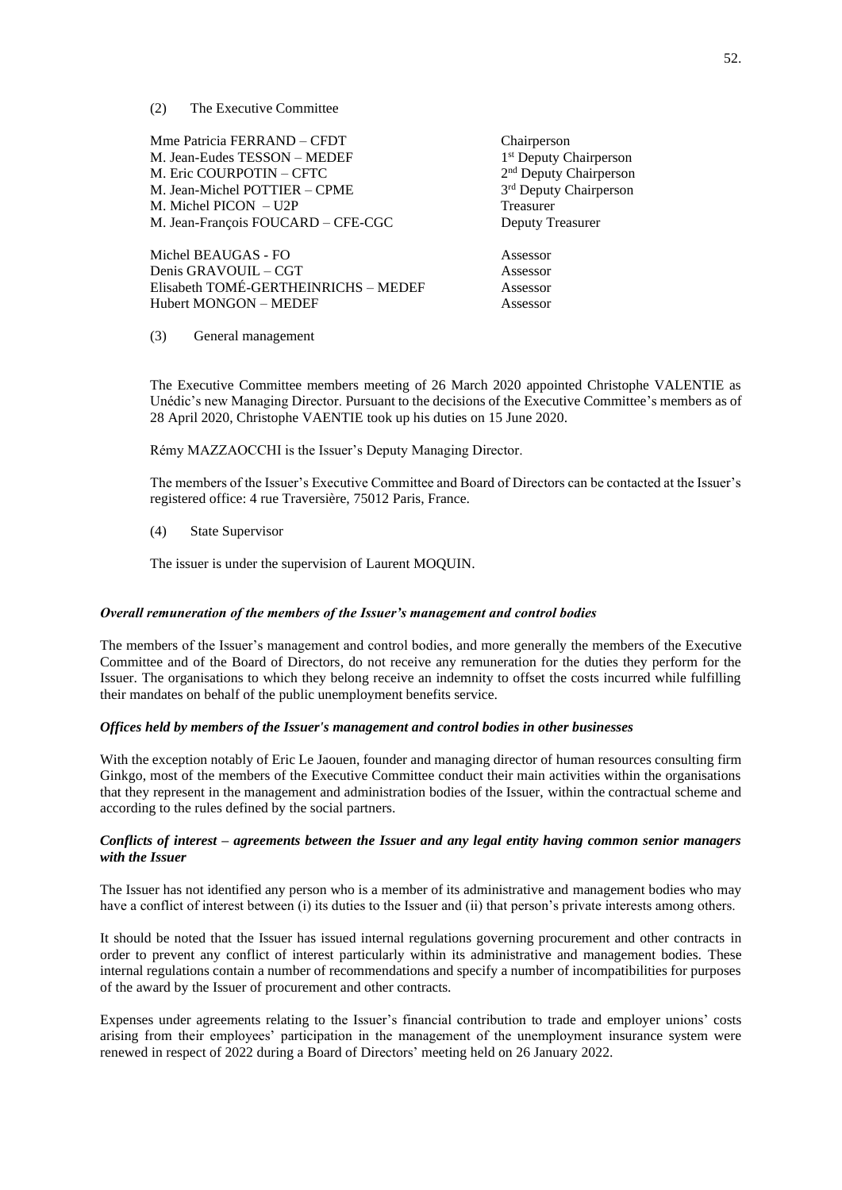(2) The Executive Committee

Mme Patricia FERRAND – CFDT Chairperson M. Jean-Eudes TESSON - MEDEF M. Eric COURPOTIN – CFTC 2 M. Jean-Michel POTTIER - CPME M. Michel PICON – U2P Treasurer M. Jean-François FOUCARD – CFE-CGC Deputy Treasurer

Michel BEAUGAS - FO Assessor Denis GRAVOUIL – CGT Assessor Elisabeth TOMÉ-GERTHEINRICHS – MEDEF Assessor Hubert MONGON – MEDEF Assessor

1<sup>st</sup> Deputy Chairperson 2<sup>nd</sup> Deputy Chairperson 3<sup>rd</sup> Deputy Chairperson

(3) General management

The Executive Committee members meeting of 26 March 2020 appointed Christophe VALENTIE as Unédic's new Managing Director. Pursuant to the decisions of the Executive Committee's members as of 28 April 2020, Christophe VAENTIE took up his duties on 15 June 2020.

Rémy MAZZAOCCHI is the Issuer's Deputy Managing Director.

The members of the Issuer's Executive Committee and Board of Directors can be contacted at the Issuer's registered office: 4 rue Traversière, 75012 Paris, France.

(4) State Supervisor

The issuer is under the supervision of Laurent MOQUIN.

### *Overall remuneration of the members of the Issuer's management and control bodies*

The members of the Issuer's management and control bodies, and more generally the members of the Executive Committee and of the Board of Directors, do not receive any remuneration for the duties they perform for the Issuer. The organisations to which they belong receive an indemnity to offset the costs incurred while fulfilling their mandates on behalf of the public unemployment benefits service.

## *Offices held by members of the Issuer's management and control bodies in other businesses*

With the exception notably of Eric Le Jaouen, founder and managing director of human resources consulting firm Ginkgo, most of the members of the Executive Committee conduct their main activities within the organisations that they represent in the management and administration bodies of the Issuer, within the contractual scheme and according to the rules defined by the social partners.

# *Conflicts of interest – agreements between the Issuer and any legal entity having common senior managers with the Issuer*

The Issuer has not identified any person who is a member of its administrative and management bodies who may have a conflict of interest between (i) its duties to the Issuer and (ii) that person's private interests among others.

It should be noted that the Issuer has issued internal regulations governing procurement and other contracts in order to prevent any conflict of interest particularly within its administrative and management bodies. These internal regulations contain a number of recommendations and specify a number of incompatibilities for purposes of the award by the Issuer of procurement and other contracts.

Expenses under agreements relating to the Issuer's financial contribution to trade and employer unions' costs arising from their employees' participation in the management of the unemployment insurance system were renewed in respect of 2022 during a Board of Directors' meeting held on 26 January 2022.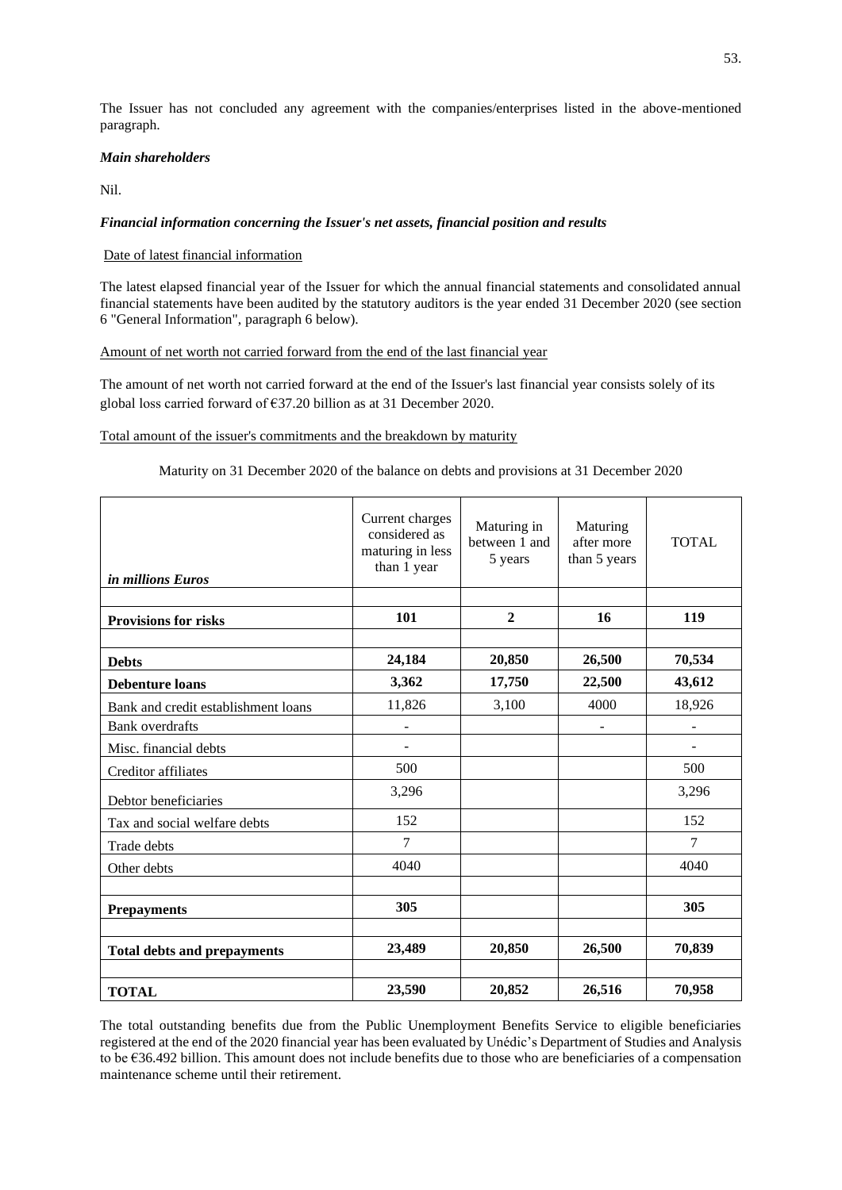The Issuer has not concluded any agreement with the companies/enterprises listed in the above-mentioned paragraph.

# *Main shareholders*

Nil.

# *Financial information concerning the Issuer's net assets, financial position and results*

# Date of latest financial information

The latest elapsed financial year of the Issuer for which the annual financial statements and consolidated annual financial statements have been audited by the statutory auditors is the year ended 31 December 2020 (see section 6 "General Information", paragraph 6 below).

# Amount of net worth not carried forward from the end of the last financial year

The amount of net worth not carried forward at the end of the Issuer's last financial year consists solely of its global loss carried forward of €37.20 billion as at 31 December 2020.

# Total amount of the issuer's commitments and the breakdown by maturity

# Maturity on 31 December 2020 of the balance on debts and provisions at 31 December 2020

| <i>in millions Euros</i>            | Current charges<br>considered as<br>maturing in less<br>than 1 year | Maturing in<br>between 1 and<br>5 years | Maturing<br>after more<br>than 5 years | <b>TOTAL</b>             |
|-------------------------------------|---------------------------------------------------------------------|-----------------------------------------|----------------------------------------|--------------------------|
|                                     |                                                                     |                                         |                                        |                          |
| <b>Provisions for risks</b>         | 101                                                                 | $\overline{2}$                          | 16                                     | 119                      |
|                                     |                                                                     |                                         |                                        |                          |
| <b>Debts</b>                        | 24,184                                                              | 20,850                                  | 26,500                                 | 70,534                   |
| <b>Debenture loans</b>              | 3,362                                                               | 17,750                                  | 22,500                                 | 43,612                   |
| Bank and credit establishment loans | 11,826                                                              | 3,100                                   | 4000                                   | 18,926                   |
| <b>Bank</b> overdrafts              |                                                                     |                                         | $\overline{\phantom{a}}$               | $\overline{\phantom{0}}$ |
| Misc. financial debts               |                                                                     |                                         |                                        | $\overline{\phantom{0}}$ |
| Creditor affiliates                 | 500                                                                 |                                         |                                        | 500                      |
| Debtor beneficiaries                | 3,296                                                               |                                         |                                        | 3,296                    |
| Tax and social welfare debts        | 152                                                                 |                                         |                                        | 152                      |
| Trade debts                         | 7                                                                   |                                         |                                        | 7                        |
| Other debts                         | 4040                                                                |                                         |                                        | 4040                     |
|                                     |                                                                     |                                         |                                        |                          |
| <b>Prepayments</b>                  | 305                                                                 |                                         |                                        | 305                      |
|                                     |                                                                     |                                         |                                        |                          |
| <b>Total debts and prepayments</b>  | 23,489                                                              | 20,850                                  | 26,500                                 | 70,839                   |
|                                     |                                                                     |                                         |                                        |                          |
| <b>TOTAL</b>                        | 23,590                                                              | 20,852                                  | 26,516                                 | 70,958                   |

The total outstanding benefits due from the Public Unemployment Benefits Service to eligible beneficiaries registered at the end of the 2020 financial year has been evaluated by Unédic's Department of Studies and Analysis to be €36.492 billion. This amount does not include benefits due to those who are beneficiaries of a compensation maintenance scheme until their retirement.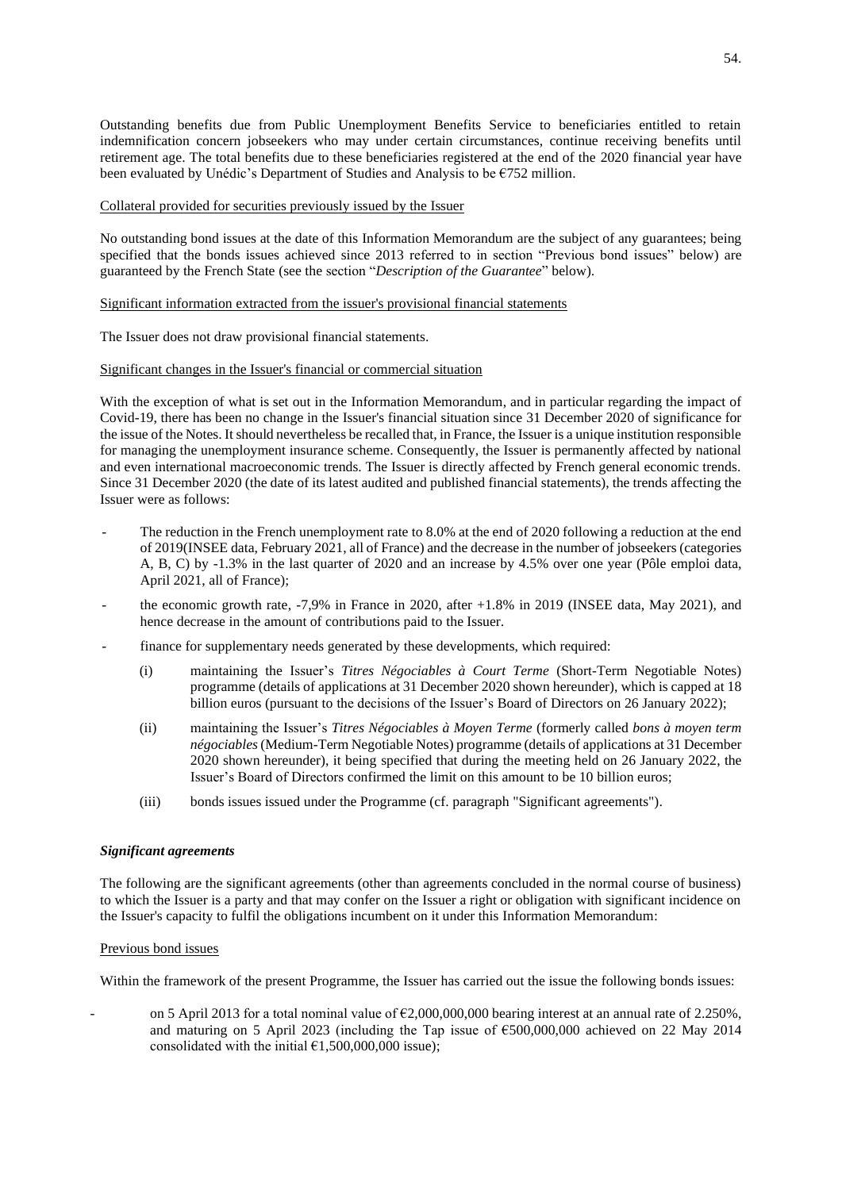Outstanding benefits due from Public Unemployment Benefits Service to beneficiaries entitled to retain indemnification concern jobseekers who may under certain circumstances, continue receiving benefits until retirement age. The total benefits due to these beneficiaries registered at the end of the 2020 financial year have been evaluated by Unédic's Department of Studies and Analysis to be €752 million.

## Collateral provided for securities previously issued by the Issuer

No outstanding bond issues at the date of this Information Memorandum are the subject of any guarantees; being specified that the bonds issues achieved since 2013 referred to in section "Previous bond issues" below) are guaranteed by the French State (see the section "*Description of the Guarantee*" below).

## Significant information extracted from the issuer's provisional financial statements

The Issuer does not draw provisional financial statements.

# Significant changes in the Issuer's financial or commercial situation

With the exception of what is set out in the Information Memorandum, and in particular regarding the impact of Covid-19, there has been no change in the Issuer's financial situation since 31 December 2020 of significance for the issue of the Notes. It should nevertheless be recalled that, in France, the Issuer is a unique institution responsible for managing the unemployment insurance scheme. Consequently, the Issuer is permanently affected by national and even international macroeconomic trends. The Issuer is directly affected by French general economic trends. Since 31 December 2020 (the date of its latest audited and published financial statements), the trends affecting the Issuer were as follows:

- The reduction in the French unemployment rate to 8.0% at the end of 2020 following a reduction at the end of 2019(INSEE data, February 2021, all of France) and the decrease in the number of jobseekers (categories A, B, C) by -1.3% in the last quarter of 2020 and an increase by 4.5% over one year (Pôle emploi data, April 2021, all of France);
- the economic growth rate,  $-7.9\%$  in France in 2020, after  $+1.8\%$  in 2019 (INSEE data, May 2021), and hence decrease in the amount of contributions paid to the Issuer.
- finance for supplementary needs generated by these developments, which required:
	- (i) maintaining the Issuer's *Titres Négociables à Court Terme* (Short-Term Negotiable Notes) programme (details of applications at 31 December 2020 shown hereunder), which is capped at 18 billion euros (pursuant to the decisions of the Issuer's Board of Directors on 26 January 2022);
	- (ii) maintaining the Issuer's *Titres Négociables à Moyen Terme* (formerly called *bons à moyen term négociables*(Medium-Term Negotiable Notes) programme (details of applications at 31 December 2020 shown hereunder), it being specified that during the meeting held on 26 January 2022, the Issuer's Board of Directors confirmed the limit on this amount to be 10 billion euros;
	- (iii) bonds issues issued under the Programme (cf. paragraph "Significant agreements").

## *Significant agreements*

The following are the significant agreements (other than agreements concluded in the normal course of business) to which the Issuer is a party and that may confer on the Issuer a right or obligation with significant incidence on the Issuer's capacity to fulfil the obligations incumbent on it under this Information Memorandum:

## Previous bond issues

Within the framework of the present Programme, the Issuer has carried out the issue the following bonds issues:

on 5 April 2013 for a total nominal value of  $\epsilon$ 2,000,000,000 bearing interest at an annual rate of 2.250%, and maturing on 5 April 2023 (including the Tap issue of  $\epsilon$ 500,000,000 achieved on 22 May 2014 consolidated with the initial  $£1,500,000,000$  issue);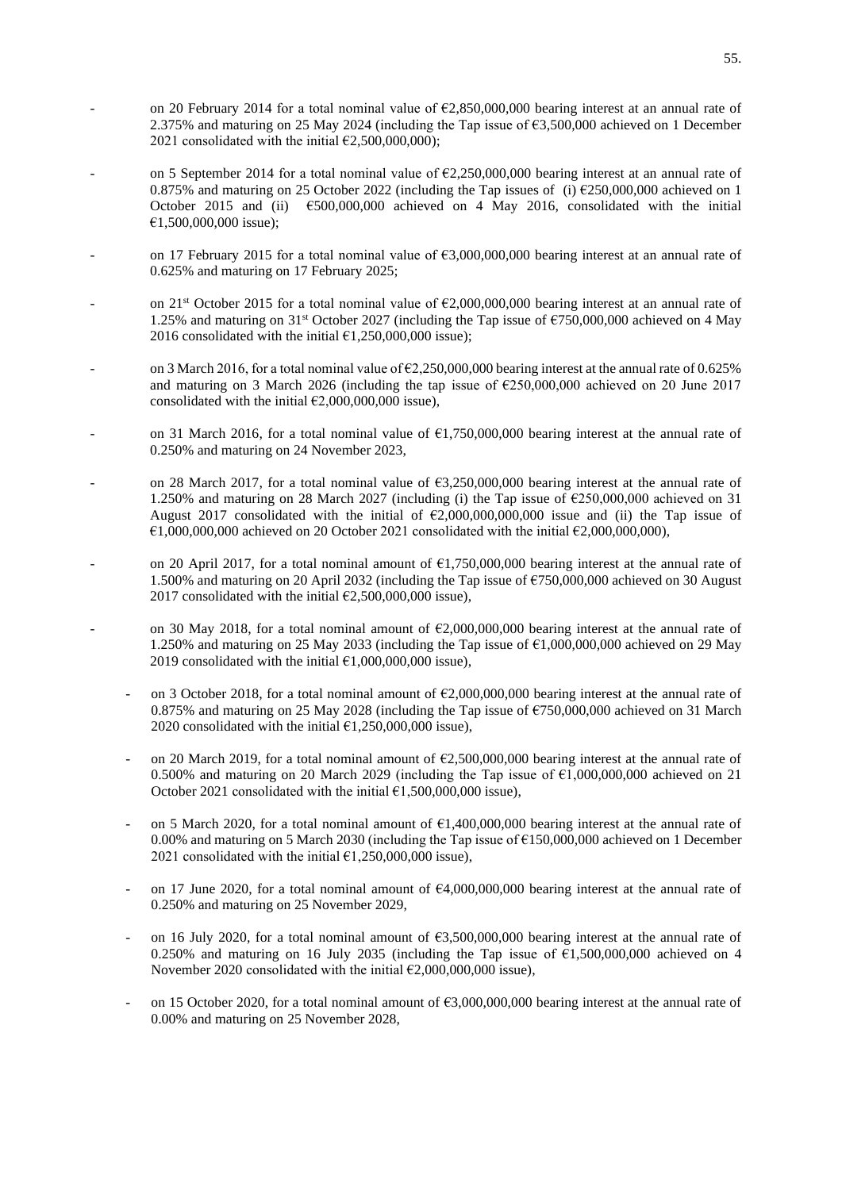- on 20 February 2014 for a total nominal value of  $\epsilon$ 2,850,000,000 bearing interest at an annual rate of 2.375% and maturing on 25 May 2024 (including the Tap issue of  $\epsilon$ 3,500,000 achieved on 1 December 2021 consolidated with the initial  $\epsilon$ 2,500,000,000);
- on 5 September 2014 for a total nominal value of  $\epsilon$ 2,250,000,000 bearing interest at an annual rate of 0.875% and maturing on 25 October 2022 (including the Tap issues of (i)  $\epsilon$ 250,000,000 achieved on 1 October 2015 and (ii) €500,000,000 achieved on 4 May 2016, consolidated with the initial €1,500,000,000 issue);
- on 17 February 2015 for a total nominal value of  $63,000,000,000$  bearing interest at an annual rate of 0.625% and maturing on 17 February 2025;
- on 21<sup>st</sup> October 2015 for a total nominal value of  $\epsilon$ 2,000,000,000 bearing interest at an annual rate of 1.25% and maturing on 31st October 2027 (including the Tap issue of €750,000,000 achieved on 4 May 2016 consolidated with the initial  $\text{\textsterling}1,250,000,000$  issue);
- on 3 March 2016, for a total nominal value of  $\epsilon$ 2,250,000,000 bearing interest at the annual rate of 0.625% and maturing on 3 March 2026 (including the tap issue of  $\epsilon$ 250,000,000 achieved on 20 June 2017 consolidated with the initial  $\epsilon$ 2,000,000,000 issue),
- on 31 March 2016, for a total nominal value of  $\epsilon$ 1,750,000,000 bearing interest at the annual rate of 0.250% and maturing on 24 November 2023,
- on 28 March 2017, for a total nominal value of  $63,250,000,000$  bearing interest at the annual rate of 1.250% and maturing on 28 March 2027 (including (i) the Tap issue of  $\epsilon$ 250,000,000 achieved on 31 August 2017 consolidated with the initial of  $\epsilon$ 2,000,000,000,000 issue and (ii) the Tap issue of  $\epsilon$ 1,000,000,000 achieved on 20 October 2021 consolidated with the initial  $\epsilon$ 2,000,000,000),
- on 20 April 2017, for a total nominal amount of  $\epsilon$ 1,750,000,000 bearing interest at the annual rate of 1.500% and maturing on 20 April 2032 (including the Tap issue of €750,000,000 achieved on 30 August 2017 consolidated with the initial  $\epsilon$ 2,500,000,000 issue),
- on 30 May 2018, for a total nominal amount of  $\epsilon$ 2,000,000,000 bearing interest at the annual rate of 1.250% and maturing on 25 May 2033 (including the Tap issue of €1,000,000,000 achieved on 29 May 2019 consolidated with the initial  $\epsilon$ 1,000,000,000 issue).
	- on 3 October 2018, for a total nominal amount of  $\epsilon$ 2,000,000,000 bearing interest at the annual rate of 0.875% and maturing on 25 May 2028 (including the Tap issue of  $\epsilon$ 750,000,000 achieved on 31 March 2020 consolidated with the initial  $\text{\e}1,250,000,000$  issue),
	- on 20 March 2019, for a total nominal amount of  $\epsilon$ 2,500,000,000 bearing interest at the annual rate of 0.500% and maturing on 20 March 2029 (including the Tap issue of €1,000,000,000 achieved on 21 October 2021 consolidated with the initial  $\epsilon$ 1,500,000,000 issue),
	- on 5 March 2020, for a total nominal amount of  $\epsilon$ 1,400,000,000 bearing interest at the annual rate of 0.00% and maturing on 5 March 2030 (including the Tap issue of €150,000,000 achieved on 1 December 2021 consolidated with the initial  $\epsilon$ 1,250,000,000 issue),
	- on 17 June 2020, for a total nominal amount of  $64,000,000,000$  bearing interest at the annual rate of 0.250% and maturing on 25 November 2029,
	- on 16 July 2020, for a total nominal amount of  $63,500,000,000$  bearing interest at the annual rate of 0.250% and maturing on 16 July 2035 (including the Tap issue of  $\epsilon$ 1,500,000,000 achieved on 4 November 2020 consolidated with the initial  $\epsilon$ 2,000,000,000 issue),
	- on 15 October 2020, for a total nominal amount of  $\epsilon$ 3,000,000,000 bearing interest at the annual rate of 0.00% and maturing on 25 November 2028,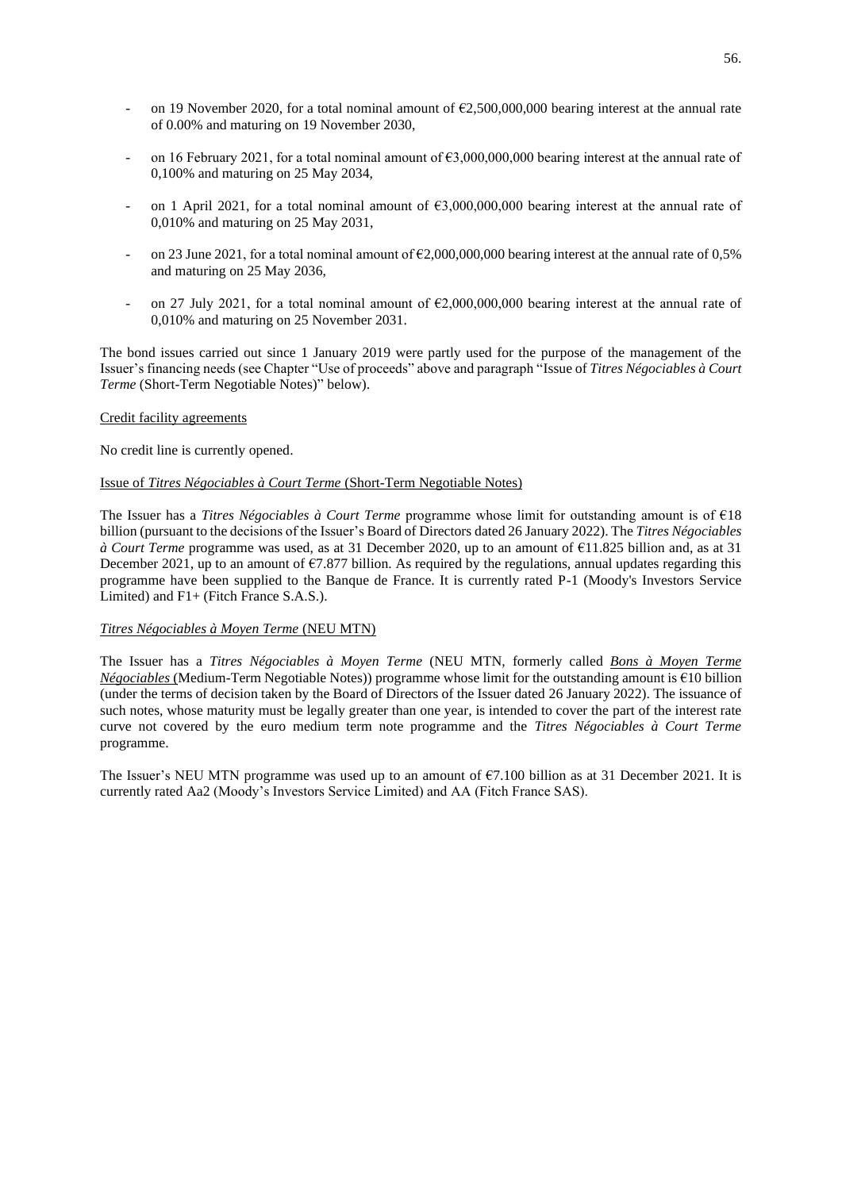- on 19 November 2020, for a total nominal amount of  $\epsilon$ 2,500,000,000 bearing interest at the annual rate of 0.00% and maturing on 19 November 2030,
- on 16 February 2021, for a total nominal amount of  $\epsilon$ 3,000,000,000 bearing interest at the annual rate of 0,100% and maturing on 25 May 2034,
- on 1 April 2021, for a total nominal amount of  $63,000,000,000$  bearing interest at the annual rate of 0,010% and maturing on 25 May 2031,
- on 23 June 2021, for a total nominal amount of  $\epsilon$ 2,000,000,000 bearing interest at the annual rate of 0,5% and maturing on 25 May 2036,
- on 27 July 2021, for a total nominal amount of  $\epsilon$ 2,000,000,000 bearing interest at the annual rate of 0,010% and maturing on 25 November 2031.

The bond issues carried out since 1 January 2019 were partly used for the purpose of the management of the Issuer's financing needs (see Chapter "Use of proceeds" above and paragraph "Issue of *Titres Négociables à Court Terme* (Short-Term Negotiable Notes)" below).

## Credit facility agreements

No credit line is currently opened.

## Issue of *Titres Négociables à Court Terme* (Short-Term Negotiable Notes)

The Issuer has a *Titres Négociables à Court Terme* programme whose limit for outstanding amount is of €18 billion (pursuant to the decisions of the Issuer's Board of Directors dated 26 January 2022). The *Titres Négociables à Court Terme* programme was used, as at 31 December 2020, up to an amount of €11.825 billion and, as at 31 December 2021, up to an amount of  $\epsilon$ 7.877 billion. As required by the regulations, annual updates regarding this programme have been supplied to the Banque de France. It is currently rated P-1 (Moody's Investors Service Limited) and F1+ (Fitch France S.A.S.).

## *Titres Négociables à Moyen Terme* (NEU MTN)

The Issuer has a *Titres Négociables à Moyen Terme* (NEU MTN, formerly called *Bons à Moyen Terme Négociables* (Medium-Term Negotiable Notes)) programme whose limit for the outstanding amount is €10 billion (under the terms of decision taken by the Board of Directors of the Issuer dated 26 January 2022). The issuance of such notes, whose maturity must be legally greater than one year, is intended to cover the part of the interest rate curve not covered by the euro medium term note programme and the *Titres Négociables à Court Terme* programme.

The Issuer's NEU MTN programme was used up to an amount of  $\epsilon$ 7.100 billion as at 31 December 2021. It is currently rated Aa2 (Moody's Investors Service Limited) and AA (Fitch France SAS).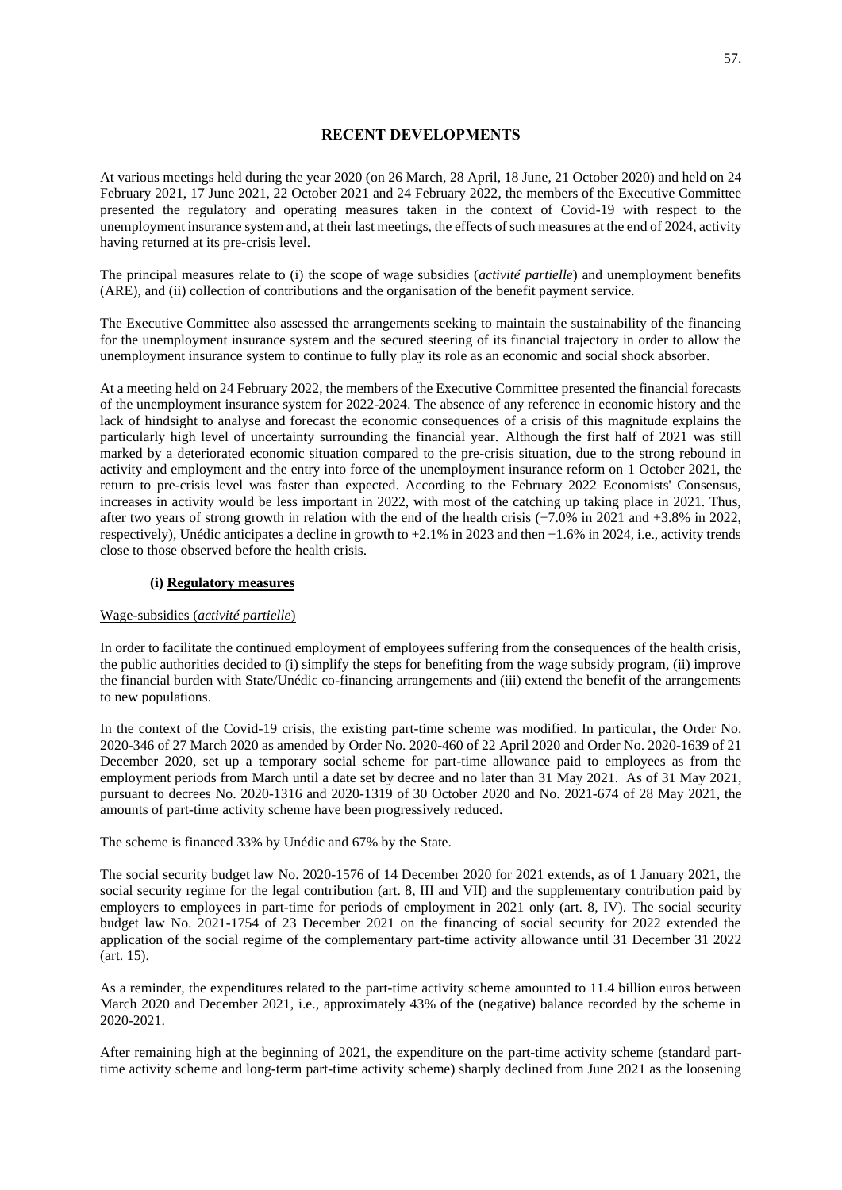# **RECENT DEVELOPMENTS**

At various meetings held during the year 2020 (on 26 March, 28 April, 18 June, 21 October 2020) and held on 24 February 2021, 17 June 2021, 22 October 2021 and 24 February 2022, the members of the Executive Committee presented the regulatory and operating measures taken in the context of Covid-19 with respect to the unemployment insurance system and, at their last meetings, the effects of such measures at the end of 2024, activity having returned at its pre-crisis level.

The principal measures relate to (i) the scope of wage subsidies (*activité partielle*) and unemployment benefits (ARE), and (ii) collection of contributions and the organisation of the benefit payment service.

The Executive Committee also assessed the arrangements seeking to maintain the sustainability of the financing for the unemployment insurance system and the secured steering of its financial trajectory in order to allow the unemployment insurance system to continue to fully play its role as an economic and social shock absorber.

At a meeting held on 24 February 2022, the members of the Executive Committee presented the financial forecasts of the unemployment insurance system for 2022-2024. The absence of any reference in economic history and the lack of hindsight to analyse and forecast the economic consequences of a crisis of this magnitude explains the particularly high level of uncertainty surrounding the financial year. Although the first half of 2021 was still marked by a deteriorated economic situation compared to the pre-crisis situation, due to the strong rebound in activity and employment and the entry into force of the unemployment insurance reform on 1 October 2021, the return to pre-crisis level was faster than expected. According to the February 2022 Economists' Consensus, increases in activity would be less important in 2022, with most of the catching up taking place in 2021. Thus, after two years of strong growth in relation with the end of the health crisis  $(+7.0\%$  in 2021 and  $+3.8\%$  in 2022, respectively), Unédic anticipates a decline in growth to +2.1% in 2023 and then +1.6% in 2024, i.e., activity trends close to those observed before the health crisis.

# **(i) Regulatory measures**

# Wage-subsidies (*activité partielle*)

In order to facilitate the continued employment of employees suffering from the consequences of the health crisis, the public authorities decided to (i) simplify the steps for benefiting from the wage subsidy program, (ii) improve the financial burden with State/Unédic co-financing arrangements and (iii) extend the benefit of the arrangements to new populations.

In the context of the Covid-19 crisis, the existing part-time scheme was modified. In particular, the Order No. 2020-346 of 27 March 2020 as amended by Order No. 2020-460 of 22 April 2020 and Order No. 2020-1639 of 21 December 2020, set up a temporary social scheme for part-time allowance paid to employees as from the employment periods from March until a date set by decree and no later than 31 May 2021. As of 31 May 2021, pursuant to decrees No. 2020-1316 and 2020-1319 of 30 October 2020 and No. 2021-674 of 28 May 2021, the amounts of part-time activity scheme have been progressively reduced.

The scheme is financed 33% by Unédic and 67% by the State.

The social security budget law No. 2020-1576 of 14 December 2020 for 2021 extends, as of 1 January 2021, the social security regime for the legal contribution (art. 8, III and VII) and the supplementary contribution paid by employers to employees in part-time for periods of employment in 2021 only (art. 8, IV). The social security budget law No. 2021-1754 of 23 December 2021 on the financing of social security for 2022 extended the application of the social regime of the complementary part-time activity allowance until 31 December 31 2022 (art. 15).

As a reminder, the expenditures related to the part-time activity scheme amounted to 11.4 billion euros between March 2020 and December 2021, i.e., approximately 43% of the (negative) balance recorded by the scheme in 2020-2021.

After remaining high at the beginning of 2021, the expenditure on the part-time activity scheme (standard parttime activity scheme and long-term part-time activity scheme) sharply declined from June 2021 as the loosening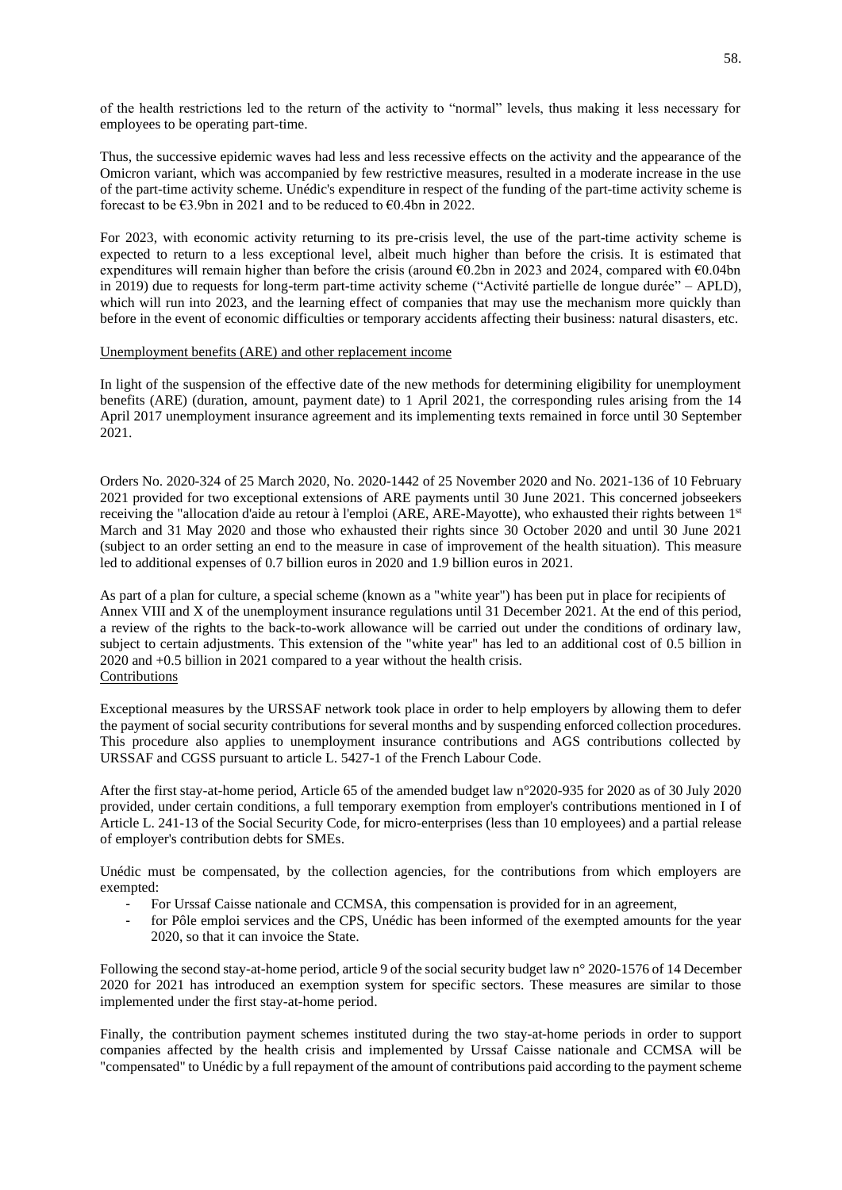of the health restrictions led to the return of the activity to "normal" levels, thus making it less necessary for employees to be operating part-time.

Thus, the successive epidemic waves had less and less recessive effects on the activity and the appearance of the Omicron variant, which was accompanied by few restrictive measures, resulted in a moderate increase in the use of the part-time activity scheme. Unédic's expenditure in respect of the funding of the part-time activity scheme is forecast to be  $\epsilon$ 3.9bn in 2021 and to be reduced to  $\epsilon$ 0.4bn in 2022.

For 2023, with economic activity returning to its pre-crisis level, the use of the part-time activity scheme is expected to return to a less exceptional level, albeit much higher than before the crisis. It is estimated that expenditures will remain higher than before the crisis (around €0.2bn in 2023 and 2024, compared with €0.04bn in 2019) due to requests for long-term part-time activity scheme ("Activité partielle de longue durée" – APLD), which will run into 2023, and the learning effect of companies that may use the mechanism more quickly than before in the event of economic difficulties or temporary accidents affecting their business: natural disasters, etc.

## Unemployment benefits (ARE) and other replacement income

In light of the suspension of the effective date of the new methods for determining eligibility for unemployment benefits (ARE) (duration, amount, payment date) to 1 April 2021, the corresponding rules arising from the 14 April 2017 unemployment insurance agreement and its implementing texts remained in force until 30 September 2021.

Orders No. 2020-324 of 25 March 2020, No. 2020-1442 of 25 November 2020 and No. 2021-136 of 10 February 2021 provided for two exceptional extensions of ARE payments until 30 June 2021. This concerned jobseekers receiving the "allocation d'aide au retour à l'emploi (ARE, ARE-Mayotte), who exhausted their rights between 1st March and 31 May 2020 and those who exhausted their rights since 30 October 2020 and until 30 June 2021 (subject to an order setting an end to the measure in case of improvement of the health situation). This measure led to additional expenses of 0.7 billion euros in 2020 and 1.9 billion euros in 2021.

As part of a plan for culture, a special scheme (known as a "white year") has been put in place for recipients of Annex VIII and X of the unemployment insurance regulations until 31 December 2021. At the end of this period, a review of the rights to the back-to-work allowance will be carried out under the conditions of ordinary law, subject to certain adjustments. This extension of the "white year" has led to an additional cost of 0.5 billion in 2020 and +0.5 billion in 2021 compared to a year without the health crisis. Contributions

Exceptional measures by the URSSAF network took place in order to help employers by allowing them to defer the payment of social security contributions for several months and by suspending enforced collection procedures. This procedure also applies to unemployment insurance contributions and AGS contributions collected by URSSAF and CGSS pursuant to article L. 5427-1 of the French Labour Code.

After the first stay-at-home period, Article 65 of the amended budget law n°2020-935 for 2020 as of 30 July 2020 provided, under certain conditions, a full temporary exemption from employer's contributions mentioned in I of Article L. 241-13 of the Social Security Code, for micro-enterprises (less than 10 employees) and a partial release of employer's contribution debts for SMEs.

Unédic must be compensated, by the collection agencies, for the contributions from which employers are exempted:

- For Urssaf Caisse nationale and CCMSA, this compensation is provided for in an agreement,
- for Pôle emploi services and the CPS, Unédic has been informed of the exempted amounts for the year 2020, so that it can invoice the State.

Following the second stay-at-home period, article 9 of the social security budget law n° 2020-1576 of 14 December 2020 for 2021 has introduced an exemption system for specific sectors. These measures are similar to those implemented under the first stay-at-home period.

Finally, the contribution payment schemes instituted during the two stay-at-home periods in order to support companies affected by the health crisis and implemented by Urssaf Caisse nationale and CCMSA will be "compensated" to Unédic by a full repayment of the amount of contributions paid according to the payment scheme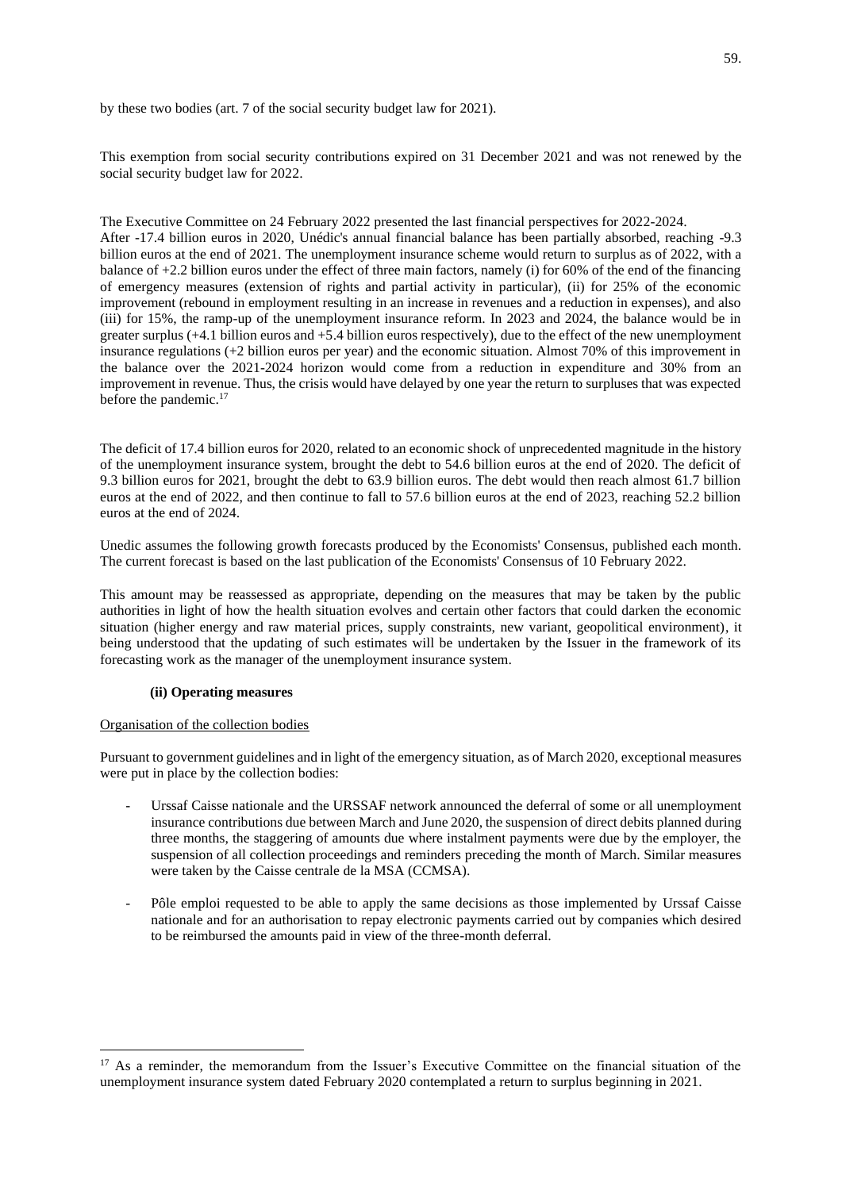by these two bodies (art. 7 of the social security budget law for 2021).

This exemption from social security contributions expired on 31 December 2021 and was not renewed by the social security budget law for 2022.

The Executive Committee on 24 February 2022 presented the last financial perspectives for 2022-2024. After -17.4 billion euros in 2020, Unédic's annual financial balance has been partially absorbed, reaching -9.3 billion euros at the end of 2021. The unemployment insurance scheme would return to surplus as of 2022, with a balance of +2.2 billion euros under the effect of three main factors, namely (i) for 60% of the end of the financing of emergency measures (extension of rights and partial activity in particular), (ii) for 25% of the economic improvement (rebound in employment resulting in an increase in revenues and a reduction in expenses), and also (iii) for 15%, the ramp-up of the unemployment insurance reform. In 2023 and 2024, the balance would be in greater surplus (+4.1 billion euros and +5.4 billion euros respectively), due to the effect of the new unemployment insurance regulations (+2 billion euros per year) and the economic situation. Almost 70% of this improvement in the balance over the 2021-2024 horizon would come from a reduction in expenditure and 30% from an improvement in revenue. Thus, the crisis would have delayed by one year the return to surpluses that was expected before the pandemic.<sup>17</sup>

The deficit of 17.4 billion euros for 2020, related to an economic shock of unprecedented magnitude in the history of the unemployment insurance system, brought the debt to 54.6 billion euros at the end of 2020. The deficit of 9.3 billion euros for 2021, brought the debt to 63.9 billion euros. The debt would then reach almost 61.7 billion euros at the end of 2022, and then continue to fall to 57.6 billion euros at the end of 2023, reaching 52.2 billion euros at the end of 2024.

Unedic assumes the following growth forecasts produced by the Economists' Consensus, published each month. The current forecast is based on the last publication of the Economists' Consensus of 10 February 2022.

This amount may be reassessed as appropriate, depending on the measures that may be taken by the public authorities in light of how the health situation evolves and certain other factors that could darken the economic situation (higher energy and raw material prices, supply constraints, new variant, geopolitical environment), it being understood that the updating of such estimates will be undertaken by the Issuer in the framework of its forecasting work as the manager of the unemployment insurance system.

# **(ii) Operating measures**

### Organisation of the collection bodies

Pursuant to government guidelines and in light of the emergency situation, as of March 2020, exceptional measures were put in place by the collection bodies:

- Urssaf Caisse nationale and the URSSAF network announced the deferral of some or all unemployment insurance contributions due between March and June 2020, the suspension of direct debits planned during three months, the staggering of amounts due where instalment payments were due by the employer, the suspension of all collection proceedings and reminders preceding the month of March. Similar measures were taken by the Caisse centrale de la MSA (CCMSA).
- Pôle emploi requested to be able to apply the same decisions as those implemented by Urssaf Caisse nationale and for an authorisation to repay electronic payments carried out by companies which desired to be reimbursed the amounts paid in view of the three-month deferral.

<sup>&</sup>lt;sup>17</sup> As a reminder, the memorandum from the Issuer's Executive Committee on the financial situation of the unemployment insurance system dated February 2020 contemplated a return to surplus beginning in 2021.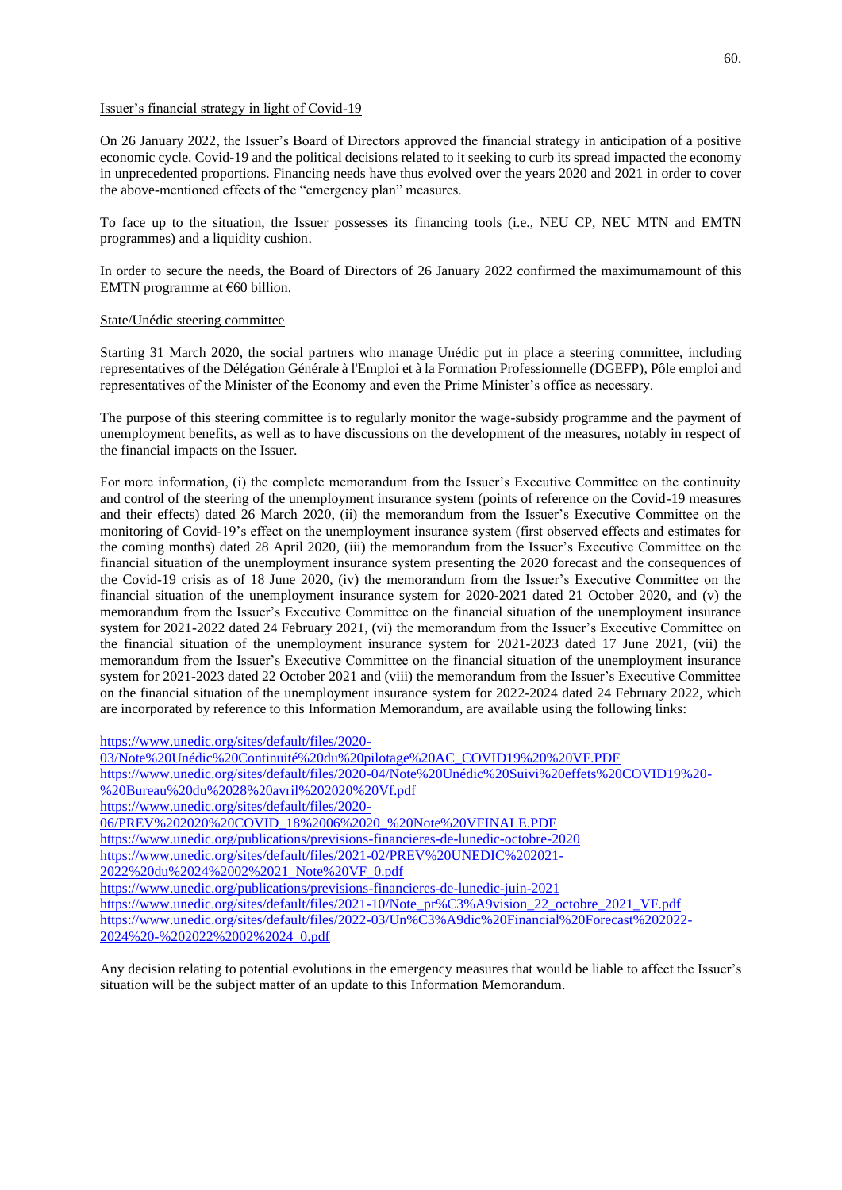## Issuer's financial strategy in light of Covid-19

On 26 January 2022, the Issuer's Board of Directors approved the financial strategy in anticipation of a positive economic cycle. Covid-19 and the political decisions related to it seeking to curb its spread impacted the economy in unprecedented proportions. Financing needs have thus evolved over the years 2020 and 2021 in order to cover the above-mentioned effects of the "emergency plan" measures.

To face up to the situation, the Issuer possesses its financing tools (i.e., NEU CP, NEU MTN and EMTN programmes) and a liquidity cushion.

In order to secure the needs, the Board of Directors of 26 January 2022 confirmed the maximumamount of this EMTN programme at  $€60$  billion.

## State/Unédic steering committee

Starting 31 March 2020, the social partners who manage Unédic put in place a steering committee, including representatives of the Délégation Générale à l'Emploi et à la Formation Professionnelle (DGEFP), Pôle emploi and representatives of the Minister of the Economy and even the Prime Minister's office as necessary.

The purpose of this steering committee is to regularly monitor the wage-subsidy programme and the payment of unemployment benefits, as well as to have discussions on the development of the measures, notably in respect of the financial impacts on the Issuer.

For more information, (i) the complete memorandum from the Issuer's Executive Committee on the continuity and control of the steering of the unemployment insurance system (points of reference on the Covid-19 measures and their effects) dated 26 March 2020, (ii) the memorandum from the Issuer's Executive Committee on the monitoring of Covid-19's effect on the unemployment insurance system (first observed effects and estimates for the coming months) dated 28 April 2020, (iii) the memorandum from the Issuer's Executive Committee on the financial situation of the unemployment insurance system presenting the 2020 forecast and the consequences of the Covid-19 crisis as of 18 June 2020, (iv) the memorandum from the Issuer's Executive Committee on the financial situation of the unemployment insurance system for 2020-2021 dated 21 October 2020, and (v) the memorandum from the Issuer's Executive Committee on the financial situation of the unemployment insurance system for 2021-2022 dated 24 February 2021, (vi) the memorandum from the Issuer's Executive Committee on the financial situation of the unemployment insurance system for 2021-2023 dated 17 June 2021, (vii) the memorandum from the Issuer's Executive Committee on the financial situation of the unemployment insurance system for 2021-2023 dated 22 October 2021 and (viii) the memorandum from the Issuer's Executive Committee on the financial situation of the unemployment insurance system for 2022-2024 dated 24 February 2022, which are incorporated by reference to this Information Memorandum, are available using the following links:

[https://www.unedic.org/sites/default/files/2020-](https://www.unedic.org/sites/default/files/2020-03/Note%20Unédic%20Continuité%20du%20pilotage%20AC_COVID19%20%20VF.PDF)

[03/Note%20Unédic%20Continuité%20du%20pilotage%20AC\\_COVID19%20%20VF.PDF](https://www.unedic.org/sites/default/files/2020-03/Note%20Unédic%20Continuité%20du%20pilotage%20AC_COVID19%20%20VF.PDF) [https://www.unedic.org/sites/default/files/2020-04/Note%20Unédic%20Suivi%20effets%20COVID19%20-](https://www.unedic.org/sites/default/files/2020-04/Note%20Unédic%20Suivi%20effets%20COVID19%20-%20Bureau%20du%2028%20avril%202020%20Vf.pdf) [%20Bureau%20du%2028%20avril%202020%20Vf.pdf](https://www.unedic.org/sites/default/files/2020-04/Note%20Unédic%20Suivi%20effets%20COVID19%20-%20Bureau%20du%2028%20avril%202020%20Vf.pdf) [https://www.unedic.org/sites/default/files/2020-](https://www.unedic.org/sites/default/files/2020-06/PREV%202020%20COVID_18%2006%2020_%20Note%20VFINALE.PDF) [06/PREV%202020%20COVID\\_18%2006%2020\\_%20Note%20VFINALE.PDF](https://www.unedic.org/sites/default/files/2020-06/PREV%202020%20COVID_18%2006%2020_%20Note%20VFINALE.PDF) <https://www.unedic.org/publications/previsions-financieres-de-lunedic-octobre-2020> [https://www.unedic.org/sites/default/files/2021-02/PREV%20UNEDIC%202021-](https://www.unedic.org/sites/default/files/2021-02/PREV%20UNEDIC%202021-2022%20du%2024%2002%2021_Note%20VF_0.pdf) [2022%20du%2024%2002%2021\\_Note%20VF\\_0.pdf](https://www.unedic.org/sites/default/files/2021-02/PREV%20UNEDIC%202021-2022%20du%2024%2002%2021_Note%20VF_0.pdf) <https://www.unedic.org/publications/previsions-financieres-de-lunedic-juin-2021> [https://www.unedic.org/sites/default/files/2021-10/Note\\_pr%C3%A9vision\\_22\\_octobre\\_2021\\_VF.pdf](https://www.unedic.org/sites/default/files/2021-10/Note_pr%C3%A9vision_22_octobre_2021_VF.pdf) [https://www.unedic.org/sites/default/files/2022-03/Un%C3%A9dic%20Financial%20Forecast%202022-](https://www.unedic.org/sites/default/files/2022-03/Un%C3%A9dic%20Financial%20Forecast%202022-2024%20-%202022%2002%2024_0.pdf) [2024%20-%202022%2002%2024\\_0.pdf](https://www.unedic.org/sites/default/files/2022-03/Un%C3%A9dic%20Financial%20Forecast%202022-2024%20-%202022%2002%2024_0.pdf)

Any decision relating to potential evolutions in the emergency measures that would be liable to affect the Issuer's situation will be the subject matter of an update to this Information Memorandum.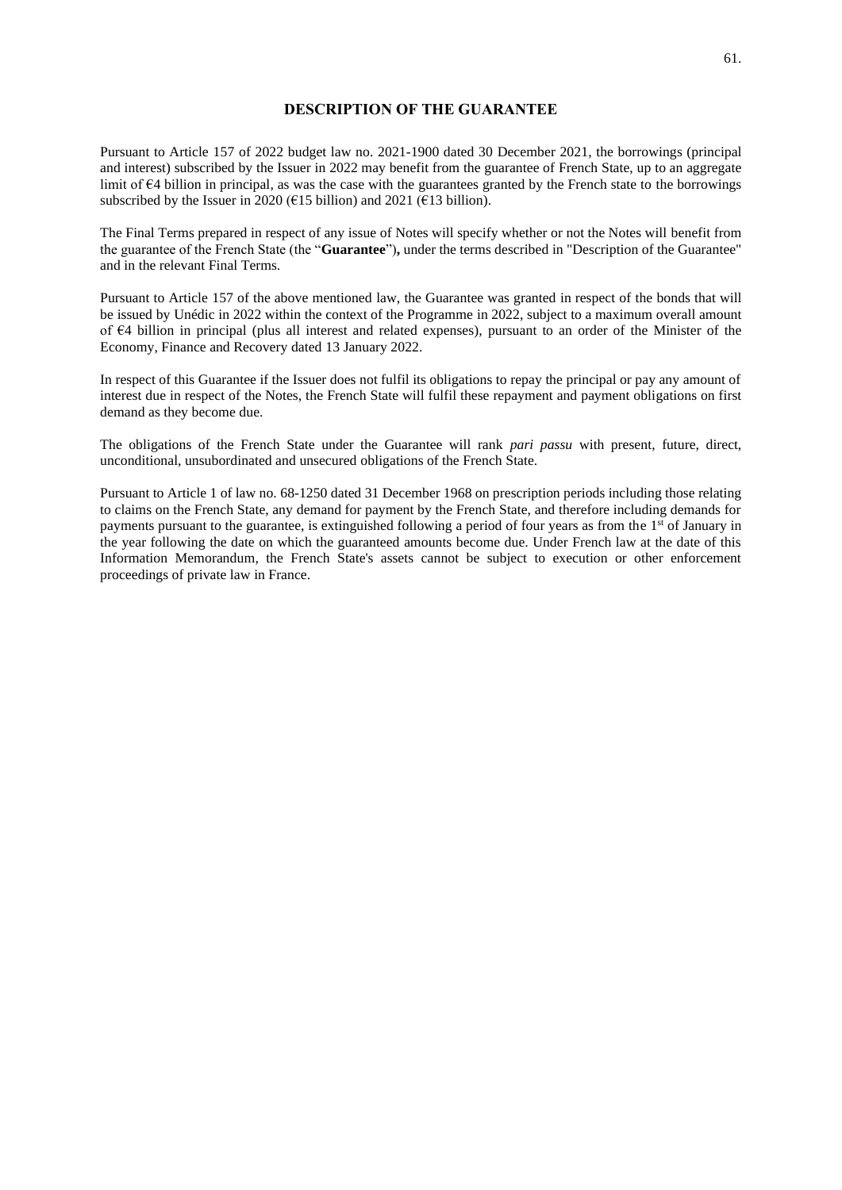# **DESCRIPTION OF THE GUARANTEE**

Pursuant to Article 157 of 2022 budget law no. 2021-1900 dated 30 December 2021, the borrowings (principal and interest) subscribed by the Issuer in 2022 may benefit from the guarantee of French State, up to an aggregate limit of €4 billion in principal, as was the case with the guarantees granted by the French state to the borrowings subscribed by the Issuer in 2020 ( $\epsilon$ 15 billion) and 2021 ( $\epsilon$ 13 billion).

The Final Terms prepared in respect of any issue of Notes will specify whether or not the Notes will benefit from the guarantee of the French State (the "**Guarantee**")**,** under the terms described in "Description of the Guarantee" and in the relevant Final Terms.

Pursuant to Article 157 of the above mentioned law, the Guarantee was granted in respect of the bonds that will be issued by Unédic in 2022 within the context of the Programme in 2022, subject to a maximum overall amount of €4 billion in principal (plus all interest and related expenses), pursuant to an order of the Minister of the Economy, Finance and Recovery dated 13 January 2022.

In respect of this Guarantee if the Issuer does not fulfil its obligations to repay the principal or pay any amount of interest due in respect of the Notes, the French State will fulfil these repayment and payment obligations on first demand as they become due.

The obligations of the French State under the Guarantee will rank *pari passu* with present, future, direct, unconditional, unsubordinated and unsecured obligations of the French State.

Pursuant to Article 1 of law no. 68-1250 dated 31 December 1968 on prescription periods including those relating to claims on the French State, any demand for payment by the French State, and therefore including demands for payments pursuant to the guarantee, is extinguished following a period of four years as from the 1<sup>st</sup> of January in the year following the date on which the guaranteed amounts become due. Under French law at the date of this Information Memorandum, the French State's assets cannot be subject to execution or other enforcement proceedings of private law in France.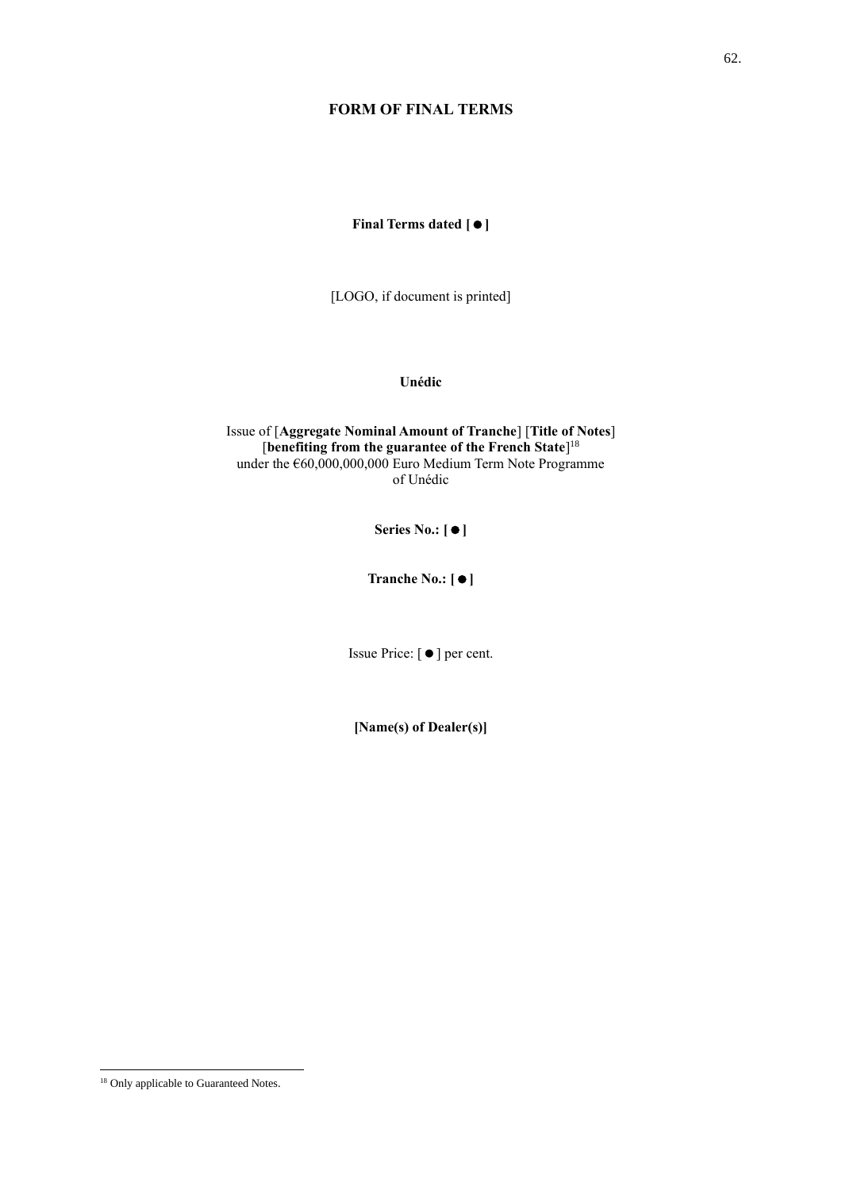# **FORM OF FINAL TERMS**

**Final Terms dated []**

[LOGO, if document is printed]

**Unédic**

Issue of [**Aggregate Nominal Amount of Tranche**] [**Title of Notes**] [**benefiting from the guarantee of the French State**] 18 under the  $660,000,000,000$  Euro Medium Term Note Programme of Unédic

**Series No.: []**

**Tranche No.: []**

Issue Price: [●] per cent.

**[Name(s) of Dealer(s)]**

<sup>&</sup>lt;sup>18</sup> Only applicable to Guaranteed Notes.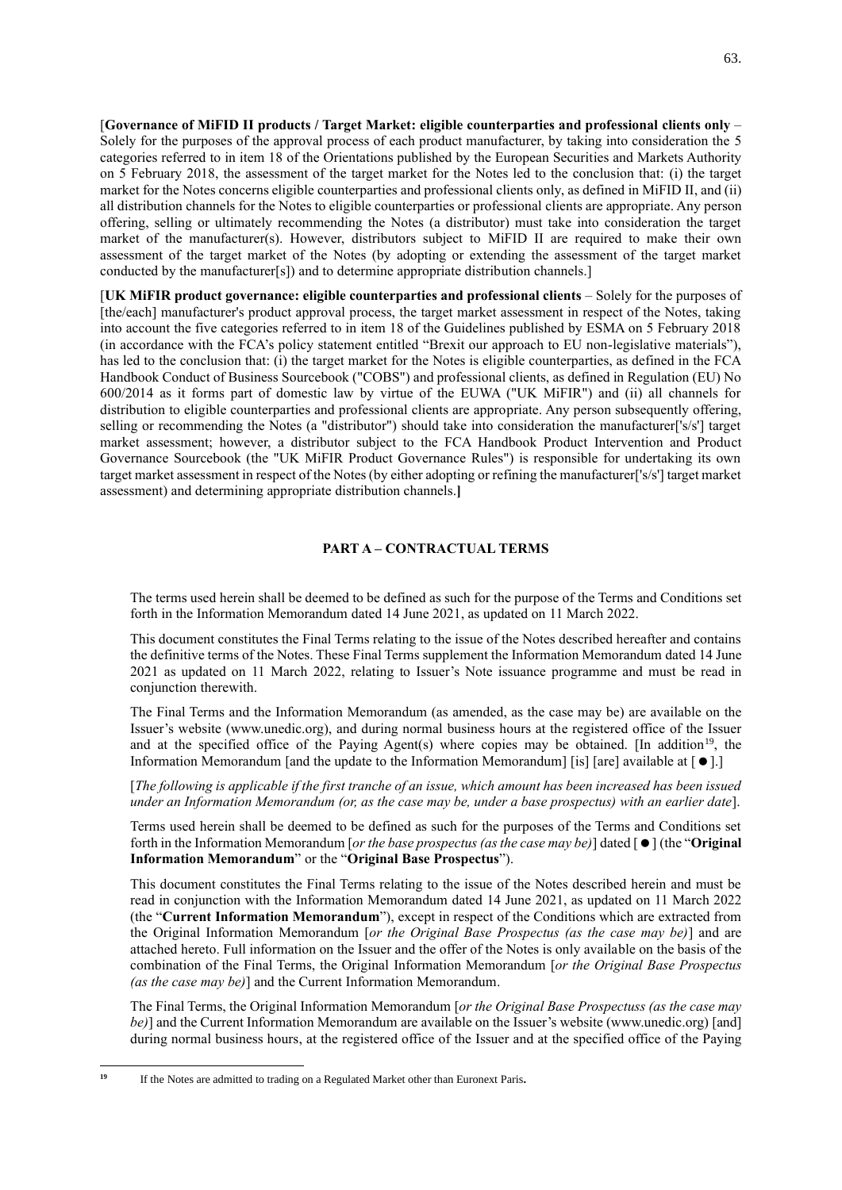[**Governance of MiFID II products / Target Market: eligible counterparties and professional clients only** – Solely for the purposes of the approval process of each product manufacturer, by taking into consideration the 5 categories referred to in item 18 of the Orientations published by the European Securities and Markets Authority on 5 February 2018, the assessment of the target market for the Notes led to the conclusion that: (i) the target market for the Notes concerns eligible counterparties and professional clients only, as defined in MiFID II, and (ii) all distribution channels for the Notes to eligible counterparties or professional clients are appropriate. Any person offering, selling or ultimately recommending the Notes (a distributor) must take into consideration the target market of the manufacturer(s). However, distributors subject to MiFID II are required to make their own assessment of the target market of the Notes (by adopting or extending the assessment of the target market conducted by the manufacturer[s]) and to determine appropriate distribution channels.]

[**UK MiFIR product governance: eligible counterparties and professional clients** – Solely for the purposes of [the/each] manufacturer's product approval process, the target market assessment in respect of the Notes, taking into account the five categories referred to in item 18 of the Guidelines published by ESMA on 5 February 2018 (in accordance with the FCA's policy statement entitled "Brexit our approach to EU non-legislative materials"), has led to the conclusion that: (i) the target market for the Notes is eligible counterparties, as defined in the FCA Handbook Conduct of Business Sourcebook ("COBS") and professional clients, as defined in Regulation (EU) No 600/2014 as it forms part of domestic law by virtue of the EUWA ("UK MiFIR") and (ii) all channels for distribution to eligible counterparties and professional clients are appropriate. Any person subsequently offering, selling or recommending the Notes (a "distributor") should take into consideration the manufacturer['s/s'] target market assessment; however, a distributor subject to the FCA Handbook Product Intervention and Product Governance Sourcebook (the "UK MiFIR Product Governance Rules") is responsible for undertaking its own target market assessment in respect of the Notes (by either adopting or refining the manufacturer['s/s'] target market assessment) and determining appropriate distribution channels.**]**

# **PART A – CONTRACTUAL TERMS**

The terms used herein shall be deemed to be defined as such for the purpose of the Terms and Conditions set forth in the Information Memorandum dated 14 June 2021, as updated on 11 March 2022.

This document constitutes the Final Terms relating to the issue of the Notes described hereafter and contains the definitive terms of the Notes. These Final Terms supplement the Information Memorandum dated 14 June 2021 as updated on 11 March 2022, relating to Issuer's Note issuance programme and must be read in conjunction therewith.

The Final Terms and the Information Memorandum (as amended, as the case may be) are available on the Issuer's website (www.unedic.org), and during normal business hours at the registered office of the Issuer and at the specified office of the Paying Agent(s) where copies may be obtained. [In addition<sup>19</sup>, the Information Memorandum [and the update to the Information Memorandum] [is] [are] available at  $[•]$ .]

[*The following is applicable if the first tranche of an issue, which amount has been increased has been issued under an Information Memorandum (or, as the case may be, under a base prospectus) with an earlier date*].

Terms used herein shall be deemed to be defined as such for the purposes of the Terms and Conditions set forth in the Information Memorandum [*or the base prospectus (as the case may be)*] dated [] (the "**Original Information Memorandum**" or the "**Original Base Prospectus**").

This document constitutes the Final Terms relating to the issue of the Notes described herein and must be read in conjunction with the Information Memorandum dated 14 June 2021, as updated on 11 March 2022 (the "**Current Information Memorandum**"), except in respect of the Conditions which are extracted from the Original Information Memorandum [*or the Original Base Prospectus (as the case may be)*] and are attached hereto. Full information on the Issuer and the offer of the Notes is only available on the basis of the combination of the Final Terms, the Original Information Memorandum [*or the Original Base Prospectus (as the case may be)*] and the Current Information Memorandum.

The Final Terms, the Original Information Memorandum [*or the Original Base Prospectuss (as the case may be*)] and the Current Information Memorandum are available on the Issuer's website (www.unedic.org) [and] during normal business hours, at the registered office of the Issuer and at the specified office of the Paying

**<sup>19</sup>** If the Notes are admitted to trading on a Regulated Market other than Euronext Paris**.**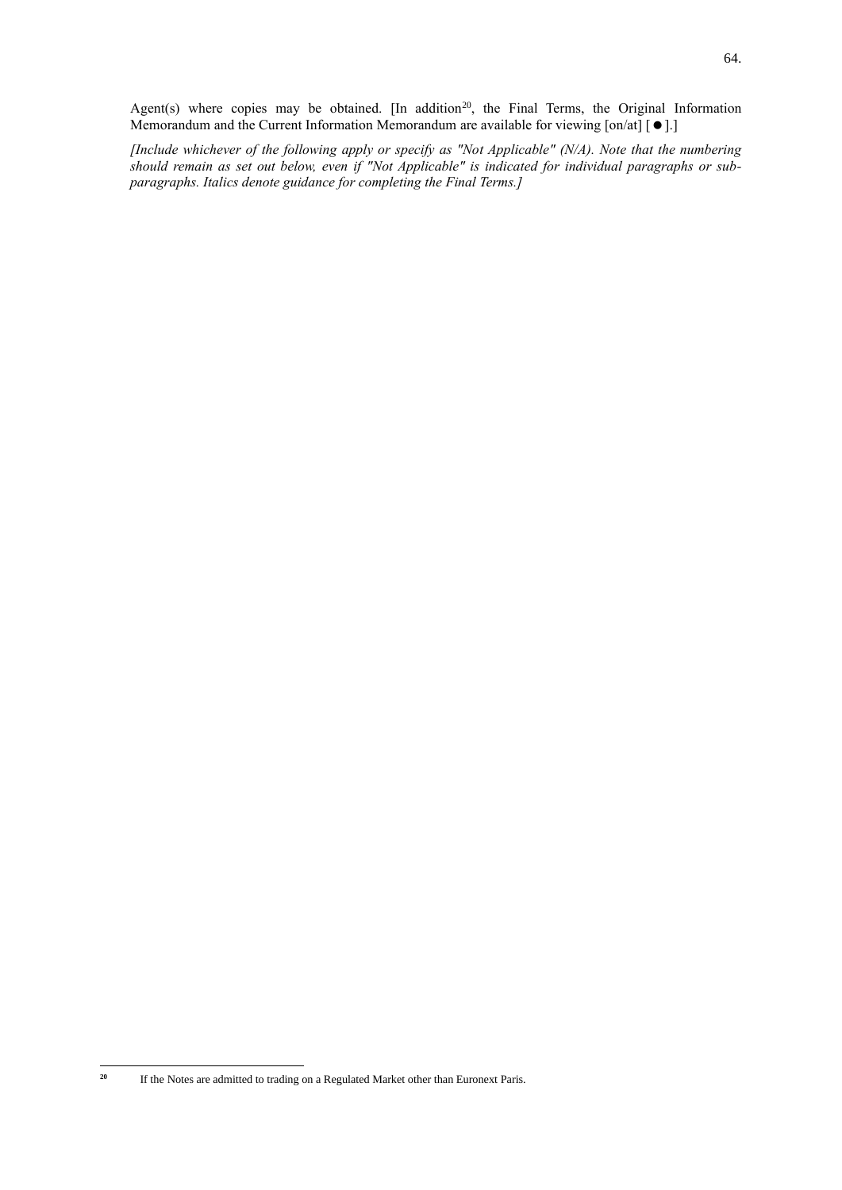Agent(s) where copies may be obtained. [In addition<sup>20</sup>, the Final Terms, the Original Information Memorandum and the Current Information Memorandum are available for viewing  $[on/at]$   $[ \bullet ].]$ 

*[Include whichever of the following apply or specify as "Not Applicable" (N/A). Note that the numbering should remain as set out below, even if "Not Applicable" is indicated for individual paragraphs or subparagraphs. Italics denote guidance for completing the Final Terms.]*

<sup>&</sup>lt;sup>20</sup> If the Notes are admitted to trading on a Regulated Market other than Euronext Paris.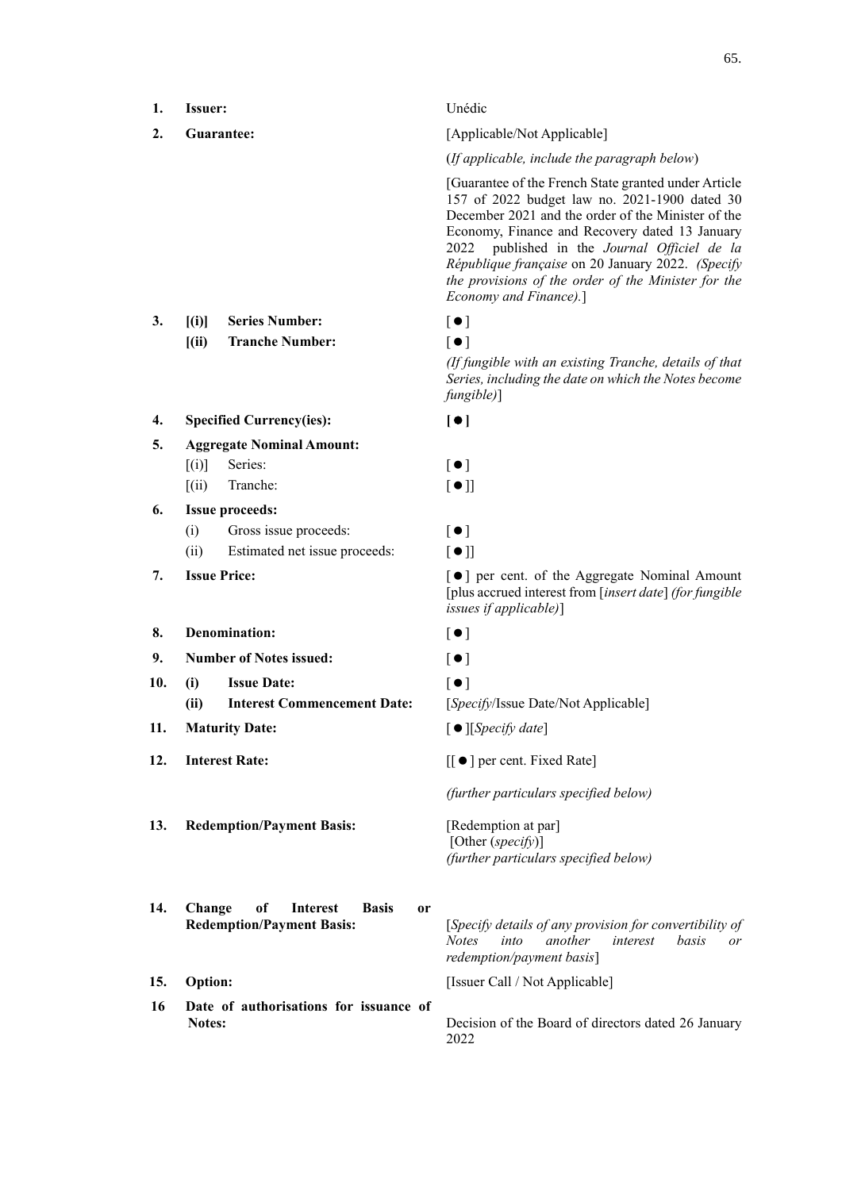| 1. | <b>Issuer:</b> | Unédic |
|----|----------------|--------|
|    |                |        |

# **3. [(i)] Series Number:**

 $[(ii)$  **Tranche Number:**  $[•]$ 

# **4. Specified Currency(ies): []**

**5. Aggregate Nominal Amount:**  $[(i)]$  Series:  $[$  $[(ii)$  Tranche:  $[①$ ]

# **6. Issue proceeds:**

- (i) Gross issue proceeds:  $\lceil \bullet \rceil$
- (ii) Estimated net issue proceeds:  $[\bullet]$
- 

## **8. Denomination:**  $\begin{bmatrix} \bullet \\ \end{bmatrix}$

- **9. Number of Notes issued:**  $\begin{bmatrix} \bullet \\ \end{bmatrix}$
- 10. (i) **Issue Date:**  $\begin{bmatrix} \bullet \\ \bullet \end{bmatrix}$ 
	- **(ii) Interest Commencement Date:** [*Specify*/Issue Date/Not Applicable]
- 11. **Maturity Date:**  $[ \bullet ]$  [*Specify date*]
- 
- **13. Redemption/Payment Basis:** [Redemption at par]

# **2. Guarantee:** [Applicable/Not Applicable]

(*If applicable, include the paragraph below*)

[Guarantee of the French State granted under Article 157 of 2022 budget law no. 2021-1900 dated 30 December 2021 and the order of the Minister of the Economy, Finance and Recovery dated 13 January 2022 published in the *Journal Officiel de la République française* on 20 January 2022. *(Specify the provisions of the order of the Minister for the Economy and Finance).*]

| ۰<br>v<br>× |  |
|-------------|--|
|-------------|--|

*(If fungible with an existing Tranche, details of that Series, including the date on which the Notes become fungible)*]

**7. Issue Price:**  $\begin{bmatrix} \bullet \end{bmatrix}$  per cent. of the Aggregate Nominal Amount [plus accrued interest from [*insert date*] *(for fungible issues if applicable)*]

- 
- 
- 

- 
- **12. Interest Rate:**  $\begin{bmatrix} \bullet \\ \bullet \end{bmatrix}$  per cent. Fixed Rate]

*(further particulars specified below)*

[Other (*specify*)] *(further particulars specified below)*

- **14. Change of Interest Basis or**
- 
- **16 Date of authorisations for issuance of**

**Redemption/Payment Basis:** [*Specify details of any provision for convertibility of Notes into another interest basis or redemption/payment basis*]

**15. Option:** [Issuer Call / Not Applicable]

**Notes:** Decision of the Board of directors dated 26 January 2022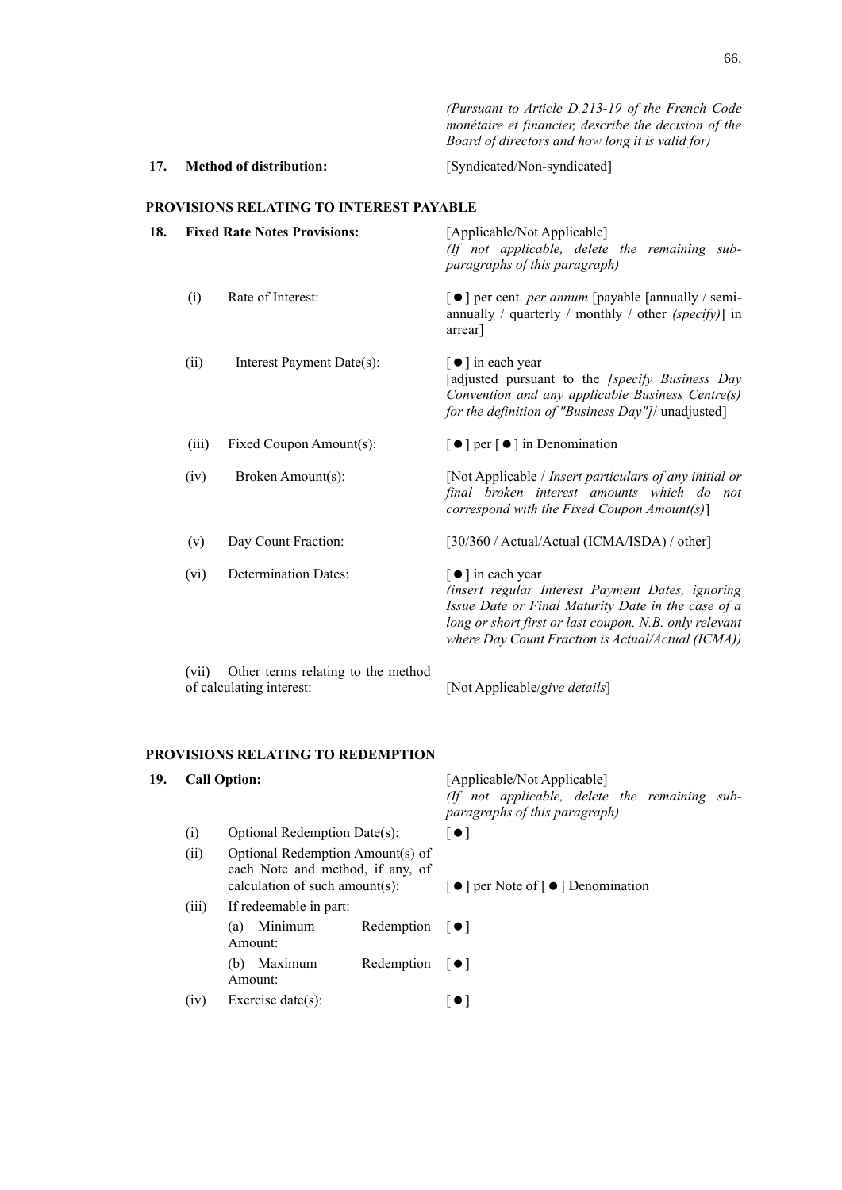66.

*(Pursuant to Article D.213-19 of the French Code monétaire et financier, describe the decision of the Board of directors and how long it is valid for)*

**17. Method of distribution:** [Syndicated/Non-syndicated]

# **PROVISIONS RELATING TO INTEREST PAYABLE**

| 18. | <b>Fixed Rate Notes Provisions:</b>                                     |                             | [Applicable/Not Applicable]<br>(If not applicable, delete the remaining sub-<br>paragraphs of this paragraph)                                                                                                                                                 |  |
|-----|-------------------------------------------------------------------------|-----------------------------|---------------------------------------------------------------------------------------------------------------------------------------------------------------------------------------------------------------------------------------------------------------|--|
|     | (i)                                                                     | Rate of Interest:           | [●] per cent. <i>per annum</i> [payable [annually / semi-<br>annually / quarterly / monthly / other $(specify)$ ] in<br>arrear                                                                                                                                |  |
|     | (ii)                                                                    | Interest Payment Date(s):   | [ ● ] in each year<br>[adjusted pursuant to the [specify Business Day<br>Convention and any applicable Business Centre(s)<br>for the definition of "Business Day"]/ unadjusted]                                                                               |  |
|     | (iii)                                                                   | Fixed Coupon Amount(s):     | $\lceil \bullet \rceil$ per $\lceil \bullet \rceil$ in Denomination                                                                                                                                                                                           |  |
|     | (iv)                                                                    | Broken Amount(s):           | [Not Applicable / Insert particulars of any initial or<br>final broken interest amounts which do not<br>correspond with the Fixed Coupon $Amount(s)$ ]                                                                                                        |  |
|     | (v)                                                                     | Day Count Fraction:         | [30/360 / Actual/Actual (ICMA/ISDA) / other]                                                                                                                                                                                                                  |  |
|     | (vi)                                                                    | <b>Determination Dates:</b> | $\lceil \bullet \rceil$ in each year<br>(insert regular Interest Payment Dates, ignoring<br>Issue Date or Final Maturity Date in the case of a<br>long or short first or last coupon. N.B. only relevant<br>where Day Count Fraction is Actual/Actual (ICMA)) |  |
|     | Other terms relating to the method<br>(vii)<br>of calculating interest: |                             | [Not Applicable/give details]                                                                                                                                                                                                                                 |  |

# **PROVISIONS RELATING TO REDEMPTION**

| 19. | <b>Call Option:</b> |                                                                                                        |                                    | [Applicable/Not Applicable]<br>(If not applicable, delete the remaining sub-<br>paragraphs of this paragraph) |
|-----|---------------------|--------------------------------------------------------------------------------------------------------|------------------------------------|---------------------------------------------------------------------------------------------------------------|
|     | (i)                 | Optional Redemption Date(s):                                                                           |                                    | $\lceil \bullet \rceil$                                                                                       |
|     | (ii)                | Optional Redemption Amount(s) of<br>each Note and method, if any, of<br>calculation of such amount(s): |                                    | $\lceil \bullet \rceil$ per Note of $\lceil \bullet \rceil$ Denomination                                      |
|     | (iii)               | If redeemable in part:                                                                                 |                                    |                                                                                                               |
|     |                     | Minimum<br>(a)<br>Amount:                                                                              | Redemption $\lceil \bullet \rceil$ |                                                                                                               |
|     |                     | Maximum<br>(b)<br>Amount:                                                                              | Redemption $\lceil \bullet \rceil$ |                                                                                                               |
|     | (1V)                | Exercise date $(s)$ :                                                                                  |                                    | $\bullet$ 1                                                                                                   |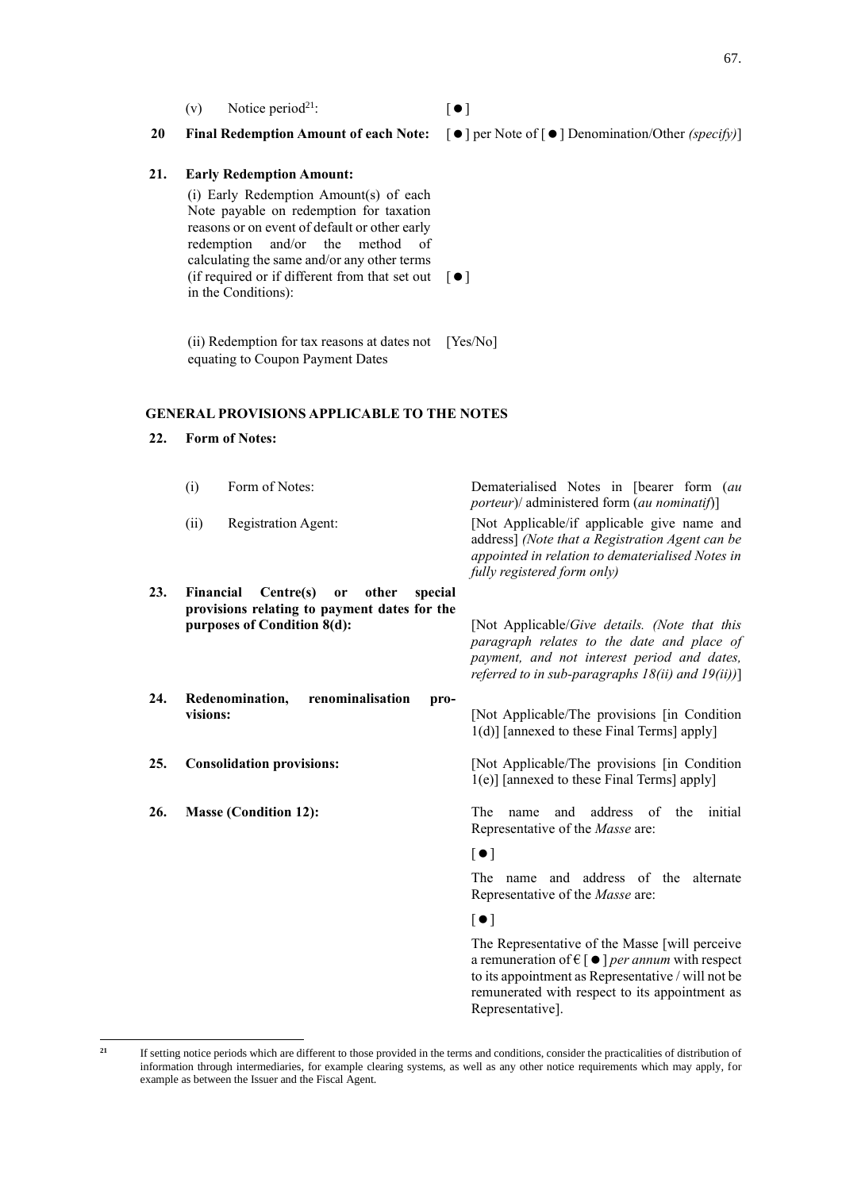67.

(v) Notice period<sup>21</sup>:  $\begin{bmatrix} \bullet \end{bmatrix}$ 

# **20 Final Redemption Amount of each Note:**  $\begin{bmatrix} \n\bullet \end{bmatrix}$  per Note of  $\begin{bmatrix} \n\bullet \end{bmatrix}$  Denomination/Other *(specify)*)

## **21. Early Redemption Amount:**

(i) Early Redemption Amount(s) of each Note payable on redemption for taxation reasons or on event of default or other early redemption and/or the method of calculating the same and/or any other terms (if required or if different from that set out  $[\bullet]$ in the Conditions):

(ii) Redemption for tax reasons at dates not [Yes/No] equating to Coupon Payment Dates

# **GENERAL PROVISIONS APPLICABLE TO THE NOTES**

## **22. Form of Notes:**

|     | (i)       | Form of Notes:                                                                                                            | Dematerialised Notes in [bearer form (au<br><i>porteur</i> )/ administered form ( <i>au nominatif</i> )]                                                                                                     |
|-----|-----------|---------------------------------------------------------------------------------------------------------------------------|--------------------------------------------------------------------------------------------------------------------------------------------------------------------------------------------------------------|
|     | (ii)      | Registration Agent:                                                                                                       | [Not Applicable/if applicable give name and<br>address] (Note that a Registration Agent can be<br>appointed in relation to dematerialised Notes in<br>fully registered form only)                            |
| 23. | Financial | Centre(s)<br>other<br>special<br><b>or</b><br>provisions relating to payment dates for the<br>purposes of Condition 8(d): | [Not Applicable/ <i>Give details. (Note that this</i><br>paragraph relates to the date and place of<br>payment, and not interest period and dates,<br>referred to in sub-paragraphs $18(ii)$ and $19(ii)$ )] |
| 24. | visions:  | renominalisation<br>Redenomination,<br>pro-                                                                               | [Not Applicable/The provisions [in Condition]<br>1(d)] [annexed to these Final Terms] apply]                                                                                                                 |
| 25. |           | <b>Consolidation provisions:</b>                                                                                          | [Not Applicable/The provisions [in Condition<br>1(e)] [annexed to these Final Terms] apply]                                                                                                                  |

**26. Masse (Condition 12):** The name and address of the initial Representative of the *Masse* are:

# $\lceil \bullet \rceil$

The name and address of the alternate Representative of the *Masse* are:

# $[$   $\bullet$   $]$

The Representative of the Masse [will perceive a remuneration of  $\in$   $\lceil \bullet \rceil$  *per annum* with respect to its appointment as Representative / will not be remunerated with respect to its appointment as Representative].

<sup>&</sup>lt;sup>21</sup> If setting notice periods which are different to those provided in the terms and conditions, consider the practicalities of distribution of information through intermediaries, for example clearing systems, as well as any other notice requirements which may apply, for example as between the Issuer and the Fiscal Agent.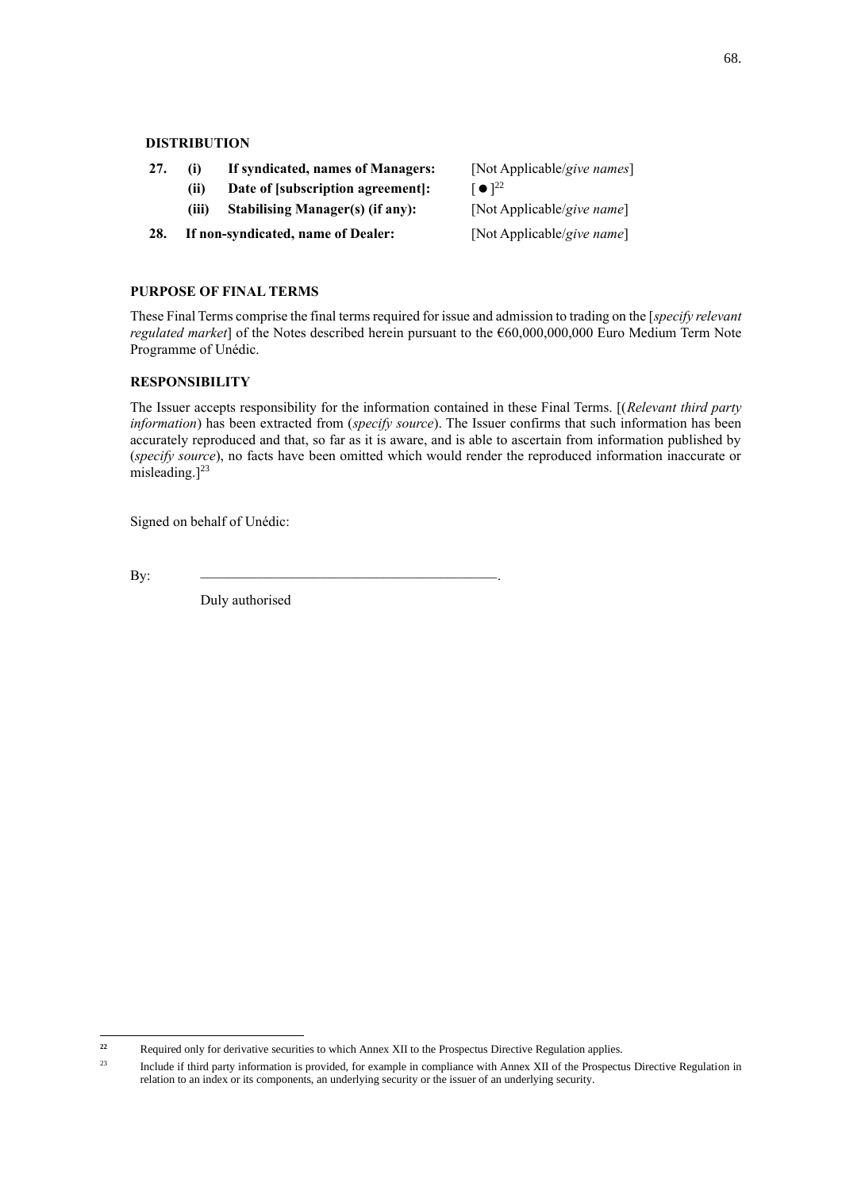# **DISTRIBUTION**

- **27. (i) If syndicated, names of Managers:** [Not Applicable/*give names*]
	- **(ii) Date of [subscription agreement]:** []
		- **(iii) Stabilising Manager(s) (if any):** [Not Applicable/*give name*]
- **28. If non-syndicated, name of Dealer:** [Not Applicable/*give name*]

# **PURPOSE OF FINAL TERMS**

These Final Terms comprise the final terms required for issue and admission to trading on the [*specify relevant regulated market*] of the Notes described herein pursuant to the €60,000,000,000 Euro Medium Term Note Programme of Unédic.

# **RESPONSIBILITY**

The Issuer accepts responsibility for the information contained in these Final Terms. [(*Relevant third party information*) has been extracted from (*specify source*). The Issuer confirms that such information has been accurately reproduced and that, so far as it is aware, and is able to ascertain from information published by (*specify source*), no facts have been omitted which would render the reproduced information inaccurate or misleading. $]^{23}$ 

Signed on behalf of Unédic:

By: \_\_\_\_\_\_\_\_\_\_\_\_\_\_\_\_\_\_\_\_\_\_\_\_\_\_\_\_\_\_\_\_\_\_\_\_\_\_\_\_\_\_.

Duly authorised

 $\lceil \bullet \rceil^{22}$ 

<sup>&</sup>lt;sup>22</sup> Required only for derivative securities to which Annex XII to the Prospectus Directive Regulation applies.

<sup>&</sup>lt;sup>23</sup> Include if third party information is provided, for example in compliance with Annex XII of the Prospectus Directive Regulation in relation to an index or its components, an underlying security or the issuer of an underlying security.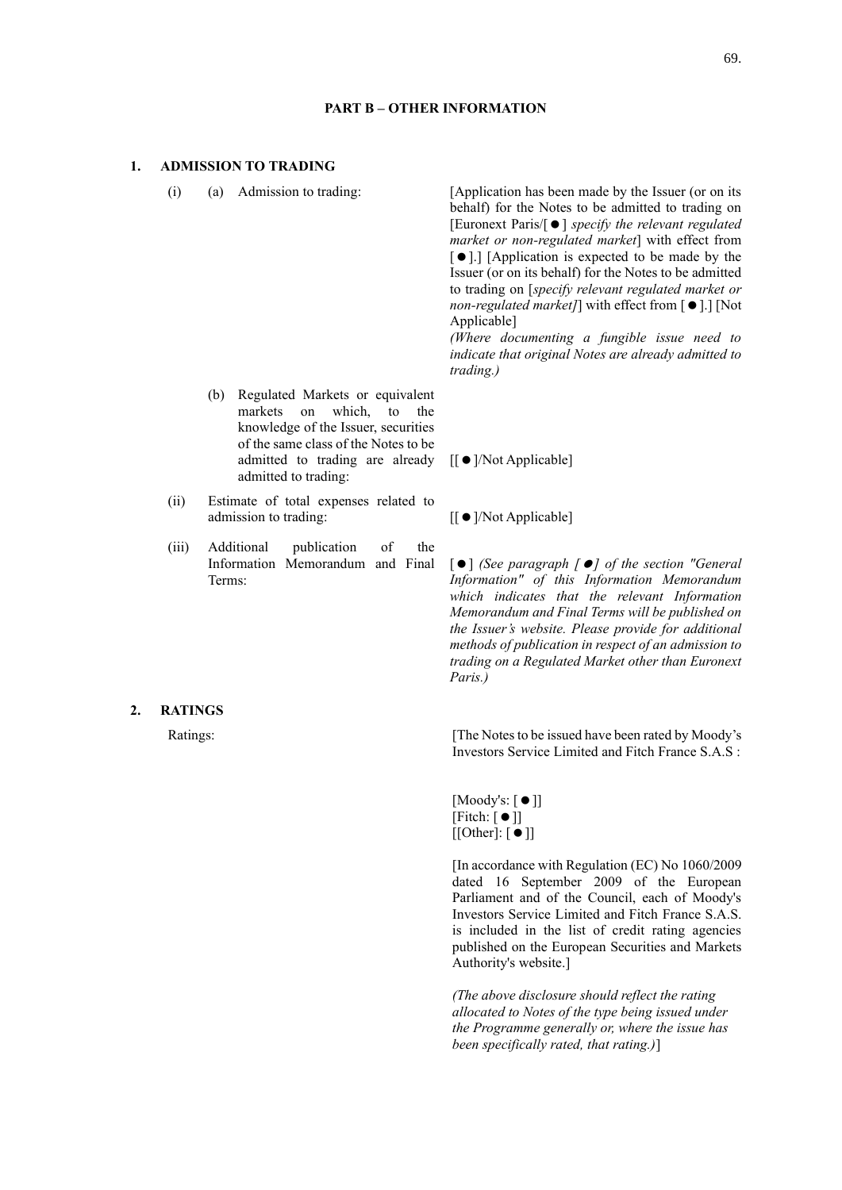## **PART B – OTHER INFORMATION**

# **1. ADMISSION TO TRADING**

(b) Regulated Markets or equivalent markets on which, to the knowledge of the Issuer, securities

admitted to trading:

(ii) Estimate of total expenses related to

(iii) Additional publication of the Information Memorandum and Final

(i) (a) Admission to trading: [Application has been made by the Issuer (or on its behalf) for the Notes to be admitted to trading on [Euronext Paris/[] *specify the relevant regulated market or non-regulated market*] with effect from [ $\bullet$ ].] [Application is expected to be made by the Issuer (or on its behalf) for the Notes to be admitted to trading on [*specify relevant regulated market or non-regulated market]*] with effect from  $\lceil \bullet \rceil$ .] [Not Applicable]

> *(Where documenting a fungible issue need to indicate that original Notes are already admitted to trading.)*

of the same class of the Notes to be admitted to trading are already [[ ● ]/Not Applicable]

admission to trading:  $[[\bullet]/{\rm Not\, Applied}]$ 

[] *(See paragraph [] of the section "General Information" of this Information Memorandum which indicates that the relevant Information Memorandum and Final Terms will be published on the Issuer's website. Please provide for additional methods of publication in respect of an admission to trading on a Regulated Market other than Euronext Paris.)*

# **2. RATINGS**

Terms:

Ratings: The Notes to be issued have been rated by Moody's Investors Service Limited and Fitch France S.A.S :

> $[Moody's: [ \bullet ]]$  $[Fitch: [  $\bullet$  ]]$  $[[Other]: [ \bullet ]]$

[In accordance with Regulation (EC) No 1060/2009 dated 16 September 2009 of the European Parliament and of the Council, each of Moody's Investors Service Limited and Fitch France S.A.S. is included in the list of credit rating agencies published on the European Securities and Markets Authority's website.]

*(The above disclosure should reflect the rating allocated to Notes of the type being issued under the Programme generally or, where the issue has been specifically rated, that rating.)*]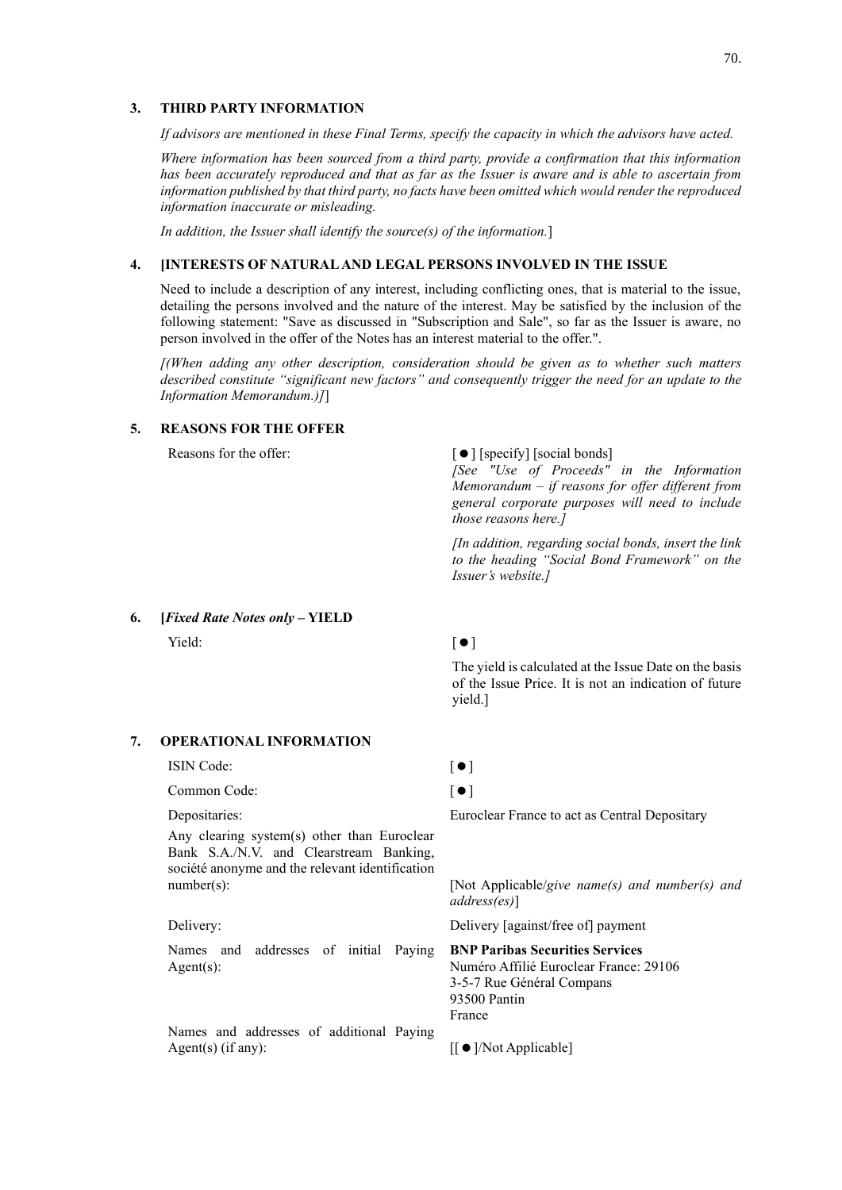## **3. THIRD PARTY INFORMATION**

*If advisors are mentioned in these Final Terms, specify the capacity in which the advisors have acted.*

*Where information has been sourced from a third party, provide a confirmation that this information has been accurately reproduced and that as far as the Issuer is aware and is able to ascertain from information published by that third party, no facts have been omitted which would render the reproduced information inaccurate or misleading.*

*In addition, the Issuer shall identify the source(s) of the information.*]

## **4. [INTERESTS OF NATURAL AND LEGAL PERSONS INVOLVED IN THE ISSUE**

Need to include a description of any interest, including conflicting ones, that is material to the issue, detailing the persons involved and the nature of the interest. May be satisfied by the inclusion of the following statement: "Save as discussed in "Subscription and Sale", so far as the Issuer is aware, no person involved in the offer of the Notes has an interest material to the offer.".

*[(When adding any other description, consideration should be given as to whether such matters described constitute "significant new factors" and consequently trigger the need for an update to the Information Memorandum.)]*]

# **5. REASONS FOR THE OFFER**

## Reasons for the offer:  $\lceil \bullet \rceil$  [specify] [social bonds]

*[See "Use of Proceeds" in the Information Memorandum – if reasons for offer different from general corporate purposes will need to include those reasons here.]*

*[In addition, regarding social bonds, insert the link to the heading "Social Bond Framework" on the Issuer's website.]*

**6. [***Fixed Rate Notes only* **– YIELD**

 $Yield:$   $[$   $)$ 

The yield is calculated at the Issue Date on the basis of the Issue Price. It is not an indication of future yield.]

## **7. OPERATIONAL INFORMATION**

# ISIN Code:  $\lceil \bullet \rceil$

Common Code:  $\lceil \bullet \rceil$ 

## Depositaries: Euroclear France to act as Central Depositary

Any clearing system(s) other than Euroclear Bank S.A./N.V. and Clearstream Banking, société anonyme and the relevant identification

Names and addresses of initial Paying Agent(s):

Names and addresses of additional Paying Agent(s) (if any):  $\left| \int_{0}^{\infty} \right| \left| \int_{0}^{\infty} \right| \left| \int_{0}^{\infty} \right| \left| \int_{0}^{\infty} \right| \left| \int_{0}^{\infty} \right| \left| \int_{0}^{\infty} \right| \left| \int_{0}^{\infty} \right| \left| \int_{0}^{\infty} \left| \int_{0}^{\infty} \right| \left| \int_{0}^{\infty} \right| \left| \int_{0}^{\infty} \right| \left| \int_{0}^{\infty} \left| \int_{0}^{\infty} \right$ 

number(s): *implicable/give name(s) and number(s) and*  $\Box$ *address(es)*]

Delivery: Delivery [against/free of] payment

**BNP Paribas Securities Services** Numéro Affilié Euroclear France: 29106 3-5-7 Rue Général Compans 93500 Pantin France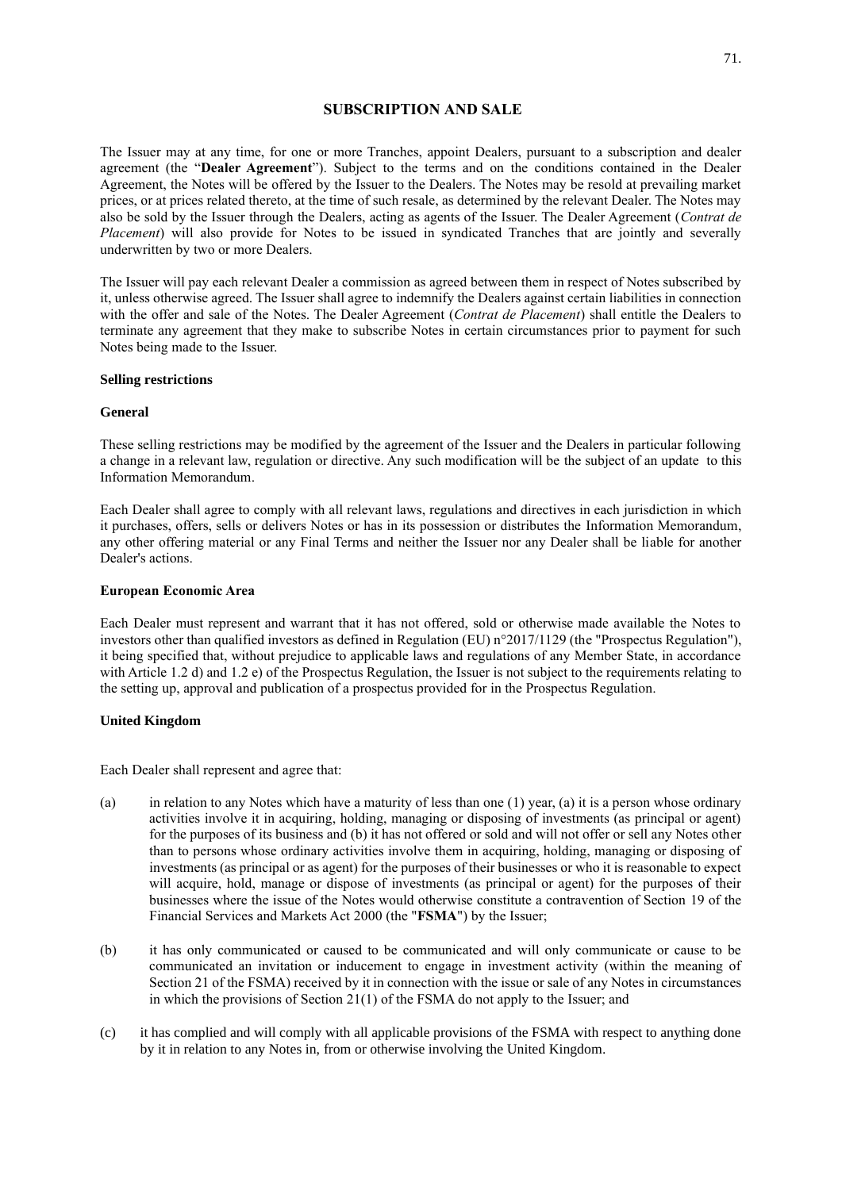# **SUBSCRIPTION AND SALE**

The Issuer may at any time, for one or more Tranches, appoint Dealers, pursuant to a subscription and dealer agreement (the "**Dealer Agreement**"). Subject to the terms and on the conditions contained in the Dealer Agreement, the Notes will be offered by the Issuer to the Dealers. The Notes may be resold at prevailing market prices, or at prices related thereto, at the time of such resale, as determined by the relevant Dealer. The Notes may also be sold by the Issuer through the Dealers, acting as agents of the Issuer. The Dealer Agreement (*Contrat de Placement*) will also provide for Notes to be issued in syndicated Tranches that are jointly and severally underwritten by two or more Dealers.

The Issuer will pay each relevant Dealer a commission as agreed between them in respect of Notes subscribed by it, unless otherwise agreed. The Issuer shall agree to indemnify the Dealers against certain liabilities in connection with the offer and sale of the Notes. The Dealer Agreement (*Contrat de Placement*) shall entitle the Dealers to terminate any agreement that they make to subscribe Notes in certain circumstances prior to payment for such Notes being made to the Issuer.

## **Selling restrictions**

## **General**

These selling restrictions may be modified by the agreement of the Issuer and the Dealers in particular following a change in a relevant law, regulation or directive. Any such modification will be the subject of an update to this Information Memorandum.

Each Dealer shall agree to comply with all relevant laws, regulations and directives in each jurisdiction in which it purchases, offers, sells or delivers Notes or has in its possession or distributes the Information Memorandum, any other offering material or any Final Terms and neither the Issuer nor any Dealer shall be liable for another Dealer's actions.

## **European Economic Area**

Each Dealer must represent and warrant that it has not offered, sold or otherwise made available the Notes to investors other than qualified investors as defined in Regulation (EU) n°2017/1129 (the "Prospectus Regulation"), it being specified that, without prejudice to applicable laws and regulations of any Member State, in accordance with Article 1.2 d) and 1.2 e) of the Prospectus Regulation, the Issuer is not subject to the requirements relating to the setting up, approval and publication of a prospectus provided for in the Prospectus Regulation.

## **United Kingdom**

Each Dealer shall represent and agree that:

- (a) in relation to any Notes which have a maturity of less than one (1) year, (a) it is a person whose ordinary activities involve it in acquiring, holding, managing or disposing of investments (as principal or agent) for the purposes of its business and (b) it has not offered or sold and will not offer or sell any Notes other than to persons whose ordinary activities involve them in acquiring, holding, managing or disposing of investments (as principal or as agent) for the purposes of their businesses or who it is reasonable to expect will acquire, hold, manage or dispose of investments (as principal or agent) for the purposes of their businesses where the issue of the Notes would otherwise constitute a contravention of Section 19 of the Financial Services and Markets Act 2000 (the "**FSMA**") by the Issuer;
- (b) it has only communicated or caused to be communicated and will only communicate or cause to be communicated an invitation or inducement to engage in investment activity (within the meaning of Section 21 of the FSMA) received by it in connection with the issue or sale of any Notes in circumstances in which the provisions of Section 21(1) of the FSMA do not apply to the Issuer; and
- (c) it has complied and will comply with all applicable provisions of the FSMA with respect to anything done by it in relation to any Notes in, from or otherwise involving the United Kingdom.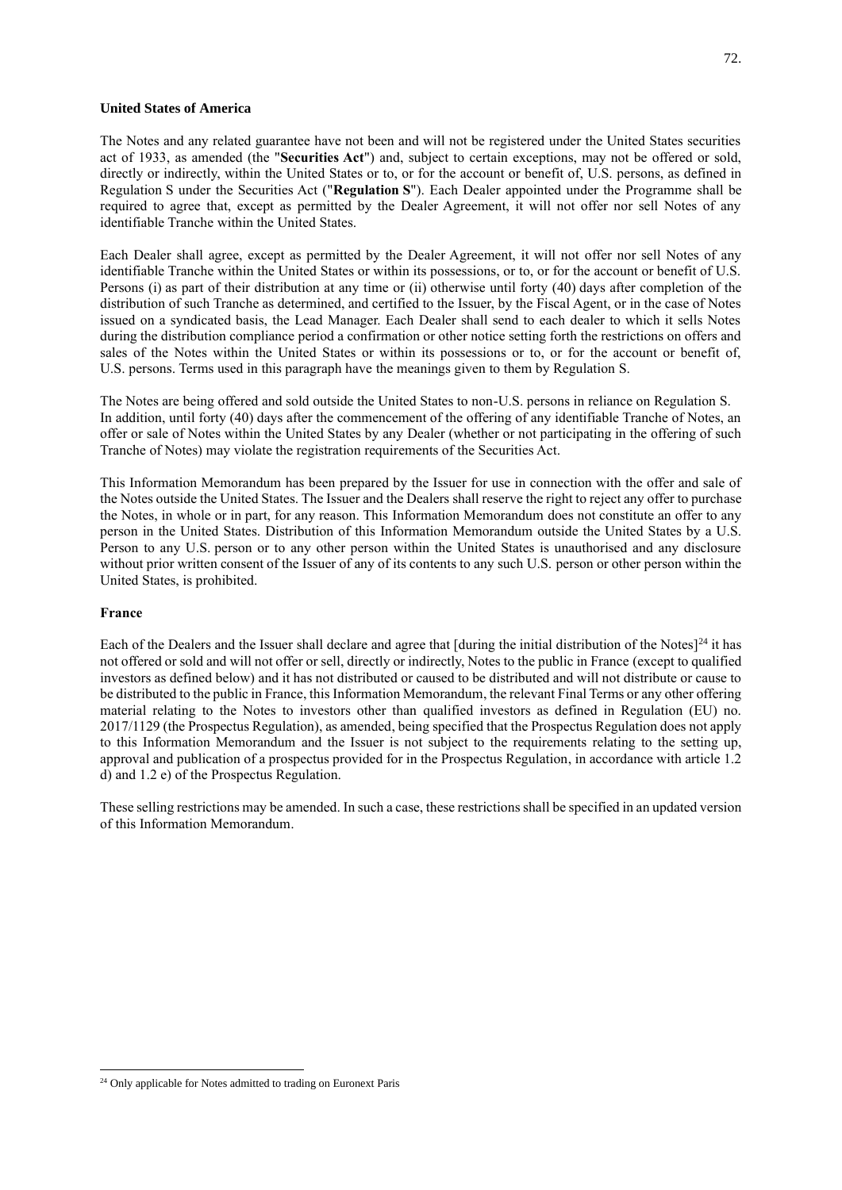## **United States of America**

The Notes and any related guarantee have not been and will not be registered under the United States securities act of 1933, as amended (the "**Securities Act**") and, subject to certain exceptions, may not be offered or sold, directly or indirectly, within the United States or to, or for the account or benefit of, U.S. persons, as defined in Regulation S under the Securities Act ("**Regulation S**"). Each Dealer appointed under the Programme shall be required to agree that, except as permitted by the Dealer Agreement, it will not offer nor sell Notes of any identifiable Tranche within the United States.

Each Dealer shall agree, except as permitted by the Dealer Agreement, it will not offer nor sell Notes of any identifiable Tranche within the United States or within its possessions, or to, or for the account or benefit of U.S. Persons (i) as part of their distribution at any time or (ii) otherwise until forty (40) days after completion of the distribution of such Tranche as determined, and certified to the Issuer, by the Fiscal Agent, or in the case of Notes issued on a syndicated basis, the Lead Manager. Each Dealer shall send to each dealer to which it sells Notes during the distribution compliance period a confirmation or other notice setting forth the restrictions on offers and sales of the Notes within the United States or within its possessions or to, or for the account or benefit of, U.S. persons. Terms used in this paragraph have the meanings given to them by Regulation S.

The Notes are being offered and sold outside the United States to non-U.S. persons in reliance on Regulation S. In addition, until forty (40) days after the commencement of the offering of any identifiable Tranche of Notes, an offer or sale of Notes within the United States by any Dealer (whether or not participating in the offering of such Tranche of Notes) may violate the registration requirements of the Securities Act.

This Information Memorandum has been prepared by the Issuer for use in connection with the offer and sale of the Notes outside the United States. The Issuer and the Dealers shall reserve the right to reject any offer to purchase the Notes, in whole or in part, for any reason. This Information Memorandum does not constitute an offer to any person in the United States. Distribution of this Information Memorandum outside the United States by a U.S. Person to any U.S. person or to any other person within the United States is unauthorised and any disclosure without prior written consent of the Issuer of any of its contents to any such U.S. person or other person within the United States, is prohibited.

## **France**

Each of the Dealers and the Issuer shall declare and agree that  $\left[$  during the initial distribution of the Notes $]^{24}$  it has not offered or sold and will not offer or sell, directly or indirectly, Notes to the public in France (except to qualified investors as defined below) and it has not distributed or caused to be distributed and will not distribute or cause to be distributed to the public in France, this Information Memorandum, the relevant Final Terms or any other offering material relating to the Notes to investors other than qualified investors as defined in Regulation (EU) no. 2017/1129 (the Prospectus Regulation), as amended, being specified that the Prospectus Regulation does not apply to this Information Memorandum and the Issuer is not subject to the requirements relating to the setting up, approval and publication of a prospectus provided for in the Prospectus Regulation, in accordance with article 1.2 d) and 1.2 e) of the Prospectus Regulation.

These selling restrictions may be amended. In such a case, these restrictions shall be specified in an updated version of this Information Memorandum.

<sup>&</sup>lt;sup>24</sup> Only applicable for Notes admitted to trading on Euronext Paris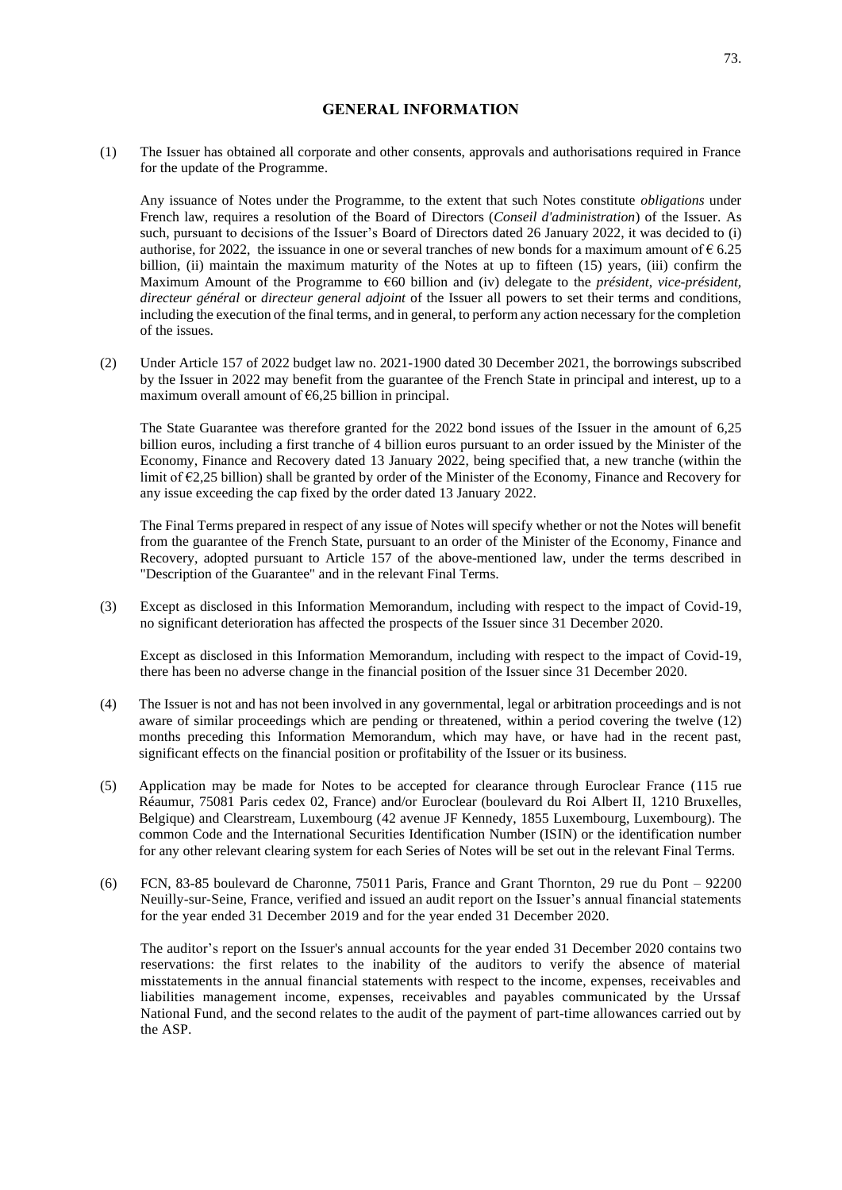## **GENERAL INFORMATION**

(1) The Issuer has obtained all corporate and other consents, approvals and authorisations required in France for the update of the Programme.

Any issuance of Notes under the Programme, to the extent that such Notes constitute *obligations* under French law, requires a resolution of the Board of Directors (*Conseil d'administration*) of the Issuer. As such, pursuant to decisions of the Issuer's Board of Directors dated 26 January 2022, it was decided to (i) authorise, for 2022, the issuance in one or several tranches of new bonds for a maximum amount of  $\epsilon$  6.25 billion, (ii) maintain the maximum maturity of the Notes at up to fifteen (15) years, (iii) confirm the Maximum Amount of the Programme to €60 billion and (iv) delegate to the *président*, *vice-président, directeur général* or *directeur general adjoint* of the Issuer all powers to set their terms and conditions, including the execution of the final terms, and in general, to perform any action necessary for the completion of the issues.

(2) Under Article 157 of 2022 budget law no. 2021-1900 dated 30 December 2021, the borrowings subscribed by the Issuer in 2022 may benefit from the guarantee of the French State in principal and interest, up to a maximum overall amount of  $\epsilon$ 6,25 billion in principal.

The State Guarantee was therefore granted for the 2022 bond issues of the Issuer in the amount of 6,25 billion euros, including a first tranche of 4 billion euros pursuant to an order issued by the Minister of the Economy, Finance and Recovery dated 13 January 2022, being specified that, a new tranche (within the limit of  $\epsilon$ 2,25 billion) shall be granted by order of the Minister of the Economy, Finance and Recovery for any issue exceeding the cap fixed by the order dated 13 January 2022.

The Final Terms prepared in respect of any issue of Notes will specify whether or not the Notes will benefit from the guarantee of the French State, pursuant to an order of the Minister of the Economy, Finance and Recovery, adopted pursuant to Article 157 of the above-mentioned law, under the terms described in "Description of the Guarantee" and in the relevant Final Terms.

(3) Except as disclosed in this Information Memorandum, including with respect to the impact of Covid-19, no significant deterioration has affected the prospects of the Issuer since 31 December 2020.

Except as disclosed in this Information Memorandum, including with respect to the impact of Covid-19, there has been no adverse change in the financial position of the Issuer since 31 December 2020.

- (4) The Issuer is not and has not been involved in any governmental, legal or arbitration proceedings and is not aware of similar proceedings which are pending or threatened, within a period covering the twelve (12) months preceding this Information Memorandum, which may have, or have had in the recent past, significant effects on the financial position or profitability of the Issuer or its business.
- (5) Application may be made for Notes to be accepted for clearance through Euroclear France (115 rue Réaumur, 75081 Paris cedex 02, France) and/or Euroclear (boulevard du Roi Albert II, 1210 Bruxelles, Belgique) and Clearstream, Luxembourg (42 avenue JF Kennedy, 1855 Luxembourg, Luxembourg). The common Code and the International Securities Identification Number (ISIN) or the identification number for any other relevant clearing system for each Series of Notes will be set out in the relevant Final Terms.
- (6) FCN, 83-85 boulevard de Charonne, 75011 Paris, France and Grant Thornton, 29 rue du Pont 92200 Neuilly-sur-Seine, France, verified and issued an audit report on the Issuer's annual financial statements for the year ended 31 December 2019 and for the year ended 31 December 2020.

The auditor's report on the Issuer's annual accounts for the year ended 31 December 2020 contains two reservations: the first relates to the inability of the auditors to verify the absence of material misstatements in the annual financial statements with respect to the income, expenses, receivables and liabilities management income, expenses, receivables and payables communicated by the Urssaf National Fund, and the second relates to the audit of the payment of part-time allowances carried out by the ASP.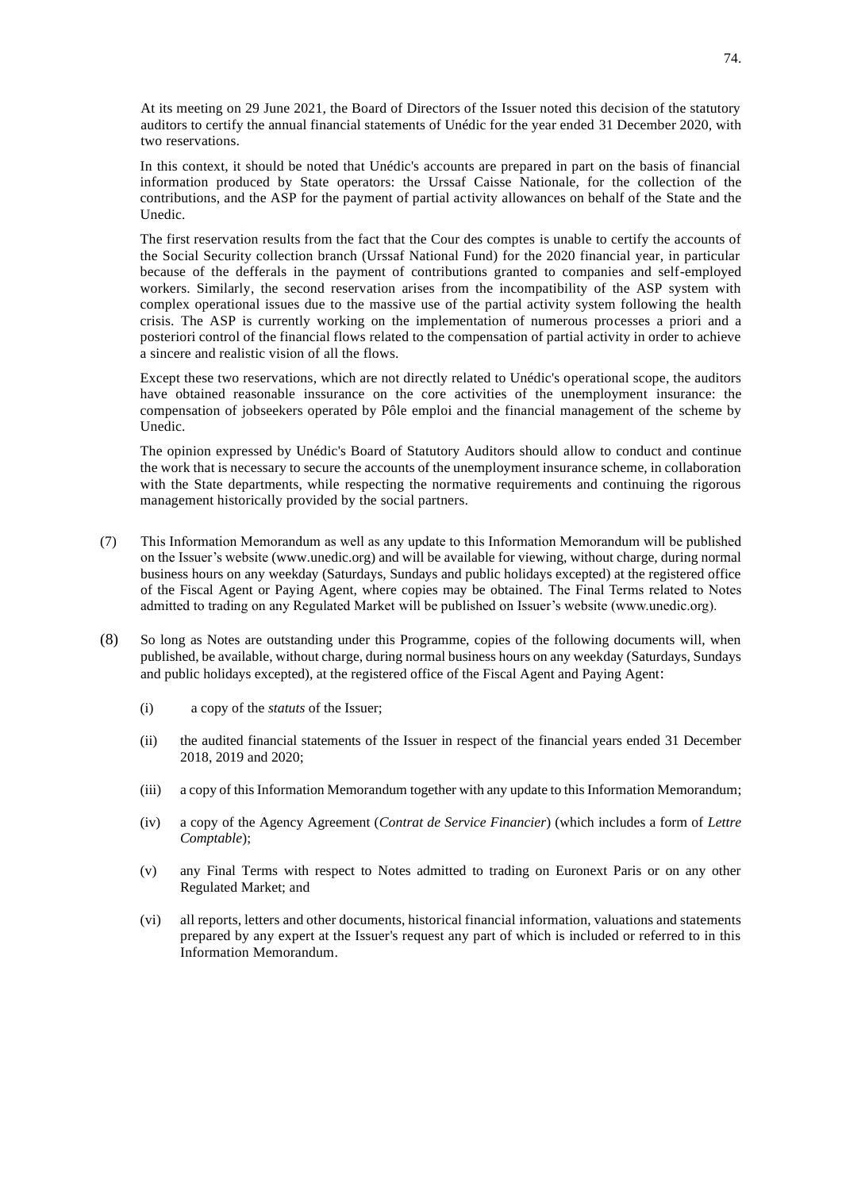At its meeting on 29 June 2021, the Board of Directors of the Issuer noted this decision of the statutory auditors to certify the annual financial statements of Unédic for the year ended 31 December 2020, with two reservations.

In this context, it should be noted that Unédic's accounts are prepared in part on the basis of financial information produced by State operators: the Urssaf Caisse Nationale, for the collection of the contributions, and the ASP for the payment of partial activity allowances on behalf of the State and the Unedic.

The first reservation results from the fact that the Cour des comptes is unable to certify the accounts of the Social Security collection branch (Urssaf National Fund) for the 2020 financial year, in particular because of the defferals in the payment of contributions granted to companies and self-employed workers. Similarly, the second reservation arises from the incompatibility of the ASP system with complex operational issues due to the massive use of the partial activity system following the health crisis. The ASP is currently working on the implementation of numerous processes a priori and a posteriori control of the financial flows related to the compensation of partial activity in order to achieve a sincere and realistic vision of all the flows.

Except these two reservations, which are not directly related to Unédic's operational scope, the auditors have obtained reasonable inssurance on the core activities of the unemployment insurance: the compensation of jobseekers operated by Pôle emploi and the financial management of the scheme by Unedic.

The opinion expressed by Unédic's Board of Statutory Auditors should allow to conduct and continue the work that is necessary to secure the accounts of the unemployment insurance scheme, in collaboration with the State departments, while respecting the normative requirements and continuing the rigorous management historically provided by the social partners.

- (7) This Information Memorandum as well as any update to this Information Memorandum will be published on the Issuer's website (www.unedic.org) and will be available for viewing, without charge, during normal business hours on any weekday (Saturdays, Sundays and public holidays excepted) at the registered office of the Fiscal Agent or Paying Agent, where copies may be obtained. The Final Terms related to Notes admitted to trading on any Regulated Market will be published on Issuer's website (www.unedic.org).
- (8) So long as Notes are outstanding under this Programme, copies of the following documents will, when published, be available, without charge, during normal business hours on any weekday (Saturdays, Sundays and public holidays excepted), at the registered office of the Fiscal Agent and Paying Agent:
	- (i) a copy of the *statuts* of the Issuer;
	- (ii) the audited financial statements of the Issuer in respect of the financial years ended 31 December 2018, 2019 and 2020;
	- (iii) a copy of this Information Memorandum together with any update to this Information Memorandum;
	- (iv) a copy of the Agency Agreement (*Contrat de Service Financier*) (which includes a form of *Lettre Comptable*);
	- (v) any Final Terms with respect to Notes admitted to trading on Euronext Paris or on any other Regulated Market; and
	- (vi) all reports, letters and other documents, historical financial information, valuations and statements prepared by any expert at the Issuer's request any part of which is included or referred to in this Information Memorandum.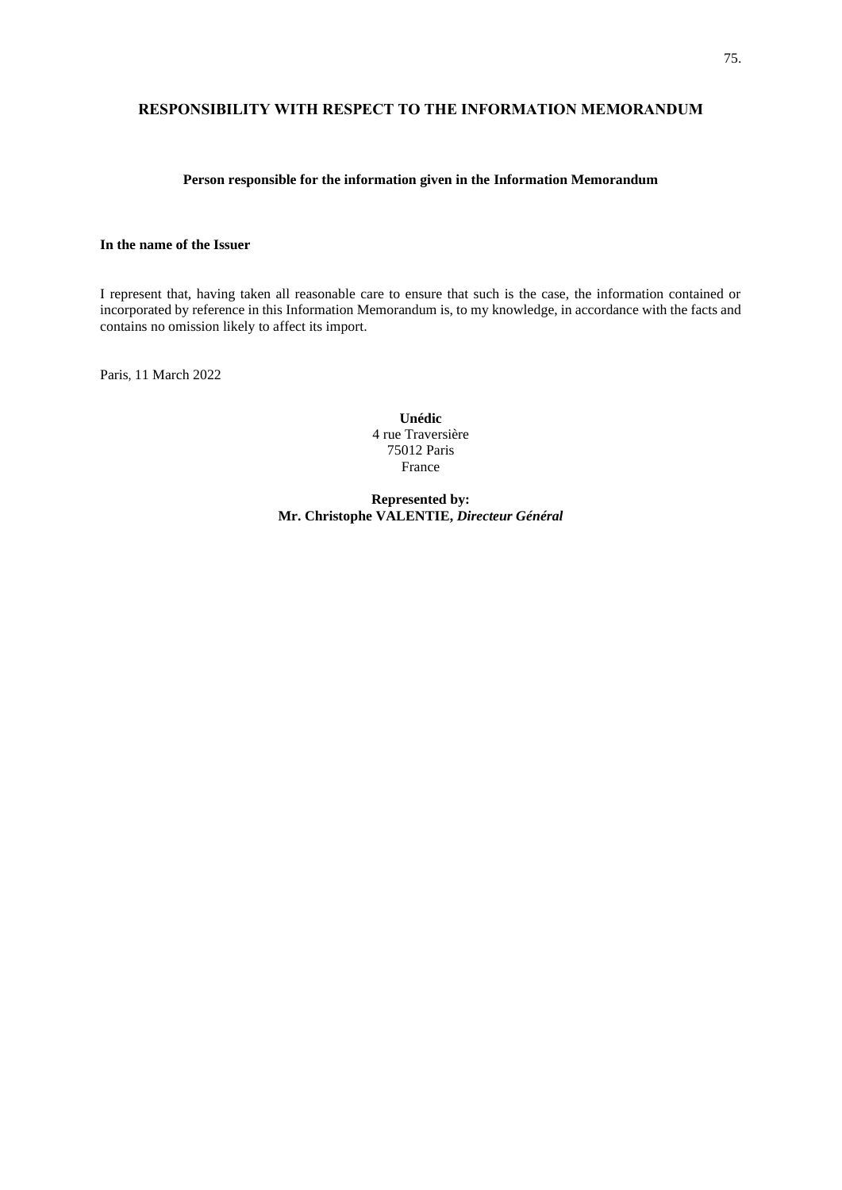## **RESPONSIBILITY WITH RESPECT TO THE INFORMATION MEMORANDUM**

## **Person responsible for the information given in the Information Memorandum**

## **In the name of the Issuer**

I represent that, having taken all reasonable care to ensure that such is the case, the information contained or incorporated by reference in this Information Memorandum is, to my knowledge, in accordance with the facts and contains no omission likely to affect its import.

Paris, 11 March 2022

**Unédic** 4 rue Traversière 75012 Paris France

**Represented by: Mr. Christophe VALENTIE,** *Directeur Général*